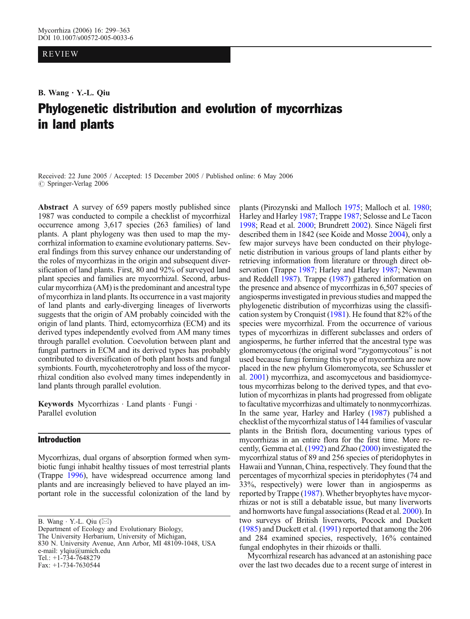# REVIEW

B. Wang . Y.-L. Qiu

# Phylogenetic distribution and evolution of mycorrhizas in land plants

Received: 22 June 2005 / Accepted: 15 December 2005 / Published online: 6 May 2006  $\circ$  Springer-Verlag 2006

Abstract A survey of 659 papers mostly published since 1987 was conducted to compile a checklist of mycorrhizal occurrence among 3,617 species (263 families) of land plants. A plant phylogeny was then used to map the mycorrhizal information to examine evolutionary patterns. Several findings from this survey enhance our understanding of the roles of mycorrhizas in the origin and subsequent diversification of land plants. First, 80 and 92% of surveyed land plant species and families are mycorrhizal. Second, arbuscular mycorrhiza (AM) is the predominant and ancestral type of mycorrhiza in land plants. Its occurrence in a vast majority of land plants and early-diverging lineages of liverworts suggests that the origin of AM probably coincided with the origin of land plants. Third, ectomycorrhiza (ECM) and its derived types independently evolved from AM many times through parallel evolution. Coevolution between plant and fungal partners in ECM and its derived types has probably contributed to diversification of both plant hosts and fungal symbionts. Fourth, mycoheterotrophy and loss of the mycorrhizal condition also evolved many times independently in land plants through parallel evolution.

Keywords Mycorrhizas · Land plants · Fungi · Parallel evolution

#### Introduction

Mycorrhizas, dual organs of absorption formed when symbiotic fungi inhabit healthy tissues of most terrestrial plants (Trappe [1996\)](#page-64-0), have widespread occurrence among land plants and are increasingly believed to have played an important role in the successful colonization of the land by

B. Wang . Y.-L. Qiu (*\**) Department of Ecology and Evolutionary Biology, The University Herbarium, University of Michigan, 830 N. University Avenue, Ann Arbor, MI 48109-1048, USA e-mail: ylqiu@umich.edu Tel.: +1-734-7648279

Fax: +1-734-7630544

plants (Pirozynski and Malloch [1975;](#page-64-0) Malloch et al. [1980](#page-64-0); Harley and Harley [1987;](#page-63-0) Trappe [1987;](#page-64-0) Selosse and Le Tacon [1998;](#page-64-0) Read et al. [2000;](#page-64-0) Brundrett [2002](#page-63-0)). Since Nägeli first described them in 1842 (see Koide and Mosse [2004\)](#page-63-0), only a few major surveys have been conducted on their phylogenetic distribution in various groups of land plants either by retrieving information from literature or through direct observation (Trappe [1987;](#page-64-0) Harley and Harley [1987](#page-63-0); Newman and Reddell [1987\)](#page-64-0). Trappe ([1987](#page-64-0)) gathered information on the presence and absence of mycorrhizas in 6,507 species of angiosperms investigated in previous studies and mapped the phylogenetic distribution of mycorrhizas using the classification system by Cronquist [\(1981\)](#page-63-0). He found that 82% of the species were mycorrhizal. From the occurrence of various types of mycorrhizas in different subclasses and orders of angiosperms, he further inferred that the ancestral type was glomeromycetous (the original word "zygomycotous" is not used because fungi forming this type of mycorrhiza are now placed in the new phylum Glomeromycota, see Schussler et al. [2001\)](#page-64-0) mycorrhiza, and ascomycetous and basidiomycetous mycorrhizas belong to the derived types, and that evolution of mycorrhizas in plants had progressed from obligate to facultative mycorrhizas and ultimately to nonmycorrhizas. In the same year, Harley and Harley ([1987](#page-63-0)) published a checklist of the mycorrhizal status of 144 families of vascular plants in the British flora, documenting various types of mycorrhizas in an entire flora for the first time. More recently, Gemma et al. ([1992](#page-63-0)) and Zhao [\(2000\)](#page-64-0) investigated the mycorrhizal status of 89 and 256 species of pteridophytes in Hawaii and Yunnan, China, respectively. They found that the percentages of mycorrhizal species in pteridophytes (74 and 33%, respectively) were lower than in angiosperms as reported by Trappe ([1987](#page-64-0)). Whether bryophytes have mycorrhizas or not is still a debatable issue, but many liverworts and hornworts have fungal associations (Read et al. [2000\)](#page-64-0). In two surveys of British liverworts, Pocock and Duckett ([1985](#page-64-0)) and Duckett et al. [\(1991\)](#page-63-0) reported that among the 206 and 284 examined species, respectively, 16% contained fungal endophytes in their rhizoids or thalli.

Mycorrhizal research has advanced at an astonishing pace over the last two decades due to a recent surge of interest in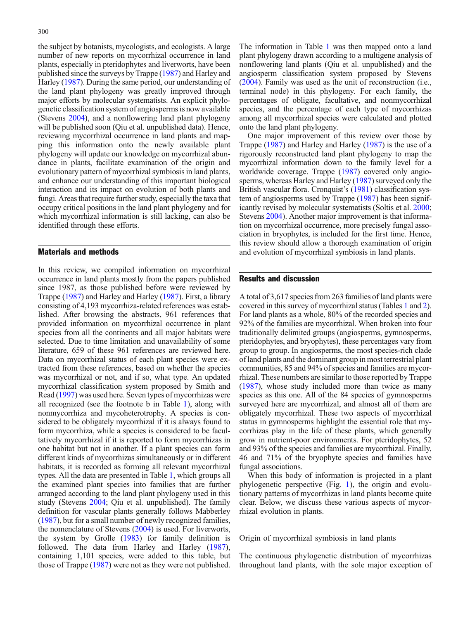the subject by botanists, mycologists, and ecologists. A large number of new reports on mycorrhizal occurrence in land plants, especially in pteridophytes and liverworts, have been published since the surveys by Trappe [\(1987\)](#page-64-0) and Harley and Harley [\(1987\)](#page-63-0). During the same period, our understanding of the land plant phylogeny was greatly improved through major efforts by molecular systematists. An explicit phylogenetic classification system of angiosperms is now available (Stevens [2004\)](#page-64-0), and a nonflowering land plant phylogeny will be published soon (Qiu et al. unpublished data). Hence, reviewing mycorrhizal occurrence in land plants and mapping this information onto the newly available plant phylogeny will update our knowledge on mycorrhizal abundance in plants, facilitate examination of the origin and evolutionary pattern of mycorrhizal symbiosis in land plants, and enhance our understanding of this important biological interaction and its impact on evolution of both plants and fungi. Areas that require further study, especially the taxa that occupy critical positions in the land plant phylogeny and for which mycorrhizal information is still lacking, can also be identified through these efforts.

#### Materials and methods

In this review, we compiled information on mycorrhizal occurrence in land plants mostly from the papers published since 1987, as those published before were reviewed by Trappe [\(1987\)](#page-64-0) and Harley and Harley [\(1987\)](#page-63-0). First, a library consisting of 4,193 mycorrhiza-related references was established. After browsing the abstracts, 961 references that provided information on mycorrhizal occurrence in plant species from all the continents and all major habitats were selected. Due to time limitation and unavailability of some literature, 659 of these 961 references are reviewed here. Data on mycorrhizal status of each plant species were extracted from these references, based on whether the species was mycorrhizal or not, and if so, what type. An updated mycorrhizal classification system proposed by Smith and Read [\(1997\)](#page-64-0) was used here. Seven types of mycorrhizas were all recognized (see the footnote b in Table [1](#page-2-0)), along with nonmycorrhiza and mycoheterotrophy. A species is considered to be obligately mycorrhizal if it is always found to form mycorrhiza, while a species is considered to be facultatively mycorrhizal if it is reported to form mycorrhizas in one habitat but not in another. If a plant species can form different kinds of mycorrhizas simultaneously or in different habitats, it is recorded as forming all relevant mycorrhizal types. All the data are presented in Table [1,](#page-2-0) which groups all the examined plant species into families that are further arranged according to the land plant phylogeny used in this study (Stevens [2004](#page-64-0); Qiu et al. unpublished). The family definition for vascular plants generally follows Mabberley [\(1987](#page-64-0)), but for a small number of newly recognized families, the nomenclature of Stevens ([2004](#page-64-0)) is used. For liverworts, the system by Grolle [\(1983\)](#page-63-0) for family definition is followed. The data from Harley and Harley [\(1987](#page-63-0)), containing 1,101 species, were added to this table, but those of Trappe [\(1987\)](#page-64-0) were not as they were not published.

The information in Table [1](#page-2-0) was then mapped onto a land plant phylogeny drawn according to a multigene analysis of nonflowering land plants (Qiu et al. unpublished) and the angiosperm classification system proposed by Stevens ([2004](#page-64-0)). Family was used as the unit of reconstruction (i.e., terminal node) in this phylogeny. For each family, the percentages of obligate, facultative, and nonmycorrhizal species, and the percentage of each type of mycorrhizas among all mycorrhizal species were calculated and plotted onto the land plant phylogeny.

One major improvement of this review over those by Trappe ([1987](#page-64-0)) and Harley and Harley ([1987](#page-63-0)) is the use of a rigorously reconstructed land plant phylogeny to map the mycorrhizal information down to the family level for a worldwide coverage. Trappe [\(1987\)](#page-64-0) covered only angiosperms, whereas Harley and Harley [\(1987\)](#page-63-0) surveyed only the British vascular flora. Cronquist's ([1981](#page-63-0)) classification system of angiosperms used by Trappe ([1987](#page-64-0)) has been significantly revised by molecular systematists (Soltis et al. [2000](#page-64-0); Stevens [2004\)](#page-64-0). Another major improvement is that information on mycorrhizal occurrence, more precisely fungal association in bryophytes, is included for the first time. Hence, this review should allow a thorough examination of origin and evolution of mycorrhizal symbiosis in land plants.

#### Results and discussion

A total of 3,617 species from 263 families of land plants were covered in this survey of mycorrhizal status (Tables [1](#page-2-0) and [2](#page-54-0)). For land plants as a whole, 80% of the recorded species and 92% of the families are mycorrhizal. When broken into four traditionally delimited groups (angiosperms, gymnosperms, pteridophytes, and bryophytes), these percentages vary from group to group. In angiosperms, the most species-rich clade of land plants and the dominant group in most terrestrial plant communities, 85 and 94% of species and families are mycorrhizal. These numbers are similar to those reported by Trappe ([1987](#page-64-0)), whose study included more than twice as many species as this one. All of the 84 species of gymnosperms surveyed here are mycorrhizal, and almost all of them are obligately mycorrhizal. These two aspects of mycorrhizal status in gymnosperms highlight the essential role that mycorrhizas play in the life of these plants, which generally grow in nutrient-poor environments. For pteridophytes, 52 and 93% of the species and families are mycorrhizal. Finally, 46 and 71% of the bryophyte species and families have fungal associations.

When this body of information is projected in a plant phylogenetic perspective (Fig. [1](#page-55-0)), the origin and evolutionary patterns of mycorrhizas in land plants become quite clear. Below, we discuss these various aspects of mycorrhizal evolution in plants.

Origin of mycorrhizal symbiosis in land plants

The continuous phylogenetic distribution of mycorrhizas throughout land plants, with the sole major exception of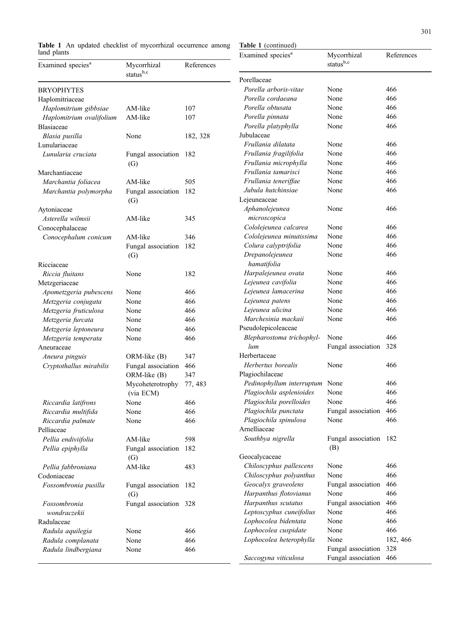<span id="page-2-0"></span>

| land plants                   | <b>Table 1</b> An updated checklist of mycorrhizal occurrence among |            |
|-------------------------------|---------------------------------------------------------------------|------------|
| Examined species <sup>a</sup> | Mycorrhizal                                                         | References |

| land plants                     |                                |            | Examined species <sup>a</sup>                 | Mycorrhizal                | References |
|---------------------------------|--------------------------------|------------|-----------------------------------------------|----------------------------|------------|
| Examined species <sup>a</sup>   | Mycorrhizal<br>status $^{b,c}$ | References |                                               | status <sup>b,c</sup>      |            |
|                                 |                                |            | Porellaceae                                   |                            |            |
| <b>BRYOPHYTES</b>               |                                |            | Porella arboris-vitae                         | None                       | 466        |
| Haplomitriaceae                 |                                |            | Porella cordaeana                             | None                       | 466        |
| Haplomitrium gibbsiae           | AM-like                        | 107        | Porella obtusata                              | None                       | 466        |
| Haplomitrium ovalifolium        | AM-like                        | 107        | Porella pinnata                               | None                       | 466        |
| Blasiaceae                      |                                |            | Porella platyphylla                           | None                       | 466        |
| Blasia pusilla                  | None                           | 182, 328   | Jubulaceae                                    |                            |            |
| Lunulariaceae                   |                                |            | Frullania dilatata                            | None                       | 466        |
| Lunularia cruciata              | Fungal association 182         |            | Frullania fragilifolia                        | None                       | 466        |
|                                 | (G)                            |            | Frullania microphylla                         | None                       | 466        |
| Marchantiaceae                  |                                |            | Frullania tamarisci                           | None                       | 466        |
| Marchantia foliacea             | AM-like                        | 505        | Frullania teneriffae                          | None                       | 466        |
| Marchantia polymorpha           | Fungal association 182         |            | Jubula hutchinsiae                            | None                       | 466        |
|                                 | (G)                            |            | Lejeuneaceae                                  |                            |            |
| Aytoniaceae                     |                                |            | Aphanolejeunea                                | None                       | 466        |
| Asterella wilmsii               | AM-like                        | 345        | microscopica                                  |                            |            |
| Conocephalaceae                 |                                |            | Cololejeunea calcarea                         | None                       | 466        |
| Conocephalum conicum            | AM-like                        | 346        | Cololejeunea minutissima                      | None                       | 466        |
|                                 | Fungal association 182         |            | Colura calyptrifolia                          | None                       | 466        |
|                                 | (G)                            |            | Drepanolejeunea                               | None                       | 466        |
| Ricciaceae                      |                                |            | hamatifolia                                   |                            |            |
| Riccia fluitans                 | None                           | 182        | Harpalejeunea ovata                           | None                       | 466        |
| Metzgeriaceae                   |                                |            | Lejeunea cavifolia                            | None                       | 466        |
| Apometzgeria pubescens          | None                           | 466        | Lejeunea lamacerina                           | None                       | 466        |
| Metzgeria conjugata             | None                           | 466        | Lejeunea patens                               | None                       | 466        |
| Metzgeria fruticulosa           | None                           | 466        | Lejeunea ulicina                              | None                       | 466        |
| Metzgeria furcata               | None                           | 466        | Marchesinia mackaii                           | None                       | 466        |
| Metzgeria leptoneura            | None                           | 466        | Pseudolepicoleaceae                           |                            |            |
| Metzgeria temperata             | None                           | 466        | Blepharostoma trichophyl-                     | None                       | 466        |
| Aneuraceae                      |                                |            | lum                                           | Fungal association         | 328        |
| Aneura pinguis                  | ORM-like (B)                   | 347        | Herbertaceae                                  |                            |            |
| Cryptothallus mirabilis         | Fungal association             | 466        | Herbertus borealis                            | None                       | 466        |
|                                 | ORM-like (B)                   | 347        | Plagiochilaceae                               |                            |            |
|                                 | Mycoheterotrophy               | 77, 483    | Pedinophyllum interruptum                     | None<br>None               | 466<br>466 |
|                                 | (via ECM)                      |            | Plagiochila asplenioides                      |                            | 466        |
| Riccardia latifrons             | None                           | 466        | Plagiochila porelloides                       | None                       | 466        |
| Riccardia multifida             | None                           | 466        | Plagiochila punctata<br>Plagiochila spinulosa | Fungal association<br>None | 466        |
| Riccardia palmate<br>Pelliaceae | None                           | 466        | Arnelliaceae                                  |                            |            |
|                                 | AM-like                        |            | Southbya nigrella                             | Fungal association 182     |            |
| Pellia endiviifolia             |                                | 598<br>182 |                                               | (B)                        |            |
| Pellia epiphylla                | Fungal association             |            | Geocalycaceae                                 |                            |            |
| Pellia fabbroniana              | $\left( G\right)$<br>AM-like   | 483        | Chiloscyphus pallescens                       | None                       | 466        |
| Codoniaceae                     |                                |            | Chiloscyphus polyanthus                       | None                       | 466        |
| Fossombronia pusilla            | Fungal association 182         |            | Geocalyx graveolens                           | Fungal association         | 466        |
|                                 |                                |            | Harpanthus flotovianus                        | None                       | 466        |
| Fossombronia                    | (G)<br>Fungal association 328  |            | Harpanthus scutatus                           | Fungal association         | 466        |
| wondraczekii                    |                                |            | Leptoscyphus cuneifolius                      | None                       | 466        |
| Radulaceae                      |                                |            | Lophocolea bidentata                          | None                       | 466        |
| Radula aquilegia                | None                           | 466        | Lophocolea cuspidate                          | None                       | 466        |
| Radula complanata               | None                           | 466        | Lophocolea heterophylla                       | None                       | 182, 466   |
| Radula lindbergiana             | None                           | 466        |                                               | Fungal association         | 328        |
|                                 |                                |            | Saccogyna viticulosa                          | Fungal association         | 466        |
|                                 |                                |            |                                               |                            |            |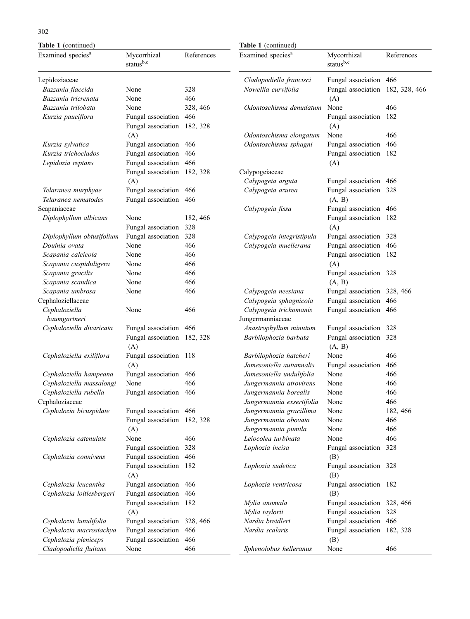| Table 1 (continued)           |                                      |            | Table 1 (continued)           |                                  |            |
|-------------------------------|--------------------------------------|------------|-------------------------------|----------------------------------|------------|
| Examined species <sup>a</sup> | Mycorrhizal<br>status <sup>b,c</sup> | References | Examined species <sup>a</sup> | Mycorrhizal<br>statusb,c         | References |
| Lepidoziaceae                 |                                      |            | Cladopodiella francisci       | Fungal association 466           |            |
| Bazzania flaccida             | None                                 | 328        | Nowellia curvifolia           | Fungal association 182, 328, 466 |            |
| Bazzania tricrenata           | None                                 | 466        |                               | (A)                              |            |
| Bazzania trilobata            | None                                 | 328, 466   | Odontoschisma denudatum       | None                             | 466        |
| Kurzia pauciflora             | Fungal association                   | 466        |                               | Fungal association 182           |            |
|                               | Fungal association 182, 328          |            |                               | (A)                              |            |
|                               | (A)                                  |            | Odontoschisma elongatum       | None                             | 466        |
| Kurzia sylvatica              | Fungal association 466               |            | Odontoschisma sphagni         | Fungal association 466           |            |
| Kurzia trichoclados           | Fungal association                   | 466        |                               | Fungal association 182           |            |
| Lepidozia reptans             | Fungal association 466               |            |                               | (A)                              |            |
|                               | Fungal association 182, 328          |            | Calypogeiaceae                |                                  |            |
|                               | (A)                                  |            | Calypogeia arguta             | Fungal association 466           |            |
| Telaranea murphyae            | Fungal association 466               |            | Calypogeia azurea             | Fungal association 328           |            |
| Telaranea nematodes           | Fungal association 466               |            |                               | (A, B)                           |            |
| Scapaniaceae                  |                                      |            | Calypogeia fissa              | Fungal association 466           |            |
| Diplophyllum albicans         | None                                 | 182, 466   |                               | Fungal association 182           |            |
|                               | Fungal association                   | 328        |                               | (A)                              |            |
| Diplophyllum obtusifolium     | Fungal association                   | 328        | Calypogeia integristipula     | Fungal association 328           |            |
| Douinia ovata                 | None                                 | 466        | Calypogeia muellerana         | Fungal association 466           |            |
| Scapania calcicola            | None                                 | 466        |                               | Fungal association 182           |            |
| Scapania cuspiduligera        | None                                 | 466        |                               | (A)                              |            |
| Scapania gracilis             | None                                 | 466        |                               | Fungal association 328           |            |
| Scapania scandica             | None                                 | 466        |                               | (A, B)                           |            |
| Scapania umbrosa              | None                                 | 466        | Calypogeia neesiana           | Fungal association 328, 466      |            |
| Cephaloziellaceae             |                                      |            | Calypogeia sphagnicola        | Fungal association 466           |            |
| Cephaloziella                 | None                                 | 466        | Calypogeia trichomanis        | Fungal association 466           |            |
| baumgartneri                  |                                      |            | Jungermanniaceae              |                                  |            |
| Cephaloziella divaricata      | Fungal association 466               |            | Anastrophyllum minutum        | Fungal association 328           |            |
|                               | Fungal association 182, 328<br>(A)   |            | Barbilophozia barbata         | Fungal association 328<br>(A, B) |            |
| Cephaloziella exiliflora      | Fungal association 118               |            | Barbilophozia hatcheri        | None                             | 466        |
|                               | (A)                                  |            | Jamesoniella autumnalis       | Fungal association 466           |            |
| Cephaloziella hampeana        | Fungal association 466               |            | Jamesoniella undulifolia      | None                             | 466        |
| Cephaloziella massalongi      | None                                 | 466        | Jungermannia atrovirens       | None                             | 466        |
| Cephaloziella rubella         | Fungal association 466               |            | Jungermannia borealis         | None                             | 466        |
| Cephaloziaceae                |                                      |            | Jungermannia exsertifolia     | None                             | 466        |
| Cephalozia bicuspidate        | Fungal association 466               |            | Jungermannia gracillima       | None                             | 182, 466   |
|                               | Fungal association 182, 328          |            | Jungermannia obovata          | None                             | 466        |
|                               | (A)                                  |            | Jungermannia pumila           | None                             | 466        |
| Cephalozia catenulate         | None                                 | 466        | Leiocolea turbinata           | None                             | 466        |
|                               | Fungal association                   | 328        | Lophozia incisa               | Fungal association 328           |            |
| Cephalozia connivens          | Fungal association                   | 466        |                               | (B)                              |            |
|                               | Fungal association 182<br>(A)        |            | Lophozia sudetica             | Fungal association 328<br>(B)    |            |
| Cephalozia leucantha          | Fungal association 466               |            | Lophozia ventricosa           | Fungal association 182           |            |
| Cephalozia loitlesbergeri     | Fungal association 466               |            |                               | (B)                              |            |
|                               | Fungal association 182               |            | Mylia anomala                 | Fungal association 328, 466      |            |
|                               | (A)                                  |            | Mylia taylorii                | Fungal association 328           |            |
| Cephalozia lunulifolia        | Fungal association 328, 466          |            | Nardia breidleri              | Fungal association 466           |            |
| Cephalozia macrostachya       | Fungal association                   | 466        | Nardia scalaris               | Fungal association 182, 328      |            |
| Cephalozia pleniceps          | Fungal association                   | 466        |                               | (B)                              |            |
| Cladopodiella fluitans        | None                                 | 466        | Sphenolobus helleranus        | None                             | 466        |

|    |            | Table 1 ( |
|----|------------|-----------|
| al | References | Examined  |
|    |            | Cladope   |
|    | 328        | Nowelli   |
|    | 466        |           |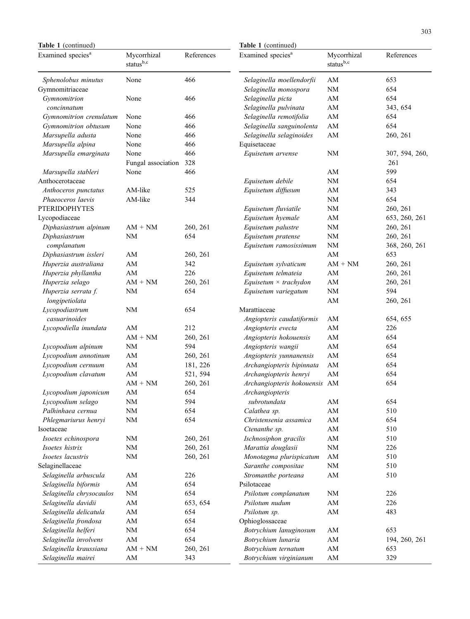| Table 1 (continued)                   |                                      |                 | Table 1 (continued)                              |                              |                 |  |
|---------------------------------------|--------------------------------------|-----------------|--------------------------------------------------|------------------------------|-----------------|--|
| Examined species <sup>a</sup>         | Mycorrhizal<br>status <sup>b,c</sup> | References      | Examined species <sup>a</sup>                    | Mycorrhizal<br>status $b,c$  | References      |  |
| Sphenolobus minutus                   | None                                 | 466             | Selaginella moellendorfii                        | AM                           | 653             |  |
| Gymnomitriaceae                       |                                      |                 | Selaginella monospora                            | <b>NM</b>                    | 654             |  |
| Gymnomitrion                          | None                                 | 466             | Selaginella picta                                | AM                           | 654             |  |
| concinnatum                           |                                      |                 | Selaginella pulvinata                            | AM                           | 343, 654        |  |
| Gymnomitrion crenulatum               | None                                 | 466             | Selaginella remotifolia                          | AM                           | 654             |  |
| Gymnomitrion obtusum                  | None                                 | 466             | Selaginella sanguinolenta                        | AM                           | 654             |  |
| Marsupella adusta                     | None                                 | 466             | Selaginella selaginoides                         | AM                           | 260, 261        |  |
| Marsupella alpina                     | None                                 | 466             | Equisetaceae                                     |                              |                 |  |
| Marsupella emarginata                 | None                                 | 466             | Equisetum arvense                                | <b>NM</b>                    | 307, 594, 260,  |  |
|                                       | Fungal association                   | 328             |                                                  |                              | 261             |  |
| Marsupella stableri                   | None                                 | 466             |                                                  | AM                           | 599             |  |
| Anthocerotaceae                       |                                      |                 |                                                  | $\rm{NM}$                    | 654             |  |
|                                       | AM-like                              | 525             | Equisetum debile                                 | AM                           | 343             |  |
| Anthoceros punctatus                  |                                      |                 | Equisetum diffusum                               |                              |                 |  |
| Phaeoceros laevis                     | AM-like                              | 344             |                                                  | NM                           | 654             |  |
| <b>PTERIDOPHYTES</b>                  |                                      |                 | Equisetum fluviatile                             | NM                           | 260, 261        |  |
| Lycopodiaceae                         |                                      |                 | Equisetum hyemale                                | AM                           | 653, 260, 261   |  |
| Diphasiastrum alpinum                 | $AM + NM$                            | 260, 261        | Equisetum palustre                               | <b>NM</b>                    | 260, 261        |  |
| Diphasiastrum                         | <b>NM</b>                            | 654             | Equisetum pratense                               | NM                           | 260, 261        |  |
| complanatum                           |                                      |                 | Equisetum ramosissimum                           | <b>NM</b>                    | 368, 260, 261   |  |
| Diphasiastrum issleri                 | AM                                   | 260, 261        |                                                  | AM                           | 653             |  |
| Huperzia australiana                  | AM                                   | 342             | Equisetum sylvaticum                             | $AM + NM$                    | 260, 261        |  |
| Huperzia phyllantha                   | AM                                   | 226             | Equisetum telmateia                              | AM                           | 260, 261        |  |
| Huperzia selago                       | $AM + NM$                            | 260, 261        | Equisetum $\times$ trachydon                     | AM                           | 260, 261        |  |
| Huperzia serrata f.<br>longipetiolata | NM                                   | 654             | Equisetum variegatum                             | NM<br>AM                     | 594<br>260, 261 |  |
| Lycopodiastrum                        | <b>NM</b>                            | 654             | Marattiaceae                                     |                              |                 |  |
| casuarinoides                         |                                      |                 | Angiopteris caudatiformis                        | AM                           | 654, 655        |  |
| Lycopodiella inundata                 | AM                                   | 212             | Angiopteris evecta                               | $\mathbf{A}\mathbf{M}$       | 226             |  |
|                                       | $AM + NM$                            | 260, 261        | Angiopteris hokouensis                           | AM                           | 654             |  |
| Lycopodium alpinum                    | <b>NM</b>                            | 594             | Angiopteris wangii                               | AM                           | 654             |  |
| Lycopodium annotinum                  | AM                                   | 260, 261        | Angiopteris yunnanensis                          | AM                           | 654             |  |
| Lycopodium cernuum                    | AM                                   | 181, 226        | Archangiopteris bipinnata                        | AM                           | 654             |  |
| Lycopodium clavatum                   | AM                                   | 521, 594        | Archangiopteris henryi                           | AM                           | 654             |  |
|                                       | $AM + NM$                            |                 |                                                  |                              | 654             |  |
| Lycopodium japonicum                  | AM                                   | 260, 261<br>654 | Archangiopteris hokouensis AM<br>Archangiopteris |                              |                 |  |
|                                       |                                      |                 |                                                  |                              |                 |  |
| Lycopodium selago                     | NM                                   | 594<br>654      | subrotundata                                     | AM<br>$\mathbf{A}\mathbf{M}$ | 654             |  |
| Palhinhaea cernua                     | NM                                   |                 | Calathea sp.                                     |                              | 510             |  |
| Phlegmariurus henryi                  | <b>NM</b>                            | 654             | Christensenia assamica                           | $\mathbf{A}\mathbf{M}$       | 654             |  |
| Isoetaceae                            |                                      |                 | Ctenanthe sp.                                    | AM                           | 510             |  |
| Isoetes echinospora                   | $\rm{NM}$                            | 260, 261        | Ischnosiphon gracilis                            | AM                           | 510             |  |
| Isoetes histrix                       | NM                                   | 260, 261        | Marattia douglasii                               | NM                           | 226             |  |
| Isoetes lacustris                     | <b>NM</b>                            | 260, 261        | Monotagma plurispicatum                          | AM                           | 510             |  |
| Selaginellaceae                       |                                      |                 | Saranthe compositae                              | NM                           | 510             |  |
| Selaginella arbuscula                 | $\mathbf{A}\mathbf{M}$               | 226             | Stromanthe porteana                              | AM                           | 510             |  |
| Selaginella biformis                  | AM                                   | 654             | Psilotaceae                                      |                              |                 |  |
| Selaginella chrysocaulos              | $\rm{NM}$                            | 654             | Psilotum complanatum                             | $\rm{NM}$                    | 226             |  |
| Selaginella davidii                   | AM                                   | 653, 654        | Psilotum nudum                                   | AM                           | 226             |  |
| Selaginella delicatula                | AM                                   | 654             | Psilotum sp.                                     | AM                           | 483             |  |
| Selaginella frondosa                  | $\mathbf{A}\mathbf{M}$               | 654             | Ophioglossaceae                                  |                              |                 |  |
| Selaginella helferi                   | NM                                   | 654             | Botrychium lanuginosum                           | AM                           | 653             |  |
| Selaginella involvens                 | AM                                   | 654             | Botrychium lunaria                               | AM                           | 194, 260, 261   |  |
| Selaginella kraussiana                | $AM + NM$                            | 260, 261        | Botrychium ternatum                              | AM                           | 653             |  |
| Selaginella mairei                    | AM                                   | 343             | Botrychium virginianum                           | AM                           | 329             |  |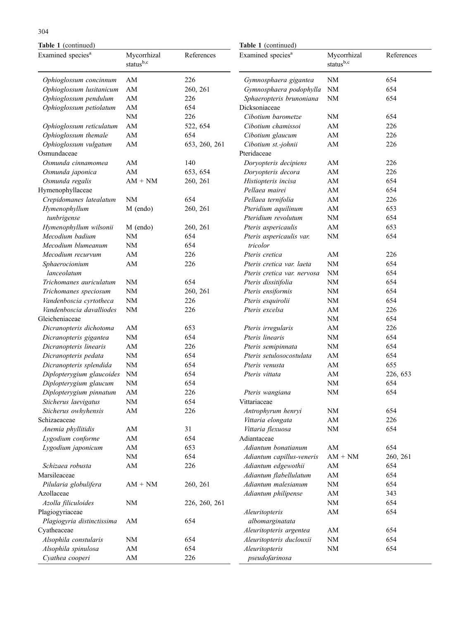| <b>Table 1</b> (continued) |
|----------------------------|
|                            |

| Table 1 (continued)           |                                |               | Table 1 (continued)           |                                         |            |  |
|-------------------------------|--------------------------------|---------------|-------------------------------|-----------------------------------------|------------|--|
| Examined species <sup>a</sup> | Mycorrhizal<br>status $^{b,c}$ | References    | Examined species <sup>a</sup> | Mycorrhizal<br>${\rm status}^{\rm b,c}$ | References |  |
| Ophioglossum concinnum        | AM                             | 226           | Gymnosphaera gigantea         | $\rm{NM}$                               | 654        |  |
| Ophioglossum lusitanicum      | AM                             | 260, 261      | Gymnosphaera podophylla       | $\rm{NM}$                               | 654        |  |
| Ophioglossum pendulum         | AM                             | 226           | Sphaeropteris brunoniana      | NM                                      | 654        |  |
| Ophioglossum petiolatum       | AM                             | 654           | Dicksoniaceae                 |                                         |            |  |
|                               | <b>NM</b>                      | 226           | Cibotium barometze            | $\rm{NM}$                               | 654        |  |
| Ophioglossum reticulatum      | AM                             | 522, 654      | Cibotium chamissoi            | AM                                      | 226        |  |
| Ophioglossum themale          | AM                             | 654           | Cibotium glaucum              | $\mathbf{A}\mathbf{M}$                  | 226        |  |
| Ophioglossum vulgatum         | AM                             | 653, 260, 261 | Cibotium st.-johnii           | AM                                      | 226        |  |
| Osmundaceae                   |                                |               | Pteridaceae                   |                                         |            |  |
| Osmunda cinnamomea            | AM                             | 140           | Doryopteris decipiens         | AM                                      | 226        |  |
| Osmunda japonica              | AM                             | 653, 654      | Doryopteris decora            | AM                                      | 226        |  |
| Osmunda regalis               | $AM + NM$                      | 260, 261      | Histiopteris incisa           | AM                                      | 654        |  |
| Hymenophyllaceae              |                                |               | Pellaea mairei                | AM                                      | 654        |  |
| Crepidomanes latealatum       | <b>NM</b>                      | 654           | Pellaea ternifolia            | AM                                      | 226        |  |
| Hymenophyllum                 | M (endo)                       | 260, 261      | Pteridium aquilinum           | AM                                      | 653        |  |
| tunbrigense                   |                                |               | Pteridium revolutum           | <b>NM</b>                               | 654        |  |
| Hymenophyllum wilsonii        | M (endo)                       | 260, 261      | Pteris aspericaulis           | AM                                      | 653        |  |
| Mecodium badium               | <b>NM</b>                      | 654           | Pteris aspericaulis var.      | $\rm NM$                                | 654        |  |
| Mecodium blumeanum            | <b>NM</b>                      | 654           | tricolor                      |                                         |            |  |
| Mecodium recurvum             | AM                             | 226           | Pteris cretica                | AM                                      | 226        |  |
| Sphaerocionium                | AM                             | 226           | Pteris cretica var. laeta     | $\rm NM$                                | 654        |  |
| lanceolatum                   |                                |               | Pteris cretica var. nervosa   | NM                                      | 654        |  |
| Trichomanes auriculatum       | <b>NM</b>                      | 654           | Pteris dissitifolia           | <b>NM</b>                               | 654        |  |
| Trichomanes speciosum         | <b>NM</b>                      | 260, 261      | Pteris ensiformis             | NM                                      | 654        |  |
| Vandenboscia cyrtotheca       | <b>NM</b>                      | 226           | Pteris esquirolii             | $\rm{NM}$                               | 654        |  |
| Vandenboscia davalliodes      | <b>NM</b>                      | 226           | Pteris excelsa                | AM                                      | 226        |  |
| Gleicheniaceae                |                                |               |                               | $\rm NM$                                | 654        |  |
| Dicranopteris dichotoma       | AM                             | 653           | Pteris irregularis            | AM                                      | 226        |  |
| Dicranopteris gigantea        | <b>NM</b>                      | 654           | Pteris linearis               | NM                                      | 654        |  |
| Dicranopteris linearis        | AM                             | 226           | Pteris semipinnata            | NM                                      | 654        |  |
| Dicranopteris pedata          | <b>NM</b>                      | 654           | Pteris setulosocostulata      | AM                                      | 654        |  |
| Dicranopteris splendida       | <b>NM</b>                      | 654           | Pteris venusta                | AM                                      | 655        |  |
| Diplopterygium glaucoides     | <b>NM</b>                      | 654           | Pteris vittata                | AM                                      | 226, 653   |  |
| Diplopterygium glaucum        | <b>NM</b>                      | 654           |                               | <b>NM</b>                               | 654        |  |
| Diplopterygium pinnatum       | AM                             | 226           | Pteris wangiana               | $\rm{NM}$                               | 654        |  |
| Sticherus laevigatus          | <b>NM</b>                      | 654           | Vittariaceae                  |                                         |            |  |
| Sticherus owhyhensis          | AM                             | 226           | Antrophyrum henryi            | NM                                      | 654        |  |
| Schizaeaceae                  |                                |               | Vittaria elongata             | AM                                      | 226        |  |
| Anemia phyllitidis            | AM                             | 31            | Vittaria flexuosa             | NM                                      | 654        |  |
| Lygodium conforme             | AM                             | 654           | Adiantaceae                   |                                         |            |  |
| Lygodium japonicum            | AM                             | 653           | Adiantum bonatianum           | AM                                      | 654        |  |
|                               | <b>NM</b>                      | 654           | Adiantum capillus-veneris     | $AM + NM$                               | 260, 261   |  |
| Schizaea robusta              | AM                             | 226           | Adiantum edgewothii           | AM                                      | 654        |  |
| Marsileaceae                  |                                |               | Adiantum flabellulatum        | $\mathbf{A}\mathbf{M}$                  | 654        |  |
| Pilularia globulifera         | $AM + NM$                      | 260, 261      | Adiantum malesianum           | $\rm{NM}$                               | 654        |  |
| Azollaceae                    |                                |               | Adiantum philipense           | AM                                      | 343        |  |
| Azolla filiculoides           | <b>NM</b>                      | 226, 260, 261 |                               | NM                                      | 654        |  |
| Plagiogyriaceae               |                                |               | Aleuritopteris                | AM                                      | 654        |  |
| Plagiogyria distinctissima    | AM                             | 654           | albomarginatata               |                                         |            |  |
| Cyatheaceae                   |                                |               | Aleuritopteris argentea       | AM                                      | 654        |  |
| Alsophila constularis         | <b>NM</b>                      | 654           | Aleuritopteris duclouxii      | $\rm{NM}$                               | 654        |  |
| Alsophila spinulosa           | AM                             | 654           | Aleuritopteris                | NM                                      | 654        |  |
| Cyathea cooperi               | AM                             | 226           | pseudofarinosa                |                                         |            |  |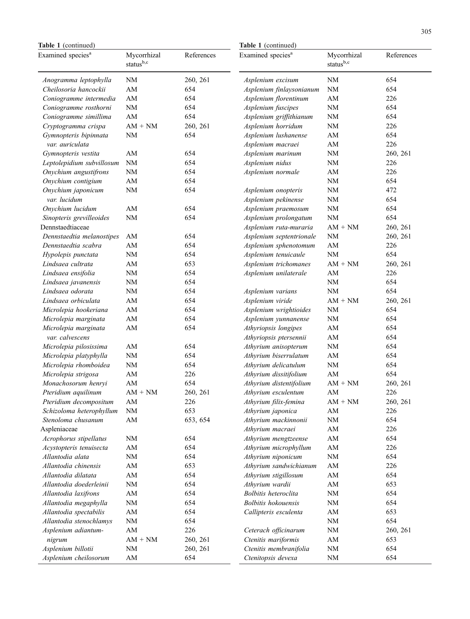| Table 1 (continued)                      |                                                 |            | Table 1 (continued)                       |                                |            |
|------------------------------------------|-------------------------------------------------|------------|-------------------------------------------|--------------------------------|------------|
| Examined species <sup>a</sup>            | Mycorrhizal<br>$\mathrm{status}^{\mathrm{b,c}}$ | References | Examined species <sup>a</sup>             | Mycorrhizal<br>status $^{b,c}$ | References |
| Anogramma leptophylla                    | <b>NM</b>                                       | 260, 261   | Asplenium excisum                         | <b>NM</b>                      | 654        |
| Cheilosoria hancockii                    | $\mathbf{A}\mathbf{M}$                          | 654        | Asplenium finlaysonianum                  | <b>NM</b>                      | 654        |
| Coniogramme intermedia                   | AM                                              | 654        | Asplenium florentinum                     | AM                             | 226        |
| Coniogramme rosthorni                    | <b>NM</b>                                       | 654        | Asplenium fuscipes                        | $\rm{NM}$                      | 654        |
| Coniogramme simillima                    | AM                                              | 654        | Asplenium griffithianum                   | NM                             | 654        |
| Cryptogramma crispa                      | $AM + NM$                                       | 260, 261   | Asplenium horridum                        | NM                             | 226        |
| Gymnopteris bipinnata<br>var. auriculata | $\rm{NM}$                                       | 654        | Asplenium lushanense<br>Asplenium macraei | AM<br>AM                       | 654<br>226 |
| Gymnopteris vestita                      | AM                                              | 654        | Asplenium marinum                         | <b>NM</b>                      | 260, 261   |
| Leptolepidium subvillosum                | <b>NM</b>                                       | 654        | Asplenium nidus                           | NM                             | 226        |
| Onychium angustifrons                    | <b>NM</b>                                       | 654        | Asplenium normale                         | AM                             | 226        |
| Onychium contigium                       | AM                                              | 654        |                                           | NM                             | 654        |
| Onychium japonicum                       | NM                                              | 654        | Asplenium onopteris                       | NM                             | 472        |
| var. lucidum                             |                                                 |            | Asplenium pekinense                       | <b>NM</b>                      | 654        |
| Onychium lucidum                         | AM                                              | 654        | Asplenium praemosum                       | NM                             | 654        |
| Sinopteris grevilleoides                 | <b>NM</b>                                       | 654        | Asplenium prolongatum                     | <b>NM</b>                      | 654        |
| Dennstaedtiaceae                         |                                                 |            | Asplenium ruta-muraria                    | $AM + NM$                      | 260, 261   |
| Dennstaedtia melanostipes                | AM                                              | 654        | Asplenium septentrionale                  | <b>NM</b>                      | 260, 261   |
| Dennstaedtia scabra                      | AM                                              | 654        | Asplenium sphenotomum                     | AM                             | 226        |
| Hypolepis punctata                       | NM                                              | 654        | Asplenium tenuicaule                      | <b>NM</b>                      | 654        |
| Lindsaea cultrata                        | AM                                              | 653        | Asplenium trichomanes                     | $AM + NM$                      | 260, 261   |
| Lindsaea ensifolia                       | NM                                              | 654        | Asplenium unilaterale                     | AM                             | 226        |
| Lindsaea javanensis                      | NM                                              | 654        |                                           | <b>NM</b>                      | 654        |
| Lindsaea odorata                         | NM                                              | 654        | Asplenium varians                         | <b>NM</b>                      | 654        |
| Lindsaea orbiculata                      | AM                                              | 654        | Asplenium viride                          | $AM + NM$                      | 260, 261   |
| Microlepia hookeriana                    | AM                                              | 654        | Asplenium wrightioides                    | <b>NM</b>                      | 654        |
| Microlepia marginata                     | AM                                              | 654        | Asplenium yunnanense                      | NM                             | 654        |
| Microlepia marginata                     | AM                                              | 654        | Athyriopsis longipes                      | AM                             | 654        |
| var. calvescens                          |                                                 |            | Athyriopsis ptersennii                    | AM                             | 654        |
| Microlepia pilosissima                   | AM                                              | 654        | Athyrium anisopterum                      | $\rm{NM}$                      | 654        |
| Microlepia platyphylla                   | NM                                              | 654        | Athyrium biserrulatum                     | AM                             | 654        |
| Microlepia rhomboidea                    | NM                                              | 654        | Athyrium delicatulum                      | <b>NM</b>                      | 654        |
| Microlepia strigosa                      | AM                                              | 226        | Athyrium dissitifolium                    | AM                             | 654        |
| Monachosorum henryi                      | AM                                              | 654        | Athyrium distentifolium                   | $AM + NM$                      | 260, 261   |
| Pteridium aquilinum                      | $AM + NM$                                       | 260, 261   | Athyrium esculentum                       | $\mathbf{A}\mathbf{M}$         | 226        |
| Pteridium decompositum                   | AM                                              | 226        | Athyrium filix-femina                     | $AM + NM$                      | 260, 261   |
| Schizoloma heterophyllum                 | NM                                              | 653        | Athyrium japonica                         | AM                             | 226        |
| Stenoloma chusanum                       | $\mathbf{A}\mathbf{M}$                          | 653, 654   | Athyrium mackinnonii                      | NM                             | 654        |
| Aspleniaceae                             |                                                 |            | Athyrium macraei                          | AM                             | 226        |
| Acrophorus stipellatus                   | NM                                              | 654        | Athyrium mengtzeense                      | AM                             | 654        |
| Acystopteris tenuisecta                  | $\mathbf{A}\mathbf{M}$                          | 654        | Athyrium microphyllum                     | AM                             | 226        |
| Allantodia alata                         | NM                                              | 654        | Athyrium niponicum                        | NM                             | 654        |
| Allantodia chinensis                     | AM                                              | 653        | Athyrium sandwichianum                    | AM                             | 226        |
| Allantodia dilatata                      | AM                                              | 654        | Athyrium stigillosum                      | AM                             | 654        |
| Allantodia doederleinii                  | NM                                              | 654        | Athyrium wardii                           | AM                             | 653        |
| Allantodia laxifrons                     | AM                                              | 654        | Bolbitis heteroclita                      | NM                             | 654        |
| Allantodia megaphylla                    | $\rm{NM}$                                       | 654        | <b>Bolbitis</b> hokouensis                | NM                             | 654        |
| Allantodia spectabilis                   | AM                                              | 654        | Callipteris esculenta                     | AM                             | 653        |
| Allantodia stenochlamys                  | NM                                              | 654        |                                           | NM                             | 654        |
| Asplenium adiantum-                      | AM                                              | 226        | Ceterach officinarum                      | NM                             | 260, 261   |
| nigrum                                   | $AM + NM$                                       | 260, 261   | Ctenitis mariformis                       | AM                             | 653        |
| Asplenium billotii                       | NM                                              | 260, 261   | Ctenitis membranifolia                    | NM                             | 654        |
| Asplenium cheilosorum                    | AM                                              | 654        | Ctenitopsis devexa                        | $\rm{NM}$                      | 654        |
|                                          |                                                 |            |                                           |                                |            |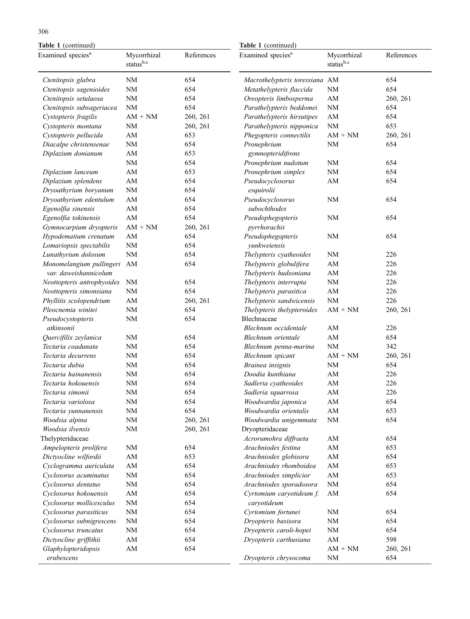| Table 1 (continued)                         |                                                 | Table 1 (continued) |                                           |                          |            |
|---------------------------------------------|-------------------------------------------------|---------------------|-------------------------------------------|--------------------------|------------|
| Examined species <sup>a</sup>               | Mycorrhizal<br>$\mathrm{status}^{\mathrm{b,c}}$ | References          | Examined species <sup>a</sup>             | Mycorrhizal<br>statusb,c | References |
| Ctenitopsis glabra                          | <b>NM</b>                                       | 654                 | Macrothelypteris toressiana AM            |                          | 654        |
| Ctenitopsis sagenioides                     | <b>NM</b>                                       | 654                 | Metathelypteris flaccida                  | <b>NM</b>                | 654        |
| Ctenitopsis setulaosa                       | <b>NM</b>                                       | 654                 | Oreopteris limbosperma                    | AM                       | 260, 261   |
| Ctenitopsis subsageriacea                   | NΜ                                              | 654                 | Parathelypteris beddomei                  | <b>NM</b>                | 654        |
| Cystopteris fragilis                        | $AM + NM$                                       | 260, 261            | Parathelypteris hirsutipes                | AM                       | 654        |
| Cystopteris montana                         | <b>NM</b>                                       | 260, 261            | Parathelypteris nipponica                 | <b>NM</b>                | 653        |
| Cystopteris pellucida                       | AM                                              | 653                 | Phegopteris connectilis                   | $AM + NM$                | 260, 261   |
| Diacalpe christensenae                      | <b>NM</b>                                       | 654                 | Pronephrium                               | <b>NM</b>                | 654        |
| Diplazium donianum                          | AM                                              | 653                 | gymnopteridifrons                         |                          |            |
|                                             | <b>NM</b>                                       | 654                 | Pronephrium nudotum                       | <b>NM</b>                | 654        |
| Diplazium lanceum                           | AM                                              | 653                 | Pronephrium simplex                       | $\rm NM$                 | 654        |
| Diplazium splendens                         | AM                                              | 654                 | Pseudocyclosorus                          | AM                       | 654        |
| Dryoathyrium boryanum                       | <b>NM</b>                                       | 654                 | esquivolii                                |                          |            |
| Dryoathyrium edentulum                      | AM                                              | 654                 | Pseudocyclosorus                          | <b>NM</b>                | 654        |
| Egenolfia sinensis                          | AM                                              | 654                 | subochthodes                              |                          |            |
| Egenolfia tokinensis                        | AM                                              | 654                 | Pseudophegopteris                         | <b>NM</b>                | 654        |
| Gymnocarpium dryopteris                     | $AM + NM$                                       | 260, 261            | pyrrhorachis                              |                          |            |
| Hypodematium crenatum                       | AM                                              | 654                 | Pseudophegopteris                         | <b>NM</b>                | 654        |
| Lomariopsis spectabilis                     | <b>NM</b>                                       | 654                 | yunkweiensis                              |                          |            |
| Lunathyrium dolosum                         | <b>NM</b>                                       | 654                 | Thelypteris cyatheoides                   | NM                       | 226        |
| Monomelangium pullingeri                    | AM                                              | 654                 | Thelypteris globulifera                   | AM                       | 226        |
| var. daweishannicolum                       |                                                 |                     | Thelypteris hudsoniana                    | AM                       | 226        |
| Neottopteris antrophyoides                  | <b>NM</b>                                       | 654                 | Thelypteris interrupta                    | $\rm NM$                 | 226        |
| Neottopteris simonsiana                     | <b>NM</b>                                       | 654                 | Thelypteris parasitica                    | $\mathbf{A}\mathbf{M}$   | 226        |
| Phyllitis scolopendrium                     | AM                                              | 260, 261            | Thelypteris sandwicensis                  | <b>NM</b>                | 226        |
| Pleocnemia winitei                          | <b>NM</b>                                       | 654                 |                                           | $AM + NM$                | 260, 261   |
|                                             | <b>NM</b>                                       | 654                 | Thelypteris thelypteroides<br>Blechnaceae |                          |            |
| Pseudocystopteris<br>atkinsonii             |                                                 |                     | Blechnum occidentale                      | AM                       | 226        |
|                                             | NM                                              | 654                 | Blechnum orientale                        | $\mathbf{A}\mathbf{M}$   | 654        |
| Quercifilix zeylanica<br>Tectaria coadunata | <b>NM</b>                                       | 654                 |                                           | <b>NM</b>                | 342        |
| Tectaria decurrens                          | <b>NM</b>                                       | 654                 | Blechnum penna-marina                     | $AM + NM$                | 260, 261   |
| Tectaria dubia                              | <b>NM</b>                                       | 654                 | Blechnum spicant<br>Brainea insignis      | <b>NM</b>                | 654        |
| Tectaria hainanensis                        | <b>NM</b>                                       | 654                 |                                           | AM                       | 226        |
|                                             |                                                 |                     | Doodia kunthiana                          |                          |            |
| Tectaria hokouensis                         | <b>NM</b>                                       | 654                 | Sadleria cyatheoides                      | AM                       | 226<br>226 |
| Tectaria simonii                            | NM                                              | 654                 | Sadleria squarrosa                        | AM                       |            |
| Tectaria variolosa                          | NM                                              | 654                 | Woodwardia japonica                       | AM                       | 654        |
| Tectaria yunnanensis                        | <b>NM</b>                                       | 654                 | Woodwardia orientalis                     | AM                       | 653        |
| Woodsia alpina                              | <b>NM</b>                                       | 260, 261            | Woodwardia unigemmata                     | NM                       | 654        |
| Woodsia ilvensis                            | N <sub>M</sub>                                  | 260, 261            | Dryopteridaceae                           |                          |            |
| Thelypteridaceae                            |                                                 |                     | Acrorumohra diffraeta                     | AM                       | 654        |
| Ampelopteris prolifera                      | N <sub>M</sub>                                  | 654                 | Arachniodes festina                       | AM                       | 653        |
| Dictyocline wilfordii                       | AM                                              | 653                 | Arachniodes globisora                     | AM                       | 654        |
| Cyclogramma auriculata                      | AM                                              | 654                 | Arachniodes rhomboidea                    | AM                       | 653        |
| Cyclosorus acuminatus                       | <b>NM</b>                                       | 654                 | Arachniodes simplicior                    | AM                       | 653        |
| Cyclosorus dentatus                         | <b>NM</b>                                       | 654                 | Arachniodes sporadosora                   | NM                       | 654        |
| Cyclosorus hokouensis                       | AM                                              | 654                 | Cyrtomium caryotideum f.                  | AM                       | 654        |
| Cyclosorus mollicesculus                    | NM                                              | 654                 | caryotideum                               |                          |            |
| Cyclosorus parasiticus                      | NM                                              | 654                 | Cyrtomium fortunei                        | NM                       | 654        |
| Cyclosorus subnigrescens                    | <b>NM</b>                                       | 654                 | Dryopteris basisora                       | NM                       | 654        |
| Cyclosorus truncatus                        | <b>NM</b>                                       | 654                 | Dryopteris caroli-hopei                   | NM                       | 654        |
| Dictyocline griffithii                      | AM                                              | 654                 | Dryopteris carthusiana                    | AM                       | 598        |
| Glaphylopteridopsis                         | AM                                              | 654                 |                                           | $AM + NM$                | 260, 261   |
| erubescens                                  |                                                 |                     | Dryopteris chrysocoma                     | <b>NM</b>                | 654        |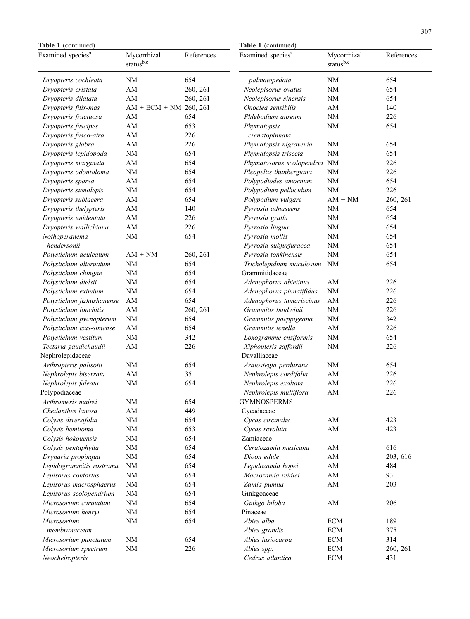| Table 1 (continued)           |                          |            | Table 1 (continued)           |                                  |            |
|-------------------------------|--------------------------|------------|-------------------------------|----------------------------------|------------|
| Examined species <sup>a</sup> | Mycorrhizal<br>statusb,c | References | Examined species <sup>a</sup> | Mycorrhizal<br>statusb,c         | References |
| Dryopteris cochleata          | NM                       | 654        | palmatopedata                 | <b>NM</b>                        | 654        |
| Dryopteris cristata           | AM                       | 260, 261   | Neolepisorus ovatus           | NM                               | 654        |
| Dryopteris dilatata           | AM                       | 260, 261   | Neolepisorus sinensis         | <b>NM</b>                        | 654        |
| Dryopteris filix-mas          | $AM + ECM + NM$ 260, 261 |            | Onoclea sensibilis            | AM                               | 140        |
| Dryopteris fructuosa          | AM                       | 654        | Phlebodium aureum             | <b>NM</b>                        | 226        |
| Dryopteris fuscipes           | AM                       | 653        | Phymatopsis                   | <b>NM</b>                        | 654        |
| Dryopteris fusco-atra         | AM                       | 226        | crenatopinnata                |                                  |            |
| Dryopteris glabra             | AM                       | 226        | Phymatopsis nigrovenia        | <b>NM</b>                        | 654        |
| Dryopteris lepidopoda         | <b>NM</b>                | 654        | Phymatopsis trisecta          | <b>NM</b>                        | 654        |
| Dryopteris marginata          | AM                       | 654        | Phymatosorus scolopendria     | <b>NM</b>                        | 226        |
| Dryopteris odontoloma         | NM                       | 654        | Pleopeltis thunbergiana       | <b>NM</b>                        | 226        |
| Dryopteris sparsa             | AM                       | 654        | Polypodiodes amoenum          | <b>NM</b>                        | 654        |
| Dryopteris stenolepis         | NM                       | 654        | Polypodium pellucidum         | <b>NM</b>                        | 226        |
| Dryopteris sublacera          | AM                       | 654        | Polypodium vulgare            | $AM + NM$                        | 260, 261   |
| Dryopteris thelypteris        | AM                       | 140        | Pyrrosia adnaseens            | <b>NM</b>                        | 654        |
| Dryopteris unidentata         | AM                       | 226        | Pyrrosia gralla               | <b>NM</b>                        | 654        |
| Dryopteris wallichiana        | $\mathbf{A}\mathbf{M}$   | 226        | Pyrrosia lingua               | <b>NM</b>                        | 654        |
| Nothoperanema                 | NM                       | 654        | Pyrrosia mollis               | <b>NM</b>                        | 654        |
| hendersonii                   |                          |            | Pyrrosia subfurfuracea        | <b>NM</b>                        | 654        |
| Polystichum aculeatum         | $AM + NM$                | 260, 261   | Pyrrosia tonkinensis          | <b>NM</b>                        | 654        |
| Polystichum alteruatum        | $\rm{NM}$                | 654        | Tricholepidium maculosum      | <b>NM</b>                        | 654        |
| Polystichum chingae           | <b>NM</b>                | 654        | Grammitidaceae                |                                  |            |
| Polystichum dielsii           | NM                       | 654        | Adenophorus abietinus         | AM                               | 226        |
| Polystichum eximium           | NM                       | 654        | Adenophorus pinnatifidus      | $\rm{NM}$                        | 226        |
| Polystichum jizhushanense     | AM                       | 654        | Adenophorus tamariscinus      | AM                               | 226        |
| Polystichum lonchitis         | $\mathbf{A}\mathbf{M}$   | 260, 261   | Grammitis baldwinii           | <b>NM</b>                        | 226        |
| Polystichum pycnopterum       | NM                       | 654        | Grammitis poeppigeana         | <b>NM</b>                        | 342        |
| Polystichum tsus-simense      | AM                       | 654        | Grammitis tenella             | AM                               | 226        |
| Polystichum vestitum          | NM                       | 342        | Loxogramme ensiformis         | <b>NM</b>                        | 654        |
| Tectaria gaudichaudii         | AM                       | 226        | Xiphopteris saffordii         | <b>NM</b>                        | 226        |
| Nephrolepidaceae              |                          |            | Davalliaceae                  |                                  |            |
| Arthropteris palisotii        | NM                       | 654        | Araiostegia perdurans         | <b>NM</b>                        | 654        |
| Nephrolepis biserrata         | $\mathbf{A}\mathbf{M}$   | 35         | Nephrolepis cordifolia        | AM                               | 226        |
| Nephrolepis faleata           | $\rm{NM}$                | 654        | Nephrolepis exaltata          | AM                               | 226        |
| Polypodiaceae                 |                          |            | Nephrolepis multiflora        | AM                               | 226        |
| Arthromeris mairei            | NM                       | 654        | <b>GYMNOSPERMS</b>            |                                  |            |
| Cheilanthes lanosa            | $\mathbf{A}\mathbf{M}$   | 449        | Cycadaceae                    |                                  |            |
| Colysis diversifolia          | NM                       | 654        | Cycas circinalis              | AM                               | 423        |
| Colysis hemitoma              | NM                       | 653        | Cycas revoluta                | AM                               | 423        |
| Colysis hokouensis            | NM                       | 654        | Zamiaceae                     |                                  |            |
| Colysis pentaphylla           | NM                       | 654        | Ceratozamia mexicana          | AM                               | 616        |
| Drynaria propinqua            | NM                       | 654        | Dioon edule                   | AM                               | 203, 616   |
| Lepidogrammitis rostrama      | <b>NM</b>                | 654        | Lepidozamia hopei             | AM                               | 484        |
| Lepisorus contortus           | NM                       | 654        | Macrozamia reidlei            | AM                               | 93         |
| Lepisorus macrosphaerus       | NM                       | 654        | Zamia pumila                  | AM                               | 203        |
| Lepisorus scolopendrium       | NM                       | 654        | Ginkgoaceae                   |                                  |            |
| Microsorium carinatum         | NM                       | 654        | Ginkgo biloba                 | AM                               | 206        |
| Microsorium henryi            | NM                       | 654        | Pinaceae                      |                                  |            |
| Microsorium                   | NM                       | 654        | Abies alba                    | <b>ECM</b>                       | 189        |
| membranaceum                  |                          |            | Abies grandis                 | $\ensuremath{\text{ECM}}\xspace$ | 375        |
| Microsorium punctatum         | $\rm{NM}$                | 654        | Abies lasiocarpa              | <b>ECM</b>                       | 314        |
| Microsorium spectrum          | NM                       | 226        | Abies spp.                    | $\ensuremath{\text{ECM}}\xspace$ | 260, 261   |
| Neocheiropteris               |                          |            | Cedrus atlantica              | <b>ECM</b>                       | 431        |
|                               |                          |            |                               |                                  |            |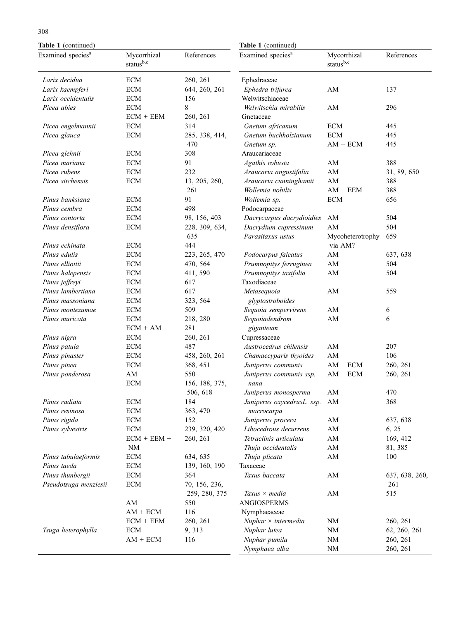| <b>Table 1</b> (continued) |  |  |
|----------------------------|--|--|

| Table 1 (continued)           |                                  |                | Table 1 (continued)           |                                         |                |
|-------------------------------|----------------------------------|----------------|-------------------------------|-----------------------------------------|----------------|
| Examined species <sup>a</sup> | Mycorrhizal<br>statusb,c         | References     | Examined species <sup>a</sup> | Mycorrhizal<br>${\rm status}^{\rm b,c}$ | References     |
| Larix decidua                 | <b>ECM</b>                       | 260, 261       | Ephedraceae                   |                                         |                |
| Larix kaempferi               | <b>ECM</b>                       | 644, 260, 261  | Ephedra trifurca              | AM                                      | 137            |
| Larix occidentalis            | $\ensuremath{\text{ECM}}\xspace$ | 156            | Welwitschiaceae               |                                         |                |
| Picea abies                   | <b>ECM</b>                       | 8              | Welwitschia mirabilis         | AM                                      | 296            |
|                               | $ECM + EEM$                      | 260, 261       | Gnetaceae                     |                                         |                |
| Picea engelmannii             | <b>ECM</b>                       | 314            | Gnetum africanum              | <b>ECM</b>                              | 445            |
| Picea glauca                  | <b>ECM</b>                       | 285, 338, 414, | Gnetum buchholzianum          | <b>ECM</b>                              | 445            |
|                               |                                  | 470            | Gnetum sp.                    | $AM + ECM$                              | 445            |
| Picea glehnii                 | <b>ECM</b>                       | 308            | Araucariaceae                 |                                         |                |
| Picea mariana                 | <b>ECM</b>                       | 91             | Agathis robusta               | AM                                      | 388            |
| Picea rubens                  | $\ensuremath{\text{ECM}}\xspace$ | 232            | Araucaria angustifolia        | AM                                      | 31, 89, 650    |
| Picea sitchensis              | $\ensuremath{\text{ECM}}\xspace$ | 13, 205, 260,  | Araucaria cunninghamii        | AM                                      | 388            |
|                               |                                  | 261            | Wollemia nobilis              | $AM + EEM$                              | 388            |
| Pinus banksiana               | <b>ECM</b>                       | 91             | Wollemia sp.                  | <b>ECM</b>                              | 656            |
| Pinus cembra                  | <b>ECM</b>                       | 498            | Podocarpaceae                 |                                         |                |
| Pinus contorta                | <b>ECM</b>                       | 98, 156, 403   | Dacrycarpus dacrydioidies     | AM                                      | 504            |
| Pinus densiflora              | <b>ECM</b>                       | 228, 309, 634, | Dacrydium cupressinum         | AM                                      | 504            |
|                               |                                  | 635            | Parasitaxus ustus             | Mycoheterotrophy                        | 659            |
| Pinus echinata                | <b>ECM</b>                       | 444            |                               | via AM?                                 |                |
| Pinus edulis                  | <b>ECM</b>                       | 223, 265, 470  | Podocarpus falcatus           | AM                                      | 637, 638       |
| Pinus elliottii               | <b>ECM</b>                       | 470, 564       | Prumnopitys ferruginea        | AM                                      | 504            |
| Pinus halepensis              | <b>ECM</b>                       | 411, 590       | Prumnopitys taxifolia         | AM                                      | 504            |
| Pinus jeffreyi                | <b>ECM</b>                       | 617            | Taxodiaceae                   |                                         |                |
| Pinus lambertiana             | <b>ECM</b>                       | 617            | Metasequoia                   | AM                                      | 559            |
| Pinus massoniana              | <b>ECM</b>                       | 323, 564       | glyptostroboides              |                                         |                |
| Pinus montezumae              | <b>ECM</b>                       | 509            | Sequoia sempervirens          | AM                                      | 6              |
| Pinus muricata                | <b>ECM</b>                       | 218, 280       | Sequoiadendrom                | AM                                      | 6              |
|                               | $ECM + AM$                       | 281            | giganteum                     |                                         |                |
| Pinus nigra                   | $\ensuremath{\text{ECM}}\xspace$ | 260, 261       | Cupressaceae                  |                                         |                |
| Pinus patula                  | <b>ECM</b>                       | 487            | Austrocedrus chilensis        | AM                                      | 207            |
| Pinus pinaster                | <b>ECM</b>                       | 458, 260, 261  | Chamaecyparis thyoides        | AM                                      | 106            |
| Pinus pinea                   | <b>ECM</b>                       | 368, 451       | Juniperus communis            | $AM + ECM$                              | 260, 261       |
| Pinus ponderosa               | AM                               | 550            | Juniperus communis ssp.       | $AM + ECM$                              | 260, 261       |
|                               | <b>ECM</b>                       | 156, 188, 375, | nana                          |                                         |                |
|                               |                                  | 506, 618       | Juniperus monosperma          | AM                                      | 470            |
| Pinus radiata                 | <b>ECM</b>                       | 184            | Juniperus oxycedrusL. ssp. AM |                                         | 368            |
| Pinus resinosa                | <b>ECM</b>                       | 363, 470       | macrocarpa                    |                                         |                |
| Pinus rigida                  | <b>ECM</b>                       | 152            | Juniperus procera             | AM                                      | 637, 638       |
| Pinus sylvestris              | <b>ECM</b>                       | 239, 320, 420  | Libocedrous decurrens         | AM                                      | 6, 25          |
|                               | $ECM + EEM +$                    | 260, 261       | Tetraclinis articulata        | AM                                      | 169, 412       |
|                               | <b>NM</b>                        |                | Thuja occidentalis            | AM                                      | 81, 385        |
| Pinus tabulaeformis           | ECM                              | 634, 635       | Thuja plicata                 | AM                                      | 100            |
| Pinus taeda                   | ECM                              | 139, 160, 190  | Taxaceae                      |                                         |                |
| Pinus thunbergii              | ECM                              | 364            | Taxus baccata                 | AM                                      | 637, 638, 260, |
| Pseudotsuga menziesii         | ECM                              | 70, 156, 236,  |                               |                                         | 261            |
|                               |                                  | 259, 280, 375  | Taxus $\times$ media          | AM                                      | 515            |
|                               | AM                               | 550            | ANGIOSPERMS                   |                                         |                |
|                               | $AM + ECM$                       | 116            | Nymphaeaceae                  |                                         |                |
|                               | $ECM + EEM$                      | 260, 261       | Nuphar $\times$ intermedia    | NM                                      | 260, 261       |
| Tsuga heterophylla            | <b>ECM</b>                       | 9, 313         | Nuphar lutea                  | NM                                      | 62, 260, 261   |
|                               | $AM + ECM$                       | 116            | Nuphar pumila                 | NM                                      | 260, 261       |
|                               |                                  |                | Nymphaea alba                 | NM                                      | 260, 261       |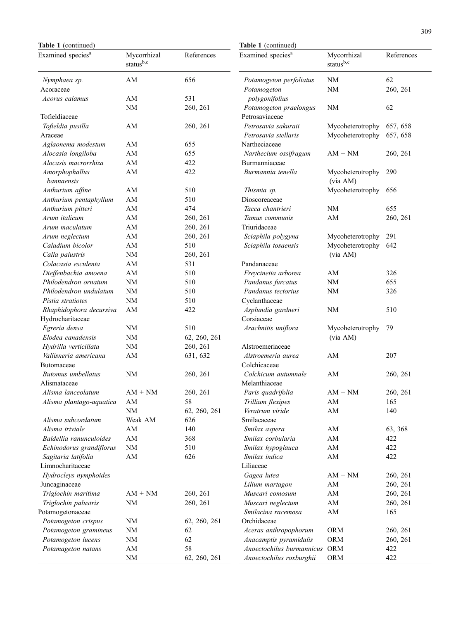| <b>Table 1</b> (continued) |  |  |  |
|----------------------------|--|--|--|
|----------------------------|--|--|--|

| $1401V$ 1 (Community)         |                                         |              | $1400 \cdot 1$ (community)    |                                |            |
|-------------------------------|-----------------------------------------|--------------|-------------------------------|--------------------------------|------------|
| Examined species <sup>a</sup> | Mycorrhizal<br>${\rm status}^{\rm b,c}$ | References   | Examined species <sup>a</sup> | Mycorrhizal<br>status $^{b,c}$ | References |
| Nymphaea sp.                  | AM                                      | 656          | Potamogeton perfoliatus       | <b>NM</b>                      | 62         |
| Acoraceae                     |                                         |              | Potamogeton                   | <b>NM</b>                      | 260, 261   |
| Acorus calamus                | AM                                      | 531          | polygonifolius                |                                |            |
|                               | <b>NM</b>                               | 260, 261     | Potamogeton praelongus        | NΜ                             | 62         |
| Tofieldiaceae                 |                                         |              | Petrosaviaceae                |                                |            |
| Tofieldia pusilla             | AM                                      | 260, 261     | Petrosavia sakuraii           | Mycoheterotrophy               | 657, 658   |
| Araceae                       |                                         |              | Petrosavia stellaris          | Mycoheterotrophy               | 657, 658   |
| Aglaonema modestum            | AM                                      | 655          | Nartheciaceae                 |                                |            |
| Alocasia longiloba            | AM                                      | 655          | Narthecium ossifragum         | $AM + NM$                      | 260, 261   |
| Alocasis macrorrhiza          | AM                                      | 422          | Burmanniaceae                 |                                |            |
| Amorphophallus<br>bannaensis  | AM                                      | 422          | Burmannia tenella             | Mycoheterotrophy<br>(via AM)   | 290        |
| Anthurium affine              | AM                                      | 510          | Thismia sp.                   | Mycoheterotrophy               | 656        |
| Anthurium pentaphyllum        | AM                                      | 510          | Dioscoreaceae                 |                                |            |
| Anthurium pitteri             | $\mathbf{A}\mathbf{M}$                  | 474          | Tacca chantrieri              | NM                             | 655        |
| Arum italicum                 | AM                                      | 260, 261     | Tamus communis                | AM                             | 260, 261   |
| Arum maculatum                | AM                                      | 260, 261     | Triuridaceae                  |                                |            |
| Arum neglectum                | AM                                      | 260, 261     | Sciaphila polygyna            | Mycoheterotrophy               | 291        |
| Caladium bicolor              | AM                                      | 510          | Sciaphila tosaensis           | Mycoheterotrophy               | 642        |
| Calla palustris               | <b>NM</b>                               | 260, 261     |                               | (via AM)                       |            |
| Colacasia esculenta           | AM                                      | 531          | Pandanaceae                   |                                |            |
| Dieffenbachia amoena          | AM                                      | 510          | Freycinetia arborea           | AM                             | 326        |
| Philodendron ornatum          | <b>NM</b>                               | 510          | Pandanus furcatus             | NM                             | 655        |
| Philodendron undulatum        | <b>NM</b>                               | 510          | Pandanus tectorius            | NΜ                             | 326        |
| Pistia stratiotes             | <b>NM</b>                               | 510          | Cyclanthaceae                 |                                |            |
| Rhaphidophora decursiva       | AM                                      | 422          | Asplundia gardneri            | NM                             | 510        |
| Hydrocharitaceae              |                                         |              | Corsiaceae                    |                                |            |
| Egreria densa                 | NΜ                                      | 510          | Arachnitis uniflora           | Mycoheterotrophy               | 79         |
| Elodea canadensis             | <b>NM</b>                               | 62, 260, 261 |                               | (via AM)                       |            |
| Hydrilla verticillata         | <b>NM</b>                               | 260, 261     | Alstroemeriaceae              |                                |            |
| Vallisneria americana         | AM                                      | 631, 632     | Alstroemeria aurea            | AM                             | 207        |
| Butomaceae                    |                                         |              | Colchicaceae                  |                                |            |
| <b>Butomus</b> umbellatus     | NM                                      | 260, 261     | Colchicum autumnale           | AM                             | 260, 261   |
| Alismataceae                  |                                         |              | Melanthiaceae                 |                                |            |
| Alisma lanceolatum            | $AM + NM$                               | 260, 261     | Paris quadrifolia             | $AM + NM$                      | 260, 261   |
| Alisma plantago-aquatica      | $\mathbf{A}\mathbf{M}$                  | 58           | Trillium flexipes             | $\mathbf{A}\mathbf{M}$         | 165        |
|                               | NM                                      | 62, 260, 261 | Veratrum viride               | AM                             | 140        |
| Alisma subcordatum            | Weak AM                                 | 626          | Smilacaceae                   |                                |            |
| Alisma triviale               | AM                                      | 140          | Smilax aspera                 | AM                             | 63, 368    |
| Baldellia ranunculoides       | AM                                      | 368          | Smilax corbularia             | AM                             | 422        |
| Echinodorus grandiflorus      | NM                                      | 510          | Smilax hypoglauca             | AM                             | 422        |
| Sagitaria latifolia           | AM                                      | 626          | Smilax indica                 | AM                             | 422        |
| Limnocharitaceae              |                                         |              | Liliaceae                     |                                |            |
| Hydrocleys nymphoides         |                                         |              | Gagea lutea                   | $AM + NM$                      | 260, 261   |
| Juncaginaceae                 |                                         |              | Lilium martagon               | AM                             | 260, 261   |
| Triglochin maritima           | $AM + NM$                               | 260, 261     | Muscari comosum               | AM                             | 260, 261   |
| Triglochin palustris          | NM                                      | 260, 261     | Muscari neglectum             | AM                             | 260, 261   |
| Potamogetonaceae              |                                         |              | Smilacina racemosa            | AM                             | 165        |
| Potamogeton crispus           | NM                                      | 62, 260, 261 | Orchidaceae                   |                                |            |
| Potamogeton gramineus         | NM                                      | 62           | Aceras anthropophorum         | <b>ORM</b>                     | 260, 261   |
| Potamogeton lucens            | <b>NM</b>                               | 62           | Anacamptis pyramidalis        | <b>ORM</b>                     | 260, 261   |
| Potamageton natans            | AM                                      | 58           | Anoectochilus burmannicus     | <b>ORM</b>                     | 422        |
|                               | NM                                      | 62, 260, 261 | Anoectochilus roxburghii      | <b>ORM</b>                     | 422        |
|                               |                                         |              |                               |                                |            |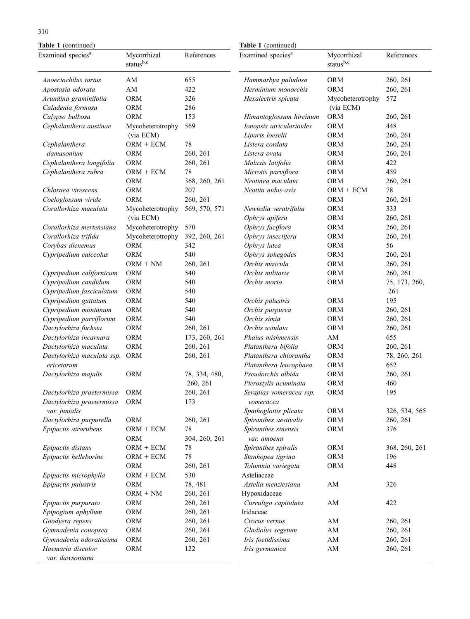| Table 1 (continued)                  |                                |               | Table 1 (continued)           |                                         |               |  |
|--------------------------------------|--------------------------------|---------------|-------------------------------|-----------------------------------------|---------------|--|
| Examined species <sup>a</sup>        | Mycorrhizal<br>status $^{b,c}$ | References    | Examined species <sup>a</sup> | Mycorrhizal<br>${\rm status}^{\rm b,c}$ | References    |  |
| Anoectochilus tortus                 | AM                             | 655           | Hammarbya paludosa            | <b>ORM</b>                              | 260, 261      |  |
| Apostasia odorata                    | AM                             | 422           | Herminium monorchis           | <b>ORM</b>                              | 260, 261      |  |
| Arundina graminifolia                | <b>ORM</b>                     | 326           | Hexalectris spicata           | Mycoheterotrophy                        | 572           |  |
| Caladenia formosa                    | <b>ORM</b>                     | 286           |                               | (via ECM)                               |               |  |
| Calypso bulbosa                      | <b>ORM</b>                     | 153           | Himantoglossum hircinum       | <b>ORM</b>                              | 260, 261      |  |
| Cephalanthera austinae               | Mycoheterotrophy               | 569           | Ionopsis utricularioides      | <b>ORM</b>                              | 448           |  |
|                                      | (via ECM)                      |               | Liparis loeselii              | <b>ORM</b>                              | 260, 261      |  |
| Cephalanthera                        | $ORM + ECM$                    | 78            | Listera cordata               | <b>ORM</b>                              | 260, 261      |  |
| damasonium                           | <b>ORM</b>                     | 260, 261      | Listera ovata                 | <b>ORM</b>                              | 260, 261      |  |
| Cephalanthera longifolia             | <b>ORM</b>                     | 260, 261      | Malaxis latifolia             | <b>ORM</b>                              | 422           |  |
| Cephalanthera rubra                  | $ORM + ECM$                    | 78            | Microtis parviflora           | <b>ORM</b>                              | 459           |  |
|                                      | <b>ORM</b>                     | 368, 260, 261 | Neotinea maculata             | <b>ORM</b>                              | 260, 261      |  |
| Chloraea virescens                   | <b>ORM</b>                     | 207           | Neottia nidus-avis            | $ORM + ECM$                             | 78            |  |
| Coeloglossum viride                  | <b>ORM</b>                     | 260, 261      |                               | <b>ORM</b>                              | 260, 261      |  |
| Corallorhiza maculata                | Mycoheterotrophy               | 569, 570, 571 | Newiedia veratrifolia         | <b>ORM</b>                              | 333           |  |
|                                      | (via ECM)                      |               | Ophrys apifera                | <b>ORM</b>                              | 260, 261      |  |
| Corallorhiza mertensiana             | Mycoheterotrophy               | 570           | Ophrys fuciflora              | <b>ORM</b>                              | 260, 261      |  |
| Corallorhiza trifida                 | Mycoheterotrophy               | 392, 260, 261 | Ophrys insectifera            | <b>ORM</b>                              | 260, 261      |  |
| Corybas dienemus                     | <b>ORM</b>                     | 342           | Ophrys lutea                  | <b>ORM</b>                              | 56            |  |
| Cypripedium calceolus                | <b>ORM</b>                     | 540           | Ophrys sphegodes              | <b>ORM</b>                              | 260, 261      |  |
|                                      | $ORM + NM$                     | 260, 261      | Orchis mascula                | <b>ORM</b>                              | 260, 261      |  |
| Cypripedium californicum             | <b>ORM</b>                     | 540           | Orchis militaris              | <b>ORM</b>                              | 260, 261      |  |
| Cypripedium candidum                 | <b>ORM</b>                     | 540           | Orchis morio                  | <b>ORM</b>                              | 75, 173, 260, |  |
| Cypripedium fasciculatum             | <b>ORM</b>                     | 540           |                               |                                         | 261           |  |
| Cypripedium guttatum                 | <b>ORM</b>                     | 540           | Orchis palustris              | <b>ORM</b>                              | 195           |  |
| Cypripedium montanum                 | <b>ORM</b>                     | 540           | Orchis purpurea               | <b>ORM</b>                              | 260, 261      |  |
| Cypripedium parviflorum              | ORM                            | 540           | Orchis simia                  | <b>ORM</b>                              | 260, 261      |  |
| Dactylorhiza fuchsia                 | ORM                            | 260, 261      | Orchis ustulata               | <b>ORM</b>                              | 260, 261      |  |
| Dactylorhiza incarnara               | ORM                            | 173, 260, 261 | Phaius mishmensis             | $\mathbf{A}\mathbf{M}$                  | 655           |  |
| Dactylorhiza maculata                | <b>ORM</b>                     | 260, 261      | Platanthera bifolia           | <b>ORM</b>                              | 260, 261      |  |
| Dactylorhiza maculata ssp.           | <b>ORM</b>                     | 260, 261      | Platanthera chlorantha        | <b>ORM</b>                              | 78, 260, 261  |  |
| ericetorum                           |                                |               | Platanthera leucophaea        | <b>ORM</b>                              | 652           |  |
| Dactylorhiza majalis                 | <b>ORM</b>                     | 78, 334, 480, | Pseudorchis albida            | <b>ORM</b>                              | 260, 261      |  |
|                                      |                                | 260, 261      | Pterostylis acuminata         | <b>ORM</b>                              | 460           |  |
| Dactylorhiza praetermissa            | <b>ORM</b>                     | 260, 261      | Serapias vomeracea ssp.       | <b>ORM</b>                              | 195           |  |
| Dactylorhiza praetermissa            | <b>ORM</b>                     | 173           | vomeracea                     |                                         |               |  |
| var junialis                         |                                |               | Spathoglottis plicata         | <b>ORM</b>                              | 326, 534, 565 |  |
| Dactylorhiza purpurella              | <b>ORM</b>                     | 260, 261      | Spiranthes aestivalis         | <b>ORM</b>                              | 260, 261      |  |
| Epipactis atrorubens                 | $ORM + ECM$                    | 78            | Spiranthes sinensis           | <b>ORM</b>                              | 376           |  |
|                                      | <b>ORM</b>                     | 304, 260, 261 | var. amoena                   |                                         |               |  |
| Epipactis distans                    | $ORM + ECM$                    | 78            | Spiranthes spiralis           | <b>ORM</b>                              | 368, 260, 261 |  |
| Epipactis helleborine                | $ORM + ECM$                    | 78            | Stanhopea tigrina             | <b>ORM</b>                              | 196           |  |
|                                      | <b>ORM</b>                     | 260, 261      | Tolumnia variegata            | <b>ORM</b>                              | 448           |  |
| Epipactis microphylla                | $ORM + ECM$                    | 530           | Asteliaceae                   |                                         |               |  |
| Epipactis palustris                  | <b>ORM</b>                     | 78, 481       | Astelia menziesiana           | AM                                      | 326           |  |
|                                      | $ORM + NM$                     | 260, 261      | Hypoxidaceae                  |                                         |               |  |
| Epipactis purpurata                  | <b>ORM</b>                     | 260, 261      | Curculigo capitulata          | AM                                      | 422           |  |
| Epipogium aphyllum                   | <b>ORM</b>                     | 260, 261      | Iridaceae                     |                                         |               |  |
| Goodyera repens                      | ORM                            | 260, 261      | Crocus vernus                 | AM                                      | 260, 261      |  |
| Gymnadenia conopsea                  | ORM                            | 260, 261      | Gladiolus segetum             | AM                                      | 260, 261      |  |
| Gymnadenia odoratissima              | ORM                            | 260, 261      | Iris foetidissima             | AM                                      | 260, 261      |  |
| Haemaria discolor<br>var. dawsoniana | <b>ORM</b>                     | 122           | Iris germanica                | AM                                      | 260, 261      |  |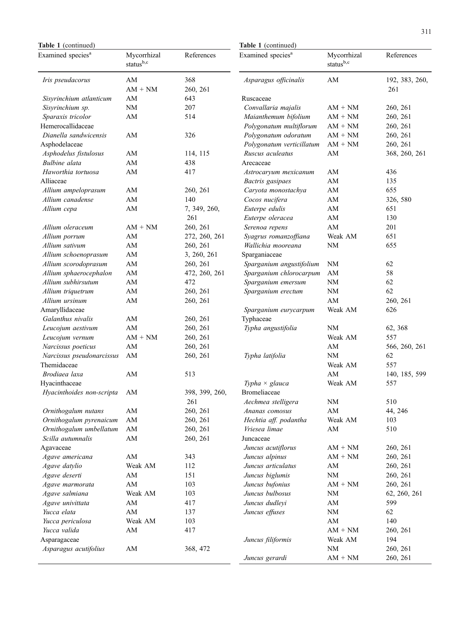|            | <b>Table 1</b> (continued)    |  |  |
|------------|-------------------------------|--|--|
| References | Examined species <sup>a</sup> |  |  |
|            |                               |  |  |
|            |                               |  |  |
|            | Asparagus officinalis         |  |  |

| $\mathbf{I}$ and $\mathbf{I}$ (commuted) |                                                 |                       | $\mathbf{a}$ and $\mathbf{a}$ (commuted)          |                                                 |                       |
|------------------------------------------|-------------------------------------------------|-----------------------|---------------------------------------------------|-------------------------------------------------|-----------------------|
| Examined species <sup>a</sup>            | Mycorrhizal<br>$\mathrm{status}^{\mathrm{b,c}}$ | References            | Examined species <sup>a</sup>                     | Mycorrhizal<br>$\mathrm{status}^{\mathrm{b,c}}$ | References            |
| Iris pseudacorus                         | AM<br>$AM + NM$                                 | 368<br>260, 261       | Asparagus officinalis                             | AM                                              | 192, 383, 260,<br>261 |
| Sisyrinchium atlanticum                  | AM                                              | 643                   | Ruscaceae                                         |                                                 |                       |
| Sisyrinchium sp.                         | <b>NM</b>                                       | 207                   | Convallaria majalis                               | $AM + NM$                                       | 260, 261              |
| Sparaxis tricolor                        | AM                                              | 514                   | Maianthemum bifolium                              | $AM + NM$                                       | 260, 261              |
| Hemerocallidaceae                        |                                                 |                       | Polygonatum multiflorum                           | $AM + NM$                                       | 260, 261              |
| Dianella sandwicensis<br>Asphodelaceae   | AM                                              | 326                   | Polygonatum odoratum<br>Polygonatum verticillatum | $AM + NM$<br>$AM + NM$                          | 260, 261<br>260, 261  |
| Asphodelus fistulosus                    | AΜ                                              | 114, 115              | Ruscus aculeatus                                  | AM                                              | 368, 260, 261         |
| <b>Bulbine</b> alata                     | AM                                              | 438                   | Arecaceae                                         |                                                 |                       |
| Haworthia tortuosa                       | AM                                              | 417                   | Astrocaryum mexicanum                             | AM                                              | 436                   |
| Alliaceae                                |                                                 |                       | Bactris gasipaes                                  | AM                                              | 135                   |
| Allium ampeloprasum                      | AM                                              | 260, 261              | Caryota monostachya                               | AM                                              | 655                   |
| Allium canadense                         | AM                                              | 140                   | Cocos nucifera                                    | AM                                              | 326, 580              |
| Allium cepa                              | AM                                              | 7, 349, 260,          | Euterpe edulis                                    | AM                                              | 651                   |
|                                          |                                                 | 261                   | Euterpe oleracea                                  | AM                                              | 130                   |
| Allium oleraceum                         | $AM + NM$                                       | 260, 261              | Serenoa repens                                    | AM                                              | 201                   |
| Allium porrum                            | AM                                              | 272, 260, 261         | Syagrus romanzoffiana                             | Weak AM                                         | 651                   |
| Allium sativum                           | AM                                              | 260, 261              | Wallichia mooreana                                | <b>NM</b>                                       | 655                   |
| Allium schoenoprasum                     | AM                                              | 3, 260, 261           | Sparganiaceae                                     |                                                 |                       |
| Allium scorodoprasum                     | AM                                              | 260, 261              | Sparganium angustifolium                          | <b>NM</b>                                       | 62                    |
| Allium sphaerocephalon                   | AM                                              | 472, 260, 261         | Sparganium chlorocarpum                           | AM                                              | 58                    |
| Allium subhirsutum                       | AM                                              | 472                   | Sparganium emersum                                | $\rm{NM}$                                       | 62                    |
| Allium triquetrum                        | AM                                              | 260, 261              | Sparganium erectum                                | NM                                              | 62                    |
| Allium ursinum                           | AM                                              | 260, 261              |                                                   | AM                                              | 260, 261              |
| Amaryllidaceae                           |                                                 |                       | Sparganium eurycarpum                             | Weak AM                                         | 626                   |
| Galanthus nivalis                        | AM                                              | 260, 261              | Typhaceae                                         |                                                 |                       |
| Leucojum aestivum                        | AM                                              | 260, 261              | Typha angustifolia                                | <b>NM</b>                                       | 62, 368               |
| Leucojum vernum                          | $AM + NM$                                       | 260, 261              |                                                   | Weak AM                                         | 557                   |
| Narcissus poeticus                       | AΜ                                              | 260, 261              |                                                   | AM                                              | 566, 260, 261         |
| Narcissus pseudonarcissus                | AM                                              | 260, 261              | Typha latifolia                                   | <b>NM</b>                                       | 62                    |
| Themidaceae                              |                                                 |                       |                                                   | Weak AM                                         | 557                   |
| Brodiaea laxa                            | AM                                              | 513                   |                                                   | AM                                              | 140, 185, 599         |
| Hyacinthaceae                            |                                                 |                       | Typha $\times$ glauca                             | Weak AM                                         | 557                   |
| Hyacinthoides non-scripta                | AΜ                                              | 398, 399, 260,<br>261 | <b>Bromeliaceae</b><br>Aechmea stelligera         | $\rm{NM}$                                       | 510                   |
| Ornithogalum nutans                      | AM                                              | 260, 261              | Ananas comosus                                    | AM                                              | 44, 246               |
| Ornithogalum pyrenaicum                  | AM                                              | 260, 261              | Hechtia aff. podantha                             | Weak AM                                         | 103                   |
| Ornithogalum umbellatum                  | AM                                              | 260, 261              | Vriesea limae                                     | AM                                              | 510                   |
| Scilla autumnalis                        | AM                                              | 260, 261              | Juncaceae                                         |                                                 |                       |
| Agavaceae                                |                                                 |                       | Juncus acutiflorus                                | $AM + NM$                                       | 260, 261              |
| Agave americana                          | AM                                              | 343                   | Juncus alpinus                                    | $AM + NM$                                       | 260, 261              |
| Agave datylio                            | Weak AM                                         | 112                   | Juncus articulatus                                | AM                                              | 260, 261              |
| Agave deserti                            | AM                                              | 151                   | Juncus biglumis                                   | NΜ                                              | 260, 261              |
| Agave marmorata                          | AM                                              | 103                   | Juncus bufonius                                   | $AM + NM$                                       | 260, 261              |
| Agave salmiana                           | Weak AM                                         | 103                   | Juncus bulbosus                                   | NM                                              | 62, 260, 261          |
| Agave univittata                         | AM                                              | 417                   | Juncus dudleyi                                    | AM                                              | 599                   |
| Yucca elata                              | AM                                              | 137                   | Juncus effuses                                    | NM                                              | 62                    |
| Yucca periculosa                         | Weak AM                                         | 103                   |                                                   | AM                                              | 140                   |
| Yucca valida                             | AM                                              | 417                   |                                                   | $AM + NM$                                       | 260, 261              |
| Asparagaceae                             |                                                 |                       | Juncus filiformis                                 | Weak AM                                         | 194                   |
| Asparagus acutifolius                    | AM                                              | 368, 472              |                                                   | NΜ                                              | 260, 261              |
|                                          |                                                 |                       | Juncus gerardi                                    | $AM + NM$                                       | 260, 261              |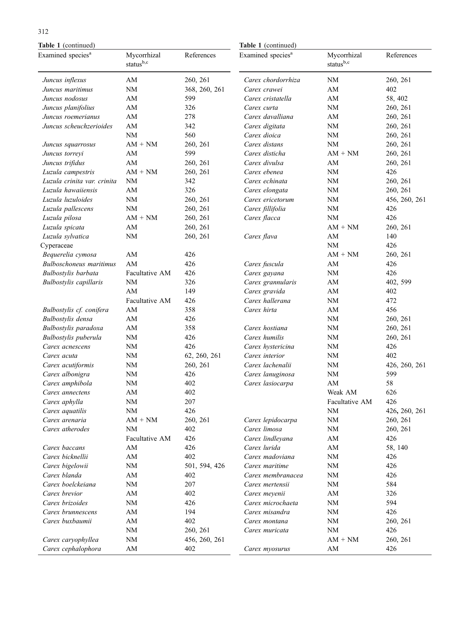| Table 1 (continued)            |                                      |               | Table 1 (continued)           |                                |               |  |
|--------------------------------|--------------------------------------|---------------|-------------------------------|--------------------------------|---------------|--|
| Examined species <sup>a</sup>  | Mycorrhizal<br>status <sup>b,c</sup> | References    | Examined species <sup>a</sup> | Mycorrhizal<br>status $^{b,c}$ | References    |  |
| Juncus inflexus                | AM                                   | 260, 261      | Carex chordorrhiza            | NM                             | 260, 261      |  |
| Juncus maritimus               | <b>NM</b>                            | 368, 260, 261 | Carex crawei                  | AM                             | 402           |  |
| Juncus nodosus                 | AM                                   | 599           | Carex cristatella             | AM                             | 58, 402       |  |
| Juncus planifolius             | AM                                   | 326           | Carex curta                   | NM                             | 260, 261      |  |
| Juncus roemerianus             | AM                                   | 278           | Carex davalliana              | AM                             | 260, 261      |  |
| Juncus scheuchzerioides        | AM                                   | 342           | Carex digitata                | $\rm{NM}$                      | 260, 261      |  |
|                                | <b>NM</b>                            | 560           | Carex dioica                  | <b>NM</b>                      | 260, 261      |  |
| Juncus squarrosus              | $AM + NM$                            | 260, 261      | Carex distans                 | <b>NM</b>                      | 260, 261      |  |
| Juncus torreyi                 | AM                                   | 599           | Carex disticha                | $AM + NM$                      | 260, 261      |  |
| Juncus trifidus                | AM                                   | 260, 261      | Carex divulsa                 | AM                             | 260, 261      |  |
| Luzula campestris              | $AM + NM$                            | 260, 261      | Carex ebenea                  | <b>NM</b>                      | 426           |  |
| Luzula crinita var. crinita    | <b>NM</b>                            | 342           | Carex echinata                | <b>NM</b>                      | 260, 261      |  |
| Luzula hawaiiensis             | AM                                   | 326           | Carex elongata                | NM                             | 260, 261      |  |
| Luzula luzuloides              | <b>NM</b>                            | 260, 261      | Carex ericetorum              | <b>NM</b>                      | 456, 260, 261 |  |
| Luzula pallescens              | <b>NM</b>                            | 260, 261      | Carex fillifolia              | <b>NM</b>                      | 426           |  |
| Luzula pilosa                  | $AM + NM$                            | 260, 261      | Carex flacca                  | <b>NM</b>                      | 426           |  |
| Luzula spicata                 | AM                                   | 260, 261      |                               | $AM + NM$                      | 260, 261      |  |
| Luzula sylvatica               | <b>NM</b>                            | 260, 261      | Carex flava                   | AM                             | 140           |  |
| Cyperaceae                     |                                      |               |                               | <b>NM</b>                      | 426           |  |
| Bequerelia cymosa              | AM                                   | 426           |                               | $AM + NM$                      | 260, 261      |  |
| <b>Bulboschoneus maritimus</b> | AM                                   | 426           | Carex fuscula                 | AM                             | 426           |  |
| Bulbostylis barbata            | Facultative AM                       | 426           | Carex gayana                  | NM                             | 426           |  |
| Bulbostylis capillaris         | <b>NM</b>                            | 326           | Carex grannularis             | AM                             | 402, 599      |  |
|                                | AM                                   | 149           | Carex gravida                 | AM                             | 402           |  |
|                                | Facultative AM                       | 426           | Carex hallerana               | NM                             | 472           |  |
| Bulbostylis cf. conifera       | AM                                   | 358           | Carex hirta                   | AM                             | 456           |  |
| Bulbostylis densa              | AM                                   | 426           |                               | $\rm NM$                       | 260, 261      |  |
| Bulbostylis paradoxa           | AM                                   | 358           | Carex hostiana                | NM                             | 260, 261      |  |
| Bulbostylis puberula           | <b>NM</b>                            | 426           | Carex humilis                 | NM                             | 260, 261      |  |
| Carex acnescens                | NM                                   | 426           | Carex hystericina             | NM                             | 426           |  |
| Carex acuta                    | <b>NM</b>                            | 62, 260, 261  | Carex interior                | <b>NM</b>                      | 402           |  |
| Carex acutiformis              | <b>NM</b>                            | 260, 261      | Carex lachenalii              | NM                             | 426, 260, 261 |  |
| Carex albonigra                | <b>NM</b>                            | 426           | Carex lanuginosa              | NM                             | 599           |  |
| Carex amphibola                | <b>NM</b>                            | 402           | Carex lasiocarpa              | AM                             | 58            |  |
| Carex annectens                | AM                                   | 402           |                               | Weak AM                        | 626           |  |
| Carex aphylla                  | NM                                   | 207           |                               | Facultative AM                 | 426           |  |
| Carex aquatilis                | <b>NM</b>                            | 426           |                               | NΜ                             | 426, 260, 261 |  |
| Carex arenaria                 | $AM + NM$                            | 260, 261      | Carex lepidocarpa             | NM                             | 260, 261      |  |
| Carex atherodes                | <b>NM</b>                            | 402           | Carex limosa                  | <b>NM</b>                      | 260, 261      |  |
|                                | Facultative AM                       | 426           | Carex lindleyana              | AM                             | 426           |  |
| Carex baccans                  | AM                                   | 426           | Carex lurida                  | AM                             | 58, 140       |  |
| Carex bicknellii               | AM                                   | 402           | Carex madoviana               | NM                             | 426           |  |
| Carex bigelowii                | NM                                   | 501, 594, 426 | Carex maritime                | <b>NM</b>                      | 426           |  |
| Carex blanda                   | AM                                   | 402           | Carex membranacea             | <b>NM</b>                      | 426           |  |
| Carex boelckeiana              | NM                                   | 207           | Carex mertensii               | <b>NM</b>                      | 584           |  |
| Carex brevior                  | AM                                   | 402           | Carex meyenii                 | AM                             | 326           |  |
| Carex brizoides                | NM                                   | 426           | Carex microchaeta             | <b>NM</b>                      | 594           |  |
| Carex brunnescens              | AM                                   | 194           | Carex misandra                | <b>NM</b>                      | 426           |  |
| Carex buxbaumii                | AM                                   | 402           | Carex montana                 | <b>NM</b>                      | 260, 261      |  |
|                                | NM                                   | 260, 261      | Carex muricata                | <b>NM</b>                      | 426           |  |
|                                | NM                                   | 456, 260, 261 |                               | $AM + NM$                      |               |  |
| Carex caryophyllea             |                                      |               |                               |                                | 260, 261      |  |
| Carex cephalophora             | AM                                   | 402           | Carex myosurus                | AM                             | 426           |  |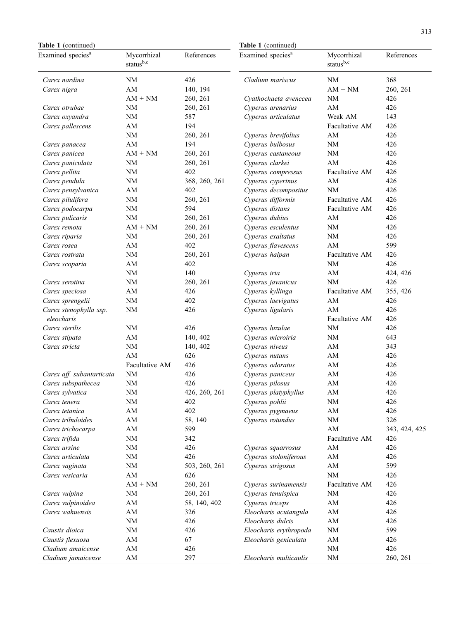| <b>Table 1</b> (continued) |
|----------------------------|
|----------------------------|

| <b>Table 1</b> (continued) |  |
|----------------------------|--|
|----------------------------|--|

| <b>Table 1</b> (continued)    |                          |               | <b>Table 1</b> (continued)    |                                         |               |
|-------------------------------|--------------------------|---------------|-------------------------------|-----------------------------------------|---------------|
| Examined species <sup>a</sup> | Mycorrhizal<br>statusb,c | References    | Examined species <sup>a</sup> | Mycorrhizal<br>${\rm status}^{\rm b,c}$ | References    |
| Carex nardina                 | <b>NM</b>                | 426           | Cladium mariscus              | NM                                      | 368           |
| Carex nigra                   | AM                       | 140, 194      |                               | $AM + NM$                               | 260, 261      |
|                               | $AM + NM$                | 260, 261      | Cyathochaeta avenccea         | <b>NM</b>                               | 426           |
| Carex otrubae                 | <b>NM</b>                | 260, 261      | Cyperus arenarius             | AM                                      | 426           |
| Carex oxyandra                | <b>NM</b>                | 587           | Cyperus articulatus           | Weak AM                                 | 143           |
| Carex pallescens              | AM                       | 194           |                               | Facultative AM                          | 426           |
|                               | <b>NM</b>                | 260, 261      | Cyperus brevifolius           | AM                                      | 426           |
| Carex panacea                 | AM                       | 194           | Cyperus bulbosus              | <b>NM</b>                               | 426           |
| Carex panicea                 | $AM + NM$                | 260, 261      | Cyperus castaneous            | <b>NM</b>                               | 426           |
| Carex paniculata              | <b>NM</b>                | 260, 261      | Cyperus clarkei               | AM                                      | 426           |
| Carex pellita                 | NΜ                       | 402           | Cyperus compressus            | Facultative AM                          | 426           |
| Carex pendula                 | <b>NM</b>                | 368, 260, 261 | Cyperus cyperinus             | AM                                      | 426           |
| Carex pensylvanica            | AM                       | 402           | Cyperus decompositus          | <b>NM</b>                               | 426           |
| Carex pilulifera              | <b>NM</b>                | 260, 261      | Cyperus difformis             | Facultative AM                          | 426           |
| Carex podocarpa               | <b>NM</b>                | 594           | Cyperus distans               | Facultative AM                          | 426           |
| Carex pulicaris               | <b>NM</b>                | 260, 261      | Cyperus dubius                | AM                                      | 426           |
| Carex remota                  | $AM + NM$                | 260, 261      | Cyperus esculentus            | <b>NM</b>                               | 426           |
| Carex riparia                 | <b>NM</b>                | 260, 261      | Cyperus exaltatus             | <b>NM</b>                               | 426           |
| Carex rosea                   | AM                       | 402           | Cyperus flavescens            | AM                                      | 599           |
| Carex rostrata                | <b>NM</b>                | 260, 261      | Cyperus halpan                | Facultative AM                          | 426           |
| Carex scoparia                | AM                       | 402           |                               | <b>NM</b>                               | 426           |
|                               | <b>NM</b>                | 140           | Cyperus iria                  | AM                                      | 424, 426      |
| Carex serotina                | <b>NM</b>                | 260, 261      | Cyperus javanicus             | <b>NM</b>                               | 426           |
| Carex speciosa                | AM                       | 426           | Cyperus kyllinga              | Facultative AM                          | 355, 426      |
| Carex sprengelii              | <b>NM</b>                | 402           | Cyperus laevigatus            | AM                                      | 426           |
| Carex stenophylla ssp.        | <b>NM</b>                | 426           | Cyperus ligularis             | AM                                      | 426           |
| eleocharis                    |                          |               |                               | Facultative AM                          | 426           |
| Carex sterilis                | <b>NM</b>                | 426           | Cyperus luzulae               | NΜ                                      | 426           |
| Carex stipata                 | AM                       | 140, 402      | Cyperus microiria             | <b>NM</b>                               | 643           |
| Carex stricta                 | <b>NM</b>                | 140, 402      | Cyperus niveus                | AM                                      | 343           |
|                               | AM                       | 626           | Cyperus nutans                | AM                                      | 426           |
|                               | Facultative AM           | 426           | Cyperus odoratus              | AM                                      | 426           |
| Carex aff. subantarticata     | <b>NM</b>                | 426           | Cyperus paniceus              | AM                                      | 426           |
| Carex subspathecea            | <b>NM</b>                | 426           | Cyperus pilosus               | AM                                      | 426           |
| Carex sylvatica               | <b>NM</b>                | 426, 260, 261 | Cyperus platyphyllus          | AM                                      | 426           |
| Carex tenera                  | NM                       | 402           | Cyperus pohlii                | NM                                      | 426           |
| Carex tetanica                | AM                       | 402           | Cyperus pygmaeus              | AΜ                                      | 426           |
| Carex tribuloides             | AM                       | 58, 140       | Cyperus rotundus              | $\rm{NM}$                               | 326           |
| Carex trichocarpa             | AM                       | 599           |                               | AM                                      | 343, 424, 425 |
| Carex trifida                 | NM                       | 342           |                               | Facultative AM                          | 426           |
| Carex ursine                  | NM                       | 426           | Cyperus squarrosus            | AM                                      | 426           |
| Carex urticulata              | NM                       | 426           | Cyperus stoloniferous         | AM                                      | 426           |
| Carex vaginata                | NM                       | 503, 260, 261 | Cyperus strigosus             | AM                                      | 599           |
| Carex vesicaria               | AM                       | 626           |                               | <b>NM</b>                               | 426           |
|                               | $AM + NM$                | 260, 261      | Cyperus surinamensis          | Facultative AM                          | 426           |
| Carex vulpina                 | NM                       | 260, 261      | Cyperus tenuispica            | NΜ                                      | 426           |
| Carex vulpinoidea             | AM                       | 58, 140, 402  | Cyperus triceps               | AM                                      | 426           |
| Carex wahuensis               | AM                       | 326           | Eleocharis acutangula         | AM                                      | 426           |
|                               | <b>NM</b>                | 426           | Eleocharis dulcis             | AM                                      | 426           |
| Caustis dioica                | <b>NM</b>                | 426           | Eleocharis erythropoda        | NM                                      | 599           |
| Caustis flexuosa              | AM                       | 67            | Eleocharis geniculata         | AM                                      | 426           |
| Cladium amaicense             | AM                       | 426           |                               | NM                                      | 426           |
| Cladium jamaicense            | AM                       | 297           | Eleocharis multicaulis        | NM                                      | 260, 261      |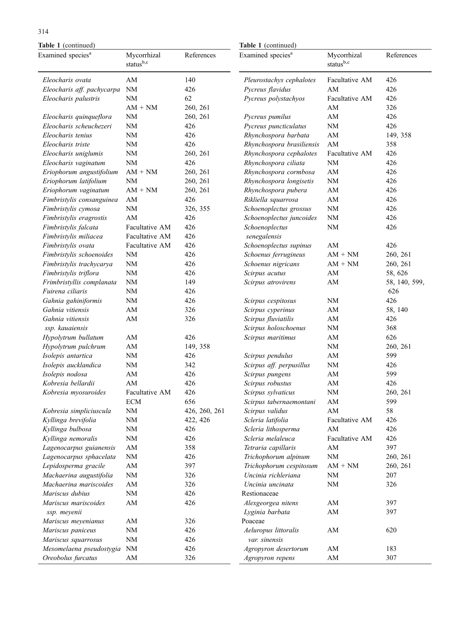| Table 1 (continued) |  |
|---------------------|--|
|---------------------|--|

| Table 1 (continued)           |                                |               | Table 1 (continued)           |                                |               |  |  |
|-------------------------------|--------------------------------|---------------|-------------------------------|--------------------------------|---------------|--|--|
| Examined species <sup>a</sup> | Mycorrhizal<br>status $^{b,c}$ | References    | Examined species <sup>a</sup> | Mycorrhizal<br>status $^{b,c}$ | References    |  |  |
| Eleocharis ovata              | AM                             | 140           | Pleurostachys cephalotes      | Facultative AM                 | 426           |  |  |
| Eleocharis aff. pachycarpa    | <b>NM</b>                      | 426           | Pycreus flavidus              | AM                             | 426           |  |  |
| Eleocharis palustris          | <b>NM</b>                      | 62            | Pycreus polystachyos          | Facultative AM                 | 426           |  |  |
|                               | $AM + NM$                      | 260, 261      |                               | AM                             | 326           |  |  |
| Eleocharis quinqueflora       | <b>NM</b>                      | 260, 261      | Pycreus pumilus               | AM                             | 426           |  |  |
| Eleocharis scheuchezeri       | <b>NM</b>                      | 426           | Pycreus puncticulatus         | <b>NM</b>                      | 426           |  |  |
| Eleocharis tenius             | NM                             | 426           | Rhynchospora barbata          | AM                             | 149, 358      |  |  |
| Eleocharis triste             | NM                             | 426           | Rhynchospora brasiliensis     | AM                             | 358           |  |  |
| Eleocharis uniglumis          | NΜ                             | 260, 261      | Rhynchospora cephalotes       | Facultative AM                 | 426           |  |  |
| Eleocharis vaginatum          | <b>NM</b>                      | 426           | Rhynchospora ciliata          | $\rm NM$                       | 426           |  |  |
| Eriophorum angustifolium      | $AM + NM$                      | 260, 261      | Rhynchospora cormbosa         | AM                             | 426           |  |  |
| Eriophorum latifolium         | <b>NM</b>                      | 260, 261      | Rhynchospora longisetis       | <b>NM</b>                      | 426           |  |  |
| Eriophorum vaginatum          | $AM + NM$                      | 260, 261      | Rhynchospora pubera           | AM                             | 426           |  |  |
| Fimbristylis consanguinea     | AM                             | 426           | Rikliella squarrosa           | AM                             | 426           |  |  |
| Fimbristylis cymosa           | <b>NM</b>                      | 326, 355      | Schoenoplectus grossus        | NM                             | 426           |  |  |
| Fimbristylis eragrostis       | AM                             | 426           | Schoenoplectus juncoides      | <b>NM</b>                      | 426           |  |  |
| Fimbristylis falcata          | Facultative AM                 | 426           | Schoenoplectus                | <b>NM</b>                      | 426           |  |  |
| Fimbristylis miliacea         | Facultative AM                 | 426           | senegalensis                  |                                |               |  |  |
| Fimbristylis ovata            | Facultative AM                 | 426           | Schoenoplectus supinus        | AM                             | 426           |  |  |
| Fimbristylis schoenoides      | NΜ                             | 426           | Schoenus ferrugineus          | $AM + NM$                      | 260, 261      |  |  |
| Fimbristylis trachycarya      | NΜ                             | 426           | Schoenus nigricans            | $AM + NM$                      | 260, 261      |  |  |
| Fimbristylis triflora         | NΜ                             | 426           | Scirpus acutus                | AM                             | 58, 626       |  |  |
| Frimbristyllis complanata     | NΜ                             | 149           | Scirpus atrovirens            | AM                             | 58, 140, 599, |  |  |
| Fuirena ciliaris              | <b>NM</b>                      | 426           |                               |                                | 626           |  |  |
| Gahnia gahiniformis           | NM                             | 426           | Scirpus cespitosus            | <b>NM</b>                      | 426           |  |  |
| Gahnia vitiensis              | AM                             | 326           | Scirpus cyperinus             | AM                             | 58, 140       |  |  |
| Gahnia vitiensis              | AM                             | 326           | Scirpus fluviatilis           | AM                             | 426           |  |  |
| ssp. kauaiensis               |                                |               | Scirpus holoschoenus          | NM                             | 368           |  |  |
| Hypolytrum bullatum           | AM                             | 426           | Scirpus maritimus             | AM                             | 626           |  |  |
| Hypolytrum pulchrum           | AM                             | 149, 358      |                               | <b>NM</b>                      | 260, 261      |  |  |
| Isolepis antartica            | <b>NM</b>                      | 426           | Scirpus pendulus              | AM                             | 599           |  |  |
| Isolepis aucklandica          | <b>NM</b>                      | 342           | Scirpus aff. perpusillus      | <b>NM</b>                      | 426           |  |  |
| Isolepis nodosa               | AM                             | 426           | Scirpus pungens               | AM                             | 599           |  |  |
| Kobresia bellardii            | AM                             | 426           | Scirpus robustus              | AM                             | 426           |  |  |
| Kobresia myosuroides          | Facultative AM                 | 426           | Scirpus sylvaticus            | NM                             | 260, 261      |  |  |
|                               | <b>ECM</b>                     | 656           | Scirpus tabernaemontani       | AM                             | 599           |  |  |
| Kobresia simpliciuscula       | NM                             | 426, 260, 261 | Scirpus validus               | AM                             | 58            |  |  |
| Kyllinga brevifolia           | NM                             | 422, 426      | Scleria latifolia             | Facultative AM                 | 426           |  |  |
| Kyllinga bulbosa              | NM                             | 426           | Scleria lithosperma           | AM                             | 426           |  |  |
| Kyllinga nemoralis            | NM                             | 426           | Scleria melaleuca             | Facultative AM                 | 426           |  |  |
| Lagenocarpus guianensis       | AM                             | 358           | Tetraria capillaris           | AM                             | 397           |  |  |
| Lagenocarpus sphacelata       | NM                             | 426           | Trichophorum alpinum          | $\rm NM$                       | 260, 261      |  |  |
| Lepidosperma gracile          | AM                             | 397           | Trichophorum cespitosum       | $AM + NM$                      | 260, 261      |  |  |
| Machaerina augustifolia       | NM                             | 326           | Uncinia richleriana           | NM                             | 207           |  |  |
| Machaerina mariscoides        | AM                             | 326           | Uncinia uncinata              | <b>NM</b>                      | 326           |  |  |
| Mariscus dubius               | NM                             | 426           | Restionaceae                  |                                |               |  |  |
| Mariscus mariscoides          | AM                             | 426           | Alexgeorgea nitens            | AM                             | 397           |  |  |
| ssp. meyenii                  |                                |               | Lyginia barbata               | AM                             | 397           |  |  |
| Mariscus meyenianus           | AM                             | 326           | Poaceae                       |                                |               |  |  |
| Mariscus paniceus             | NM                             | 426           | Aeluropus littoralis          | AM                             | 620           |  |  |
| Mariscus squarrosus           | NM                             | 426           | var. sinensis                 |                                |               |  |  |
| Mesomelaena pseudostygia      | NM                             | 426           | Agropyron desertorum          | AM                             | 183           |  |  |
| Oreobolus furcatus            | AM                             | 326           | Agropyron repens              | AM                             | 307           |  |  |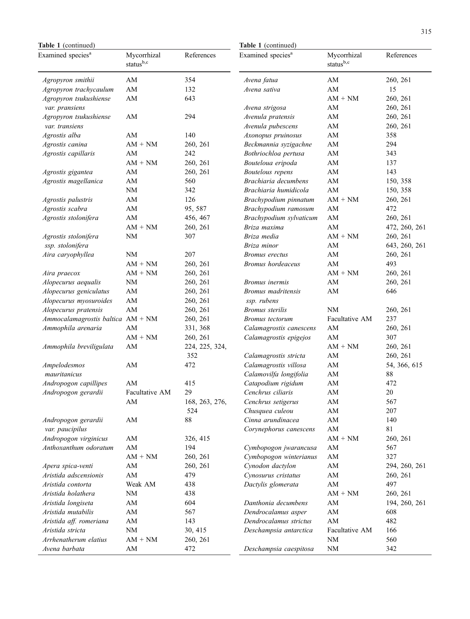| <b>Table 1</b> (continued) |
|----------------------------|
|----------------------------|

| Table 1 (continued)                      |                          |                | Table 1 (continued)                         |                          |            |
|------------------------------------------|--------------------------|----------------|---------------------------------------------|--------------------------|------------|
| Examined species <sup>a</sup>            | Mycorrhizal<br>statusb,c | References     | Examined species <sup>a</sup>               | Mycorrhizal<br>statusb,c | Ref        |
| Agropyron smithii                        | AM                       | 354            | Avena fatua                                 | AM                       | 260        |
| Agropyron trachycaulum                   | AM                       | 132            | Avena sativa                                | AM                       | 15         |
| Agropyron tsukushiense                   | AM                       | 643            |                                             | $AM + NM$                | 260        |
| var. pransiens                           |                          |                | Avena strigosa                              | AM                       | 260        |
| Agropyron tsukushiense<br>var. transiens | AM                       | 294            | Avenula pratensis<br>Avenula pubescens      | AM<br>AM                 | 260<br>260 |
| Agrostis alba                            | AM                       | 140            | Axonopus pruinosus                          | $\mathbf{A}\mathbf{M}$   | 358        |
| Agrostis canina                          | $AM + NM$                | 260, 261       | Beckmannia syzigachne                       | AM                       | 294        |
| Agrostis capillaris                      | AM                       | 242            | Bothriochloa pertusa                        | AM                       | 343        |
|                                          | $AM + NM$                | 260, 261       | Bouteloua eripoda                           | AM                       | 137        |
| Agrostis gigantea                        | AM                       | 260, 261       | <b>Boutelous</b> repens                     | AM                       | 143        |
|                                          | AM                       | 560            | Brachiaria decumbens                        | AM                       | 150        |
| Agrostis magellanica                     | <b>NM</b>                | 342            | Brachiaria humidicola                       | AM                       | 150        |
|                                          | AM                       | 126            |                                             | $AM + NM$                |            |
| Agrostis palustris                       |                          |                | Brachypodium pinnatum                       |                          | 260        |
| Agrostis scabra                          | AM                       | 95, 587        | Brachypodium ramosum                        | AM                       | 472        |
| Agrostis stolonifera                     | AM                       | 456, 467       | Brachypodium sylvaticum                     | AM                       | 260        |
|                                          | $AM + NM$                | 260, 261       | Briza maxima                                | AM                       | 472        |
| Agrostis stolonifera                     | NΜ                       | 307            | Briza media                                 | $AM + NM$                | 260        |
| ssp. stolonifera                         |                          |                | Briza minor                                 | AM                       | 643        |
| Aira caryophyllea                        | <b>NM</b>                | 207            | Bromus erectus                              | AM                       | 260        |
|                                          | $AM + NM$                | 260, 261       | <b>Bromus</b> hordeaceus                    | AM                       | 493        |
| Aira praecox                             | $AM + NM$                | 260, 261       |                                             | $AM + NM$                | 260        |
| Alopecurus aequalis                      | NΜ                       | 260, 261       | Bromus inermis                              | AM                       | 260        |
| Alopecurus geniculatus                   | AM                       | 260, 261       | Bromus madritensis                          | AM                       | 646        |
| Alopecurus myosuroides                   | AM                       | 260, 261       | ssp. rubens                                 |                          |            |
| Alopecurus pratensis                     | AM                       | 260, 261       | <b>Bromus</b> sterilis                      | NM                       | 260        |
| Ammocalamagrostis baltica AM + NM        |                          | 260, 261       | Bromus tectorum                             | Facultative AM           | 237        |
| Ammophila arenaria                       | AM                       | 331, 368       | Calamagrostis canescens                     | AM                       | 260        |
|                                          | $AM + NM$                | 260, 261       | Calamagrostis epigejos                      | AM                       | 307        |
| Ammophila breviligulata                  | AM                       | 224, 225, 324, |                                             | $AM + NM$                | 260        |
|                                          |                          | 352            | Calamagrostis stricta                       | AM                       | 260        |
| Ampelodesmos                             | AM                       | 472            | Calamagrostis villosa                       | AM                       | 54,        |
| mauritanicus                             |                          |                | Calamovilfa longifolia                      | AM                       | 88         |
| Andropogon capillipes                    | AM                       | 415            | Catapodium rigidum                          | AM                       | 472        |
| Andropogon gerardii                      | Facultative AM           | 29             | Cenchrus ciliaris                           | AM                       | 20         |
|                                          | AM                       | 168, 263, 276, | Cenchrus setigerus                          | AM                       | 567        |
|                                          |                          | 524            | Chusquea culeou                             | AM                       | 207        |
| Andropogon gerardii<br>var. paucipilus   | AM                       | 88             | Cinna arundinacea<br>Corynephorus canescens | AM<br>AM                 | 140<br>81  |
| Andropogon virginicus                    | AM                       | 326, 415       |                                             | $AM + NM$                | 260        |
| Anthoxanthum odoratum                    | AM                       | 194            | Cymbopogon jwarancusa                       | AM                       | 567        |
|                                          | $AM + NM$                | 260, 261       | Cymbopogon winterianus                      | AM                       | 327        |
| Apera spica-venti                        | AM                       | 260, 261       | Cynodon dactylon                            | $\mathbf{A}\mathbf{M}$   | 294        |
| Aristida adscensionis                    | AM                       | 479            | Cynosurus cristatus                         | AM                       | 260        |
| Aristida contorta                        | Weak AM                  | 438            | Dactylis glomerata                          | AM                       | 497        |
| Aristida holathera                       | NM                       | 438            |                                             | $AM + NM$                | 260        |
| Aristida longiseta                       | $\mathbf{A}\mathbf{M}$   | 604            | Danthonia decumbens                         | AM                       | 194        |
| Aristida mutabilis                       | AM                       | 567            | Dendrocalamus asper                         | AM                       | 608        |
| Aristida aff. romeriana                  | AM                       | 143            | Dendrocalamus strictus                      | AM                       | 482        |
|                                          |                          |                |                                             |                          |            |

Aristida stricta NM 30, 415 Arrhenatherum elatius AM + NM 260, 261 Avena barbata AM 472

Mycorrhizal status<sup>b,c</sup> References AM 260, 261<br>AM 15 Avena sativa and AM 15  $AM + NM$  260, 261 AM 260, 261 AM 260, 261 AM 260, 261 Axonopus pruinosus AM 358 Beckmannia syzigachne AM 294 Bothriochloa pertusa AM 343 Bouteloua eripoda AM 137 Boutelous repens AM 143 Brachiaria decumbens AM 150, 358 Brachiaria humidicola AM 150, 358  $m$  AM + NM 260, 261 Brachypodium ramosum AM 472 Brachypodium sylvaticum AM 260, 261 AM 472, 260, 261  $AM + NM$  260, 261 AM 643, 260, 261 AM 260, 261 Bromus hordeaceus AM 493  $AM + NM$  260, 261 Bromus inermis AM 260, 261 AM 646 NM 260, 261 Facultative AM 237  $ens$  AM  $260, 261$ Calamagrostis epigejos AM 307  $AM + NM$  260, 261 AM 260, 261 AM 54, 366, 615 Calamovilfa longifolia AM 88 Catapodium rigidum AM 472 Cenchrus ciliaris AM 20 Cenchrus setigerus AM 567 Chusquea culeou AM 207 Cinna arundinacea AM 140 Corynephorus canescens AM 81

 $AM + NM$  260, 261

 $AM + NM$  260, 261 AM 194, 260, 261

NM 560

Deschampsia antarctica Facultative AM 166

Deschampsia caespitosa NM 342

AM 294, 260, 261 AM 260, 261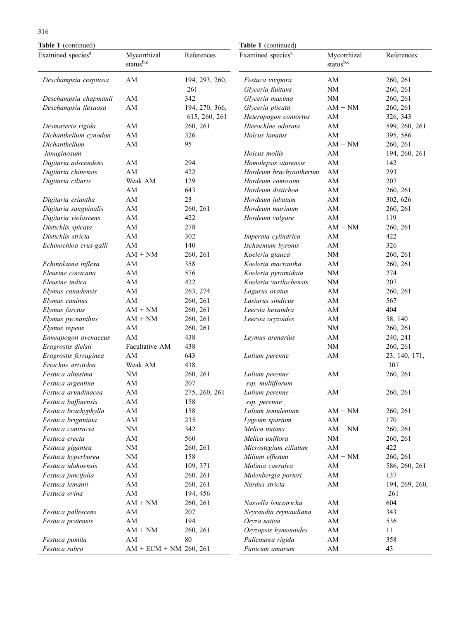| Table 1 (continued)           |                          |                | Table 1 (continued)           |                             |                |
|-------------------------------|--------------------------|----------------|-------------------------------|-----------------------------|----------------|
| Examined species <sup>a</sup> | Mycorrhizal<br>statusb,c | References     | Examined species <sup>a</sup> | Mycorrhizal<br>status $b,c$ | References     |
| Deschampsia cespitosa         | AM                       | 194, 293, 260, | Festuca vivipara              | AM                          | 260, 261       |
|                               |                          | 261            | Glyceria fluitans             | $\rm{NM}$                   | 260, 261       |
| Deschampsia chapmanii         | AM                       | 342            | Glyceria maxima               | $\rm NM$                    | 260, 261       |
| Deschampsia flexuosa          | AM                       | 194, 270, 366, | Glyceria plicata              | $AM + NM$                   | 260, 261       |
|                               |                          | 615, 260, 261  | Heteropogon contortus         | AM                          | 326, 343       |
| Desmazeria rigida             | AM                       | 260, 261       | Hierochloe odorata            | AM                          | 599, 260, 261  |
| Dichanthelium cynodon         | AM                       | 326            | Holcus lanatus                | AM                          | 395, 586       |
| Dichanthelium                 | AM                       | 95             |                               | $AM + NM$                   | 260, 261       |
| lanuginosum                   |                          |                | Holcus mollis                 | AM                          | 194, 260, 261  |
| Digitaria adscendens          | AM                       | 294            | Homolepsis aturensis          | AM                          | 142            |
| Digitaria chinensis           | AM                       | 422            | Hordeum brachyantherum        | $\mathbf{A}\mathbf{M}$      | 293            |
| Digitaria ciliaris            | Weak AM                  | 129            | Hordeum comosum               | AM                          | 207            |
|                               | AM                       | 643            | Hordeum distichon             | AM                          | 260, 261       |
| Digitaria eriantha            | AM                       | 23             | Hordeum jubatum               | AM                          | 302, 626       |
| Digitaria sanguinalis         | AM                       | 260, 261       | Hordeum murinum               | AM                          | 260, 261       |
| Digitaria violascens          | AM                       | 422            | Hordeum vulgare               | AM                          | 119            |
| Distichlis spicata            | AM                       | 278            |                               | $AM + NM$                   | 260, 261       |
| Distichlis stricta            | AM                       | 302            | Imperata cylindrica           | AM                          | 422            |
| Echinochloa crus-galli        | AM                       | 140            | Ischaemum byronis             | AM                          | 326            |
|                               | $AM + NM$                | 260, 261       | Koeleria glauca               | $\rm NM$                    | 260, 261       |
| Echinolaena inflexa           | AM                       | 358            | Koeleria macrantha            | AM                          | 260, 261       |
| Eleusine coracana             | AM                       | 576            | Koeleria pyramidata           | $\rm{NM}$                   | 274            |
| Eleusine indica               | AM                       | 422            | Koeleria vurilochensis        | NM                          | 207            |
| Elymus canadensis             | AM                       | 263, 274       | Lagurus ovatus                | AM                          | 260, 261       |
| Elymus caninus                | AM                       | 260, 261       | Lasiurus sindicus             | AM                          | 567            |
| Elymus farctus                | $AM + NM$                | 260, 261       | Leersia hexandra              | AM                          | 404            |
| Elymus pycnanthus             | $AM + NM$                | 260, 261       | Leersia oryzoides             | $\mathbf{A}\mathbf{M}$      | 58, 140        |
| Elymus repens                 | AM                       | 260, 261       |                               | $\rm NM$                    | 260, 261       |
| Enneapogon avenaceus          | AM                       | 438            | Leymus arenarius              | $\mathbf{A}\mathbf{M}$      | 240, 241       |
| Eragrostis dielsii            | Facultative AM           | 438            |                               | $\rm NM$                    | 260, 261       |
| Eragrostis ferruginea         | AM                       | 643            | Lolium perenne                | AM                          | 23, 140, 171,  |
| Eriachne aristidea            | Weak AM                  | 438            |                               |                             | 307            |
| Festuca altissima             | NM                       | 260, 261       | Lolium perenne                | AM                          | 260, 261       |
| Festuca argentina             | AM                       | 207            | ssp. multiflorum              |                             |                |
| Festuca arundinacea           | AM                       | 275, 260, 261  | Lolium perenne                | AM                          | 260, 261       |
| Festuca baffinensis           | AM                       | 158            | ssp. perenne                  |                             |                |
| Festuca brachyphylla          | AM                       | 158            | Lolium temulentum             | $AM + NM$                   | 260, 261       |
| Festuca brigantina            | AM                       | 235            | Lygeum spartum                | AM                          | 170            |
| Festuca contracta             | NM                       | 342            | Melica nutans                 | $AM + NM$                   | 260, 261       |
| Festuca erecta                | AM                       | 560            | Melica uniflora               | NM                          | 260, 261       |
| Festuca gigantea              | NM                       | 260, 261       | Microstegium ciliatum         | AM                          | 422            |
| Festuca hyperborea            | NM                       | 158            | Milium effusum                | $AM + NM$                   | 260, 261       |
| Festuca idahoensis            | AM                       | 109, 371       | Molinia caerulea              | AM                          | 586, 260, 261  |
| Festuca juncifolia            | AM                       | 260, 261       | Mulenbergia porteri           | AM                          | 137            |
| Festuca lemanii               | AM                       | 260, 261       | Nardus stricta                | AM                          | 194, 269, 260, |
| Festuca ovina                 | AM                       | 194, 456       |                               |                             | 261            |
|                               | $AM + NM$                | 260, 261       | Nassella leucotricha          | AM                          | 604            |
| Festuca pallescens            | AM                       | 207            | Neyraudia reynaudiana         | AM                          | 343            |
| Festuca pratensis             | AM                       | 194            | Oryza sativa                  | AM                          | 536            |
|                               | $AM + NM$                | 260, 261       | Oryzopsis hymenoides          | AM                          | 11             |
| Festuca pumila                | AM                       | 80             | Palicourea rigida             | AM                          | 358            |
| Festuca rubra                 | $AM + ECM + NM$ 260, 261 |                | Panicum amarum                | AM                          | 43             |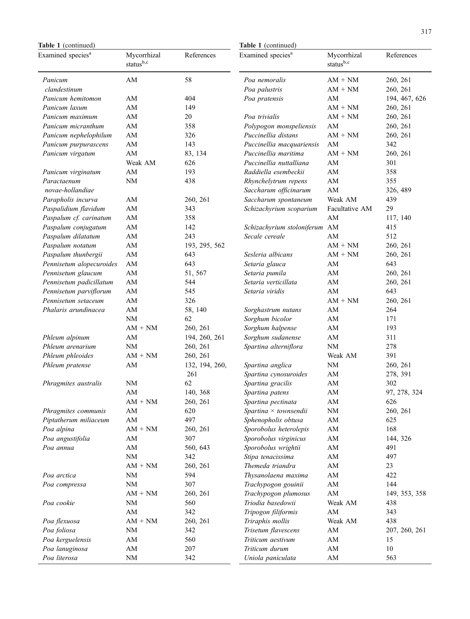| <b>Table 1</b> (continued) |  |
|----------------------------|--|
|----------------------------|--|

| <b>Table 1</b> (continued)    |                                |                | <b>Table 1</b> (continued)    |                                         |               |
|-------------------------------|--------------------------------|----------------|-------------------------------|-----------------------------------------|---------------|
| Examined species <sup>a</sup> | Mycorrhizal<br>status $^{b,c}$ | References     | Examined species <sup>a</sup> | Mycorrhizal<br>${\rm status}^{\rm b,c}$ | References    |
| Panicum                       | AM                             | 58             | Poa nemoralis                 | $AM + NM$                               | 260, 261      |
| clandestinum                  |                                |                | Poa palustris                 | $AM + NM$                               | 260, 261      |
| Panicum hemitomon             | AM                             | 404            | Poa pratensis                 | AM                                      | 194, 467, 626 |
| Panicum laxum                 | AM                             | 149            |                               | $AM + NM$                               | 260, 261      |
| Panicum maximum               | AM                             | 20             | Poa trivialis                 | $AM + NM$                               | 260, 261      |
| Panicum micranthum            | AM                             | 358            | Polypogon monspeliensis       | AM                                      | 260, 261      |
| Panicum nephelophilum         | AM                             | 326            | Puccinellia distans           | $AM + NM$                               | 260, 261      |
| Panicum purpurascens          | AM                             | 143            | Puccinellia macquariensis     | AM                                      | 342           |
| Panicum virgatum              | AM                             | 83, 134        | Puccinellia maritima          | $AM + NM$                               | 260, 261      |
|                               | Weak AM                        | 626            | Puccinellia nuttalliana       | AM                                      | 301           |
| Panicum virginatum            | AM                             | 193            | Raddiella esembeckii          | AM                                      | 358           |
| Paractaenum                   | <b>NM</b>                      | 438            | Rhynchelytrum repens          | AM                                      | 355           |
| novae-hollandiae              |                                |                | Saccharum officinarum         | AM                                      | 326, 489      |
| Parapholis incurva            | AM                             | 260, 261       | Saccharum spontaneum          | Weak AM                                 | 439           |
| Paspalidium flavidum          | AM                             | 343            | Schizachyrium scoparium       | Facultative AM                          | 29            |
| Paspalum cf. carinatum        | AM                             | 358            |                               | AM                                      | 117, 140      |
| Paspalum conjugatum           | AM                             | 142            | Schizachyrium stoloniferum    | AM                                      | 415           |
| Paspalum dilatatum            | AM                             | 243            | Secale cereale                | AM                                      | 512           |
| Paspalum notatum              | AM                             | 193, 295, 562  |                               | $AM + NM$                               | 260, 261      |
| Paspalum thunbergii           | AM                             | 643            | Sesleria albicans             | $AM + NM$                               | 260, 261      |
| Pennisetum alopecuroides      | AM                             | 643            | Setaria glauca                | AM                                      | 643           |
| Pennisetum glaucum            | AM                             | 51, 567        | Setaria pumila                | AM                                      | 260, 261      |
| Pennisetum padicillatum       | AM                             | 544            | Setaria verticillata          | AM                                      | 260, 261      |
| Pennisetum parviflorum        | AM                             | 545            | Setaria viridis               | AM                                      | 643           |
| Pennisetum setaceum           | AM                             | 326            |                               | $AM + NM$                               | 260, 261      |
| Phalaris arundinacea          | AM                             | 58, 140        | Sorghastrum nutans            | AM                                      | 264           |
|                               | <b>NM</b>                      | 62             | Sorghum bicolor               | AM                                      | 171           |
|                               | $AM + NM$                      | 260, 261       | Sorghum halpense              | AM                                      | 193           |
| Phleum alpinum                | AM                             | 194, 260, 261  | Sorghum sudanense             | AM                                      | 311           |
| Phleum arenarium              | <b>NM</b>                      | 260, 261       | Spartina alterniflora         | <b>NM</b>                               | 278           |
| Phleum phleoides              | $AM + NM$                      | 260, 261       |                               | Weak AM                                 | 391           |
| Phleum pratense               | AM                             | 132, 194, 260, | Spartina anglica              | <b>NM</b>                               | 260, 261      |
|                               |                                | 261            | Spartina cynosuroides         | AM                                      | 278, 391      |
| Phragmites australis          | <b>NM</b>                      | 62             | Spartina gracilis             | AM                                      | 302           |
|                               | AM                             | 140, 368       | Spartina patens               | AM                                      | 97, 278, 324  |
|                               | $AM + NM$                      | 260, 261       | Spartina pectinata            | AM                                      | 626           |
| Phragmites communis           | AM                             | 620            | Spartina $\times$ townsendii  | <b>NM</b>                               | 260, 261      |
| Piptatherum miliaceum         | AM                             | 497            | Sphenopholis obtusa           | AM                                      | 625           |
| Poa alpina                    | $AM + NM$                      | 260, 261       | Sporobolus heterolepis        | AM                                      | 168           |
| Poa angustifolia              | AM                             | 307            | Sporobolus virginicus         | AM                                      | 144, 326      |
| Poa annua                     | AM                             | 560, 643       | Sporobolus wrightii           | AM                                      | 491           |
|                               | <b>NM</b>                      | 342            | Stipa tenacissima             | AM                                      | 497           |
|                               | $AM + NM$                      | 260, 261       | Themeda triandra              | AM                                      | 23            |
| Poa arctica                   | NM                             | 594            | Thysanolaena maxima           | AM                                      | 422           |
| Poa compressa                 | NM                             | 307            | Trachypogon gouinii           | AM                                      | 144           |
|                               | $AM + NM$                      | 260, 261       | Trachypogon plumosus          | AM                                      | 149, 353, 358 |
| Poa cookie                    | <b>NM</b>                      | 560            | Triodia basedowii             | Weak AM                                 | 438           |
|                               | AM                             | 342            | Tripogon filiformis           | AM                                      | 343           |
| Poa flexuosa                  | $AM + NM$                      | 260, 261       | Triraphis mollis              | Weak AM                                 | 438           |
| Poa foliosa                   | NM                             | 342            | Trisetum flavescens           | AM                                      | 207, 260, 261 |
| Poa kerguelensis              | AM                             | 560            | Triticum aestivum             | AM                                      | 15            |
| Poa lanuginosa                | AM                             | 207            | Triticum durum                | AM                                      | 10            |
| Poa literosa                  | NM                             | 342            | Uniola paniculata             | AM                                      | 563           |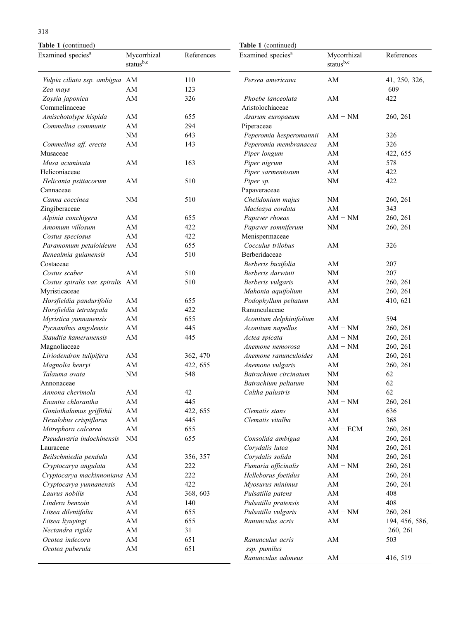| Table 1 (continued) |  |
|---------------------|--|
|---------------------|--|

| Table 1 (continued)              |                                | Table 1 (continued) |                               |                          |                |
|----------------------------------|--------------------------------|---------------------|-------------------------------|--------------------------|----------------|
| Examined species <sup>a</sup>    | Mycorrhizal<br>status $^{b,c}$ | References          | Examined species <sup>a</sup> | Mycorrhizal<br>statusb,c | References     |
| Vulpia ciliata ssp. ambigua AM   |                                | 110                 | Persea americana              | AM                       | 41, 250, 326,  |
| Zea mays                         | AM                             | 123                 |                               |                          | 609            |
| Zoysia japonica                  | AM                             | 326                 | Phoebe lanceolata             | AM                       | 422            |
| Commelinaceae                    |                                |                     | Aristolochiaceae              |                          |                |
| Amischotolype hispida            | AM                             | 655                 | Asarum europaeum              | $AM + NM$                | 260, 261       |
| Commelina communis               | AM                             | 294                 | Piperaceae                    |                          |                |
|                                  | <b>NM</b>                      | 643                 | Peperomia hesperomannii       | AM                       | 326            |
| Commelina aff. erecta            | AM                             | 143                 | Peperomia membranacea         | AM                       | 326            |
| Musaceae                         |                                |                     | Piper longum                  | AM                       | 422, 655       |
| Musa acuminata                   | AM                             | 163                 | Piper nigrum                  | AM                       | 578            |
| Heliconiaceae                    |                                |                     | Piper sarmentosum             | AM                       | 422            |
| Heliconia psittacorum            | AM                             | 510                 | Piper sp.                     | <b>NM</b>                | 422            |
| Cannaceae                        |                                |                     | Papaveraceae                  |                          |                |
| Canna coccinea                   | <b>NM</b>                      | 510                 | Chelidonium majus             | <b>NM</b>                | 260, 261       |
| Zingiberaceae                    |                                |                     | Macleaya cordata              | AM                       | 343            |
| Alpinia conchigera               | AM                             | 655                 | Papaver rhoeas                | $AM + NM$                | 260, 261       |
| Amomum villosum                  | AM                             | 422                 | Papaver somniferum            | NΜ                       | 260, 261       |
| Costus speciosus                 | AM                             | 422                 | Menispermaceae                |                          |                |
| Paramomum petaloideum            | AM                             | 655                 | Cocculus trilobus             | AM                       | 326            |
| Renealmia guianensis             | AM                             | 510                 | Berberidaceae                 |                          |                |
| Costaceae                        |                                |                     | Berberis buxifolia            | AM                       | 207            |
| Costus scaber                    | AΜ                             | 510                 | Berberis darwinii             | NM                       | 207            |
| Costus spiralis var. spiralis AM |                                | 510                 | Berberis vulgaris             | AM                       | 260, 261       |
| Myristicaceae                    |                                |                     | Mahonia aquifolium            | AM                       | 260, 261       |
| Horsfieldia pandurifolia         | AM                             | 655                 | Podophyllum peltatum          | AM                       | 410, 621       |
| Horsfieldia tetratepala          | AM                             | 422                 | Ranunculaceae                 |                          |                |
| Myristica yunnanensis            | AM                             | 655                 | Aconitum delphinifolium       | AM                       | 594            |
| Pycnanthus angolensis            | AM                             | 445                 | Aconitum napellus             | $AM + NM$                | 260, 261       |
| Staudtia kamerunensis            | AM                             | 445                 | Actea spicata                 | $AM + NM$                | 260, 261       |
| Magnoliaceae                     |                                |                     | Anemone nemorosa              | $AM + NM$                | 260, 261       |
| Liriodendron tulipifera          | AM                             | 362, 470            | Anemone ranunculoides         | AΜ                       | 260, 261       |
| Magnolia henryi                  | AM                             | 422, 655            | Anemone vulgaris              | AM                       | 260, 261       |
| Talauma ovata                    | NM                             | 548                 | Batrachium circinatum         | NM                       | 62             |
| Annonaceae                       |                                |                     | Batrachium peltatum           | <b>NM</b>                | 62             |
| Annona cherimola                 | AM                             | 42                  | Caltha palustris              | NM                       | 62             |
| Enantia chlorantha               | AM                             | 445                 |                               | $AM + NM$                | 260, 261       |
| Goniothalamus griffithii         | AM                             | 422, 655            | Clematis stans                | AM                       | 636            |
| Hexalobus crispiflorus           | AM                             | 445                 | Clematis vitalba              | AM                       | 368            |
| Mitrephora calcarea              | AM                             | 655                 |                               | $AM + ECM$               | 260, 261       |
| Pseuduvaria indochinensis        | <b>NM</b>                      | 655                 | Consolida ambigua             | AM                       | 260, 261       |
| Lauraceae                        |                                |                     | Corydalis lutea               | NM                       | 260, 261       |
| Beilschmiedia pendula            | AM                             | 356, 357            | Corydalis solida              | NM                       | 260, 261       |
| Cryptocarya angulata             | AM                             | 222                 | Fumaria officinalis           | $AM + NM$                | 260, 261       |
| Cryptocarya mackinnoniana AM     |                                | 222                 | Helleborus foetidus           | $\mathbf{A}\mathbf{M}$   | 260, 261       |
| Cryptocarya yunnanensis          | AM                             | 422                 | Myosurus minimus              | AM                       | 260, 261       |
| Laurus nobilis                   | AM                             | 368, 603            | Pulsatilla patens             | $\mathbf{A}\mathbf{M}$   | 408            |
| Lindera benzoin                  | AM                             | 140                 | Pulsatilla pratensis          | AM                       | 408            |
| Litsea dileniifolia              | AM                             | 655                 | Pulsatilla vulgaris           | $AM + NM$                | 260, 261       |
| Litsea liyuyingi                 | AM                             | 655                 | Ranunculus acris              | AM                       | 194, 456, 586, |
| Nectandra rigida                 | AM                             | 31                  |                               |                          | 260, 261       |
| Ocotea indecora                  | AM                             | 651                 | Ranunculus acris              | AM                       | 503            |
| Ocotea puberula                  | AM                             | 651                 | ssp. pumilus                  |                          |                |
|                                  |                                |                     | Ranunculus adoneus            | AM                       | 416, 519       |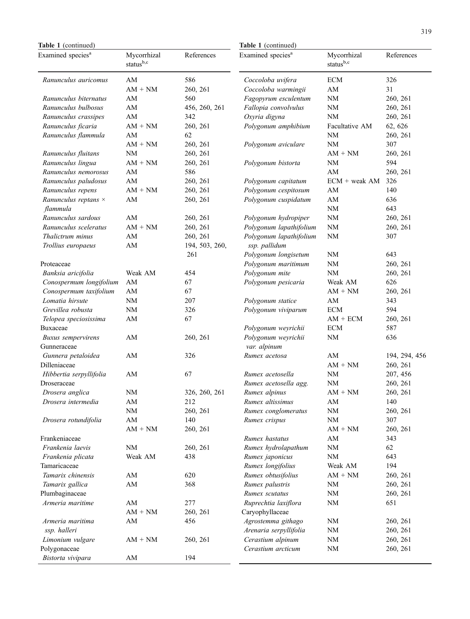| <b>Table 1</b> (continued)       |                                |                | <b>Table 1</b> (continued)    |                                         |               |
|----------------------------------|--------------------------------|----------------|-------------------------------|-----------------------------------------|---------------|
| Examined species <sup>a</sup>    | Mycorrhizal<br>status $^{b,c}$ | References     | Examined species <sup>a</sup> | Mycorrhizal<br>${\rm status}^{\rm b,c}$ | References    |
| Ranunculus auricomus             | AM                             | 586            | Coccoloba uvifera             | <b>ECM</b>                              | 326           |
|                                  | $AM + NM$                      | 260, 261       | Coccoloba warmingii           | AM                                      | 31            |
| Ranunculus biternatus            | AM                             | 560            | Fagopyrum esculentum          | <b>NM</b>                               | 260, 261      |
| Ranunculus bulbosus              | $\mathbf{A}\mathbf{M}$         | 456, 260, 261  | Fallopia convolvulus          | NM                                      | 260, 261      |
| Ranunculus crassipes             | AM                             | 342            | Oxyria digyna                 | <b>NM</b>                               | 260, 261      |
| Ranunculus ficaria               | $AM + NM$                      | 260, 261       | Polygonum amphibium           | Facultative AM                          | 62, 626       |
| Ranunculus flammula              | AM                             | 62             |                               | <b>NM</b>                               | 260, 261      |
|                                  | $AM + NM$                      | 260, 261       | Polygonum aviculare           | <b>NM</b>                               | 307           |
| Ranunculus fluitans              | <b>NM</b>                      | 260, 261       |                               | $AM + NM$                               | 260, 261      |
| Ranunculus lingua                | $AM + NM$                      | 260, 261       | Polygonum bistorta            | <b>NM</b>                               | 594           |
| Ranunculus nemorosus             | AM                             | 586            |                               | AM                                      | 260, 261      |
| Ranunculus paludosus             | AM                             | 260, 261       | Polygonum capitatum           | $ECM + weak AM$                         | 326           |
| Ranunculus repens                | $AM + NM$                      |                | Polygonum cespitosum          | AM                                      | 140           |
|                                  |                                | 260, 261       | Polygonum cuspidatum          |                                         | 636           |
| Ranunculus reptans $\times$      | AM                             | 260, 261       |                               | AM                                      |               |
| flammula                         |                                |                |                               | $\rm NM$                                | 643           |
| Ranunculus sardous               | AM                             | 260, 261       | Polygonum hydropiper          | $\rm NM$                                | 260, 261      |
| Ranunculus sceleratus            | $AM + NM$                      | 260, 261       | Polygonum lapathifolium       | <b>NM</b>                               | 260, 261      |
| Thalictrum minus                 | AM                             | 260, 261       | Polygonum lapathifolium       | NM                                      | 307           |
| Trollius europaeus               | AM                             | 194, 503, 260, | ssp. pallidum                 |                                         |               |
|                                  |                                | 261            | Polygonum longisetum          | NM                                      | 643           |
| Proteaceae                       |                                |                | Polygonum maritimum           | NM                                      | 260, 261      |
| Banksia aricifolia               | Weak AM                        | 454            | Polygonum mite                | <b>NM</b>                               | 260, 261      |
| Conospermum longifolium          | AM                             | 67             | Polygonum pesicaria           | Weak AM                                 | 626           |
| Conospermum taxifolium           | $\mathbf{A}\mathbf{M}$         | 67             |                               | $AM + NM$                               | 260, 261      |
| Lomatia hirsute                  | $\rm{NM}$                      | 207            | Polygonum statice             | AM                                      | 343           |
| Grevillea robusta                | NM                             | 326            | Polygonum viviparum           | <b>ECM</b>                              | 594           |
| Telopea speciosissima            | AM                             | 67             |                               | $AM + ECM$                              | 260, 261      |
| Buxaceae                         |                                |                | Polygonum weyrichii           | <b>ECM</b>                              | 587           |
| <b>Buxus</b> sempervirens        | AM                             | 260, 261       | Polygonum weyrichii           | <b>NM</b>                               | 636           |
| Gunneraceae                      |                                |                | var. alpinum                  |                                         |               |
| Gunnera petaloidea               | AM                             | 326            | Rumex acetosa                 | AM                                      | 194, 294, 456 |
| Dilleniaceae                     |                                |                |                               | $AM + NM$                               | 260, 261      |
| Hibbertia serpyllifolia          | AM                             | 67             | Rumex acetosella              | NM                                      | 207, 456      |
| Droseraceae                      |                                |                | Rumex acetosella agg.         | <b>NM</b>                               | 260, 261      |
| Drosera anglica                  | NM                             | 326, 260, 261  | Rumex alpinus                 | $AM + NM$                               | 260, 261      |
| Drosera intermedia               | AM                             | 212            | Rumex altissimus              | AM                                      | 140           |
|                                  | <b>NM</b>                      | 260, 261       | Rumex conglomeratus           | <b>NM</b>                               | 260, 261      |
|                                  |                                |                |                               |                                         |               |
| Drosera rotundifolia             | AM                             | 140            | Rumex crispus                 | $\rm{NM}$                               | 307           |
|                                  | $AM + NM$                      | 260, 261       |                               | $AM + NM$                               | 260, 261      |
| Frankeniaceae                    |                                |                | Rumex hastatus                | AM                                      | 343           |
| Frankenia laevis                 | NM                             | 260, 261       | Rumex hydrolapathum           | NM                                      | 62            |
| Frankenia plicata                | Weak AM                        | 438            | Rumex japonicus               | <b>NM</b>                               | 643           |
| Tamaricaceae                     |                                |                | Rumex longifolius             | Weak AM                                 | 194           |
| Tamarix chinensis                | AM                             | 620            | Rumex obtusifolius            | $AM + NM$                               | 260, 261      |
| Tamarix gallica                  | AM                             | 368            | Rumex palustris               | <b>NM</b>                               | 260, 261      |
| Plumbaginaceae                   |                                |                | Rumex scutatus                | NM                                      | 260, 261      |
| Armeria maritime                 | AM                             | 277            | Ruprechtia laxiflora          | NM                                      | 651           |
|                                  | $AM + NM$                      | 260, 261       | Caryophyllaceae               |                                         |               |
| Armeria maritima                 | AM                             | 456            | Agrostemma githago            | NM                                      | 260, 261      |
| ssp. halleri                     |                                |                | Arenaria serpyllifolia        | NM                                      | 260, 261      |
|                                  | $AM + NM$                      | 260, 261       | Cerastium alpinum             | NM                                      | 260, 261      |
|                                  |                                |                |                               |                                         |               |
| Limonium vulgare<br>Polygonaceae |                                |                | Cerastium arcticum            | $\rm{NM}$                               | 260, 261      |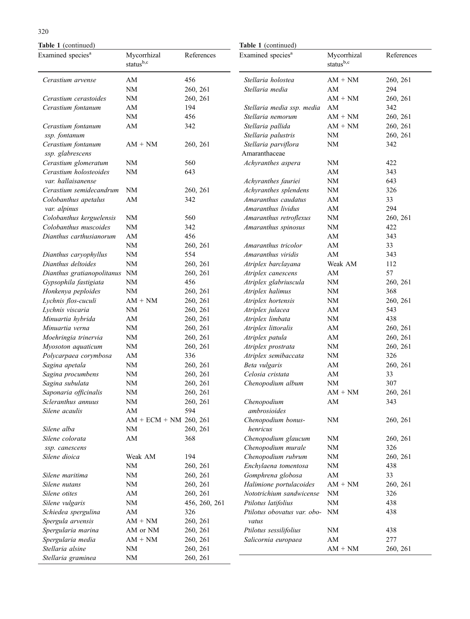| Table 1 (continued)           |                                |               | Table 1 (continued)           |                                         |            |
|-------------------------------|--------------------------------|---------------|-------------------------------|-----------------------------------------|------------|
| Examined species <sup>a</sup> | Mycorrhizal<br>status $^{b,c}$ | References    | Examined species <sup>a</sup> | Mycorrhizal<br>${\rm status}^{\rm b,c}$ | References |
| Cerastium arvense             | AM                             | 456           | Stellaria holostea            | $AM + NM$                               | 260, 261   |
|                               | <b>NM</b>                      | 260, 261      | Stellaria media               | AM                                      | 294        |
| Cerastium cerastoides         | <b>NM</b>                      | 260, 261      |                               | $AM + NM$                               | 260, 261   |
| Cerastium fontanum            | AM                             | 194           | Stellaria media ssp. media    | AM                                      | 342        |
|                               | <b>NM</b>                      | 456           | Stellaria nemorum             | $AM + NM$                               | 260, 261   |
| Cerastium fontanum            | AM                             | 342           | Stellaria pallida             | $AM + NM$                               | 260, 261   |
| ssp. fontanum                 |                                |               | Stellaria palustris           | NM                                      | 260, 261   |
| Cerastium fontanum            | $AM + NM$                      | 260, 261      | Stellaria parviflora          | <b>NM</b>                               | 342        |
| ssp. glabrescens              |                                |               | Amaranthaceae                 |                                         |            |
| Cerastium glomeratum          | <b>NM</b>                      | 560           | Achyranthes aspera            | <b>NM</b>                               | 422        |
| Cerastium holosteoides        | <b>NM</b>                      | 643           |                               | AM                                      | 343        |
| var. hallaisanense            |                                |               | Achyranthes fauriei           | <b>NM</b>                               | 643        |
| Cerastium semidecandrum       | <b>NM</b>                      | 260, 261      | Achyranthes splendens         | <b>NM</b>                               | 326        |
| Colobanthus apetalus          | AM                             | 342           | Amaranthus caudatus           | AM                                      | 33         |
| var. alpinus                  |                                |               | Amaranthus lividus            | AM                                      | 294        |
| Colobanthus kerguelensis      | <b>NM</b>                      | 560           | Amaranthus retroflexus        | <b>NM</b>                               | 260, 261   |
| Colobanthus muscoides         | <b>NM</b>                      | 342           | Amaranthus spinosus           | <b>NM</b>                               | 422        |
| Dianthus carthusianorum       | AM                             | 456           |                               | AM                                      | 343        |
|                               | <b>NM</b>                      | 260, 261      | Amaranthus tricolor           | AM                                      | 33         |
| Dianthus caryophyllus         | <b>NM</b>                      | 554           | Amaranthus viridis            | AM                                      | 343        |
| Dianthus deltoides            | <b>NM</b>                      | 260, 261      | Atriplex barclayana           | Weak AM                                 | 112        |
| Dianthus gratianopolitanus    | <b>NM</b>                      | 260, 261      | Atriplex canescens            | AM                                      | 57         |
| Gypsophila fastigiata         | <b>NM</b>                      | 456           | Atriplex glabriuscula         | <b>NM</b>                               | 260, 261   |
| Honkenya peploides            | <b>NM</b>                      | 260, 261      | Atriplex halimus              | <b>NM</b>                               | 368        |
| Lychnis flos-cuculi           | $AM + NM$                      | 260, 261      | Atriplex hortensis            | <b>NM</b>                               | 260, 261   |
| Lychnis viscaria              | <b>NM</b>                      | 260, 261      | Atriplex julacea              | AM                                      | 543        |
| Minuartia hybrida             | AM                             | 260, 261      | Atriplex limbata              | <b>NM</b>                               | 438        |
| Minuartia verna               | <b>NM</b>                      | 260, 261      | Atriplex littoralis           | AM                                      | 260, 261   |
| Moehringia trinervia          | <b>NM</b>                      | 260, 261      | Atriplex patula               | AM                                      | 260, 261   |
| Myosoton aquaticum            | <b>NM</b>                      | 260, 261      | Atriplex prostrata            | NΜ                                      | 260, 261   |
| Polycarpaea corymbosa         | AM                             | 336           | Atriplex semibaccata          | <b>NM</b>                               | 326        |
| Sagina apetala                | <b>NM</b>                      | 260, 261      | Beta vulgaris                 | $\mathbf{A}\mathbf{M}$                  | 260, 261   |
| Sagina procumbens             | <b>NM</b>                      | 260, 261      | Celosia cristata              | AM                                      | 33         |
| Sagina subulata               | <b>NM</b>                      | 260, 261      | Chenopodium album             | <b>NM</b>                               | 307        |
| Saponaria officinalis         | NM                             | 260, 261      |                               | $AM + NM$                               | 260, 261   |
| Scleranthus annuus            | NM                             | 260, 261      | Chenopodium                   | AM                                      | 343        |
| Silene acaulis                | AM                             | 594           | ambrosioides                  |                                         |            |
|                               | $AM + ECM + NM$ 260, 261       |               | Chenopodium bonus-            | NM                                      | 260, 261   |
| Silene alba                   | NM                             | 260, 261      | henricus                      |                                         |            |
| Silene colorata               | AM                             | 368           | Chenopodium glaucum           | NM                                      | 260, 261   |
| ssp. canescens                |                                |               | Chenopodium murale            | <b>NM</b>                               | 326        |
| Silene dioica                 | Weak AM                        | 194           | Chenopodium rubrum            | <b>NM</b>                               | 260, 261   |
|                               | NM                             | 260, 261      | Enchylaena tomentosa          | <b>NM</b>                               | 438        |
| Silene maritima               | $\rm{NM}$                      | 260, 261      | Gomphrena globosa             | AM                                      | 33         |
| Silene nutans                 | NM                             | 260, 261      | Halimione portulacoides       | $AM + NM$                               | 260, 261   |
| Silene otites                 | AM                             | 260, 261      | Nototrichium sandwicense      | NM                                      | 326        |
| Silene vulgaris               | $\rm{NM}$                      | 456, 260, 261 | Ptilotus latifolius           | NM                                      | 438        |
| Schiedea spergulina           | AM                             | 326           | Ptilotus obovatus var. obo-   | NM                                      | 438        |
| Spergula arvensis             | $AM + NM$                      | 260, 261      | vatus                         |                                         |            |
| Spergularia marina            | AM or NM                       | 260, 261      | Ptilotus sessilifolius        | NM                                      | 438        |
| Spergularia media             | $AM + NM$                      | 260, 261      | Salicornia europaea           | AM                                      | 277        |
| Stellaria alsine              | NM                             | 260, 261      |                               | $AM + NM$                               | 260, 261   |
| Stellaria graminea            | <b>NM</b>                      | 260, 261      |                               |                                         |            |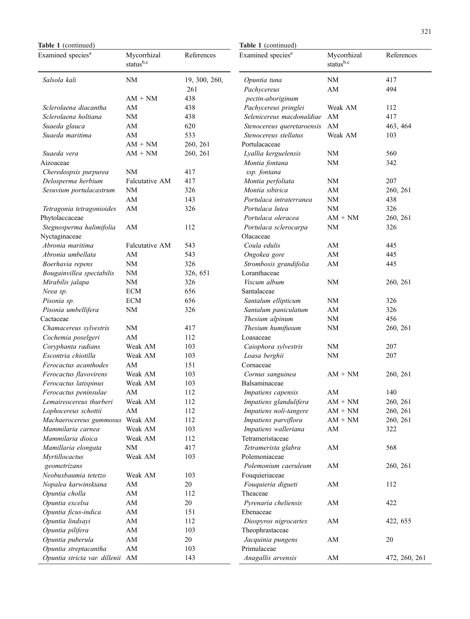| <b>Table 1</b> (continued) |  |
|----------------------------|--|
|----------------------------|--|

| <b>Table 1</b> (continued)    |                                      |               | <b>Table 1</b> (continued)    |                                      |          |
|-------------------------------|--------------------------------------|---------------|-------------------------------|--------------------------------------|----------|
| Examined species <sup>a</sup> | Mycorrhizal<br>status <sup>b,c</sup> | References    | Examined species <sup>a</sup> | Mycorrhizal<br>status <sup>b,c</sup> | Referenc |
| Salsola kali                  | <b>NM</b>                            | 19, 300, 260, | Opuntia tuna                  | <b>NM</b>                            | 417      |
|                               |                                      | 261           | Pachycereus                   | AM                                   | 494      |
|                               | AM + NM                              | 438           | pectin-aboriginum             |                                      |          |
| Sclerolaena diacantha         | AM                                   | 438           | Pachycereus pringlei          | Weak AM                              | 112      |
| Sclerolaena holtiana          | NM                                   | 438           | Selenicereus macdonaldiae     | AM                                   | 417      |
| Suaeda glauca                 | AM                                   | 620           | Stenocereus queretaroensis    | AM                                   | 463, 464 |
| Suaeda maritima               | AM                                   | 533           | Stenocereus stellatus         | Weak AM                              | 103      |
|                               | $AM + NM$                            | 260, 261      | Portulacaceae                 |                                      |          |
| Suaeda vera                   | AM + NM                              | 260, 261      | Lyallia kerguelensis          | <b>NM</b>                            | 560      |
| Aizoaceae                     |                                      |               | Montia fontana                | <b>NM</b>                            | 342      |
| Cheredospsis purpurea         | NM                                   | 417           | ssp. fontana                  |                                      |          |
| Delosperma herbium            | Falcutative AM                       | 417           | Montia perfoliata             | <b>NM</b>                            | 207      |
| Sesuvium portulacastrum       | <b>NM</b>                            | 326           | Montia sibirica               | AM                                   | 260, 261 |
|                               | AM                                   | 143           | Portulaca intraterranea       | <b>NM</b>                            | 438      |
| Tetragonia tetragonioides     | AM                                   | 326           | Portulaca lutea               | NM                                   | 326      |
| Phytolaccaceae                |                                      |               | Portulaca oleracea            | $AM + NM$                            | 260, 261 |
| Stegnosperma halimifolia      | AM                                   | 112           | Portulaca sclerocarpa         | <b>NM</b>                            | 326      |
| Nyctaginaceae                 |                                      |               | Olacaceae                     |                                      |          |
| Abronia maritima              | <b>Falcutative AM</b>                | 543           | Coula edulis                  | AM                                   | 445      |
| Abronia umbellata             | AM                                   | 543           | Ongokea gore                  | AM                                   | 445      |
| Boerhavia repens              | <b>NM</b>                            | 326           | Strombosis grandifolia        | AM                                   | 445      |
| Bougainvillea spectabilis     | <b>NM</b>                            | 326, 651      | Loranthaceae                  |                                      |          |
| Mirabilis jalapa              | NM                                   | 326           | Viscum album                  | <b>NM</b>                            | 260, 261 |
| Neea sp.                      | <b>ECM</b>                           | 656           | Santalaceae                   |                                      |          |
| Pisonia sp.                   | <b>ECM</b>                           | 656           | Santalum ellipticum           | <b>NM</b>                            | 326      |
| Pisonia umbellifera           | NM                                   | 326           | Santalum paniculatum          | AM                                   | 326      |
| Cactaceae                     |                                      |               | Thesium alpinum               | <b>NM</b>                            | 456      |
| Chamacereus sylvestris        | NM                                   | 417           | Thesium humifusum             | <b>NM</b>                            | 260, 261 |
| Cochemia poselgeri            | AM                                   | 112           | Loasaceae                     |                                      |          |
| Coryphanta radians            | Weak AM                              | 103           | Caiophora sylvestris          | NM                                   | 207      |
| Escontria chiotilla           | Weak AM                              | 103           | Loasa berghii                 | <b>NM</b>                            | 207      |
| Ferocactus acanthodes         | AM                                   | 151           | Cornaceae                     |                                      |          |
| Ferocactus flavovirens        | Weak AM                              | 103           | Cornus sanguinea              | $AM + NM$                            | 260, 261 |
| Ferocactus latispinus         | Weak AM                              | 103           | Balsaminaceae                 |                                      |          |
| Ferocactus peninsulae         | AM                                   | 112           | Impatiens capensis            | AM                                   | 140      |
| Lemaireocereus thurberi       | Weak AM                              | 112           | Impatiens glandulifera        | $AM + NM$                            | 260, 261 |
| Lophocereus schottii          | AM                                   | 112           | Impatiens noli-tangere        | $AM + NM$                            | 260, 261 |
| Machaerocereus gummosus       | Weak AM                              | 112           | Impatiens parviflora          | $AM + NM$                            | 260, 261 |
| Mammilaria carnea             | Weak AM                              | 103           | Impatiens walleriana          | AM                                   | 322      |
| Mammilaria dioica             | Weak AM                              | 112           | Tetrameristaceae              |                                      |          |
| Mamillaria elongata           | NM                                   | 417           | Tetramerista glabra           | AM                                   | 568      |
| Myrtillocactus                | Weak AM                              | 103           | Polemoniaceae                 |                                      |          |
| geometrizans                  |                                      |               | Polemonium caeruleum          | AM                                   | 260, 261 |
| Neobuxbaumia tetetzo          | Weak AM                              | 103           | Fouquieriaceae                |                                      |          |
| Nopalea karwinskiana          | AM                                   | $20\,$        | Fouquieria digueti            | AM                                   | 112      |
| Opuntia cholla                | AM                                   | 112           | Theaceae                      |                                      |          |
| Opuntia excelsa               | AM                                   | $20\,$        | Pyrenaria cheliensis          | AM                                   | 422      |
| Opuntia ficus-indica          | AM                                   | 151           | Ebenaceae                     |                                      |          |
| Opuntia lindsayi              | AM                                   | 112           | Diospyros nigrocartex         | AM                                   | 422, 655 |
| Opuntia pilifera              | AM                                   | 103           | Theophrastaceae               |                                      |          |
|                               |                                      |               |                               |                                      |          |

Opuntia puberula AM 20 Opuntia streptacantha AM 103 Opuntia stricta var. dillenii AM 143

species<sup>a</sup> Mycorrhizal status<sup>b,c</sup> References Opuntia tuna NM 417 reus boriginum AM 494 reus pringlei Weak AM 112 eus macdonaldiae AM 417<br>
eus queretaroensis AM 463, 464 eus queretaroensis AM eus stellatus Weak AM 103 eae erguelensis NM 560 .<br>ontana tana NM 342 erfoliata NM 207  $i \text{birica}$  AM  $260, 261$ a intraterranea MM 438 Portulaca lutea  $NM$  326  $a$  oleracea  $AM + NM$  260, 261 a sclerocarpa MM 326 Coula edulis AM 445 Ongokea gore AM 445 sis grandifolia AM 445 eae  $lbum$  NM  $260, 261$ ae ellipticum NM 326 paniculatum AM 326 alpinum NM 456 humifusum NM 260, 261 ra sylvestris NM 207 Loasa berghii NM 207 Cornaceae  $\alpha$ anguinea  $AM + NM$  260, 261 aceae s capensis and AM 140  $s \;g$ landulifera  $AM + NM$  260, 261  $S$  noli-tangere  $AM + NM$  260, 261  $S$  parviflora  $AM + NM$  260, 261 s walleriana  $AM$  322 staceae ista glabra  $AM$  568 aceae ium caeruleum AM 260, 261 able 1 (continued)

Jacquinia pungens AM 20

Anagallis arvensis AM 472, 260, 261

Primulaceae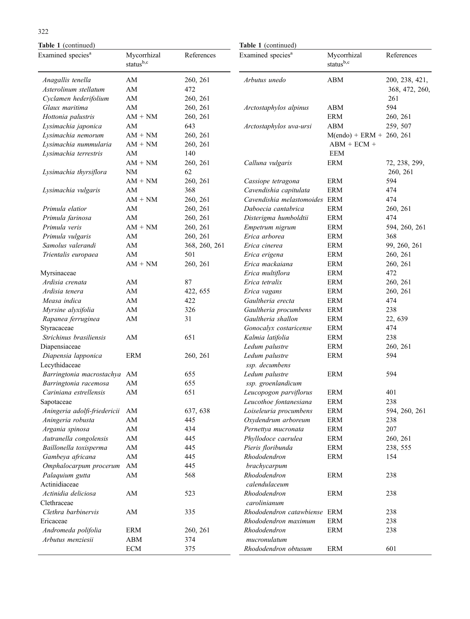322

| Table 1 (continued)           |                                |               | Table 1 (continued)           |                                |                |  |  |
|-------------------------------|--------------------------------|---------------|-------------------------------|--------------------------------|----------------|--|--|
| Examined species <sup>a</sup> | Mycorrhizal<br>status $^{b,c}$ | References    | Examined species <sup>a</sup> | Mycorrhizal<br>status $^{b,c}$ | References     |  |  |
| Anagallis tenella             | AM                             | 260, 261      | Arbutus unedo                 | <b>ABM</b>                     | 200, 238, 421, |  |  |
| Asterolinum stellatum         | AM                             | 472           |                               |                                | 368, 472, 260, |  |  |
| Cyclamen hederifolium         | AM                             | 260, 261      |                               |                                | 261            |  |  |
| Glaux maritima                | AM                             | 260, 261      | Arctostaphylos alpinus        | ABM                            | 594            |  |  |
| Hottonia palustris            | $AM + NM$                      | 260, 261      |                               | <b>ERM</b>                     | 260, 261       |  |  |
| Lysimachia japonica           | AM                             | 643           | Arctostaphylos uva-ursi       | ABM                            | 259, 507       |  |  |
| Lysimachia nemorum            | $AM + NM$                      | 260, 261      |                               | $M(endo) + ERM + 260, 261$     |                |  |  |
| Lysimachia nummularia         | $AM + NM$                      | 260, 261      |                               | $ABM + ECM +$                  |                |  |  |
| Lysimachia terrestris         | AM                             | 140           |                               | EEM                            |                |  |  |
|                               | $AM + NM$                      | 260, 261      | Calluna vulgaris              | <b>ERM</b>                     | 72, 238, 299,  |  |  |
| Lysimachia thyrsiflora        | <b>NM</b>                      | 62            |                               |                                | 260, 261       |  |  |
|                               | $AM + NM$                      | 260, 261      | Cassiope tetragona            | <b>ERM</b>                     | 594            |  |  |
| Lysimachia vulgaris           | AM                             | 368           | Cavendishia capitulata        | <b>ERM</b>                     | 474            |  |  |
|                               | $AM + NM$                      | 260, 261      | Cavendishia melastomoides     | <b>ERM</b>                     | 474            |  |  |
| Primula elatior               | AM                             | 260, 261      | Daboecia cantabrica           | <b>ERM</b>                     | 260, 261       |  |  |
| Primula farinosa              | AM                             | 260, 261      | Disterigma humboldtii         | <b>ERM</b>                     | 474            |  |  |
| Primula veris                 | $AM + NM$                      | 260, 261      | Empetrum nigrum               | <b>ERM</b>                     | 594, 260, 261  |  |  |
| Primula vulgaris              | AM                             | 260, 261      | Erica arborea                 | <b>ERM</b>                     | 368            |  |  |
| Samolus valerandi             | AM                             | 368, 260, 261 | Erica cinerea                 | <b>ERM</b>                     | 99, 260, 261   |  |  |
| Trientalis europaea           | AM                             | 501           | Erica erigena                 | <b>ERM</b>                     | 260, 261       |  |  |
|                               | $AM + NM$                      | 260, 261      | Erica mackaiana               | <b>ERM</b>                     | 260, 261       |  |  |
| Myrsinaceae                   |                                |               | Erica multiflora              | <b>ERM</b>                     | 472            |  |  |
| Ardisia crenata               | AM                             | 87            | Erica tetralix                | <b>ERM</b>                     | 260, 261       |  |  |
| Ardisia tenera                | AM                             | 422, 655      | Erica vagans                  | <b>ERM</b>                     | 260, 261       |  |  |
| Measa indica                  | AM                             | 422           | Gaultheria erecta             | <b>ERM</b>                     | 474            |  |  |
| Myrsine alyxifolia            | AM                             | 326           | Gaultheria procumbens         | <b>ERM</b>                     | 238            |  |  |
| Rapanea ferruginea            | AM                             | 31            | Gaultheria shallon            | <b>ERM</b>                     | 22, 639        |  |  |
| Styracaceae                   |                                |               | Gonocalyx costaricense        | <b>ERM</b>                     | 474            |  |  |
| Strichinus brasiliensis       | AM                             | 651           | Kalmia latifolia              | <b>ERM</b>                     | 238            |  |  |
| Diapensiaceae                 |                                |               | Ledum palustre                | <b>ERM</b>                     | 260, 261       |  |  |
| Diapensia lapponica           | <b>ERM</b>                     | 260, 261      | Ledum palustre                | <b>ERM</b>                     | 594            |  |  |
| Lecythidaceae                 |                                |               | ssp. decumbens                |                                |                |  |  |
| Barringtonia macrostachya AM  |                                | 655           | Ledum palustre                | <b>ERM</b>                     | 594            |  |  |
| Barringtonia racemosa         | AM                             | 655           | ssp. groenlandicum            |                                |                |  |  |
| Cariniana estrellensis        | AM                             | 651           | Leucopogon parviflorus        | ERM                            | 401            |  |  |
| Sapotaceae                    |                                |               | Leucothoe fontanesiana        | <b>ERM</b>                     | 238            |  |  |
| Aningeria adolfi-friedericii  | AM                             | 637, 638      | Loiseleuria procumbens        | <b>ERM</b>                     | 594, 260, 261  |  |  |
| Aningeria robusta             | AM                             | 445           | Oxydendrum arboreum           | <b>ERM</b>                     | 238            |  |  |
| Argania spinosa               | AM                             | 434           | Pernettya mucronata           | <b>ERM</b>                     | 207            |  |  |
| Autranella congolensis        | AM                             | 445           | Phyllodoce caerulea           | <b>ERM</b>                     | 260, 261       |  |  |
| Baillonella toxisperma        | AM                             | 445           | Pieris floribunda             | <b>ERM</b>                     | 238, 555       |  |  |
| Gambeya africana              | AM                             | 445           | Rhododendron                  | <b>ERM</b>                     | 154            |  |  |
| Omphalocarpum procerum        | AM                             | 445           | brachycarpum                  |                                |                |  |  |
| Palaquium gutta               | AM                             | 568           | Rhododendron                  | <b>ERM</b>                     | 238            |  |  |
| Actinidiaceae                 |                                |               | calendulaceum                 |                                |                |  |  |
| Actinidia deliciosa           | AM                             | 523           | Rhododendron                  | <b>ERM</b>                     | 238            |  |  |
| Clethraceae                   |                                |               | carolinianum                  |                                |                |  |  |
| Clethra barbinervis           | AM                             | 335           | Rhododendron catawbiense ERM  |                                | 238            |  |  |
| Ericaceae                     |                                |               | Rhododendron maximum          | <b>ERM</b>                     | 238            |  |  |
| Andromeda polifolia           | <b>ERM</b>                     | 260, 261      | Rhododendron                  | <b>ERM</b>                     | 238            |  |  |
| Arbutus menziesii             | ABM                            | 374           | mucronulatum                  |                                |                |  |  |
|                               |                                |               |                               |                                |                |  |  |
|                               | <b>ECM</b>                     | 375           | Rhododendron obtusum          | <b>ERM</b>                     | 601            |  |  |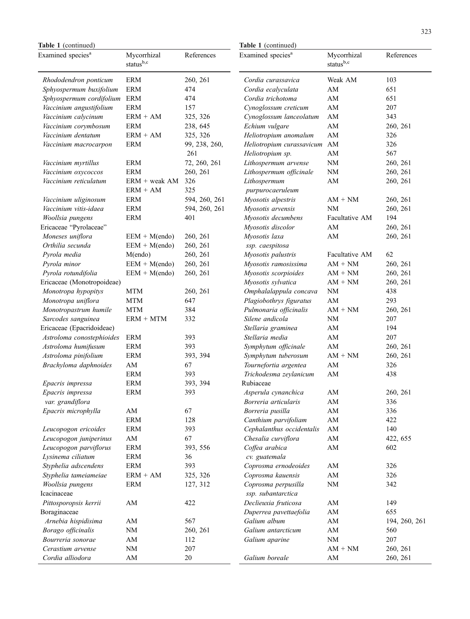| Table 1 (continued)           |                          |               | Table 1 (continued)           |                                |               |
|-------------------------------|--------------------------|---------------|-------------------------------|--------------------------------|---------------|
| Examined species <sup>a</sup> | Mycorrhizal<br>statusb,c | References    | Examined species <sup>a</sup> | Mycorrhizal<br>status $^{b,c}$ | References    |
| Rhododendron ponticum         | <b>ERM</b>               | 260, 261      | Cordia curassavica            | Weak AM                        | 103           |
| Sphyospermum buxifolium       | <b>ERM</b>               | 474           | Cordia ecalyculata            | AM                             | 651           |
| Sphyospermum cordifolium      | ERM                      | 474           | Cordia trichotoma             | AM                             | 651           |
| Vaccinium angustifolium       | <b>ERM</b>               | 157           | Cynoglossum creticum          | AM                             | 207           |
| Vaccinium calycinum           | $ERM + AM$               | 325, 326      | Cynoglossum lanceolatum       | $\mathbf{A}\mathbf{M}$         | 343           |
| Vaccinium corymbosum          | <b>ERM</b>               | 238, 645      | Echium vulgare                | AM                             | 260, 261      |
| Vaccinium dentatum            | $ERM + AM$               | 325, 326      | Heliotropium anomalum         | AM                             | 326           |
| Vaccinium macrocarpon         | <b>ERM</b>               | 99, 238, 260, | Heliotropium curassavicum AM  |                                | 326           |
|                               |                          | 261           | Heliotropium sp.              | AM                             | 567           |
| Vaccinium myrtillus           | <b>ERM</b>               | 72, 260, 261  | Lithospermum arvense          | NM                             | 260, 261      |
| Vaccinium oxycoccos           | <b>ERM</b>               | 260, 261      | Lithospermum officinale       | NM                             | 260, 261      |
| Vaccinium reticulatum         | $ERM + weak AM$          | 326           | Lithospermum                  | AM                             | 260, 261      |
|                               | $ERM + AM$               | 325           | purpurocaeruleum              |                                |               |
| Vaccinium uliginosum          | <b>ERM</b>               | 594, 260, 261 | Myosotis alpestris            | $AM + NM$                      | 260, 261      |
| Vaccinium vitis-idaea         | <b>ERM</b>               | 594, 260, 261 | Myosotis arvensis             | <b>NM</b>                      | 260, 261      |
| Woollsia pungens              | <b>ERM</b>               | 401           | Myosotis decumbens            | Facultative AM                 | 194           |
| Ericaceae "Pyrolaceae"        |                          |               | Myosotis discolor             | AM                             | 260, 261      |
| Moneses uniflora              | $EEM + M(endo)$          | 260, 261      | Myosotis laxa                 | AM                             | 260, 261      |
| Orthilia secunda              | $EEM + M(endo)$          | 260, 261      | ssp. caespitosa               |                                |               |
| Pyrola media                  | M(endo)                  | 260, 261      | Myosotis palustris            | Facultative AM                 | 62            |
| Pyrola minor                  | $EEM + M(endo)$          | 260, 261      | Myosotis ramosissima          | $AM + NM$                      | 260, 261      |
| Pyrola rotundifolia           | $EEM + M(endo)$          | 260, 261      | Myosotis scorpioides          | $AM + NM$                      | 260, 261      |
| Ericaceae (Monotropoideae)    |                          |               | Myosotis sylvatica            | $AM + NM$                      | 260, 261      |
| Monotropa hypopitys           | <b>MTM</b>               | 260, 261      | Omphalalappula concava        | <b>NM</b>                      | 438           |
| Monotropa uniflora            | <b>MTM</b>               | 647           | Plagiobothrys figuratus       | AM                             | 293           |
| Monotropastrum humile         | <b>MTM</b>               | 384           | Pulmonaria officinalis        | $AM + NM$                      | 260, 261      |
| Sarcodes sanguinea            | $ERM + MTM$              | 332           | Silene andicola               | <b>NM</b>                      | 207           |
| Ericaceae (Epacridoideae)     |                          |               | Stellaria graminea            | AM                             | 194           |
| Astroloma conostephioides     | ERM                      | 393           | Stellaria media               | AM                             | 207           |
| Astroloma humifusum           | <b>ERM</b>               | 393           | Symphytum officinale          | AM                             | 260, 261      |
| Astroloma pinifolium          | <b>ERM</b>               | 393, 394      | Symphytum tuberosum           | $AM + NM$                      | 260, 261      |
| Brachyloma daphnoides         | AM                       | 67            | Tournefortia argentea         | AM                             | 326           |
|                               | <b>ERM</b>               | 393           | Trichodesma zeylanicum        | AM                             | 438           |
| Epacris impressa              | <b>ERM</b>               | 393, 394      | Rubiaceae                     |                                |               |
| Epacris impressa              | $\operatorname{ERM}$     | 393           | Asperula cynanchica           | AM                             | 260, 261      |
| var. grandiflora              |                          |               | Borreria articularis          | AM                             | 336           |
| Epacris microphylla           | AM                       | 67            | Borreria pusilla              | AM                             | 336           |
|                               | <b>ERM</b>               | 128           | Canthium parvifoliam          | AM                             | 422           |
| Leucopogon ericoides          | <b>ERM</b>               | 393           | Cephalanthus occidentalis     | $\mathbf{A}\mathbf{M}$         | 140           |
| Leucopogon juniperinus        | $\mathbf{A}\mathbf{M}$   | 67            | Chesalia curviflora           | $\mathbf{A}\mathbf{M}$         | 422, 655      |
| Leucopogon parviflorus        | <b>ERM</b>               | 393, 556      | Coffea arabica                | AM                             | 602           |
| Lysinema ciliatum             | ERM                      | 36            | cv. guatemala                 |                                |               |
| Styphelia adscendens          | ERM                      | 393           | Coprosma ernodeoides          | $\mathbf{A}\mathbf{M}$         | 326           |
| Styphelia tameiameiae         | $ERM + AM$               | 325, 326      | Coprosma kauensis             | $\mathbf{A}\mathbf{M}$         | 326           |
| Woollsia pungens              | <b>ERM</b>               | 127, 312      | Coprosma perpusilla           | NM                             | 342           |
| Icacinaceae                   |                          |               | ssp. subantarctica            |                                |               |
| Pittosporopsis kerrii         | AM                       | 422           | Declieuxia fruticosa          | $\mathbf{A}\mathbf{M}$         | 149           |
| Boraginaceae                  |                          |               | Duperrea pavettaefolia        | $\mathbf{A}\mathbf{M}$         | 655           |
| Arnebia hispidisima           | $\mathbf{A}\mathbf{M}$   | 567           | Galium album                  | $\mathbf{A}\mathbf{M}$         | 194, 260, 261 |
| Borago officinalis            | $\rm{NM}$                | 260, 261      | Galium antarcticum            | $\mathbf{A}\mathbf{M}$         | 560           |
| Bourreria sonorae             | $\mathbf{A}\mathbf{M}$   | 112           | Galium aparine                | NM                             | 207           |
| Cerastium arvense             | NM                       | 207           |                               | $AM + NM$                      | 260, 261      |
| Cordia alliodora              | $\mathbf{A}\mathbf{M}$   | 20            | Galium boreale                | AM                             | 260, 261      |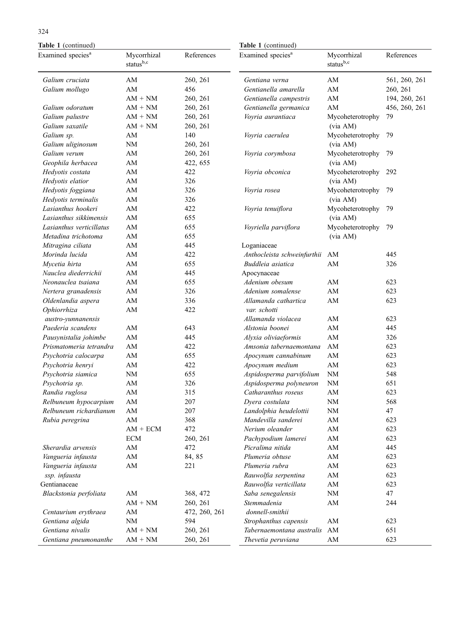324

| Table 1 (continued)           |                                         | Table 1 (continued) |                               |                                         |               |
|-------------------------------|-----------------------------------------|---------------------|-------------------------------|-----------------------------------------|---------------|
| Examined species <sup>a</sup> | Mycorrhizal<br>${\rm status}^{\rm b,c}$ | References          | Examined species <sup>a</sup> | Mycorrhizal<br>${\rm status}^{\rm b,c}$ | References    |
| Galium cruciata               | AM                                      | 260, 261            | Gentiana verna                | AM                                      | 561, 260, 261 |
| Galium mollugo                | AM                                      | 456                 | Gentianella amarella          | AM                                      | 260, 261      |
|                               | $AM + NM$                               | 260, 261            | Gentianella campestris        | AM                                      | 194, 260, 261 |
| Galium odoratum               | $AM + NM$                               | 260, 261            | Gentianella germanica         | AM                                      | 456, 260, 261 |
| Galium palustre               | $AM + NM$                               | 260, 261            | Voyria aurantiaca             | Mycoheterotrophy                        | 79            |
| Galium saxatile               | $AM + NM$                               | 260, 261            |                               | (via AM)                                |               |
| Galium sp.                    | $\mathbf{A}\mathbf{M}$                  | 140                 | Voyria caerulea               | Mycoheterotrophy                        | 79            |
| Galium uliginosum             | NM                                      | 260, 261            |                               | (via AM)                                |               |
| Galium verum                  | AM                                      | 260, 261            | Voyria corymbosa              | Mycoheterotrophy                        | 79            |
| Geophila herbacea             | AM                                      | 422, 655            |                               | (via AM)                                |               |
| Hedyotis costata              | AM                                      | 422                 | Voyria obconica               | Mycoheterotrophy                        | 292           |
| Hedyotis elatior              | AM                                      | 326                 |                               | (via AM)                                |               |
| Hedyotis foggiana             | AM                                      | 326                 | Voyria rosea                  | Mycoheterotrophy                        | 79            |
| Hedyotis terminalis           | AM                                      | 326                 |                               | (via AM)                                |               |
| Lasianthus hookeri            | AM                                      | 422                 | Voyria tenuiflora             | Mycoheterotrophy                        | 79            |
| Lasianthus sikkimensis        | AM                                      | 655                 |                               | (via AM)                                |               |
| Lasianthus verticillatus      | AM                                      | 655                 | Voyriella parviflora          | Mycoheterotrophy                        | 79            |
| Metadina trichotoma           | AM                                      | 655                 |                               | (via AM)                                |               |
| Mitragina ciliata             | AM                                      | 445                 | Loganiaceae                   |                                         |               |
| Morinda lucida                | AM                                      | 422                 | Anthocleista schweinfurthii   | AM                                      | 445           |
| Mycetia hirta                 | AM                                      | 655                 | Buddleia asiatica             | AM                                      | 326           |
| Nauclea diederrichii          | AM                                      | 445                 | Apocynaceae                   |                                         |               |
| Neonauclea tsaiana            | AM                                      | 655                 | Adenium obesum                | AM                                      | 623           |
| Nertera granadensis           | AM                                      | 326                 | Adenium somalense             | AM                                      | 623           |
| Oldenlandia aspera            | AM                                      | 336                 | Allamanda cathartica          | AM                                      | 623           |
| Ophiorrhiza                   | AM                                      | 422                 | var. schotti                  |                                         |               |
| austro-yunnanensis            |                                         |                     | Allamanda violacea            | AM                                      | 623           |
| Paederia scandens             | AM                                      | 643                 | Alstonia boonei               | AM                                      | 445           |
| Pausynistalia johimbe         | AM                                      | 445                 | Alyxia oliviaeformis          | AM                                      | 326           |
| Prismatomeria tetrandra       | $\mathbf{A}\mathbf{M}$                  | 422                 | Amsonia tabernaemontana       | AM                                      | 623           |
| Psychotria calocarpa          | AM                                      | 655                 | Apocynum cannabinum           | AM                                      | 623           |
| Psychotria henryi             | AM                                      | 422                 | Apocynum medium               | AM                                      | 623           |
| Psychotria siamica            | <b>NM</b>                               | 655                 | Aspidosperma parvifolium      | <b>NM</b>                               | 548           |
| Psychotria sp.                | AM                                      | 326                 | Aspidosperma polyneuron       | <b>NM</b>                               | 651           |
| Randia ruglosa                | AM                                      | 315                 | Catharanthus roseus           | AM                                      | 623           |
| Relbuneum hypocarpium         | AM                                      | 207                 | Dyera costulata               | <b>NM</b>                               | 568           |
| Relbuneum richardianum        | AM                                      | 207                 | Landolphia heudelottii        | <b>NM</b>                               | 47            |
| Rubia peregrina               | AM                                      | 368                 | Mandevilla sanderei           | AM                                      | 623           |
|                               | $AM + ECM$                              | 472                 | Nerium oleander               | AM                                      | 623           |
|                               | <b>ECM</b>                              | 260, 261            | Pachypodium lamerei           | AM                                      | 623           |
| Sherardia arvensis            | AM                                      | 472                 | Picralima nitida              | AM                                      | 445           |
| Vangueria infausta            | AM                                      | 84, 85              | Plumeria obtuse               | AM                                      | 623           |
| Vangueria infausta            | AM                                      | 221                 | Plumeria rubra                | AM                                      | 623           |
| ssp. infausta                 |                                         |                     | Rauwolfia serpentina          | AM                                      | 623           |
| Gentianaceae                  |                                         |                     | Rauwolfia verticillata        | AM                                      | 623           |
| Blackstonia perfoliata        | AM                                      | 368, 472            | Saba senegalensis             | NM                                      | 47            |
|                               | $AM + NM$                               | 260, 261            | Stemmadenia                   | AM                                      | 244           |
| Centaurium erythraea          | AM                                      | 472, 260, 261       | donnell-smithii               |                                         |               |
| Gentiana algida               | NM                                      | 594                 | Strophanthus capensis         | AM                                      | 623           |
| Gentiana nivalis              | $AM + NM$                               | 260, 261            | Tabernaemontana australis     | AM                                      | 651           |
| Gentiana pneumonanthe         | $AM + NM$                               | 260, 261            | Thevetia peruviana            | AM                                      | 623           |
|                               |                                         |                     |                               |                                         |               |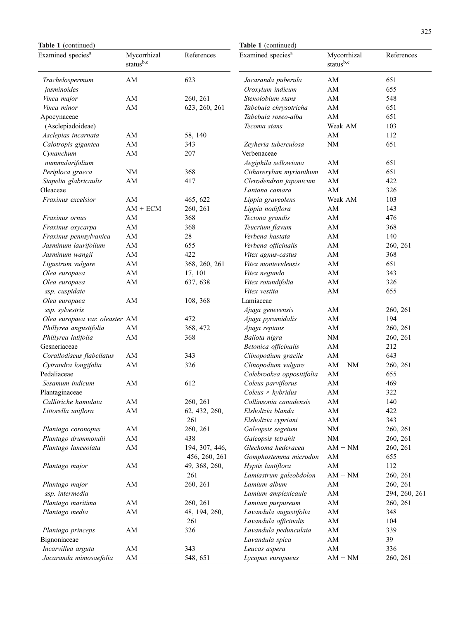| <b>Table 1</b> (continued) |  |
|----------------------------|--|
|----------------------------|--|

| <b>Table 1</b> (continued)     |                                                 |                | <b>Table 1</b> (continued)    |                                                 |               |
|--------------------------------|-------------------------------------------------|----------------|-------------------------------|-------------------------------------------------|---------------|
| Examined species <sup>a</sup>  | Mycorrhizal<br>$\mathrm{status}^{\mathrm{b,c}}$ | References     | Examined species <sup>a</sup> | Mycorrhizal<br>$\mathrm{status}^{\mathrm{b,c}}$ | References    |
| Trachelospermum                | AM                                              | 623            | Jacaranda puberula            | AM                                              | 651           |
| jasminoides                    |                                                 |                | Oroxylum indicum              | AM                                              | 655           |
| Vinca major                    | AM                                              | 260, 261       | Stenolobium stans             | AM                                              | 548           |
| Vinca minor                    | AM                                              | 623, 260, 261  | Tabebuia chrysotricha         | AM                                              | 651           |
| Apocynaceae                    |                                                 |                | Tabebuia roseo-alba           | AM                                              | 651           |
| (Asclepiadoideae)              |                                                 |                | Tecoma stans                  | Weak AM                                         | 103           |
| Asclepias incarnata            | AM                                              | 58, 140        |                               | AM                                              | 112           |
| Calotropis gigantea            | AM                                              | 343            | Zeyheria tuberculosa          | <b>NM</b>                                       | 651           |
| Cynanchum                      | AM                                              | 207            | Verbenaceae                   |                                                 |               |
| nummularifolium                |                                                 |                | Aegiphila sellowiana          | AM                                              | 651           |
| Periploca graeca               | <b>NM</b>                                       | 368            | Citharexylum myrianthum       | AM                                              | 651           |
| Stapelia glabricaulis          | AM                                              | 417            | Clerodendron japonicum        | AM                                              | 422           |
| Oleaceae                       |                                                 |                | Lantana camara                | AM                                              | 326           |
| Fraxinus excelsior             | AM                                              | 465, 622       | Lippia graveolens             | Weak AM                                         | 103           |
|                                | $AM + ECM$                                      | 260, 261       | Lippia nodiflora              | AM                                              | 143           |
| Fraxinus ornus                 | AM                                              | 368            | Tectona grandis               | AM                                              | 476           |
| Fraxinus oxycarpa              | AM                                              | 368            | Teucrium flavum               | AM                                              | 368           |
| Fraxinus pennsylvanica         | AM                                              | 28             | Verbena hastata               | AM                                              | 140           |
| Jasminum laurifolium           | AM                                              | 655            | Verbena officinalis           | AM                                              | 260, 261      |
| Jasminum wangii                | AM                                              | 422            | Vitex agnus-castus            | AM                                              | 368           |
| Ligustrum vulgare              | AM                                              | 368, 260, 261  | Vitex montevidensis           | AM                                              | 651           |
| Olea europaea                  | AM                                              | 17, 101        | Vitex negundo                 | AM                                              | 343           |
| Olea europaea                  | AM                                              | 637, 638       | Vitex rotundifolia            | AM                                              | 326           |
| ssp. cuspidate                 |                                                 |                | Vitex vestita                 | AM                                              | 655           |
| Olea europaea                  | AM                                              | 108, 368       | Lamiaceae                     |                                                 |               |
| ssp. sylvestris                |                                                 |                | Ajuga genevensis              | AM                                              | 260, 261      |
| Olea europaea var. oleaster AM |                                                 | 472            | Ajuga pyramidalis             | AM                                              | 194           |
| Phillyrea angustifolia         | AΜ                                              | 368, 472       | Ajuga reptans                 | AM                                              | 260, 261      |
| Phillyrea latifolia            | AM                                              | 368            | Ballota nigra                 | <b>NM</b>                                       | 260, 261      |
| Gesneriaceae                   |                                                 |                | Betonica officinalis          | AM                                              | 212           |
| Corallodiscus flabellatus      | AM                                              | 343            | Clinopodium gracile           | AM                                              | 643           |
| Cytrandra longifolia           | AM                                              | 326            | Clinopodium vulgare           | $AM + NM$                                       | 260, 261      |
| Pedaliaceae                    |                                                 |                | Colebrookea oppositifolia     | AM                                              | 655           |
| Sesamum indicum                | AM                                              | 612            | Coleus parviflorus            | AM                                              | 469           |
| Plantaginaceae                 |                                                 |                | Coleus $\times$ hybridus      | AM                                              | 322           |
| Callitriche hamulata           | AM                                              | 260, 261       | Collinsonia canadensis        | AM                                              | 140           |
| Littorella uniflora            | AM                                              | 62, 432, 260,  | Elsholtzia blanda             | AM                                              | 422           |
|                                |                                                 | 261            | Elsholtzia cypriani           | AM                                              | 343           |
| Plantago coronopus             | AM                                              | 260, 261       | Galeopsis segetum             | NM                                              | 260, 261      |
| Plantago drummondii            | AM                                              | 438            | Galeopsis tetrahit            | <b>NM</b>                                       | 260, 261      |
| Plantago lanceolata            | AM                                              | 194, 307, 446, | Glechoma hederacea            | $AM + NM$                                       | 260, 261      |
|                                |                                                 | 456, 260, 261  | Gomphostemma microdon         | AM                                              | 655           |
| Plantago major                 | AM                                              | 49, 368, 260,  | Hyptis lantiflora             | AM                                              | 112           |
|                                |                                                 | 261            | Lamiastrum galeobdolon        | $AM + NM$                                       | 260, 261      |
| Plantago major                 | AM                                              | 260, 261       | Lamium album                  | AM                                              | 260, 261      |
| ssp. intermedia                |                                                 |                | Lamium amplexicaule           | AM                                              | 294, 260, 261 |
| Plantago maritima              | AM                                              | 260, 261       | Lamium purpureum              | AM                                              | 260, 261      |
| Plantago media                 | AM                                              | 48, 194, 260,  | Lavandula augustifolia        | AM                                              | 348           |
|                                |                                                 | 261            | Lavandula officinalis         | AM                                              | 104           |
| Plantago princeps              | AM                                              | 326            | Lavandula pedunculata         | AM                                              | 339           |
| Bignoniaceae                   |                                                 |                | Lavandula spica               | AM                                              | 39            |
| Incarvillea arguta             | AM                                              | 343            | Leucas aspera                 | AM                                              | 336           |
| Jacaranda mimosaefolia         | AM                                              | 548, 651       | Lycopus europaeus             | $AM + NM$                                       | 260, 261      |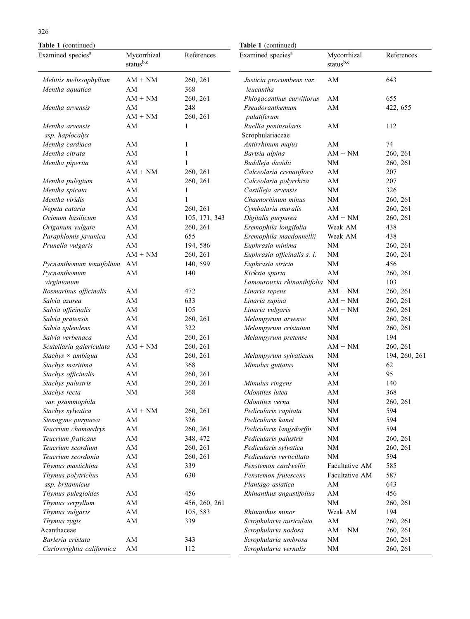Table 1 (continued) Table 1 (continued)

| Examined species <sup>a</sup> | Mycorrhizal<br>status $^{b,c}$ | References    | Examined species <sup>a</sup> | Mycorrhizal<br>status $^{b,c}$ | References    |
|-------------------------------|--------------------------------|---------------|-------------------------------|--------------------------------|---------------|
| Melittis melissophyllum       | $AM + NM$                      | 260, 261      | Justicia procumbens var.      | AM                             | 643           |
| Mentha aquatica               | AM                             | 368           | leucantha                     |                                |               |
|                               | $AM + NM$                      | 260, 261      | Phlogacanthus curviflorus     | AM                             | 655           |
| Mentha arvensis               | AM                             | 248           | Pseudoranthemum               | AM                             | 422, 655      |
|                               | $AM + NM$                      | 260, 261      | palatiferum                   |                                |               |
| Mentha arvensis               | $\mathbf{A}\mathbf{M}$         | 1             | Ruellia peninsularis          | AM                             | 112           |
| ssp. haplocalyx               |                                |               | Scrophulariaceae              |                                |               |
| Mentha cardiaca               | AM                             | 1             | Antirrhinum majus             | AM                             | 74            |
| Mentha citrata                | AM                             | $\mathbf{1}$  | Bartsia alpina                | $AM + NM$                      | 260, 261      |
| Mentha piperita               | AM                             | $\mathbf{1}$  | Buddleja davidii              | <b>NM</b>                      | 260, 261      |
|                               | $AM + NM$                      | 260, 261      | Calceolaria crenatiflora      | AM                             | 207           |
| Mentha pulegium               | AM                             | 260, 261      | Calceolaria polyrrhiza        | AM                             | 207           |
| Mentha spicata                | AM                             | $\mathbf{1}$  | Castilleja arvensis           | $\rm NM$                       | 326           |
| Mentha viridis                | AM                             | $\mathbf{1}$  | Chaenorhinum minus            | NM                             | 260, 261      |
| Nepeta cataria                | AM                             | 260, 261      | Cymbalaria muralis            | AM                             | 260, 261      |
| Ocimum basilicum              | AM                             | 105, 171, 343 | Digitalis purpurea            | $AM + NM$                      | 260, 261      |
| Origanum vulgare              | AM                             | 260, 261      | Eremophila longifolia         | Weak AM                        | 438           |
| Paraphlomis javanica          | AM                             | 655           | Eremophila macdonnellii       | Weak AM                        | 438           |
| Prunella vulgaris             | AM                             | 194, 586      | Euphrasia minima              | <b>NM</b>                      | 260, 261      |
|                               | $AM + NM$                      | 260, 261      | Euphrasia officinalis s. l.   | <b>NM</b>                      | 260, 261      |
| Pycnanthemum tenuifolium      | AM                             | 140, 599      | Euphrasia stricta             | <b>NM</b>                      | 456           |
| Pycnanthemum                  | AM                             | 140           | Kickxia spuria                | AM                             | 260, 261      |
| virginianum                   |                                |               | Lamourouxia rhinanthifolia NM |                                | 103           |
| Rosmarinus officinalis        | AM                             | 472           | Linaria repens                | $AM + NM$                      | 260, 261      |
| Salvia azurea                 | AM                             | 633           | Linaria supina                | $AM + NM$                      | 260, 261      |
| Salvia officinalis            | AM                             | 105           | Linaria vulgaris              | $AM + NM$                      | 260, 261      |
| Salvia pratensis              | AM                             | 260, 261      | Melampyrum arvense            | <b>NM</b>                      | 260, 261      |
| Salvia splendens              | AM                             | 322           | Melampyrum cristatum          | NM                             | 260, 261      |
| Salvia verbenaca              | AM                             | 260, 261      | Melampyrum pretense           | <b>NM</b>                      | 194           |
| Scutellaria galericulata      | $AM + NM$                      | 260, 261      |                               | $AM + NM$                      | 260, 261      |
| Stachys $\times$ ambigua      | AM                             | 260, 261      | Melampyrum sylvaticum         | <b>NM</b>                      | 194, 260, 261 |
| Stachys maritima              | AM                             | 368           | Mimulus guttatus              | NM                             | 62            |
| Stachys officinalis           | AM                             | 260, 261      |                               | AM                             | 95            |
| Stachys palustris             | AM                             | 260, 261      | Mimulus ringens               | AM                             | 140           |
| Stachys recta                 | <b>NM</b>                      | 368           | Odontites lutea               | AM                             | 368           |
| var. psammophila              |                                |               | Odontites verna               | $\rm{NM}$                      | 260, 261      |
| Stachys sylvatica             | $AM + NM$                      | 260, 261      | Pedicularis capitata          | NM                             | 594           |
| Stenogyne purpurea            | AM                             | 326           | Pedicularis kanei             | NM                             | 594           |
| Teucrium chamaedrys           | AM                             | 260, 261      | Pedicularis langsdorffii      | $\rm{NM}$                      | 594           |
| Teucrium fruticans            | AM                             | 348, 472      | Pedicularis palustris         | NM                             | 260, 261      |
| Teucrium scordium             | AM                             | 260, 261      | Pedicularis sylvatica         | NM                             | 260, 261      |
| Teucrium scordonia            | AM                             | 260, 261      | Pedicularis verticillata      | <b>NM</b>                      | 594           |
| Thymus mastichina             | AM                             | 339           | Penstemon cardwellii          | Facultative AM                 | 585           |
| Thymus polytrichus            | AM                             | 630           | Penstemon frutescens          | Facultative AM                 | 587           |
| ssp. britannicus              |                                |               | Plantago asiatica             | AM                             | 643           |
| Thymus pulegioides            | AM                             | 456           | Rhinanthus angustifolius      | $\mathbf{A}\mathbf{M}$         | 456           |
| Thymus serpyllum              | AM                             | 456, 260, 261 |                               | NM                             | 260, 261      |
| Thymus vulgaris               | AM                             | 105, 583      | Rhinanthus minor              | Weak AM                        | 194           |
| Thymus zygis                  | AM                             | 339           | Scrophularia auriculata       | $\mathbf{A}\mathbf{M}$         | 260, 261      |
| Acanthaceae                   |                                |               | Scrophularia nodosa           | $AM + NM$                      | 260, 261      |
| Barleria cristata             | AM                             | 343           | Scrophularia umbrosa          | NM                             | 260, 261      |
| Carlowrightia californica     | AΜ                             | 112           | Scrophularia vernalis         | NM                             | 260, 261      |
|                               |                                |               |                               |                                |               |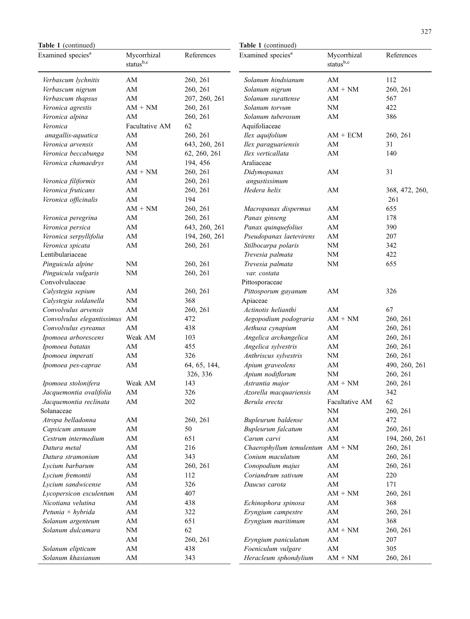| Table 1 (continued)           |                                         | Table 1 (continued) |                               |                                |                |
|-------------------------------|-----------------------------------------|---------------------|-------------------------------|--------------------------------|----------------|
| Examined species <sup>a</sup> | Mycorrhizal<br>${\rm status}^{\rm b,c}$ | References          | Examined species <sup>a</sup> | Mycorrhizal<br>status $^{b,c}$ | References     |
| Verbascum lychnitis           | AM                                      | 260, 261            | Solanum hindsianum            | AM                             | 112            |
| Verbascum nigrum              | AM                                      | 260, 261            | Solanum nigrum                | $AM + NM$                      | 260, 261       |
| Verbascum thapsus             | AM                                      | 207, 260, 261       | Solanum surattense            | AM                             | 567            |
| Veronica agrestis             | $AM + NM$                               | 260, 261            | Solanum torvum                | NM                             | 422            |
| Veronica alpina               | AM                                      | 260, 261            | Solanum tuberosum             | AM                             | 386            |
| Veronica                      | Facultative AM                          | 62                  | Aquifoliaceae                 |                                |                |
| anagallis-aquatica            | AM                                      | 260, 261            | Ilex aquifolium               | $AM + ECM$                     | 260, 261       |
| Veronica arvensis             | AM                                      | 643, 260, 261       | Ilex paraguariensis           | AM                             | 31             |
| Veronica beccabunga           | <b>NM</b>                               | 62, 260, 261        | Ilex verticallata             | AM                             | 140            |
| Veronica chamaedrys           | AM                                      | 194, 456            | Araliaceae                    |                                |                |
|                               | $AM + NM$                               | 260, 261            | Didymopanax                   | AM                             | 31             |
| Veronica filiformis           | AM                                      | 260, 261            | angustissimum                 |                                |                |
| Veronica fruticans            | AM                                      | 260, 261            | Hedera helix                  | AM                             | 368, 472, 260, |
| Veronica officinalis          | AM                                      | 194                 |                               |                                | 261            |
|                               | $AM + NM$                               | 260, 261            | Macropanax dispermus          | AM                             | 655            |
| Veronica peregrina            | AM                                      | 260, 261            | Panax ginseng                 | AM                             | 178            |
| Veronica persica              | AM                                      | 643, 260, 261       | Panax quinquefolius           | AM                             | 390            |
| Veronica serpyllifolia        | AM                                      | 194, 260, 261       | Pseudopanax laetevirens       | AM                             | 207            |
| Veronica spicata              | AM                                      | 260, 261            | Stilbocarpa polaris           | <b>NM</b>                      | 342            |
| Lentibulariaceae              |                                         |                     | Trevesia palmata              | NM                             | 422            |
| Pinguicula alpine             | <b>NM</b>                               | 260, 261            | Trevesia palmata              | <b>NM</b>                      | 655            |
| Pinguicula vulgaris           | <b>NM</b>                               | 260, 261            | var. costata                  |                                |                |
| Convolvulaceae                |                                         |                     | Pittosporaceae                |                                |                |
| Calystegia sepium             | AM                                      | 260, 261            | Pittosporum gayanum           | AM                             | 326            |
| Calystegia soldanella         | NM                                      | 368                 | Apiaceae                      |                                |                |
| Convolvulus arvensis          | AM                                      | 260, 261            | Actinotis helianthi           | AM                             | 67             |
| Convolvulus elegantissimus    | AM                                      | 472                 | Aegopodium podograria         | $AM + NM$                      | 260, 261       |
| Convolvulus eyreanus          | AM                                      | 438                 | Aethusa cynapium              | AM                             | 260, 261       |
| Ipomoea arborescens           | Weak AM                                 | 103                 | Angelica archangelica         | AM                             | 260, 261       |
| Ipomoea batatas               | AM                                      | 455                 | Angelica sylvestris           | AM                             | 260, 261       |
| Ipomoea imperati              | AM                                      | 326                 | Anthriscus sylvestris         | <b>NM</b>                      | 260, 261       |
| Ipomoea pes-caprae            | AM                                      | 64, 65, 144,        | Apium graveolens              | AM                             | 490, 260, 261  |
|                               |                                         | 326, 336            | Apium nodiflorum              | NM                             | 260, 261       |
| Ipomoea stolonifera           | Weak AM                                 | 143                 | Astrantia major               | $AM + NM$                      | 260, 261       |
| Jacquemontia ovalifolia       | AM                                      | 326                 | Azorella macquariensis        | AM                             | 342            |
| Jacquemontia reclinata        | AM                                      | 202                 | Berula erecta                 | Facultative AM                 | 62             |
| Solanaceae                    |                                         |                     |                               | NM                             | 260, 261       |
| Atropa belladonna             | $\mathbf{A}\mathbf{M}$                  | 260, 261            | Bupleurum baldense            | AM                             | 472            |
| Capsicum annuum               | AM                                      | 50                  | Bupleurum falcatum            | AM                             | 260, 261       |
| Cestrum intermedium           | AM                                      | 651                 | Carum carvi                   | $\mathbf{A}\mathbf{M}$         | 194, 260, 261  |
| Datura metal                  | AM                                      | 216                 | Chaerophyllum temulentum      | $AM + NM$                      | 260, 261       |
| Datura stramonium             | AM                                      | 343                 | Conium maculatum              | AM                             | 260, 261       |
| Lycium barbarum               | AM                                      | 260, 261            | Conopodium majus              | AM                             | 260, 261       |
| Lycium fremontii              | AM                                      | 112                 | Coriandrum sativum            | AM                             | 220            |
| Lycium sandwicense            | AM                                      | 326                 | Daucus carota                 | AM                             | 171            |
| Lycopersicon esculentum       | AM                                      | 407                 |                               | $AM + NM$                      | 260, 261       |
| Nicotiana velutina            | AM                                      | 438                 | Echinophora spinosa           | $\mathbf{A}\mathbf{M}$         | 368            |
| Petunia $\times$ hybrida      | $\mathbf{A}\mathbf{M}$                  | 322                 | Eryngium campestre            | AM                             | 260, 261       |
| Solanum argenteum             | AM                                      | 651                 | Eryngium maritimum            | AM                             | 368            |
| Solanum dulcamara             | NM                                      | 62                  |                               | $AM + NM$                      | 260, 261       |
|                               | AM                                      | 260, 261            | Eryngium paniculatum          | AM                             | 207            |
| Solanum elipticum             | AM                                      | 438                 | Foeniculum vulgare            | $\mathbf{A}\mathbf{M}$         | 305            |
| Solanum khasianum             | AM                                      | 343                 | Heracleum sphondylium         | $AM + NM$                      | 260, 261       |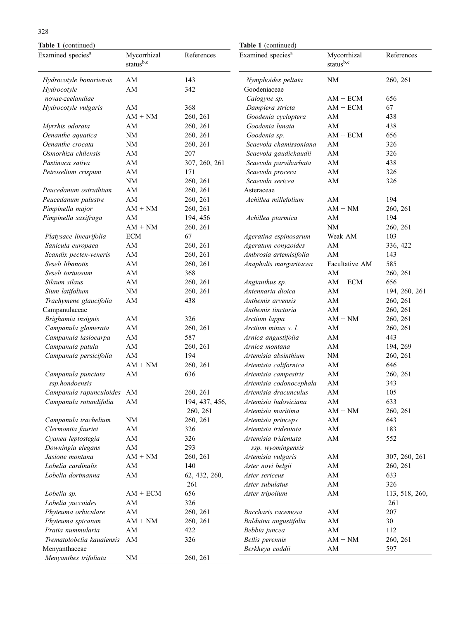| Table 1 (continued)           |                                | Table 1 (continued) |                               |                                         |                |
|-------------------------------|--------------------------------|---------------------|-------------------------------|-----------------------------------------|----------------|
| Examined species <sup>a</sup> | Mycorrhizal<br>status $^{b,c}$ | References          | Examined species <sup>a</sup> | Mycorrhizal<br>${\rm status}^{\rm b,c}$ | References     |
| Hydrocotyle bonariensis       | AM                             | 143                 | Nymphoides peltata            | <b>NM</b>                               | 260, 261       |
| Hydrocotyle                   | AM                             | 342                 | Goodeniaceae                  |                                         |                |
| novae-zeelandiae              |                                |                     | Calogyne sp.                  | $AM + ECM$                              | 656            |
| Hydrocotyle vulgaris          | AM                             | 368                 | Dampiera stricta              | $AM + ECM$                              | 67             |
|                               | $AM + NM$                      | 260, 261            | Goodenia cycloptera           | AM                                      | 438            |
| Myrrhis odorata               | AM                             | 260, 261            | Goodenia lunata               | AM                                      | 438            |
| Oenanthe aquatica             | NM                             | 260, 261            | Goodenia sp.                  | $AM + ECM$                              | 656            |
| Oenanthe crocata              | <b>NM</b>                      | 260, 261            | Scaevola chamissoniana        | AM                                      | 326            |
| Osmorhiza chilensis           | AM                             | 207                 | Scaevola gaudichaudii         | AM                                      | 326            |
| Pastinaca sativa              | AM                             | 307, 260, 261       | Scaevola parvibarbata         | AM                                      | 438            |
| Petroselium crispum           | AM                             | 171                 | Scaevola procera              | AM                                      | 326            |
|                               | <b>NM</b>                      | 260, 261            | Scaevola sericea              | AM                                      | 326            |
| Peucedanum ostruthium         | AM                             | 260, 261            | Asteraceae                    |                                         |                |
| Peucedanum palustre           | AM                             | 260, 261            | Achillea millefolium          | AM                                      | 194            |
| Pimpinella major              | $AM + NM$                      | 260, 261            |                               | $AM + NM$                               | 260, 261       |
| Pimpinella saxifraga          | AM                             | 194, 456            | Achillea ptarmica             | AM                                      | 194            |
|                               | $AM + NM$                      | 260, 261            |                               | NM                                      | 260, 261       |
| Platysace linearifolia        | <b>ECM</b>                     | 67                  | Ageratina espinosarum         | Weak AM                                 | 103            |
| Sanicula europaea             | AM                             | 260, 261            | Ageratum conyzoides           | AM                                      | 336, 422       |
| Scandix pecten-veneris        | AM                             | 260, 261            | Ambrosia artemisifolia        | AM                                      | 143            |
| Seseli libanotis              | AM                             | 260, 261            | Anaphalis margaritacea        | Facultative AM                          | 585            |
| Seseli tortuosum              | AM                             | 368                 |                               | AM                                      | 260, 261       |
| Silaum silaus                 | AM                             | 260, 261            | Angianthus sp.                | $AM + ECM$                              | 656            |
| Sium latifolium               | <b>NM</b>                      | 260, 261            | Antennaria dioica             | AM                                      | 194, 260, 261  |
| Trachymene glaucifolia        | AM                             | 438                 | Anthemis arvensis             | AM                                      | 260, 261       |
| Campanulaceae                 |                                |                     | Anthemis tinctoria            | AM                                      | 260, 261       |
| Brighamia insignis            | AM                             | 326                 | Arctium lappa                 | $AM + NM$                               | 260, 261       |
| Campanula glomerata           | AM                             | 260, 261            | Arctium minus s. l.           | AM                                      | 260, 261       |
| Campanula lasiocarpa          | AM                             | 587                 | Arnica angustifolia           | AM                                      | 443            |
| Campanula patula              | AM                             | 260, 261            | Arnica montana                | AM                                      | 194, 269       |
| Campanula persicifolia        | AM                             | 194                 | Artemisia absinthium          | <b>NM</b>                               | 260, 261       |
|                               | $AM + NM$                      | 260, 261            | Artemisia californica         | AM                                      | 646            |
| Campanula punctata            | AM                             | 636                 | Artemisia campestris          | AM                                      | 260, 261       |
| ssp.hondoensis                |                                |                     | Artemisia codonocephala       | AM                                      | 343            |
| Campanula rapunculoides AM    |                                | 260, 261            | Artemisia dracunculus         | AM                                      | 105            |
| Campanula rotundifolia        | AΜ                             | 194, 437, 456,      | Artemisia ludoviciana         | AM                                      | 633            |
|                               |                                | 260, 261            | Artemisia maritima            | $AM + NM$                               | 260, 261       |
| Campanula trachelium          | <b>NM</b>                      | 260, 261            | Artemisia princeps            | AM                                      | 643            |
| Clermontia fauriei            | AM                             | 326                 | Artemisia tridentata          | AM                                      | 183            |
| Cyanea leptostegia            | AM                             | 326                 | Artemisia tridentata          | AM                                      | 552            |
| Downingia elegans             | AM                             | 293                 | ssp. wyomingensis             |                                         |                |
| Jasione montana               | $AM + NM$                      | 260, 261            | Artemisia vulgaris            | AM                                      | 307, 260, 261  |
| Lobelia cardinalis            | AM                             | 140                 | Aster novi belgii             | AM                                      | 260, 261       |
| Lobelia dortmanna             | AM                             | 62, 432, 260,       | Aster sericeus                | AM                                      | 633            |
|                               |                                | 261                 | Aster subulatus               | AM                                      | 326            |
| Lobelia sp.                   | $AM + ECM$                     | 656                 | Aster tripolium               | AM                                      | 113, 518, 260, |
| Lobelia yuccoides             | AM                             | 326                 |                               |                                         | 261            |
| Phyteuma orbiculare           | AM                             | 260, 261            | Baccharis racemosa            | AM                                      | 207            |
| Phyteuma spicatum             | $AM + NM$                      | 260, 261            | Balduina angustifolia         | AM                                      | 30             |
| Pratia nummularia             | AM                             | 422                 | Bebbia juncea                 | AM                                      | 112            |
| Trematolobelia kauaiensis     | AM                             | 326                 | Bellis perennis               | $AM + NM$                               | 260, 261       |
| Menyanthaceae                 |                                |                     | Berkheya coddii               | AM                                      | 597            |
| Menyanthes trifoliata         | NM                             | 260, 261            |                               |                                         |                |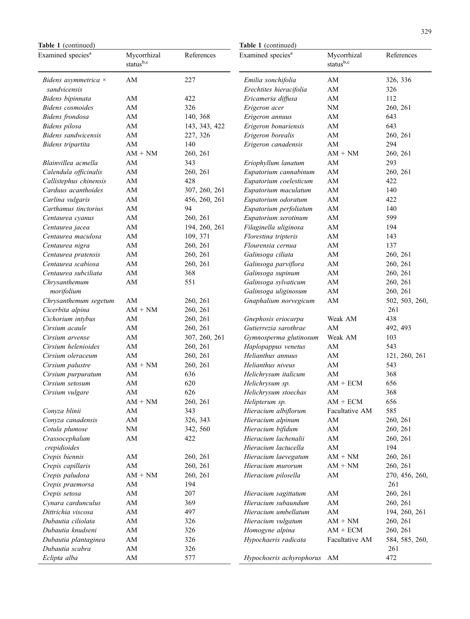| Examined species <sup>a</sup> | Mycorrhizal<br>status $^{b,c}$ | References    | Examined species <sup>a</sup> | Mycorrhizal<br>${\rm status}^{\rm b,c}$ | References     |
|-------------------------------|--------------------------------|---------------|-------------------------------|-----------------------------------------|----------------|
| Bidens asymmetrica $\times$   | AM                             | 227           | Emilia sonchifolia            | AM                                      | 326, 336       |
| sandvicensis                  |                                |               | Erechtites hieracifolia       | AM                                      | 326            |
| Bidens bipinnata              | AM                             | 422           | Ericameria diffusa            | AM                                      | 112            |
| Bidens cosmoides              | AM                             | 326           | Erigeron acer                 | NM                                      | 260, 261       |
| Bidens frondosa               | AM                             | 140, 368      | Erigeron annuus               | AM                                      | 643            |
| Bidens pilosa                 | AM                             | 143, 343, 422 | Erigeron bonariensis          | AM                                      | 643            |
| Bidens sandwicensis           | AM                             | 227, 326      | Erigeron borealis             | AM                                      | 260, 261       |
| Bidens tripartita             | AM                             | 140           | Erigeron canadensis           | AM                                      | 294            |
|                               | $AM + NM$                      | 260, 261      |                               | $AM + NM$                               | 260, 261       |
| Blainvillea acmella           | AM                             | 343           | Eriophyllum lanatum           | AM                                      | 293            |
| Calendula officinalis         | $\mathbf{A}\mathbf{M}$         | 260, 261      | Eupatorium cannabinum         | AM                                      | 260, 261       |
| Callistephus chinensis        | AM                             | 428           | Eupatorium coelesticum        | AM                                      | 422            |
| Carduus acanthoides           | AM                             | 307, 260, 261 | Eupatorium maculatum          | AM                                      | 140            |
| Carlina vulgaris              | AM                             | 456, 260, 261 | Eupatorium odoratum           | AM                                      | 422            |
| Carthamus tinctorius          | AM                             | 94            | Eupatorium perfoliatum        | AM                                      | 140            |
| Centaurea cyanus              | AM                             | 260, 261      | Eupatorium serotinum          | AM                                      | 599            |
| Centaurea jacea               | AM                             | 194, 260, 261 | Filaginella uliginosa         | AM                                      | 194            |
| Centaurea maculosa            | AM                             | 109, 371      | Florestina tripteris          | AM                                      | 143            |
| Centaurea nigra               | AM                             | 260, 261      | Flourensia cernua             | AM                                      | 137            |
| Centaurea pratensis           | AM                             | 260, 261      | Galinsoga ciliata             | AM                                      | 260, 261       |
| Centaurea scabiosa            | AM                             | 260, 261      | Galinsoga parviflora          | AM                                      | 260, 261       |
| Centaurea subciliata          | AM                             | 368           | Galinsoga supinum             | AM                                      | 260, 261       |
| Chrysanthemum                 | AM                             | 551           | Galinsoga sylvaticum          | AM                                      | 260, 261       |
| morifolium                    |                                |               | Galinsoga uliginosum          | AM                                      | 260, 261       |
| Chrysanthemum segetum         | AM                             | 260, 261      | Gnaphalium norvegicum         | AM                                      | 502, 503, 260, |
| Cicerbita alpina              | $AM + NM$                      | 260, 261      |                               |                                         | 261            |
| Cichorium intybus             | AM                             | 260, 261      | Gnephosis eriocarpa           | Weak AM                                 | 438            |
| Cirsium acaule                | AM                             | 260, 261      | Gutierrezia sarothrae         | AM                                      | 492, 493       |
| Cirsium arvense               | AM                             | 307, 260, 261 | Gymnosperma glutinosum        | Weak AM                                 | 103            |
| Cirsium helenioides           | AM                             | 260, 261      | Haplopappus venetus           | AM                                      | 543            |
| Cirsium oleraceum             | AM                             | 260, 261      | Helianthus annuus             | AM                                      | 121, 260, 261  |
| Cirsium palustre              | $AM + NM$                      | 260, 261      | Helianthus niveus             | AM                                      | 543            |
| Cirsium purpuratum            | AM                             | 636           | Helichrysum italicum          | AM                                      | 368            |
| Cirsium setosum               | AM                             | 620           | Helichrysum sp.               | $AM + ECM$                              | 656            |
| Cirsium vulgare               | AM                             | 626           | Helichrysum stoechas          | AM                                      | 368            |
|                               | $AM + NM$                      | 260, 261      | Helipterum sp.                | $AM + ECM$                              | 656            |
| Conyza blinii                 | AM                             | 343           | Hieracium albiflorum          | Facultative AM                          | 585            |
| Conyza canadensis             | AM                             | 326, 343      | Hieracium alpinum             | AM                                      | 260, 261       |
| Cotula plumose                | NM                             | 342, 560      | Hieracium bifidum             | $\mathbf{A}\mathbf{M}$                  | 260, 261       |
| Crassocephalum                | AM                             | 422           | Hieracium lachenalii          | $\mathbf{A}\mathbf{M}$                  | 260, 261       |
| crepidioides                  |                                |               | Hieracium lactucella          | $\mathbf{A}\mathbf{M}$                  | 194            |
| Crepis biennis                | AM                             | 260, 261      | Hieracium laevegatum          | $AM + NM$                               | 260, 261       |
| Crepis capillaris             | AM                             | 260, 261      | Hieracium murorum             | $\mathrm{AM}$ + $\mathrm{NM}$           | 260, 261       |
| Crepis paludosa               | $AM + NM$                      | 260, 261      | Hieracium pilosella           | AM                                      | 270, 456, 260, |
| Crepis praemorsa              | AM                             | 194           |                               |                                         | 261            |
| Crepis setosa                 | AM                             | 207           | Hieracium sagittatum          | AM                                      | 260, 261       |
| Cynara cardunculus            | AM                             | 369           | Hieracium subaundum           | AM                                      | 260, 261       |
| Dittrichia viscosa            | AM                             | 497           | Hieracium umbellatum          | AM                                      | 194, 260, 261  |
| Dubautia ciliolata            | AM                             | 326           | Hieracium vulgatum            | $AM + NM$                               | 260, 261       |
| Dubautia knudseni             | AM                             | 326           | Homogyne alpina               | $AM + ECM$                              | 260, 261       |
| Dubautia plantaginea          | AM                             | 326           | Hypochaeris radicata          | Facultative AM                          | 584, 585, 260, |
| Dubautia scabra               | AM                             | 326           |                               |                                         | 261            |
| Eclipta alba                  | AM                             | 577           | Hypochoeris achyrophorus      | AM                                      | 472            |
|                               |                                |               |                               |                                         |                |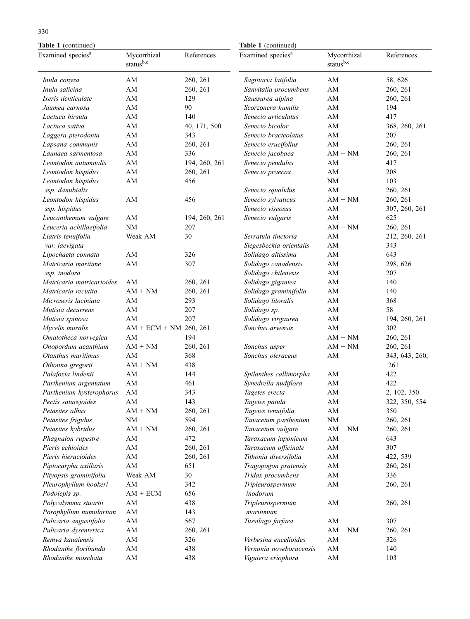| <b>Table 1</b> (continued) |  |
|----------------------------|--|
|----------------------------|--|

| Table 1 (continued)           |                                      | Table 1 (continued) |                               |                                      |                |
|-------------------------------|--------------------------------------|---------------------|-------------------------------|--------------------------------------|----------------|
| Examined species <sup>a</sup> | Mycorrhizal<br>status <sup>b,c</sup> | References          | Examined species <sup>a</sup> | Mycorrhizal<br>status <sup>b,c</sup> | References     |
| Inula conyza                  | AM                                   | 260, 261            | Sagittaria latifolia          | AM                                   | 58, 626        |
| Inula salicina                | AM                                   | 260, 261            | Sanvitalia procumbens         | AM                                   | 260, 261       |
| Ixeris denticulate            | AM                                   | 129                 | Saussurea alpina              | AM                                   | 260, 261       |
| Jaumea carnosa                | AM                                   | 90                  | Scorzonera humilis            | AM                                   | 194            |
| Lactuca hirsuta               | AM                                   | 140                 | Senecio articulatus           | AM                                   | 417            |
| Lactuca sativa                | AM                                   | 40, 171, 500        | Senecio bicolor               | AM                                   | 368, 260, 261  |
| Laggera pterodonta            | $\mathbf{A}\mathbf{M}$               | 343                 | Senecio bracteolatus          | AM                                   | 207            |
| Lapsana communis              | AM                                   | 260, 261            | Senecio erucifolius           | AM                                   | 260, 261       |
| Launaea sarmentosa            | AM                                   | 336                 | Senecio jacobaea              | $AM + NM$                            | 260, 261       |
| Leontodon autumnalis          | AM                                   | 194, 260, 261       | Senecio pendulus              | AM                                   | 417            |
| Leontodon hispidus            | AM                                   | 260, 261            | Senecio praecox               | AM                                   | 208            |
| Leontodon hispidus            | AM                                   | 456                 |                               | NM                                   | 103            |
| ssp. danubialis               |                                      |                     | Senecio squalidus             | AM                                   | 260, 261       |
| Leontodon hispidus            | AM                                   | 456                 | Senecio sylvaticus            | $AM + NM$                            | 260, 261       |
| ssp. hispidus                 |                                      |                     | Senecio viscosus              | AM                                   | 307, 260, 261  |
| Leucanthemum vulgare          | AM                                   | 194, 260, 261       | Senecio vulgaris              | AM                                   | 625            |
| Leuceria achillaeifolia       | NM                                   | 207                 |                               | $AM + NM$                            | 260, 261       |
| Liatris tenuifolia            | Weak AM                              | 30                  | Serratula tinctoria           | AM                                   | 212, 260, 261  |
| var. laevigata                |                                      |                     | Siegesbeckia orientalis       | AM                                   | 343            |
| Lipochaeta connata            | AM                                   | 326                 | Solidago altissima            | AM                                   | 643            |
| Matricaria maritime           | AM                                   | 307                 | Solidago canadensis           | AM                                   | 298, 626       |
| ssp. inodora                  |                                      |                     | Solidago chilenesis           | AM                                   | 207            |
|                               | AM                                   |                     |                               | AM                                   | 140            |
| Matricaria matricarioides     |                                      | 260, 261            | Solidago gigantea             |                                      |                |
| Matricaria recutita           | $AM + NM$                            | 260, 261            | Solidago graminifolia         | AM                                   | 140            |
| Microseris laciniata          | AM                                   | 293                 | Solidago litoralis            | AM                                   | 368            |
| Mutisia decurrens             | AM                                   | 207                 | Solidago sp.                  | AM                                   | 58             |
| Mutisia spinosa               | AM                                   | 207                 | Solidago virgaurea            | AM                                   | 194, 260, 261  |
| Mycelis muralis               | $AM + ECM + NM$ 260, 261             |                     | Sonchus arvensis              | AM                                   | 302            |
| Omalotheca norvegica          | AM                                   | 194                 |                               | $AM + NM$                            | 260, 261       |
| Onopordum acanthium           | $AM + NM$                            | 260, 261            | Sonchus asper                 | $AM + NM$                            | 260, 261       |
| Otanthus maritimus            | AM                                   | 368                 | Sonchus oleraceus             | $\mathbf{A}\mathbf{M}$               | 343, 643, 260, |
| Othonna gregorii              | $AM + NM$                            | 438                 |                               |                                      | 261            |
| Palafoxia lindenii            | AM                                   | 144                 | Spilanthes callimorpha        | AM                                   | 422            |
| Parthenium argentatum         | AM                                   | 461                 | Synedrella nudiflora          | $\mathbf{A}\mathbf{M}$               | 422            |
| Parthenium hysterophorus      | AM                                   | 343                 | Tagetes erecta                | AM                                   | 2, 102, 350    |
| Pectis saturejoides           | AM                                   | 143                 | Tagetes patula                | AM                                   | 322, 350, 554  |
| Petasites albus               | $AM + NM$                            | 260, 261            | Tagetes tenuifolia            | AM                                   | 350            |
| Petasites frigidus            | <b>NM</b>                            | 594                 | Tanacetum parthenium          | NM                                   | 260, 261       |
| Petasites hybridus            | $AM + NM$                            | 260, 261            | Tanacetum vulgare             | $AM + NM$                            | 260, 261       |
| Phagnalon rupestre            | AM                                   | 472                 | Taraxacum japonicum           | AM                                   | 643            |
| Picris echioides              | AM                                   | 260, 261            | Taraxacum officinale          | AM                                   | 307            |
| Picris hieracioides           | $\mathbf{A}\mathbf{M}$               | 260, 261            | Tithonia diversifolia         | $\mathbf{A}\mathbf{M}$               | 422, 539       |
| Piptocarpha axillaris         | $\mathbf{A}\mathbf{M}$               | 651                 | Tragopogon pratensis          | $\mathbf{A}\mathbf{M}$               | 260, 261       |
| Pityopsis graminifolia        | Weak AM                              | 30                  | Tridax procumbens             | $\mathbf{A}\mathbf{M}$               | 336            |
| Pleurophyllum hookeri         | AM                                   | 342                 | Tripleurospermum              | $\mathbf{A}\mathbf{M}$               | 260, 261       |
| Podolepis sp.                 | $AM + ECM$                           | 656                 | inodorum                      |                                      |                |
| Polycalymma stuartii          | $\mathbf{A}\mathbf{M}$               | 438                 | Tripleurospermum              | AM                                   | 260, 261       |
| Porophyllum numularium        | $\mathbf{A}\mathbf{M}$               | 143                 | maritimum                     |                                      |                |
| Pulicaria angustifolia        | $\mathbf{A}\mathbf{M}$               | 567                 | Tussilago farfara             | AM                                   | 307            |
| Pulicaria dysenterica         | $\mathbf{A}\mathbf{M}$               | 260, 261            |                               | $AM + NM$                            | 260, 261       |
| Remya kauaiensis              | $\mathbf{A}\mathbf{M}$               | 326                 | Verbesina encelioides         | AM                                   | 326            |
| Rhodanthe floribunda          | $\mathbf{A}\mathbf{M}$               | 438                 | Vernonia noveboracensis       | AM                                   | 140            |
| Rhodanthe moschata            | AM                                   | 438                 | Viguiera eriophora            | AM                                   | 103            |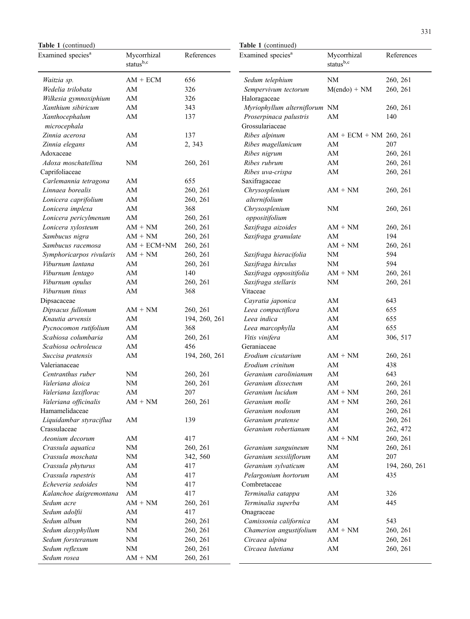| <b>Table 1</b> (continued) |  |
|----------------------------|--|
|----------------------------|--|

| Table 1 (continued)           |                                | Table 1 (continued) |                               |                                |               |
|-------------------------------|--------------------------------|---------------------|-------------------------------|--------------------------------|---------------|
| Examined species <sup>a</sup> | Mycorrhizal<br>status $^{b,c}$ | References          | Examined species <sup>a</sup> | Mycorrhizal<br>status $^{b,c}$ | References    |
| Waitzia sp.                   | $AM + ECM$                     | 656                 | Sedum telephium               | <b>NM</b>                      | 260, 261      |
| Wedelia trilobata             | AM                             | 326                 | Sempervivum tectorum          | $M(endo) + NM$                 | 260, 261      |
| Wilkesia gymnoxiphium         | AM                             | 326                 | Haloragaceae                  |                                |               |
| Xanthium sibiricum            | AM                             | 343                 | Myriophyllum alterniflorum NM |                                | 260, 261      |
| Xanthocephalum                | AM                             | 137                 | Proserpinaca palustris        | AΜ                             | 140           |
| microcephala                  |                                |                     | Grossulariaceae               |                                |               |
| Zinnia acerosa                | AM                             | 137                 | Ribes alpinum                 | $AM + ECM + NM$ 260, 261       |               |
| Zinnia elegans                | AM                             | 2, 343              | Ribes magellanicum            | AΜ                             | 207           |
| Adoxaceae                     |                                |                     | Ribes nigrum                  | AM                             | 260, 261      |
| Adoxa moschatellina           | NΜ                             | 260, 261            | Ribes rubrum                  | AM                             | 260, 261      |
| Caprifoliaceae                |                                |                     | Ribes uva-crispa              | AM                             | 260, 261      |
| Carlemannia tetragona         | AM                             | 655                 | Saxifragaceae                 |                                |               |
| Linnaea borealis              | AM                             | 260, 261            | Chrysosplenium                | $AM + NM$                      | 260, 261      |
| Lonicera caprifolium          | AM                             | 260, 261            | alternifolium                 |                                |               |
| Lonicera implexa              | AM                             | 368                 | Chrysosplenium                | <b>NM</b>                      | 260, 261      |
| Lonicera pericylmenum         | AM                             | 260, 261            | oppositifolium                |                                |               |
| Lonicera xylosteum            | $AM + NM$                      | 260, 261            | Saxifraga aizoides            | $AM + NM$                      | 260, 261      |
| Sambucus nigra                | $AM + NM$                      | 260, 261            | Saxifraga granulate           | AM                             | 194           |
| Sambucus racemosa             | $AM + ECM+NM$                  | 260, 261            |                               | $AM + NM$                      | 260, 261      |
| Symphoricarpos rivularis      | $AM + NM$                      | 260, 261            | Saxifraga hieracifolia        | <b>NM</b>                      | 594           |
| Viburnum lantana              | AM                             | 260, 261            | Saxifraga hirculus            | <b>NM</b>                      | 594           |
| Viburnum lentago              | AM                             | 140                 | Saxifraga oppositifolia       | $AM + NM$                      | 260, 261      |
| Viburnum opulus               | AM                             | 260, 261            | Saxifraga stellaris           | NΜ                             | 260, 261      |
| Viburnum tinus                | AM                             | 368                 | Vitaceae                      |                                |               |
| Dipsacaceae                   |                                |                     | Cayratia japonica             | AM                             | 643           |
| Dipsacus fullonum             | $AM + NM$                      | 260, 261            | Leea compactiflora            | AM                             | 655           |
| Knautia arvensis              | AM                             | 194, 260, 261       | Leea indica                   | AM                             | 655           |
| Pycnocomon rutifolium         | AM                             | 368                 | Leea marcophylla              | AM                             | 655           |
| Scabiosa columbaria           | AM                             | 260, 261            | Vitis vinifera                | AM                             | 306, 517      |
| Scabiosa ochroleuca           | AM                             | 456                 | Geraniaceae                   |                                |               |
| Succisa pratensis             | AM                             | 194, 260, 261       | Erodium cicutarium            | $AM + NM$                      | 260, 261      |
| Valerianaceae                 |                                |                     | Erodium crinitum              | AM                             | 438           |
| Centranthus ruber             | NΜ                             | 260, 261            | Geranium carolinianum         | AM                             | 643           |
| Valeriana dioica              | <b>NM</b>                      | 260, 261            | Geranium dissectum            | AM                             | 260, 261      |
| Valeriana laxiflorac          | AM                             | 207                 | Geranium lucidum              | $AM + NM$                      | 260, 261      |
| Valeriana officinalis         | $AM + NM$                      | 260, 261            | Geranium molle                | $AM + NM$                      | 260, 261      |
| Hamamelidaceae                |                                |                     | Geranium nodosum              | AM                             | 260, 261      |
| Liquidambar styraciflua       | AM                             | 139                 | Geranium pratense             | AM                             | 260, 261      |
| Crassulaceae                  |                                |                     | Geranium robertianum          | AM                             | 262, 472      |
| Aeonium decorum               | AM                             | 417                 |                               | $AM + NM$                      | 260, 261      |
| Crassula aquatica             | NM                             | 260, 261            | Geranium sanguineum           | <b>NM</b>                      | 260, 261      |
| Crassula moschata             | NM                             | 342, 560            | Geranium sessiliflorum        | AM                             | 207           |
| Crassula phyturus             | AM                             | 417                 | Geranium sylvaticum           | AM                             | 194, 260, 261 |
| Crassula rupestris            | AM                             | 417                 | Pelargonium hortorum          | AM                             | 435           |
| Echeveria sedoides            | NM                             | 417                 | Combretaceae                  |                                |               |
| Kalanchoe daigremontana       | AM                             | 417                 | Terminalia catappa            | AM                             | 326           |
| Sedum acre                    | $AM + NM$                      | 260, 261            | Terminalia superba            | AM                             | 445           |
| Sedum adolfii                 | AM                             | 417                 | Onagraceae                    |                                |               |
| Sedum album                   | NM                             | 260, 261            | Camissonia californica        | AM                             | 543           |
| Sedum dasyphyllum             | NM                             | 260, 261            | Chamerion angustifolium       | $AM + NM$                      | 260, 261      |
| Sedum forsteranum             | NM                             | 260, 261            | Circaea alpina                | AM                             | 260, 261      |
| Sedum reflexum                | NM                             | 260, 261            | Circaea lutetiana             | AM                             | 260, 261      |
| Sedum rosea                   | $AM + NM$                      | 260, 261            |                               |                                |               |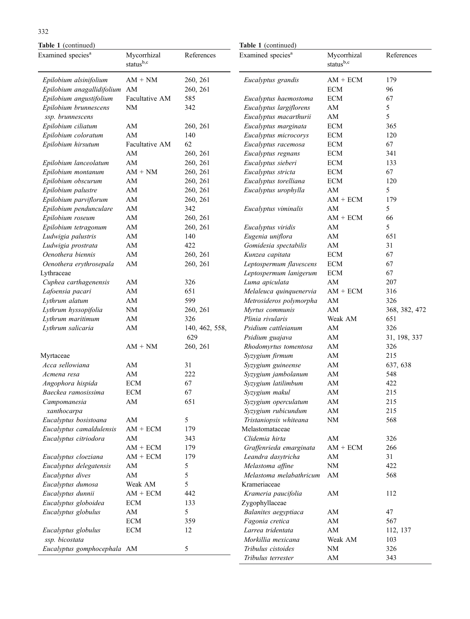| Table 1 (continued)           |                                |                | Table 1 (continued)           |                                         |               |  |
|-------------------------------|--------------------------------|----------------|-------------------------------|-----------------------------------------|---------------|--|
| Examined species <sup>a</sup> | Mycorrhizal<br>status $^{b,c}$ | References     | Examined species <sup>a</sup> | Mycorrhizal<br>${\rm status}^{\rm b,c}$ | References    |  |
| Epilobium alsinifolium        | $AM + NM$                      | 260, 261       | Eucalyptus grandis            | $AM + ECM$                              | 179           |  |
| Epilobium anagallidifolium    | AM                             | 260, 261       |                               | <b>ECM</b>                              | 96            |  |
| Epilobium angustifolium       | Facultative AM                 | 585            | Eucalyptus haemostoma         | <b>ECM</b>                              | 67            |  |
| Epilobium brunnescens         | NΜ                             | 342            | Eucalyptus largiflorens       | AM                                      | 5             |  |
| ssp. brunnescens              |                                |                | Eucalyptus macarthurii        | AM                                      | 5             |  |
| Epilobium ciliatum            | AM                             | 260, 261       | Eucalyptus marginata          | <b>ECM</b>                              | 365           |  |
| Epilobium coloratum           | AM                             | 140            | Eucalyptus microcorys         | <b>ECM</b>                              | 120           |  |
| Epilobium hirsutum            | Facultative AM                 | 62             | Eucalyptus racemosa           | <b>ECM</b>                              | 67            |  |
|                               | AM                             | 260, 261       | Eucalyptus regnans            | <b>ECM</b>                              | 341           |  |
| Epilobium lanceolatum         | AM                             | 260, 261       | Eucalyptus sieberi            | $\ensuremath{\text{ECM}}\xspace$        | 133           |  |
| Epilobium montanum            | $AM + NM$                      | 260, 261       | Eucalyptus stricta            | <b>ECM</b>                              | 67            |  |
| Epilobium obscurum            | AM                             | 260, 261       | Eucalyptus torelliana         | <b>ECM</b>                              | 120           |  |
| Epilobium palustre            | AM                             | 260, 261       | Eucalyptus urophylla          | AM                                      | 5             |  |
| Epilobium parviflorum         | AM                             | 260, 261       |                               | $AM + ECM$                              | 179           |  |
| Epilobium pendunculare        | AM                             | 342            | Eucalyptus viminalis          | AM                                      | 5             |  |
| Epilobium roseum              | AM                             | 260, 261       |                               | $AM + ECM$                              | 66            |  |
| Epilobium tetragonum          | AM                             | 260, 261       | Eucalyptus viridis            | AM                                      | 5             |  |
| Ludwigia palustris            | AM                             | 140            | Eugenia uniflora              | AM                                      | 651           |  |
| Ludwigia prostrata            | AM                             | 422            | Gomidesia spectabilis         | AM                                      | 31            |  |
| Oenothera biennis             | AM                             | 260, 261       | Kunzea capitata               | <b>ECM</b>                              | 67            |  |
| Oenothera erythrosepala       | AM                             | 260, 261       | Leptospermum flavescens       | <b>ECM</b>                              | 67            |  |
| Lythraceae                    |                                |                | Leptospermum lanigerum        | <b>ECM</b>                              | 67            |  |
| Cuphea carthagenensis         | AM                             | 326            | Luma apiculata                | AM                                      | 207           |  |
| Lafoensia pacari              | AM                             | 651            | Melaleuca quinquenervia       | $AM + ECM$                              | 316           |  |
| Lythrum alatum                | AM                             | 599            | Metrosideros polymorpha       | AM                                      | 326           |  |
| Lythrum hyssopifolia          | NM                             | 260, 261       | Myrtus communis               | AM                                      | 368, 382, 472 |  |
| Lythrum maritimum             | AM                             | 326            | Plinia rivularis              | Weak AM                                 | 651           |  |
| Lythrum salicaria             | AM                             | 140, 462, 558, | Psidium cattleianum           | AM                                      | 326           |  |
|                               |                                | 629            | Psidium guajava               | AM                                      | 31, 198, 337  |  |
|                               | $AM + NM$                      | 260, 261       | Rhodomyrtus tomentosa         | AM                                      | 326           |  |
| Myrtaceae                     |                                |                | Syzygium firmum               | AM                                      | 215           |  |
| Acca sellowiana               | AM                             | 31             | Syzygium guineense            | AM                                      | 637, 638      |  |
| Acmena resa                   | AM                             | 222            | Syzygium jambolanum           | AM                                      | 548           |  |
| Angophora hispida             | <b>ECM</b>                     | 67             | Syzygium latilimbum           | AM                                      | 422           |  |
| Baeckea ramosissima           | <b>ECM</b>                     | 67             | Syzygium makul                | AM                                      | 215           |  |
| Campomanesia                  | AM                             | 651            | Syzygium operculatum          | AM                                      | 215           |  |
| xanthocarpa                   |                                |                | Syzygium rubicundum           | AM                                      | 215           |  |
| Eucalyptus bosistoana         | AM                             | 5              | Tristaniopsis whiteana        | NM                                      | 568           |  |
| Eucalyptus camaldulensis      | $AM + ECM$                     | 179            | Melastomataceae               |                                         |               |  |
| Eucalyptus citriodora         | AM                             | 343            | Clidemia hirta                | AM                                      | 326           |  |
|                               | $AM + ECM$                     | 179            | Graffenrieda emarginata       | $AM + ECM$                              | 266           |  |
| Eucalyptus cloeziana          | $AM + ECM$                     | 179            | Leandra dasytricha            | AM                                      | 31            |  |
| Eucalyptus delegatensis       | AM                             | 5              | Melastoma affine              | NM                                      | 422           |  |
| Eucalyptus dives              | AM                             | 5              | Melastoma melabathricum       | AM                                      | 568           |  |
| Eucalyptus dumosa             | Weak AM                        | 5              | Krameriaceae                  |                                         |               |  |
| Eucalyptus dunnii             | $AM + ECM$                     | 442            | Krameria paucifolia           | AM                                      | 112           |  |
| Eucalyptus globoidea          | ECM                            | 133            | Zygophyllaceae                |                                         |               |  |
| Eucalyptus globulus           | AM                             | 5              | Balanites aegyptiaca          | AM                                      | 47            |  |
|                               | ECM                            | 359            | Fagonia cretica               | AM                                      | 567           |  |
| Eucalyptus globulus           | <b>ECM</b>                     | 12             | Larrea tridentata             | AM                                      | 112, 137      |  |
| ssp. bicostata                |                                |                | Morkillia mexicana            | Weak AM                                 | 103           |  |
| Eucalyptus gomphocephala AM   |                                | 5              | Tribulus cistoides            | NM                                      | 326           |  |
|                               |                                |                | Tribulus terrester            | AM                                      | 343           |  |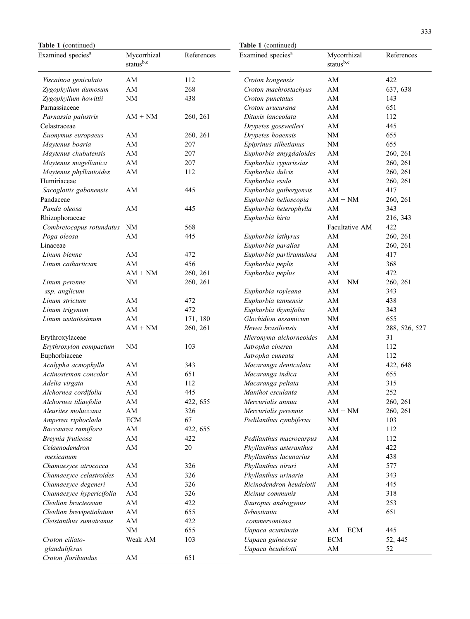|  |  | <b>Table 1</b> (continued) |
|--|--|----------------------------|
|--|--|----------------------------|

| Table 1 (continued)           |                                | Table 1 (continued) |                               |                          |               |
|-------------------------------|--------------------------------|---------------------|-------------------------------|--------------------------|---------------|
| Examined species <sup>a</sup> | Mycorrhizal<br>status $^{b,c}$ | References          | Examined species <sup>a</sup> | Mycorrhizal<br>statusb,c | References    |
| Viscainoa geniculata          | AM                             | 112                 | Croton kongensis              | AM                       | 422           |
| Zygophyllum dumosum           | AM                             | 268                 | Croton machrostachyus         | AM                       | 637, 638      |
| Zygophyllum howittii          | <b>NM</b>                      | 438                 | Croton punctatus              | AM                       | 143           |
| Parnassiaceae                 |                                |                     | Croton urucurana              | AM                       | 651           |
| Parnassia palustris           | $AM + NM$                      | 260, 261            | Ditaxis lanceolata            | AM                       | 112           |
| Celastraceae                  |                                |                     | Drypetes gossweileri          | $\mathbf{A}\mathbf{M}$   | 445           |
| Euonymus europaeus            | AM                             | 260, 261            | Drypetes hoaensis             | $\rm{NM}$                | 655           |
| Maytenus boaria               | AM                             | 207                 | Epiprinus silhetianus         | $\rm{NM}$                | 655           |
| Maytenus chubutensis          | AM                             | 207                 | Euphorbia amygdaloides        | AM                       | 260, 261      |
| Maytenus magellanica          | AM                             | 207                 | Euphorbia cyparissias         | AM                       | 260, 261      |
| Maytenus phyllantoides        | AM                             | 112                 | Euphorbia dulcis              | AM                       | 260, 261      |
| Humiriaceae                   |                                |                     | Euphorbia esula               | AM                       | 260, 261      |
| Sacoglottis gabonensis        | AM                             | 445                 | Euphorbia gatbergensis        | AM                       | 417           |
| Pandaceae                     |                                |                     | Euphorbia helioscopia         | $AM + NM$                | 260, 261      |
| Panda oleosa                  | AM                             | 445                 | Euphorbia heterophylla        | AM                       | 343           |
| Rhizophoraceae                |                                |                     | Euphorbia hirta               | AM                       | 216, 343      |
| Combretocapus rotundatus      | NM                             | 568                 |                               | Facultative AM           | 422           |
| Poga oleosa                   | AM                             | 445                 | Euphorbia lathyrus            | AM                       | 260, 261      |
| Linaceae                      |                                |                     | Euphorbia paralias            | AM                       | 260, 261      |
| Linum bienne                  | AM                             | 472                 | Euphorbia parliramulosa       | AM                       | 417           |
| Linum catharticum             | AM                             | 456                 | Euphorbia peplis              | AM                       | 368           |
|                               | $AM + NM$                      | 260, 261            | Euphorbia peplus              | AM                       | 472           |
| Linum perenne                 | NΜ                             | 260, 261            |                               | $AM + NM$                | 260, 261      |
| ssp. anglicum                 |                                |                     | Euphorbia royleana            | AM                       | 343           |
| Linum strictum                | AM                             | 472                 | Euphorbia tannensis           | $\mathbf{A}\mathbf{M}$   | 438           |
| Linum trigynum                | AM                             | 472                 | Euphorbia thymifolia          | $\mathbf{A}\mathbf{M}$   | 343           |
| Linum usitatissimum           | AM                             | 171, 180            | Glochidion assamicum          | $\rm{NM}$                | 655           |
|                               | $AM + NM$                      | 260, 261            | Hevea brasiliensis            | AM                       | 288, 526, 527 |
| Erythroxylaceae               |                                |                     | Hieronyma alchorneoides       | AM                       | 31            |
| Erythroxylon compactum        | <b>NM</b>                      | 103                 | Jatropha cinerea              | AM                       | 112           |
| Euphorbiaceae                 |                                |                     | Jatropha cuneata              | AM                       | 112           |
| Acalypha acmophylla           | AM                             | 343                 | Macaranga denticulata         | AM                       | 422, 648      |
| Actinostemon concolor         | AM                             | 651                 | Macaranga indica              | AM                       | 655           |
| Adelia virgata                | AM                             | 112                 | Macaranga peltata             | AM                       | 315           |
| Alchornea cordifolia          | AM                             | 445                 | Manihot esculanta             | AM                       | 252           |
| Alchornea tiliaefolia         | AM                             | 422, 655            | Mercurialis annua             | AM                       | 260, 261      |
| Aleurites moluccana           | AM                             | 326                 | Mercurialis perennis          | $AM + NM$                | 260, 261      |
| Amperea xiphoclada            | <b>ECM</b>                     | 67                  | Pedilanthus cymbiferus        | NM                       | 103           |
| Baccaurea ramiflora           | AM                             | 422, 655            |                               | $\mathbf{A}\mathbf{M}$   | 112           |
| Breynia fruticosa             | AM                             | 422                 | Pedilanthus macrocarpus       | AM                       | 112           |
| Celaenodendron                | AM                             | 20                  | Phyllanthus asteranthus       | AM                       | 422           |
| mexicanum                     |                                |                     | Phyllanthus lacunarius        | AM                       | 438           |
| Chamaesyce atrococca          | AM                             | 326                 | Phyllanthus niruri            | AM                       | 577           |
| Chamaesyce celastroides       | AM                             | 326                 | Phyllanthus urinaria          | $\mathbf{A}\mathbf{M}$   | 343           |
| Chamaesyce degeneri           | AM                             | 326                 | Ricinodendron heudelotii      | AM                       | 445           |
| Chamaesyce hypericifolia      | AM                             | 326                 | Ricinus communis              | AM                       | 318           |
| Cleidion bracteosum           | AM                             | 422                 | Sauropus androgynus           | $\mathbf{A}\mathbf{M}$   | 253           |
| Cleidion brevipetiolatum      | AM                             | 655                 | Sebastiania                   | AM                       | 651           |
| Cleistanthus sumatranus       | AM                             | 422                 | commersoniana                 |                          |               |
|                               | NM                             | 655                 | Uapaca acuminata              | $AM + ECM$               | 445           |
| Croton ciliato-               | Weak AM                        | 103                 | Uapaca guineense              | <b>ECM</b>               | 52, 445       |
| glanduliferus                 |                                |                     | Uapaca heudelotti             | AM                       | 52            |
| Croton floribundus            | AM                             | 651                 |                               |                          |               |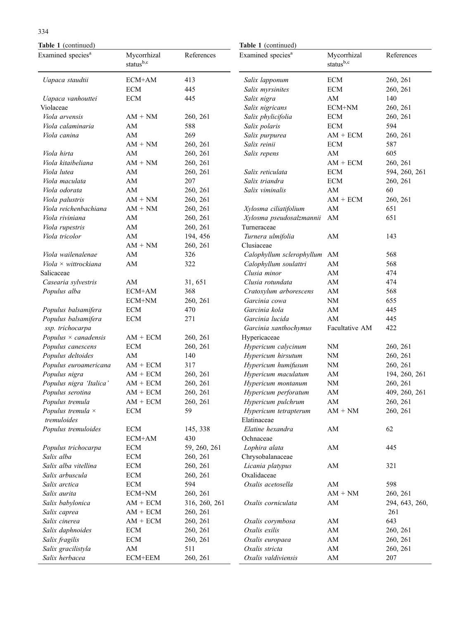| Table 1 (continued)                     |                                  | Table 1 (continued) |                                          |                                |                |
|-----------------------------------------|----------------------------------|---------------------|------------------------------------------|--------------------------------|----------------|
| Examined species <sup>a</sup>           | Mycorrhizal<br>statusb,c         | References          | Examined species <sup>a</sup>            | Mycorrhizal<br>status $^{b,c}$ | References     |
| Uapaca staudtii                         | ECM+AM                           | 413                 | Salix lapponum                           | <b>ECM</b>                     | 260, 261       |
|                                         | <b>ECM</b>                       | 445                 | Salix myrsinites                         | <b>ECM</b>                     | 260, 261       |
| Uapaca vanhouttei                       | $\ensuremath{\text{ECM}}\xspace$ | 445                 | Salix nigra                              | AM                             | 140            |
| Violaceae                               |                                  |                     | Salix nigricans                          | ECM+NM                         | 260, 261       |
| Viola arvensis                          | $AM + NM$                        | 260, 261            | Salix phylicifolia                       | <b>ECM</b>                     | 260, 261       |
| Viola calaminaria                       | AM                               | 588                 | Salix polaris                            | <b>ECM</b>                     | 594            |
| Viola canina                            | AM                               | 269                 | Salix purpurea                           | $AM + ECM$                     | 260, 261       |
|                                         | $AM + NM$                        | 260, 261            | Salix reinii                             | <b>ECM</b>                     | 587            |
| Viola hirta                             | AM                               | 260, 261            | Salix repens                             | AM                             | 605            |
| Viola kitaibeliana                      | $AM + NM$                        | 260, 261            |                                          | $AM + ECM$                     | 260, 261       |
| Viola lutea                             | AM                               | 260, 261            | Salix reticulata                         | <b>ECM</b>                     | 594, 260, 261  |
| Viola maculata                          | AM                               | 207                 | Salix triandra                           | <b>ECM</b>                     | 260, 261       |
| Viola odorata                           | AM                               | 260, 261            | Salix viminalis                          | AM                             | 60             |
| Viola palustris                         | $AM + NM$                        | 260, 261            |                                          | $AM + ECM$                     | 260, 261       |
| Viola reichenbachiana                   | $AM + NM$                        | 260, 261            | Xylosma ciliatifolium                    | AM                             | 651            |
| Viola riviniana                         | AM                               | 260, 261            | Xylosma pseudosalzmannii                 | AM                             | 651            |
| Viola rupestris                         | AM                               | 260, 261            | Turneraceae                              |                                |                |
| Viola tricolor                          | AM                               | 194, 456            | Turnera ulmifolia                        | AM                             | 143            |
|                                         | $AM + NM$                        |                     | Clusiaceae                               |                                |                |
| Viola wailenalenae                      | AM                               | 260, 261            | Calophyllum sclerophyllum                |                                | 568            |
| $Viola \times wittrockiana$             |                                  | 326<br>322          |                                          | AM<br>AM                       | 568            |
|                                         | AM                               |                     | Calophyllum soulattri<br>Clusia minor    |                                |                |
| Salicaceae                              |                                  |                     |                                          | AM                             | 474            |
| Casearia sylvestris                     | AM                               | 31, 651             | Clusia rotundata                         | AM                             | 474            |
| Populus alba                            | ECM+AM                           | 368                 | Cratoxylum arborescens                   | AM                             | 568            |
|                                         | ECM+NM                           | 260, 261            | Garcinia cowa                            | NM                             | 655            |
| Populus balsamifera                     | <b>ECM</b>                       | 470                 | Garcinia kola                            | AM                             | 445            |
| Populus balsamifera<br>ssp. trichocarpa | <b>ECM</b>                       | 271                 | Garcinia lucida<br>Garcinia xanthochymus | AM<br>Facultative AM           | 445<br>422     |
| Populus $\times$ canadensis             | $AM + ECM$                       | 260, 261            | Hypericaceae                             |                                |                |
| Populus canescens                       | <b>ECM</b>                       | 260, 261            | Hypericum calycinum                      | <b>NM</b>                      | 260, 261       |
| Populus deltoides                       | AM                               | 140                 | Hypericum hirsutum                       | $\rm NM$                       | 260, 261       |
| Populus euroamericana                   | $AM + ECM$                       | 317                 | Hypericum humifusum                      | <b>NM</b>                      | 260, 261       |
| Populus nigra                           | $AM + ECM$                       | 260, 261            | Hypericum maculatum                      | AM                             | 194, 260, 261  |
| Populus nigra 'Italica'                 | $AM + ECM$                       | 260, 261            | Hypericum montanum                       | $\rm NM$                       | 260, 261       |
| Populus serotina                        | $AM + ECM$                       | 260, 261            | Hypericum perforatum                     | AM                             | 409, 260, 261  |
| Populus tremula                         | $AM + ECM$                       | 260, 261            | Hypericum pulchrum                       | AM                             | 260, 261       |
| Populus tremula $\times$                | ECM                              | 59                  | Hypericum tetrapterum                    | $AM + NM$                      | 260, 261       |
| tremuloides                             |                                  |                     | Elatinaceae                              |                                |                |
| Populus tremuloides                     | <b>ECM</b>                       | 145, 338            | Elatine hexandra                         | AM                             | 62             |
|                                         | ECM+AM                           | 430                 | Ochnaceae                                |                                |                |
| Populus trichocarpa                     | <b>ECM</b>                       | 59, 260, 261        | Lophira alata                            | AM                             | 445            |
| Salix alba                              | ECM                              | 260, 261            | Chrysobalanaceae                         |                                |                |
| Salix alba vitellina                    | ECM                              | 260, 261            | Licania platypus                         | AM                             | 321            |
| Salix arbuscula                         | ECM                              | 260, 261            | Oxalidaceae                              |                                |                |
| Salix arctica                           | ECM                              | 594                 | Oxalis acetosella                        | AM                             | 598            |
| Salix aurita                            | ECM+NM                           | 260, 261            |                                          | $AM + NM$                      | 260, 261       |
| Salix babylonica                        | $AM + ECM$                       | 316, 260, 261       | Oxalis corniculata                       | AM                             | 294, 643, 260, |
|                                         |                                  |                     |                                          |                                |                |
| Salix caprea                            | $AM + ECM$                       | 260, 261            |                                          |                                | 261            |
| Salix cinerea                           | $AM + ECM$                       | 260, 261            | Oxalis corymbosa                         | AM                             | 643            |
| Salix daphnoides                        | <b>ECM</b>                       | 260, 261            | Oxalis exilis                            | AM                             | 260, 261       |
| Salix fragilis                          | ECM                              | 260, 261            | Oxalis europaea                          | AM                             | 260, 261       |
| Salix gracilistyla                      | AM                               | 511                 | Oxalis stricta                           | AM                             | 260, 261       |
| Salix herbacea                          | ECM+EEM                          | 260, 261            | Oxalis valdiviensis                      | AM                             | 207            |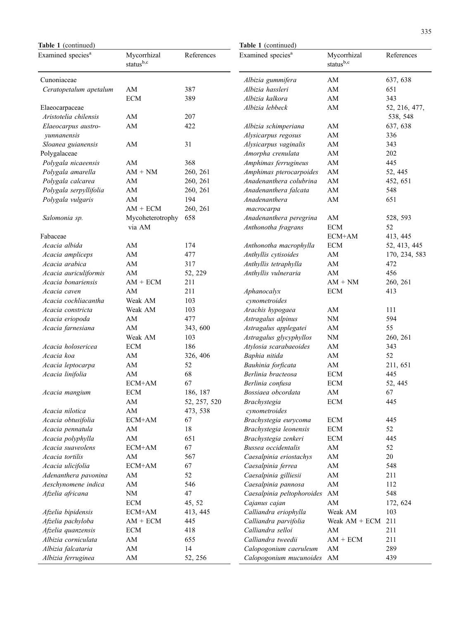| Table 1 (continued)                       |                                     | Table 1 (continued) |                                             |                                  |                 |
|-------------------------------------------|-------------------------------------|---------------------|---------------------------------------------|----------------------------------|-----------------|
| Examined species <sup>a</sup>             | Mycorrhizal<br>statusb,c            | References          | Examined species <sup>a</sup>               | Mycorrhizal<br>status $^{b,c}$   | References      |
| Cunoniaceae                               |                                     |                     | Albizia gummifera                           | AM                               | 637, 638        |
| Ceratopetalum apetalum                    | AM                                  | 387                 | Albizia hassleri                            | AM                               | 651             |
|                                           | <b>ECM</b>                          | 389                 | Albizia kalkora                             | AM                               | 343             |
| Elaeocarpaceae                            |                                     |                     | Albizia lebbeck                             | AM                               | 52, 216, 477,   |
| Aristotelia chilensis                     | AM                                  | 207                 |                                             |                                  | 538, 548        |
| Elaeocarpus austro-                       | AM                                  | 422                 | Albizia schimperiana                        | AM                               | 637, 638        |
| yunnanensis                               |                                     |                     | Alysicarpus regosus                         | AM                               | 336             |
| Sloanea guianensis                        | AM                                  | 31                  | Alysicarpus vaginalis                       | AM                               | 343             |
| Polygalaceae                              |                                     |                     | Amorpha crenulata                           | AM                               | 202             |
| Polygala nicaeensis                       | AM                                  | 368                 | Amphimas ferrugineus                        | AM                               | 445             |
| Polygala amarella                         | $AM + NM$                           | 260, 261            | Amphimas pterocarpoides                     | $\mathbf{A}\mathbf{M}$           | 52, 445         |
| Polygala calcarea                         | AM                                  | 260, 261            | Anadenanthera colubrina                     | AM                               | 452, 651        |
| Polygala serpyllifolia                    | AM                                  | 260, 261            | Anadenanthera falcata                       | AM                               | 548             |
| Polygala vulgaris                         | AM                                  | 194                 | Anadenanthera                               | AM                               | 651             |
|                                           | $AM + ECM$                          | 260, 261            | macrocarpa                                  |                                  |                 |
| Salomonia sp.                             | Mycoheterotrophy                    | 658                 | Anadenanthera peregrina                     | AM                               | 528, 593        |
|                                           | via AM                              |                     | Anthonotha fragrans                         | <b>ECM</b>                       | 52              |
| Fabaceae                                  |                                     |                     |                                             | ECM+AM                           | 413, 445        |
| Acacia albida                             | AM                                  | 174                 | Anthonotha macrophylla                      | <b>ECM</b>                       | 52, 413, 445    |
| Acacia ampliceps                          | AM                                  | 477                 | Anthyllis cytisoides                        | AM                               | 170, 234, 583   |
| Acacia arabica                            | AM                                  | 317                 | Anthyllis tetraphylla                       | AM                               | 472             |
| Acacia auriculiformis                     | AM                                  | 52, 229             | Anthyllis vulneraria                        | AM                               | 456             |
| Acacia bonariensis                        | $AM + ECM$                          | 211                 |                                             | $AM + NM$                        | 260, 261        |
| Acacia caven                              | AM                                  | 211                 | Aphanocalyx                                 | <b>ECM</b>                       | 413             |
| Acacia cochliacantha                      | Weak AM                             | 103                 | cynometroides                               |                                  |                 |
| Acacia constricta                         | Weak AM                             | 103                 | Arachis hypogaea                            | AM                               | 111             |
| Acacia eriopoda                           | AM                                  | 477                 | Astragalus alpinus                          | $\rm NM$                         | 594             |
| Acacia farnesiana                         | AM                                  | 343, 600            | Astragalus applegatei                       | AM                               | 55              |
|                                           | Weak AM                             | 103                 | Astragalus glycyphyllos                     | NM                               | 260, 261        |
| Acacia holosericea                        | <b>ECM</b>                          | 186                 | Atylosia scarabaeoides                      | AM                               | 343             |
| Acacia koa                                | AM                                  | 326, 406            | Baphia nitida                               | AM                               | 52              |
| Acacia leptocarpa                         | AM                                  | 52                  | Bauhinia forficata                          | $\mathbf{A}\mathbf{M}$           | 211, 651        |
| Acacia linifolia                          | AM                                  | 68                  | Berlinia bracteosa                          | <b>ECM</b>                       | 445             |
|                                           | ECM+AM                              | 67                  | Berlinia confusa                            | $\ensuremath{\text{ECM}}\xspace$ | 52, 445         |
| Acacia mangium                            | ECM                                 | 186, 187            | Bossiaea obcordata                          | AM                               | 67              |
|                                           | AM                                  | 52, 257, 520        | <i>Brachystegia</i>                         | ECM                              | 445             |
| Acacia nilotica                           | AM                                  | 473, 538            | cynometroides                               |                                  |                 |
| Acacia obtusifolia                        | ECM+AM                              | 67                  | Brachystegia eurycoma                       | <b>ECM</b>                       | 445             |
| Acacia pennatula                          | AM                                  | 18                  | Brachystegia leonensis                      | ECM                              | 52              |
| Acacia polyphylla<br>Acacia suaveolens    | AM                                  | 651                 | Brachystegia zenkeri                        | ECM                              | 445             |
|                                           | ECM+AM                              | 67<br>567           | Bussea occidentalis                         | AM                               | 52<br>$20\,$    |
| Acacia tortilis                           | AM<br>ECM+AM                        | 67                  | Caesalpinia eriostachys                     | AM<br>AM                         | 548             |
| Acacia ulicifolia<br>Adenanthera pavonina | AM                                  | 52                  | Caesalpinia ferrea<br>Caesalpinia gilliesii | AM                               | 211             |
|                                           |                                     |                     | Caesalpinia pannosa                         | $\mathbf{A}\mathbf{M}$           |                 |
| Aeschynomene indica<br>Afzelia africana   | $\mathbf{A}\mathbf{M}$<br>$\rm{NM}$ | 546<br>47           | Caesalpinia peltophoroides                  | AM                               | 112<br>548      |
|                                           | ECM                                 | 45, 52              |                                             | AM                               |                 |
|                                           | ECM+AM                              |                     | Cajanus cajan<br>Calliandra eriophylla      | Weak AM                          | 172, 624<br>103 |
| Afzelia bipidensis<br>Afzelia pachyloba   | $AM + ECM$                          | 413, 445<br>445     | Calliandra parvifolia                       | Weak $AM + ECM$                  | 211             |
| Afzelia quanzensis                        | <b>ECM</b>                          | 418                 | Calliandra selloi                           | AM                               | 211             |
| Albizia corniculata                       | AM                                  | 655                 | Calliandra tweedii                          | $AM + ECM$                       | 211             |
| Albizia falcataria                        | AM                                  | 14                  | Calopogonium caeruleum                      | AM                               | 289             |
| Albizia ferruginea                        | AM                                  | 52, 256             | Calopogonium mucunoides                     | AM                               | 439             |
|                                           |                                     |                     |                                             |                                  |                 |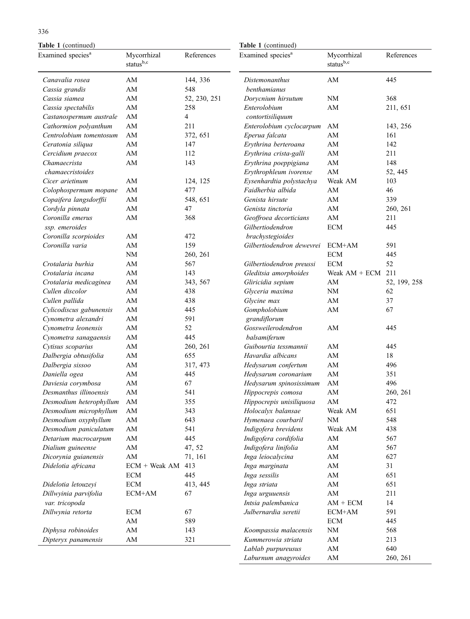| Table 1 (continued) |
|---------------------|
|---------------------|

| Table 1 (continued)           |                                      |              | Table 1 (continued)           |                                         |              |  |
|-------------------------------|--------------------------------------|--------------|-------------------------------|-----------------------------------------|--------------|--|
| Examined species <sup>a</sup> | Mycorrhizal<br>status <sup>b,c</sup> | References   | Examined species <sup>a</sup> | Mycorrhizal<br>${\rm status}^{\rm b,c}$ | References   |  |
| Canavalia rosea               | AM                                   | 144, 336     | Distemonanthus                | AM                                      | 445          |  |
| Cassia grandis                | AM                                   | 548          | benthamianus                  |                                         |              |  |
| Cassia siamea                 | AM                                   | 52, 230, 251 | Dorycnium hirsutum            | <b>NM</b>                               | 368          |  |
| Cassia spectabilis            | AM                                   | 258          | Enterolobium                  | AM                                      | 211, 651     |  |
| Castanospermum australe       | AM                                   | 4            | contortisiliquum              |                                         |              |  |
| Cathormion polyanthum         | AM                                   | 211          | Enterolobium cyclocarpum      | AM                                      | 143, 256     |  |
| Centrolobium tomentosum       | AM                                   | 372, 651     | Eperua falcata                | AM                                      | 161          |  |
| Ceratonia siliqua             | AM                                   | 147          | Erythrina berteroana          | AM                                      | 142          |  |
| Cercidium praecox             | AM                                   | 112          | Erythrina crista-galli        | AM                                      | 211          |  |
| Chamaecrista                  | AM                                   | 143          | Erythrina poeppigiana         | AM                                      | 148          |  |
| chamaecristoides              |                                      |              | Erythrophleum ivorense        | AM                                      | 52, 445      |  |
| Cicer arietinum               | AM                                   | 124, 125     | Eysenhardtia polystachya      | Weak AM                                 | 103          |  |
| Colophospermum mopane         | AM                                   | 477          | Faidherbia albida             | AM                                      | 46           |  |
| Copaifera langsdorffii        | AM                                   | 548, 651     | Genista hirsute               | AM                                      | 339          |  |
| Cordyla pinnata               | AM                                   | 47           | Genista tinctoria             | AM                                      | 260, 261     |  |
| Coronilla emerus              | AM                                   | 368          | Geoffroea decorticians        | AM                                      | 211          |  |
| ssp. emeroides                |                                      |              | Gilbertiodendron              | <b>ECM</b>                              | 445          |  |
| Coronilla scorpioides         | AM                                   | 472          | brachystegioides              |                                         |              |  |
| Coronilla varia               | AM                                   | 159          | Gilbertiodendron dewevrei     | ECM+AM                                  | 591          |  |
|                               | <b>NM</b>                            | 260, 261     |                               | <b>ECM</b>                              | 445          |  |
| Crotalaria burhia             | AM                                   | 567          | Gilbertiodendron preussi      | <b>ECM</b>                              | 52           |  |
| Crotalaria incana             | AM                                   | 143          | Gleditsia amorphoides         | Weak $AM + ECM$                         | 211          |  |
| Crotalaria medicaginea        | AM                                   | 343, 567     | Gliricidia sepium             | AM                                      | 52, 199, 258 |  |
| Cullen discolor               | AM                                   | 438          | Glyceria maxima               | <b>NM</b>                               | 62           |  |
| Cullen pallida                | AM                                   | 438          | Glycine max                   | AM                                      | 37           |  |
| Cylicodiscus gabunensis       | AM                                   | 445          | Gompholobium                  | AM                                      | 67           |  |
| Cynometra alexandri           | AM                                   | 591          | grandiflorum                  |                                         |              |  |
| Cynometra leonensis           | AM                                   | 52           | Gossweilerodendron            | AM                                      | 445          |  |
| Cynometra sanagaensis         | AM                                   | 445          | balsamiferum                  |                                         |              |  |
| Cytisus scoparius             | AM                                   | 260, 261     | Guibourtia tessmannii         | AM                                      | 445          |  |
| Dalbergia obtusifolia         | AM                                   | 655          | Havardia albicans             | AM                                      | 18           |  |
| Dalbergia sissoo              | AM                                   | 317, 473     | Hedysarum confertum           | AM                                      | 496          |  |
| Daniella ogea                 | AM                                   | 445          | Hedysarum coronarium          | AM                                      | 351          |  |
| Daviesia corymbosa            | AM                                   | 67           | Hedysarum spinosissimum       | AM                                      | 496          |  |
| Desmanthus illinoensis        | AM                                   | 541          | Hippocrepis comosa            | AM                                      | 260, 261     |  |
| Desmodium heterophyllum       | AΜ                                   | 355          | Hippocrepis unisiliquosa      | AM                                      | 472          |  |
| Desmodium microphyllum        | AM                                   | 343          | Holocalyx balansae            | Weak AM                                 | 651          |  |
| Desmodium oxyphyllum          | AM                                   | 643          | Hymenaea courbaril            | NM                                      | 548          |  |
| Desmodium paniculatum         | AM                                   | 541          | Indigofera brevidens          | Weak AM                                 | 438          |  |
| Detarium macrocarpum          | AM                                   | 445          | Indigofera cordifolia         | AM                                      | 567          |  |
| Dialium guineense             | AM                                   | 47, 52       | Indigofera linifolia          | AM                                      | 567          |  |
| Dicorynia guianensis          | AM                                   | 71, 161      | Inga leiocalycina             | AM                                      | 627          |  |
| Didelotia africana            | $ECM + Weak AM$                      | 413          | Inga marginata                | AM                                      | 31           |  |
|                               | ECM                                  | 445          | Inga sessilis                 | AM                                      | 651          |  |
| Didelotia letouzeyi           | $\ensuremath{\text{ECM}}\xspace$     | 413, 445     | Inga striata                  | AM                                      | 651          |  |
| Dillwyinia parvifolia         | ECM+AM                               | 67           | Inga urguuensis               | AM                                      | 211          |  |
| var. tricopoda                |                                      |              | Intsia palembanica            | $AM + ECM$                              | 14           |  |
| Dillwynia retorta             | ECM                                  | 67           | Julbernardia seretii          | ECM+AM                                  | 591          |  |
|                               | AM                                   | 589          |                               | <b>ECM</b>                              | 445          |  |
| Diphysa robinoides            | AM                                   | 143          | Koompassia malacensis         | <b>NM</b>                               | 568          |  |
| Dipteryx panamensis           | AM                                   | 321          | Kummerowia striata            | AM                                      | 213          |  |
|                               |                                      |              | Lablab purpureusus            | AM                                      | 640          |  |
|                               |                                      |              | Laburnum anagyroides          | AM                                      | 260, 261     |  |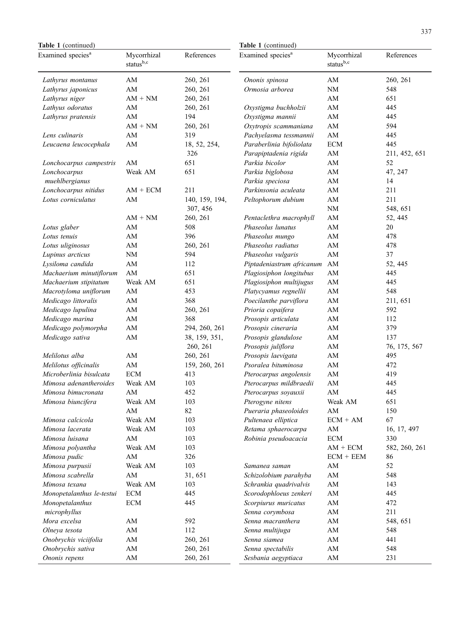| Table 1 (continued)           |                          |                | Table 1 (continued)           |                          |               |  |
|-------------------------------|--------------------------|----------------|-------------------------------|--------------------------|---------------|--|
| Examined species <sup>a</sup> | Mycorrhizal<br>statusb,c | References     | Examined species <sup>a</sup> | Mycorrhizal<br>statusb,c | References    |  |
| Lathyrus montanus             | AM                       | 260, 261       | Ononis spinosa                | AM                       | 260, 261      |  |
| Lathyrus japonicus            | AM                       | 260, 261       | Ormosia arborea               | <b>NM</b>                | 548           |  |
| Lathyrus niger                | $AM + NM$                | 260, 261       |                               | AM                       | 651           |  |
| Lathyus odoratus              | AM                       | 260, 261       | Oxystigma buchholzii          | AM                       | 445           |  |
| Lathyrus pratensis            | AM                       | 194            | Oxystigma mannii              | AM                       | 445           |  |
|                               | $AM + NM$                | 260, 261       | Oxytropis scammaniana         | AM                       | 594           |  |
| Lens culinaris                | AM                       | 319            | Pachyelasma tessmannii        | AM                       | 445           |  |
| Leucaena leucocephala         | AM                       | 18, 52, 254,   | Paraberlinia bifoliolata      | <b>ECM</b>               | 445           |  |
|                               |                          | 326            | Parapiptadenia rigida         | AM                       | 211, 452, 651 |  |
| Lonchocarpus campestris       | AΜ                       | 651            | Parkia bicolor                | AM                       | 52            |  |
| Lonchocarpus                  | Weak AM                  | 651            | Parkia biglobosa              | AM                       | 47, 247       |  |
| muehlbergianus                |                          |                | Parkia speciosa               | AM                       | 14            |  |
| Lonchocarpus nitidus          | $AM + ECM$               | 211            | Parkinsonia aculeata          | AM                       | 211           |  |
| Lotus corniculatus            | AM                       | 140, 159, 194, | Peltophorum dubium            | AM                       | 211           |  |
|                               |                          | 307, 456       |                               | <b>NM</b>                | 548, 651      |  |
|                               | $AM + NM$                | 260, 261       | Pentaclethra macrophyll       | AM                       | 52, 445       |  |
| Lotus glaber                  | AM                       | 508            | Phaseolus lunatus             | AM                       | 20            |  |
| Lotus tenuis                  | AM                       | 396            | Phaseolus mungo               | AM                       | 478           |  |
| Lotus uliginosus              | AM                       | 260, 261       | Phaseolus radiatus            | AM                       | 478           |  |
| Lupinus arcticus              | <b>NM</b>                | 594            | Phaseolus vulgaris            | AM                       | 37            |  |
| Lysiloma candida              | AM                       | 112            | Piptadeniastrum africanum     | AM                       | 52, 445       |  |
| Machaerium minutiflorum       | AM                       | 651            | Plagiosiphon longitubus       | AM                       | 445           |  |
| Machaerium stipitatum         | Weak AM                  | 651            | Plagiosiphon multijugus       | AM                       | 445           |  |
| Macrotyloma uniflorum         | AM                       | 453            | Platycyamus regnellii         | AM                       | 548           |  |
| Medicago littoralis           | AM                       | 368            | Poecilanthe parviflora        | AM                       | 211, 651      |  |
| Medicago lupulina             | AM                       | 260, 261       | Prioria copaifera             | AM                       | 592           |  |
| Medicago marina               | AM                       | 368            | Prosopis articulata           | AM                       | 112           |  |
| Medicago polymorpha           | AM                       | 294, 260, 261  | Prosopis cineraria            | AM                       | 379           |  |
| Medicago sativa               | AM                       | 38, 159, 351,  | Prosopis glandulose           | AM                       | 137           |  |
|                               |                          | 260, 261       | Prosopis juliflora            | AM                       | 76, 175, 567  |  |
| Melilotus alba                | AM                       | 260, 261       | Prosopis laevigata            | AM                       | 495           |  |
| Melilotus officinalis         | AM                       | 159, 260, 261  | Psoralea bituminosa           | AM                       | 472           |  |
| Microberlinia bisulcata       | <b>ECM</b>               | 413            | Pterocarpus angolensis        | AM                       | 419           |  |
| Mimosa adenantheroides        | Weak AM                  | 103            | Pterocarpus mildbraedii       | AM                       | 445           |  |
| Mimosa bimucronata            | AM                       | 452            | Pterocarpus soyauxii          | AM                       | 445           |  |
| Mimosa biuncifera             | Weak AM                  | 103            | Pterogyne nitens              | Weak AM                  | 651           |  |
|                               | $\mathbf{A}\mathbf{M}$   | 82             | Pueraria phaseoloides         | $\mathbf{A}\mathbf{M}$   | 150           |  |
| Mimosa calcicola              | Weak AM                  | 103            | Pultenaea elliptica           | $ECM + AM$               | 67            |  |
| Mimosa lacerata               | Weak AM                  | 103            | Retama sphaerocarpa           | AM                       | 16, 17, 497   |  |
| Mimosa luisana                | AM                       | 103            | Robinia pseudoacacia          | ECM                      | 330           |  |
| Mimosa polyantha              | Weak AM                  | 103            |                               | $AM + ECM$               | 582, 260, 261 |  |
| Mimosa pudic                  | AM                       | 326            |                               | $ECM + EEM$              | 86            |  |
| Mimosa purpusii               | Weak AM                  | 103            | Samanea saman                 | AM                       | 52            |  |
| Mimosa scabrella              | AM                       | 31, 651        | Schizolobium parahyba         | AM                       | 548           |  |
| Mimosa texana                 | Weak AM                  | 103            | Schrankia quadrivalvis        | AM                       | 143           |  |
| Monopetalanthus le-testui     | ECM                      | 445            | Scorodophloeus zenkeri        | AM                       | 445           |  |
| Monopetalanthus               | ECM                      | 445            | Scorpiurus muricatus          | AM                       | 472           |  |
| microphyllus                  |                          |                | Senna corymbosa               | AM                       | 211           |  |
| Mora excelsa                  | AM                       | 592            | Senna macranthera             | AM                       | 548, 651      |  |
| Olneya tesota                 | AM                       | 112            | Senna multijuga               | AM                       | 548           |  |
| Onobrychis viciifolia         | AM                       | 260, 261       | Senna siamea                  | AM                       | 441           |  |
| Onobrychis sativa             | AM                       | 260, 261       | Senna spectabilis             | AM                       | 548           |  |
| Ononis repens                 | $\mathbf{A}\mathbf{M}$   | 260, 261       | Sesbania aegyptiaca           | $\mathbf{A}\mathbf{M}$   | 231           |  |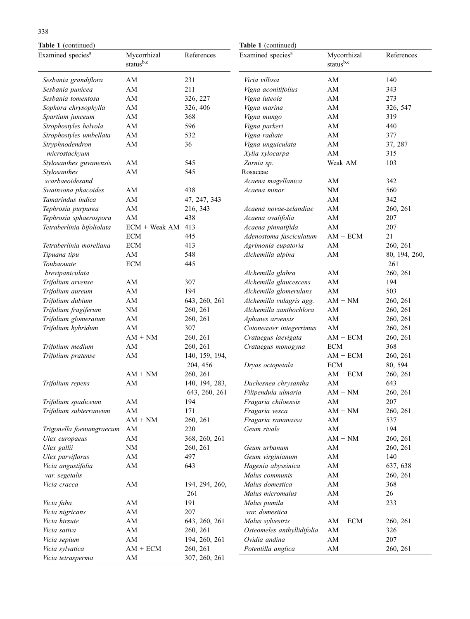| Table 1 (continued) |
|---------------------|
|---------------------|

| Table 1 (continued)           |                                  |                | Table 1 (continued)           |                                         |               |  |
|-------------------------------|----------------------------------|----------------|-------------------------------|-----------------------------------------|---------------|--|
| Examined species <sup>a</sup> | Mycorrhizal<br>status $^{b,c}$   | References     | Examined species <sup>a</sup> | Mycorrhizal<br>${\rm status}^{\rm b,c}$ | References    |  |
| Sesbania grandiflora          | AM                               | 231            | Vicia villosa                 | AM                                      | 140           |  |
| Sesbania punicea              | $\mathbf{A}\mathbf{M}$           | 211            | Vigna aconitifolius           | AM                                      | 343           |  |
| Sesbania tomentosa            | AM                               | 326, 227       | Vigna luteola                 | AM                                      | 273           |  |
| Sophora chrysophylla          | AM                               | 326, 406       | Vigna marina                  | AM                                      | 326, 547      |  |
| Spartium junceum              | AM                               | 368            | Vigna mungo                   | AM                                      | 319           |  |
| Strophostyles helvola         | AM                               | 596            | Vigna parkeri                 | AM                                      | 440           |  |
| Strophostyles umbellata       | AM                               | 532            | Vigna radiate                 | AM                                      | 377           |  |
| Stryphnodendron               | AM                               | 36             | Vigna unguiculata             | AM                                      | 37, 287       |  |
| microstachyum                 |                                  |                | Xylia xylocarpa               | AM                                      | 315           |  |
| Stylosanthes guvanensis       | AM                               | 545            | Zornia sp.                    | Weak AM                                 | 103           |  |
| Stylosanthes                  | $\mathbf{A}\mathbf{M}$           | 545            | Rosaceae                      |                                         |               |  |
| scarbaeoidesand               |                                  |                | Acaena magellanica            | AM                                      | 342           |  |
| Swainsona phacoides           | AM                               | 438            | Acaena minor                  | NM                                      | 560           |  |
| Tamarindus indica             | AM                               |                |                               | AM                                      | 342           |  |
|                               |                                  | 47, 247, 343   |                               |                                         |               |  |
| Tephrosia purpurea            | AM                               | 216, 343       | Acaena novae-zelandiae        | AM                                      | 260, 261      |  |
| Tephrosia sphaerospora        | AM                               | 438            | Acaena ovalifolia             | AM                                      | 207           |  |
| Tetraberlinia bifoliolata     | $ECM + Weak AM$ 413              |                | Acaena pinnatifida            | AM                                      | 207           |  |
|                               | <b>ECM</b>                       | 445            | Adenostoma fasciculatum       | $AM + ECM$                              | 21            |  |
| Tetraberlinia moreliana       | $\ensuremath{\text{ECM}}\xspace$ | 413            | Agrimonia eupatoria           | AM                                      | 260, 261      |  |
| Tipuana tipu                  | $\mathbf{A}\mathbf{M}$           | 548            | Alchemilla alpina             | AM                                      | 80, 194, 260, |  |
| Toubaouate                    | <b>ECM</b>                       | 445            |                               |                                         | 261           |  |
| brevipaniculata               |                                  |                | Alchemilla glabra             | AM                                      | 260, 261      |  |
| Trifolium arvense             | AM                               | 307            | Alchemilla glaucescens        | $\mathbf{A}\mathbf{M}$                  | 194           |  |
| Trifolium aureum              | AM                               | 194            | Alchemilla glomerulans        | AM                                      | 503           |  |
| Trifolium dubium              | AM                               | 643, 260, 261  | Alchemilla vulagris agg.      | $AM + NM$                               | 260, 261      |  |
| Trifolium fragiferum          | <b>NM</b>                        | 260, 261       | Alchemilla xanthochlora       | AM                                      | 260, 261      |  |
| Trifolium glomeratum          | $\mathbf{A}\mathbf{M}$           | 260, 261       | Aphanes arvensis              | $\mathbf{A}\mathbf{M}$                  | 260, 261      |  |
| Trifolium hybridum            | AM                               | 307            | Cotoneaster integerrimus      | AM                                      | 260, 261      |  |
|                               | $AM + NM$                        | 260, 261       | Crataegus laevigata           | $AM + ECM$                              | 260, 261      |  |
| Trifolium medium              | AM                               | 260, 261       | Crataegus monogyna            | <b>ECM</b>                              | 368           |  |
| Trifolium pratense            | AM                               | 140, 159, 194, |                               | $AM + ECM$                              | 260, 261      |  |
|                               |                                  | 204, 456       | Dryas octopetala              | <b>ECM</b>                              | 80, 594       |  |
|                               | $AM + NM$                        | 260, 261       |                               | $AM + ECM$                              | 260, 261      |  |
| Trifolium repens              | AM                               | 140, 194, 283, | Duchesnea chrysantha          | AM                                      | 643           |  |
|                               |                                  | 643, 260, 261  | Filipendula ulmaria           | $AM + NM$                               | 260, 261      |  |
| Trifolium spadiceum           | AM                               | 194            | Fragaria chiloensis           | AM                                      | 207           |  |
| Trifolium subterraneum        | $\mathbf{A}\mathbf{M}$           | 171            | Fragaria vesca                | $AM + NM$                               | 260, 261      |  |
|                               | $AM + NM$                        | 260, 261       | Fragaria xananassa            | AM                                      | 537           |  |
| Trigonella foenumgraecum      | AM                               | 220            | Geum rivale                   | AM                                      | 194           |  |
| Ulex europaeus                | AM                               | 368, 260, 261  |                               | $AM + NM$                               | 260, 261      |  |
| Ulex gallii                   | NM                               | 260, 261       | Geum urbanum                  | AM                                      | 260, 261      |  |
| Ulex parviflorus              | $\mathbf{A}\mathbf{M}$           | 497            | Geum virginianum              | AM                                      | 140           |  |
| Vicia angustifolia            | AM                               | 643            | Hagenia abyssinica            | AM                                      | 637, 638      |  |
| var. segetalis                |                                  |                | Malus communis                | AM                                      | 260, 261      |  |
| Vicia cracca                  | AM                               | 194, 294, 260, | Malus domestica               | AM                                      | 368           |  |
|                               |                                  | 261            | Malus micromalus              | AM                                      | 26            |  |
| Vicia faba                    | AM                               | 191            | Malus pumila                  | AM                                      | 233           |  |
| Vicia nigricans               | AM                               | 207            | var. domestica                |                                         |               |  |
| Vicia hirsute                 | AM                               | 643, 260, 261  | Malus sylvestris              | $AM + ECM$                              | 260, 261      |  |
| Vicia sativa                  | AM                               | 260, 261       | Osteomeles anthyllidifolia    | AM                                      | 326           |  |
| Vicia sepium                  | AM                               | 194, 260, 261  | Ovidia andina                 | AM                                      | 207           |  |
| Vicia sylvatica               | $AM + ECM$                       | 260, 261       | Potentilla anglica            | AM                                      | 260, 261      |  |
| Vicia tetrasperma             | AM                               | 307, 260, 261  |                               |                                         |               |  |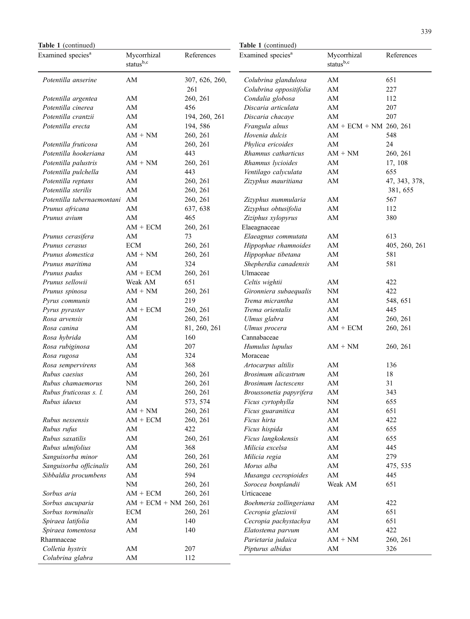| <b>Table 1</b> (continued) |  |
|----------------------------|--|
|----------------------------|--|

| $\mathbf{1}$ and $\mathbf{1}$ (communica)   |                                                 | $\mathbf{1}$ and $\mathbf{1}$ (communica) |                               |                                         |               |
|---------------------------------------------|-------------------------------------------------|-------------------------------------------|-------------------------------|-----------------------------------------|---------------|
| Examined species <sup>a</sup>               | Mycorrhizal<br>$\mathrm{status}^{\mathrm{b,c}}$ | References                                | Examined species <sup>a</sup> | Mycorrhizal<br>${\rm status}^{\rm b,c}$ | References    |
| 307, 626, 260,<br>Potentilla anserine<br>AM |                                                 | Colubrina glandulosa                      | AM                            | 651                                     |               |
|                                             |                                                 | 261                                       | Colubrina oppositifolia       | AM                                      | 227           |
| Potentilla argentea                         | AM                                              | 260, 261                                  | Condalia globosa              | AM                                      | 112           |
| Potentilla cinerea                          | AM                                              | 456                                       | Discaria articulata           | AM                                      | 207           |
| Potentilla crantzii                         | AM                                              | 194, 260, 261                             | Discaria chacaye              | AM                                      | 207           |
| Potentilla erecta                           | AM                                              | 194, 586                                  | Frangula alnus                | $AM + ECM + NM$ 260, 261                |               |
|                                             | $AM + NM$                                       | 260, 261                                  | Hovenia dulcis                | AM                                      | 548           |
| Potentilla fruticosa                        | AM                                              | 260, 261                                  | Phylica ericoides             | AM                                      | 24            |
| Potentilla hookeriana                       | AM                                              | 443                                       | Rhamnus catharticus           | $AM + NM$                               | 260, 261      |
| Potentilla palustris                        | $AM + NM$                                       | 260, 261                                  | Rhamnus lycioides             | AM                                      | 17, 108       |
| Potentilla pulchella                        | AM                                              | 443                                       | Ventilago calyculata          | AM                                      | 655           |
| Potentilla reptans                          | AM                                              | 260, 261                                  | Zizyphus mauritiana           | AM                                      | 47, 343, 378, |
| Potentilla sterilis                         | AM                                              | 260, 261                                  |                               |                                         | 381, 655      |
| Potentilla tabernaemontani                  | AM                                              | 260, 261                                  | Zizyphus nummularia           | AM                                      | 567           |
| Prunus africana                             | AM                                              | 637, 638                                  | Zizyphus obtusifolia          | AM                                      | 112           |
| Prunus avium                                | AM                                              | 465                                       | Ziziphus xylopyrus            | AM                                      | 380           |
|                                             | $AM + ECM$                                      | 260, 261                                  | Elaeagnaceae                  |                                         |               |
| Prunus cerasifera                           | AM                                              | 73                                        | Elaeagnus commutata           | AM                                      | 613           |
| Prunus cerasus                              | <b>ECM</b>                                      | 260, 261                                  | Hippophae rhamnoides          | AM                                      | 405, 260, 261 |
| Prunus domestica                            | $AM + NM$                                       | 260, 261                                  | Hippophae tibetana            | AM                                      | 581           |
| Prunus maritima                             | AM                                              | 324                                       | Shepherdia canadensis         | AM                                      | 581           |
| Prunus padus                                | $AM + ECM$                                      | 260, 261                                  | Ulmaceae                      |                                         |               |
| Prunus sellowii                             | Weak AM                                         | 651                                       | Celtis wightii                | AM                                      | 422           |
| Prunus spinosa                              | $AM + NM$                                       | 260, 261                                  | Gironniera subaequalis        | <b>NM</b>                               | 422           |
| Pyrus communis                              | AM                                              | 219                                       | Trema micrantha               | AM                                      | 548, 651      |
| Pyrus pyraster                              | $AM + ECM$                                      | 260, 261                                  | Trema orientalis              | AM                                      | 445           |
| Rosa arvensis                               | AM                                              | 260, 261                                  | Ulmus glabra                  | AM                                      | 260, 261      |
| Rosa canina                                 | AM                                              | 81, 260, 261                              | Ulmus procera                 | $AM + ECM$                              | 260, 261      |
| Rosa hybrida                                | AM                                              | 160                                       | Cannabaceae                   |                                         |               |
| Rosa rubiginosa                             | AM                                              | 207                                       | Humulus lupulus               | $AM + NM$                               | 260, 261      |
| Rosa rugosa                                 | AM                                              | 324                                       | Moraceae                      |                                         |               |
| Rosa sempervirens                           | AM                                              | 368                                       | Artocarpus altilis            | AM                                      | 136           |
| Rubus caesius                               | AM                                              | 260, 261                                  | Brosimum alicastrum           | AM                                      | 18            |
| Rubus chamaemorus                           | <b>NM</b>                                       | 260, 261                                  | <b>Brosimum</b> lactescens    | AM                                      | 31            |
| Rubus fruticosus s. l.                      | AM                                              | 260, 261                                  | Broussonetia papyrifera       | AΜ                                      | 343           |
| Rubus idaeus                                | $\mathbf{A}\mathbf{M}$                          | 573, 574                                  | Ficus cyrtophylla             | NΜ                                      | 655           |
|                                             | $AM + NM$                                       | 260, 261                                  | Ficus guaranitica             | AM                                      | 651           |
| Rubus nessensis                             | $AM + ECM$                                      | 260, 261                                  | Ficus hirta                   | $\mathbf{A}\mathbf{M}$                  | 422           |
| Rubus rufus                                 | AM                                              | 422                                       | Ficus hispida                 | AM                                      | 655           |
| Rubus saxatilis                             | AM                                              | 260, 261                                  | Ficus langkokensis            | AM                                      | 655           |
| Rubus ulmifolius                            | AM                                              | 368                                       | Milicia excelsa               | AM                                      | 445           |
| Sanguisorba minor                           | AM                                              | 260, 261                                  | Milicia regia                 | AM                                      | 279           |
| Sanguisorba officinalis                     | AM                                              | 260, 261                                  | Morus alba                    | AM                                      | 475, 535      |
| Sibbaldia procumbens                        | AM                                              | 594                                       | Musanga cecropioides          | AM                                      | 445           |
|                                             | NM                                              | 260, 261                                  | Sorocea bonplandii            | Weak AM                                 | 651           |
| Sorbus aria                                 | $AM + ECM$                                      | 260, 261                                  | Urticaceae                    |                                         |               |
| Sorbus aucuparia                            | $AM + ECM + NM$ 260, 261                        |                                           | Boehmeria zollingeriana       | AM                                      | 422           |
| Sorbus torminalis                           | <b>ECM</b>                                      | 260, 261                                  | Cecropia glaziovii            | AM                                      | 651           |
| Spiraea latifolia                           | AM                                              | 140                                       | Cecropia pachystachya         | AM                                      | 651           |
| Spiraea tomentosa                           | AM                                              | 140                                       | Elatostema parvum             | AM                                      | 422           |
| Rhamnaceae                                  |                                                 |                                           | Parietaria judaica            | $AM + NM$                               | 260, 261      |
| Colletia hystrix                            | AM                                              | 207                                       | Pipturus albidus              | AM                                      | 326           |
| Colubrina glabra                            | AM                                              | 112                                       |                               |                                         |               |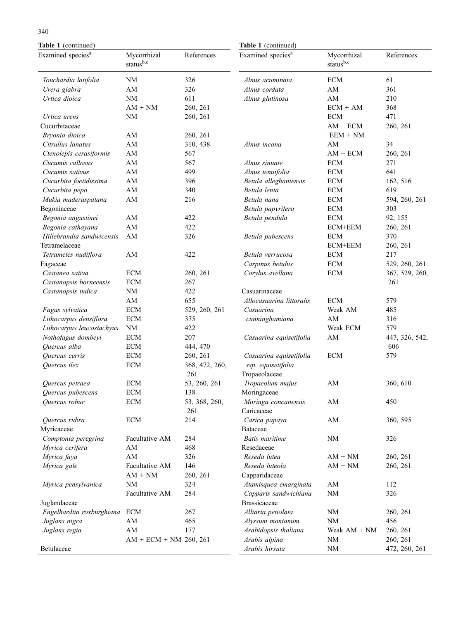| Table 1 (continued) |
|---------------------|
|                     |

| Table 1 (continued)                                                           |                          |                               | Table 1 (continued)         |                           |                |  |  |  |
|-------------------------------------------------------------------------------|--------------------------|-------------------------------|-----------------------------|---------------------------|----------------|--|--|--|
| Examined species <sup>a</sup><br>Mycorrhizal<br>References<br>status $^{b,c}$ |                          | Examined species <sup>a</sup> | Mycorrhizal<br>status $b,c$ | References                |                |  |  |  |
| Touchardia latifolia                                                          | <b>NM</b>                | 326                           | Alnus acuminata             | <b>ECM</b>                | 61             |  |  |  |
| Urera glabra                                                                  | AM                       | 326                           | Alnus cordata               | AM                        | 361            |  |  |  |
| Urtica dioica                                                                 | <b>NM</b>                | 611                           | Alnus glutinosa             | AM                        | 210            |  |  |  |
|                                                                               | $AM + NM$                | 260, 261                      |                             | $ECM + AM$                | 368            |  |  |  |
| Urtica urens                                                                  | <b>NM</b>                | 260, 261                      |                             | <b>ECM</b>                | 471            |  |  |  |
| Cucurbitaceae                                                                 |                          |                               |                             | $AM + ECM +$              | 260, 261       |  |  |  |
| Bryonia dioica                                                                | AM                       | 260, 261                      |                             | $EEM + NM$                |                |  |  |  |
| Citrullus lanatus                                                             | AM                       | 310, 438                      | Alnus incana                | AM                        | 34             |  |  |  |
| Ctenolepis cerasiformis                                                       | AM                       | 567                           |                             | $AM + ECM$                | 260, 261       |  |  |  |
| Cucumis callosus                                                              | AM                       | 567                           | Alnus sinuate               | <b>ECM</b>                | 271            |  |  |  |
| Cucumis sativus                                                               | AM                       | 499                           | Alnus tenuifolia            | <b>ECM</b>                | 641            |  |  |  |
| Cucurbita foetidissima                                                        | AM                       | 396                           | Betula alleghaniensis       | <b>ECM</b>                | 162, 516       |  |  |  |
| Cucurbita pepo                                                                | AM                       | 340                           | Betula lenta                | <b>ECM</b>                | 619            |  |  |  |
| Mukia maderaspatana                                                           | AM                       | 216                           | Betula nana                 | <b>ECM</b>                | 594, 260, 261  |  |  |  |
| Begoniaceae                                                                   |                          |                               | Betula papyrifera           | <b>ECM</b>                | 303            |  |  |  |
| Begonia angustinei                                                            | AM                       | 422                           | Betula pendula              | <b>ECM</b>                | 92, 155        |  |  |  |
| Begonia cathayana                                                             | AM                       | 422                           |                             | ECM+EEM                   | 260, 261       |  |  |  |
| Hillebrandia sandwicensis                                                     | $\mathbf{A}\mathbf{M}$   | 326                           | Betula pubescens            | <b>ECM</b>                | 370            |  |  |  |
| Tetramelaceae                                                                 |                          |                               |                             | ECM+EEM                   | 260, 261       |  |  |  |
| Tetrameles nudiflora                                                          | AM                       | 422                           | Betula verrucosa            | <b>ECM</b>                | 217            |  |  |  |
| Fagaceae                                                                      |                          |                               | Carpinus betulus            | <b>ECM</b>                | 529, 260, 261  |  |  |  |
| Castanea sativa                                                               | <b>ECM</b>               | 260, 261                      | Corylus avellana            | <b>ECM</b>                | 367, 529, 260, |  |  |  |
| Castanopsis borneensis                                                        | <b>ECM</b>               | 267                           |                             |                           | 261            |  |  |  |
| Castanopsis indica                                                            | <b>NM</b>                | 422                           | Casuarinaceae               |                           |                |  |  |  |
|                                                                               | AM                       | 655                           | Allocasuarina littoralis    | <b>ECM</b>                | 579            |  |  |  |
| Fagus sylvatica                                                               | <b>ECM</b>               | 529, 260, 261                 | Casuarina                   | Weak AM                   | 485            |  |  |  |
| Lithocarpus densiflora                                                        | <b>ECM</b>               | 375                           | cunninghamiana              | AM                        | 316            |  |  |  |
| Lithocarpus leucostachyus                                                     | <b>NM</b>                | 422                           |                             | Weak ECM                  | 579            |  |  |  |
| Nothofagus dombeyi                                                            | <b>ECM</b>               | 207                           | Casuarina equisetifolia     | AM                        | 447, 326, 542, |  |  |  |
| Quercus alba                                                                  | <b>ECM</b>               | 444, 470                      |                             |                           | 606            |  |  |  |
| Quercus cerris                                                                | <b>ECM</b>               | 260, 261                      | Casuarina equisetifolia     | <b>ECM</b>                | 579            |  |  |  |
| Quercus ilex                                                                  | <b>ECM</b>               | 368, 472, 260,                | ssp. equisetifolia          |                           |                |  |  |  |
|                                                                               |                          | 261                           | Tropaeolaceae               |                           |                |  |  |  |
|                                                                               |                          |                               |                             | AM                        |                |  |  |  |
| Quercus petraea                                                               | <b>ECM</b>               | 53, 260, 261                  | Tropaeolum majus            |                           | 360, 610       |  |  |  |
| Quercus pubescens                                                             | <b>ECM</b>               | 138                           | Moringaceae                 |                           |                |  |  |  |
| Quercus robur                                                                 | <b>ECM</b>               | 53, 368, 260,                 | Moringa concanensis         | AM                        | 450            |  |  |  |
|                                                                               |                          | 261                           | Caricaceae                  |                           |                |  |  |  |
| Quercus rubra                                                                 | <b>ECM</b>               | 214                           | Carica papaya               | AM                        | 360, 595       |  |  |  |
| Myricaceae                                                                    |                          |                               | Bataceae                    |                           |                |  |  |  |
| Comptonia peregrina                                                           | Facultative AM           | 284                           | <b>Batis</b> maritime       | <b>NM</b>                 | 326            |  |  |  |
| Myrica cerifera                                                               | AM                       | 468                           | Resedaceae                  |                           |                |  |  |  |
| Myrica faya                                                                   | AM                       | 326                           | Reseda lutea                | $\mathrm{AM}+\mathrm{NM}$ | 260, 261       |  |  |  |
| Myrica gale                                                                   | Facultative AM           | 146                           | Reseda luteola              | $AM + NM$                 | 260, 261       |  |  |  |
|                                                                               | $AM + NM$                | 260, 261                      | Capparidaceae               |                           |                |  |  |  |
| Myrica pensylvanica                                                           | <b>NM</b>                | 324                           | Atamisquea emarginata       | AM                        | 112            |  |  |  |
|                                                                               | Facultative AM           | 284                           | Capparis sandwichiana       | NM                        | 326            |  |  |  |
| Juglandaceae                                                                  |                          |                               | <b>Brassicaceae</b>         |                           |                |  |  |  |
| Engelhardtia roxburghiana ECM                                                 |                          | 267                           | Alliaria petiolata          | NM                        | 260, 261       |  |  |  |
| Juglans nigra                                                                 | AM                       | 465                           | Alyssum montanum            | NM                        | 456            |  |  |  |
| Juglans regia                                                                 | AM                       | 177                           | Arabidopsis thaliana        | Weak $AM + NM$            | 260, 261       |  |  |  |
|                                                                               | $AM + ECM + NM$ 260, 261 |                               | Arabis alpina               | NM                        | 260, 261       |  |  |  |
| Betulaceae                                                                    |                          |                               | Arabis hirsuta              | NM                        | 472, 260, 261  |  |  |  |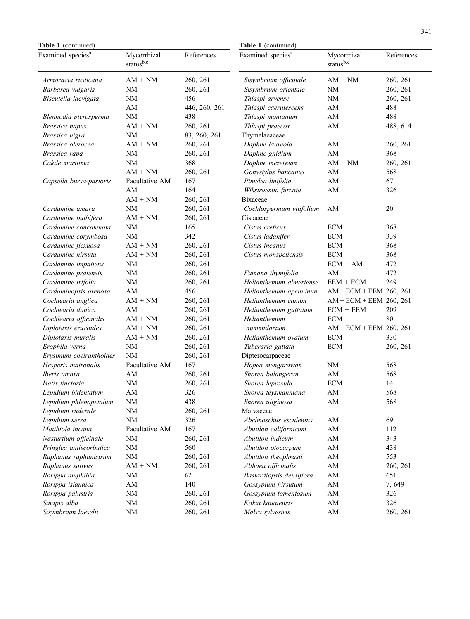| Table 1 (continued)           |                                |               | Table 1 (continued)           |                                |            |  |  |  |  |
|-------------------------------|--------------------------------|---------------|-------------------------------|--------------------------------|------------|--|--|--|--|
| Examined species <sup>a</sup> | Mycorrhizal<br>status $^{b,c}$ | References    | Examined species <sup>a</sup> | Mycorrhizal<br>status $^{b,c}$ | References |  |  |  |  |
| Armoracia rusticana           | $AM + NM$                      | 260, 261      | Sisymbrium officinale         | $AM + NM$                      | 260, 261   |  |  |  |  |
| Barbarea vulgaris             | <b>NM</b>                      | 260, 261      | Sisymbrium orientale          | <b>NM</b>                      | 260, 261   |  |  |  |  |
| Biscutella laevigata          | <b>NM</b>                      | 456           | Thlaspi arvense               | <b>NM</b>                      | 260, 261   |  |  |  |  |
|                               | AM                             | 446, 260, 261 | Thlaspi caerulescens          | AM                             | 488        |  |  |  |  |
| Blennodia pterosperma         | <b>NM</b>                      | 438           | Thlaspi montanum              | AM                             | 488        |  |  |  |  |
| Brassica napus                | $AM + NM$                      | 260, 261      | Thlaspi praecox               | AM                             | 488, 614   |  |  |  |  |
| Brassica nigra                | NΜ                             | 83, 260, 261  | Thymelaeaceae                 |                                |            |  |  |  |  |
| Brassica oleracea             | $AM + NM$                      | 260, 261      | Daphne laureola               | AM                             | 260, 261   |  |  |  |  |
| Brassica rapa                 | NΜ                             | 260, 261      | Daphne gnidium                | AM                             | 368        |  |  |  |  |
| Cakile maritima               | <b>NM</b>                      | 368           | Daphne mezereum               | $AM + NM$                      | 260, 261   |  |  |  |  |
|                               | $AM + NM$                      | 260, 261      | Gonystylus bancanus           | AM                             | 568        |  |  |  |  |
| Capsella bursa-pastoris       | Facultative AM                 | 167           | Pimelea linifolia             | AM                             | 67         |  |  |  |  |
|                               | AM                             | 164           | Wikstroemia furcata           | AM                             | 326        |  |  |  |  |
|                               | $AM + NM$                      | 260, 261      | <b>Bixaceae</b>               |                                |            |  |  |  |  |
| Cardamine amara               | <b>NM</b>                      | 260, 261      | Cochlospermum vitifolium      | AM                             | 20         |  |  |  |  |
| Cardamine bulbifera           | $AM + NM$                      | 260, 261      | Cistaceae                     |                                |            |  |  |  |  |
| Cardamine concatenata         | NΜ                             | 165           | Cistus creticus               | <b>ECM</b>                     | 368        |  |  |  |  |
| Cardamine corymbosa           | NΜ                             | 342           | Cistus ladanifer              | <b>ECM</b>                     | 339        |  |  |  |  |
| Cardamine flexuosa            | $AM + NM$                      | 260, 261      | Cistus incanus                | <b>ECM</b>                     | 368        |  |  |  |  |
| Cardamine hirsuta             | $AM + NM$                      | 260, 261      | Cistus monspeliensis          | <b>ECM</b>                     | 368        |  |  |  |  |
| Cardamine impatiens           | NΜ                             | 260, 261      |                               | $ECM + AM$                     | 472        |  |  |  |  |
| Cardamine pratensis           | <b>NM</b>                      | 260, 261      | Fumana thymifolia             | AM                             | 472        |  |  |  |  |
| Cardamine trifolia            | <b>NM</b>                      | 260, 261      | Helianthemum almeriense       | $EEM + ECM$                    | 249        |  |  |  |  |
| Cardaminopsis arenosa         | AM                             | 456           | Helianthemum apenninum        | $AM + ECM + EEM 260, 261$      |            |  |  |  |  |
| Cochlearia anglica            | $AM + NM$                      | 260, 261      | Helianthemum canum            | $AM + ECM + EEM 260, 261$      |            |  |  |  |  |
| Cochlearia danica             | AM                             | 260, 261      | Helianthemum guttatum         | $ECM + EEM$                    | 209        |  |  |  |  |
| Cochlearia officinalis        | $AM + NM$                      | 260, 261      | Helianthemum                  | <b>ECM</b>                     | 80         |  |  |  |  |
| Diplotaxis erucoides          | $AM + NM$                      | 260, 261      | nummularium                   | $AM + ECM + EEM 260, 261$      |            |  |  |  |  |
| Diplotaxis muralis            | $AM + NM$                      | 260, 261      | Helianthemum ovatum           | <b>ECM</b>                     | 330        |  |  |  |  |
| Erophila verna                | NΜ                             | 260, 261      | Tuberaria guttata             | <b>ECM</b>                     | 260, 261   |  |  |  |  |
| Erysimum cheiranthoides       | NM                             | 260, 261      | Dipterocarpaceae              |                                |            |  |  |  |  |
| Hesperis matronalis           | Facultative AM                 | 167           | Hopea mengarawan              | NM                             | 568        |  |  |  |  |
| Iberis amara                  | AM                             | 260, 261      | Shorea balangeran             | AM                             | 568        |  |  |  |  |
| Isatis tinctoria              | <b>NM</b>                      | 260, 261      | Shorea leprosula              | <b>ECM</b>                     | 14         |  |  |  |  |
| Lepidium bidentatum           | AM                             | 326           | Shorea teysmanniana           | AM                             | 568        |  |  |  |  |
| Lepidium phlebopetalum        | <b>NM</b>                      | 438           | Shorea uliginosa              | AM                             | 568        |  |  |  |  |
| Lepidium ruderale             | <b>NM</b>                      | 260, 261      | Malvaceae                     |                                |            |  |  |  |  |
| Lepidium serra                | NM                             | 326           | Abelmoschus esculentus        | AM                             | 69         |  |  |  |  |
| Matthiola incana              | Facultative AM                 | 167           | Abutilon californicum         | AM                             | 112        |  |  |  |  |
| Nasturtium officinale         | NM                             | 260, 261      | Abutilon indicum              | AM                             | 343        |  |  |  |  |
| Pringlea antiscorbutica       | <b>NM</b>                      | 560           | Abutilon otocarpum            | AM                             | 438        |  |  |  |  |
| Raphanus raphanistrum         | <b>NM</b>                      | 260, 261      | Abutilon theophrasti          | AM                             | 553        |  |  |  |  |
| Raphanus sativus              | $AM + NM$                      | 260, 261      | Althaea officinalis           | AM                             | 260, 261   |  |  |  |  |
| Rorippa amphibia              | <b>NM</b>                      | 62            | Bastardiopsis densiflora      | AM                             | 651        |  |  |  |  |
| Rorippa islandica             | AM                             | 140           | Gossypium hirsutum            | AM                             | 7,649      |  |  |  |  |
| Rorippa palustris             | $\rm{NM}$                      | 260, 261      | Gossypium tomentosum          | AM                             | 326        |  |  |  |  |
| Sinapis alba                  | <b>NM</b>                      | 260, 261      | Kokia kauaiensis              | AM                             | 326        |  |  |  |  |
| Sisymbrium loeselii           | <b>NM</b>                      | 260, 261      | Malva sylvestris              | AM                             | 260, 261   |  |  |  |  |
|                               |                                |               |                               |                                |            |  |  |  |  |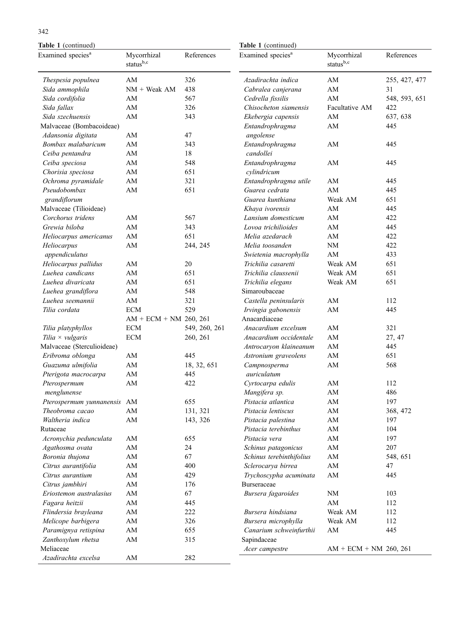| Table 1 (continued) |  |
|---------------------|--|
|---------------------|--|

| Table 1 (continued)                                                           |                          |                               | Table 1 (continued)            |                          |               |  |  |  |
|-------------------------------------------------------------------------------|--------------------------|-------------------------------|--------------------------------|--------------------------|---------------|--|--|--|
| Examined species <sup>a</sup><br>Mycorrhizal<br>References<br>status $^{b,c}$ |                          | Examined species <sup>a</sup> | Mycorrhizal<br>status $^{b,c}$ | References               |               |  |  |  |
| Thespesia populnea                                                            | AM                       | 326                           | Azadirachta indica             | AM                       | 255, 427, 477 |  |  |  |
| Sida ammophila                                                                | $NM + Weak AM$           | 438                           | Cabralea canjerana             | AM                       | 31            |  |  |  |
| Sida cordifolia                                                               | AM                       | 567                           | Cedrella fissilis              | AM                       | 548, 593, 651 |  |  |  |
| Sida fallax                                                                   | AM                       | 326                           | Chisocheton siamensis          | Facultative AM           | 422           |  |  |  |
| Sida szechuensis                                                              | AM                       | 343                           | Ekebergia capensis             | AM                       | 637, 638      |  |  |  |
| Malvaceae (Bombacoideae)                                                      |                          |                               | Entandrophragma                | AM                       | 445           |  |  |  |
| Adansonia digitata                                                            | AM                       | 47                            | angolense                      |                          |               |  |  |  |
| Bombax malabaricum                                                            | AM                       | 343                           | Entandrophragma                | AM                       | 445           |  |  |  |
| Ceiba pentandra                                                               | AM                       | 18                            | candollei                      |                          |               |  |  |  |
| Ceiba speciosa                                                                | AM                       | 548                           | Entandrophragma                | AM                       | 445           |  |  |  |
| Chorisia speciosa                                                             | AM                       | 651                           | cylindricum                    |                          |               |  |  |  |
| Ochroma pyramidale                                                            | AM                       | 321                           | Entandrophragma utile          | AM                       | 445           |  |  |  |
| Pseudobombax                                                                  | AM                       | 651                           | Guarea cedrata                 | AM                       | 445           |  |  |  |
| grandiflorum                                                                  |                          |                               | Guarea kunthiana               | Weak AM                  | 651           |  |  |  |
| Malvaceae (Tilioideae)                                                        |                          |                               | Khaya ivorensis                | AM                       | 445           |  |  |  |
| Corchorus tridens                                                             | AM                       | 567                           | Lansium domesticum             | AM                       | 422           |  |  |  |
| Grewia biloba                                                                 | AM                       | 343                           | Lovoa trichilioides            | AM                       | 445           |  |  |  |
| Heliocarpus americanus                                                        | AM                       | 651                           | Melia azedarach                | AM                       | 422           |  |  |  |
| Heliocarpus                                                                   | AM                       | 244, 245                      | Melia toosanden                | $\rm{NM}$                | 422           |  |  |  |
| appendiculatus                                                                |                          |                               | Swietenia macrophylla          | AM                       | 433           |  |  |  |
| Heliocarpus pallidus                                                          | AM                       | 20                            | Trichilia casaretti            | Weak AM                  | 651           |  |  |  |
| Luehea candicans                                                              | AM                       | 651                           | Trichilia claussenii           | Weak AM                  | 651           |  |  |  |
| Luehea divaricata                                                             | AM                       | 651                           | Trichilia elegans              | Weak AM                  | 651           |  |  |  |
| Luehea grandiflora                                                            | AM                       | 548                           | Simaroubaceae                  |                          |               |  |  |  |
| Luehea seemannii                                                              | AM                       | 321                           | Castella peninsularis          | AM                       | 112           |  |  |  |
| Tilia cordata                                                                 | <b>ECM</b>               | 529                           | Irvingia gabonensis            | AM                       | 445           |  |  |  |
|                                                                               | $AM + ECM + NM$ 260, 261 |                               | Anacardiaceae                  |                          |               |  |  |  |
| Tilia platyphyllos                                                            | <b>ECM</b>               | 549, 260, 261                 | Anacardium excelsum            | AM                       | 321           |  |  |  |
| Tilia $\times$ vulgaris                                                       | <b>ECM</b>               | 260, 261                      | Anacardium occidentale         | AM                       | 27, 47        |  |  |  |
| Malvaceae (Sterculioideae)                                                    |                          |                               | Antrocaryon klaineanum         | AM                       | 445           |  |  |  |
| Eribroma oblonga                                                              | AM                       | 445                           | Astronium graveolens           | AM                       | 651           |  |  |  |
| Guazuma ulmifolia                                                             | AM                       | 18, 32, 651                   | Campnosperma                   | AM                       | 568           |  |  |  |
| Pterigota macrocarpa                                                          | AM                       | 445                           | auriculatum                    |                          |               |  |  |  |
| Pterospermum                                                                  | AM                       | 422                           | Cyrtocarpa edulis              | AM                       | 112           |  |  |  |
| menglunense                                                                   |                          |                               | Mangifera sp.                  | AM                       | 486           |  |  |  |
| Pterospermum yunnanensis AM                                                   |                          | 655                           | Pistacia atlantica             | AM                       | 197           |  |  |  |
| Theobroma cacao                                                               | AM                       | 131, 321                      | Pistacia lentiscus             | AM                       | 368, 472      |  |  |  |
| Waltheria indica                                                              | AM                       | 143, 326                      | Pistacia palestina             | AM                       | 197           |  |  |  |
| Rutaceae                                                                      |                          |                               | Pistacia terebinthus           | AM                       | 104           |  |  |  |
| Acronychia pedunculata                                                        | AM                       | 655                           | Pistacia vera                  | AM                       | 197           |  |  |  |
| Agathosma ovata                                                               | AM                       | 24                            | Schinus patagonicus            | AM                       | 207           |  |  |  |
| Boronia thujona                                                               | AM                       | 67                            | Schinus terebinthifolius       | AM                       | 548, 651      |  |  |  |
| Citrus aurantifolia                                                           | AM                       | 400                           | Sclerocarya birrea             | $\mathbf{A}\mathbf{M}$   | 47            |  |  |  |
| Citrus aurantium                                                              | AM                       | 429                           | Trychoscypha acuminata         | AM                       | 445           |  |  |  |
| Citrus jambhiri                                                               | AM                       | 176                           | Burseraceae                    |                          |               |  |  |  |
| Eriostemon australasius                                                       | AM                       | 67                            | Bursera fagaroides             | NM                       | 103           |  |  |  |
| Fagara heitzii                                                                | AM                       | 445                           |                                | AM                       | 112           |  |  |  |
| Flindersia brayleana                                                          | AM                       | 222                           | Bursera hindsiana              | Weak AM                  | 112           |  |  |  |
| Melicope barbigera                                                            | $\mathbf{A}\mathbf{M}$   | 326                           | Bursera microphylla            | Weak AM                  | 112           |  |  |  |
| Paramignya retispina                                                          | AM                       | 655                           | Canarium schweinfurthii        | AM                       | 445           |  |  |  |
| Zanthoxylum rhetsa                                                            | AM                       | 315                           | Sapindaceae                    |                          |               |  |  |  |
| Meliaceae                                                                     |                          |                               | Acer campestre                 | $AM + ECM + NM$ 260, 261 |               |  |  |  |
| Azadirachta excelsa                                                           | AM                       | 282                           |                                |                          |               |  |  |  |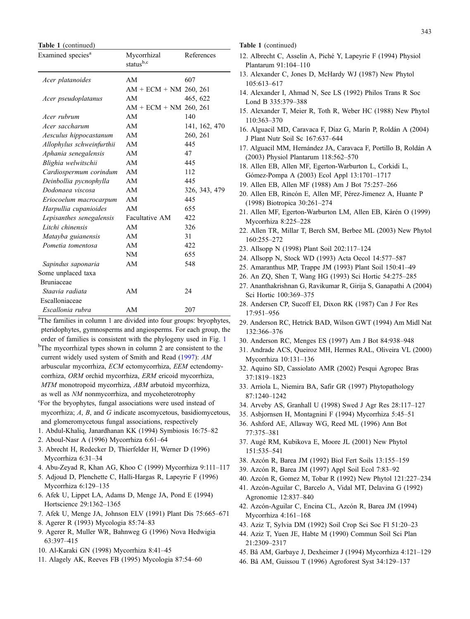| Examined species <sup>a</sup> | Mycorrhizal<br>status <sup>b,c</sup> | References    |
|-------------------------------|--------------------------------------|---------------|
| Acer platanoides              | AM                                   | 607           |
|                               | $AM + ECM + NM$ 260, 261             |               |
| Acer pseudoplatanus           | AM                                   | 465, 622      |
|                               | $AM + ECM + NM$ 260, 261             |               |
| Acer rubrum                   | AM                                   | 140           |
| Acer saccharum                | AM                                   | 141, 162, 470 |
| Aesculus hippocastanum        | AM                                   | 260, 261      |
| Allophylus schweinfurthii     | AM                                   | 445           |
| Aphania senegalensis          | AM                                   | 47            |
| Blighia welwitschii           | AM                                   | 445           |
| Cardiospermum corindum        | AM                                   | 112           |
| Deinbollia pycnophylla        | AM                                   | 445           |
| Dodonaea viscosa              | AM                                   | 326, 343, 479 |
| Eriocoelum macrocarpum        | AM                                   | 445           |
| Harpullia cupanioides         | AM                                   | 655           |
| Lepisanthes senegalensis      | Facultative AM                       | 422           |
| Litchi chinensis              | AM                                   | 326           |
| Matayba guianensis            | AM                                   | 31            |
| Pometia tomentosa             | AM                                   | 422           |
|                               | NM                                   | 655           |
| Sapindus saponaria            | AM                                   | 548           |
| Some unplaced taxa            |                                      |               |
| <b>Bruniaceae</b>             |                                      |               |
| Staavia radiata               | AM                                   | 24            |
| Escalloniaceae                |                                      |               |
| Escallonia rubra              | AM                                   | 207           |

<sup>a</sup>The families in column 1 are divided into four groups: bryophytes, pteridophytes, gymnosperms and angiosperms. For each group, the order of families is consistent with the phylogeny used in Fig. [1](#page-55-0) <sup>b</sup>The mycorrhizal types shown in column 2 are consistent to the current widely used system of Smith and Read ([1997\)](#page-64-0): AM arbuscular mycorrhiza, ECM ectomycorrhiza, EEM ectendomycorrhiza, ORM orchid mycorrhiza, ERM ericoid mycorrhiza,

MTM monotropoid mycorrhiza, ABM arbutoid mycorrhiza, as well as NM nonmycorrhiza, and mycoheterotrophy c For the bryophytes, fungal associations were used instead of

- mycorrhiza; A, B, and G indicate ascomycetous, basidiomycetous, and glomeromycetous fungal associations, respectively
- 1. Abdul-Khaliq, Janardhanan KK (1994) Symbiosis 16:75–82
- 2. Aboul-Nasr A (1996) Mycorrhiza 6:61–64
- 3. Abrecht H, Redecker D, Thierfelder H, Werner D (1996) Mycorrhiza 6:31–34
- 4. Abu-Zeyad R, Khan AG, Khoo C (1999) Mycorrhiza 9:111–117
- 5. Adjoud D, Plenchette C, Halli-Hargas R, Lapeyrie F (1996) Mycorrhiza 6:129–135
- 6. Afek U, Lippet LA, Adams D, Menge JA, Pond E (1994) Hortscience 29:1362–1365
- 7. Afek U, Menge JA, Johnson ELV (1991) Plant Dis 75:665–671
- 8. Agerer R (1993) Mycologia 85:74–83
- 9. Agerer R, Muller WR, Bahnweg G (1996) Nova Hedwigia 63:397–415
- 10. Al-Karaki GN (1998) Mycorrhiza 8:41–45
- 11. Alagely AK, Reeves FB (1995) Mycologia 87:54–60
- 12. Albrecht C, Asselin A, Piché Y, Lapeyrie F (1994) Physiol Plantarum 91:104–110
- 13. Alexander C, Jones D, McHardy WJ (1987) New Phytol 105:613–617
- 14. Alexander I, Ahmad N, See LS (1992) Philos Trans R Soc Lond B 335:379–388
- 15. Alexander T, Meier R, Toth R, Weber HC (1988) New Phytol 110:363–370
- 16. Alguacil MD, Caravaca F, Díaz G, Marín P, Roldán A (2004) J Plant Nutr Soil Sc 167:637–644
- 17. Alguacil MM, Hernández JA, Caravaca F, Portillo B, Roldán A (2003) Physiol Plantarum 118:562–570
- 18. Allen EB, Allen MF, Egerton-Warburton L, Corkidi L, Gómez-Pompa A (2003) Ecol Appl 13:1701–1717
- 19. Allen EB, Allen MF (1988) Am J Bot 75:257–266
- 20. Allen EB, Rincón E, Allen MF, Pérez-Jimenez A, Huante P (1998) Biotropica 30:261–274
- 21. Allen MF, Egerton-Warburton LM, Allen EB, Kårén O (1999) Mycorrhiza 8:225–228
- 22. Allen TR, Millar T, Berch SM, Berbee ML (2003) New Phytol 160:255–272
- 23. Allsopp N (1998) Plant Soil 202:117–124
- 24. Allsopp N, Stock WD (1993) Acta Oecol 14:577–587
- 25. Amaranthus MP, Trappe JM (1993) Plant Soil 150:41–49
- 26. An ZQ, Shen T, Wang HG (1993) Sci Hortic 54:275–285
- 27. Ananthakrishnan G, Ravikumar R, Girija S, Ganapathi A (2004) Sci Hortic 100:369–375
- 28. Andersen CP, Sucoff EI, Dixon RK (1987) Can J For Res 17:951–956
- 29. Anderson RC, Hetrick BAD, Wilson GWT (1994) Am Midl Nat 132:366–376
- 30. Anderson RC, Menges ES (1997) Am J Bot 84:938–948
- 31. Andrade ACS, Queiroz MH, Hermes RAL, Oliveira VL (2000) Mycorrhiza 10:131–136
- 32. Aquino SD, Cassiolato AMR (2002) Pesqui Agropec Bras 37:1819–1823
- 33. Arriola L, Niemira BA, Safir GR (1997) Phytopathology 87:1240–1242
- 34. Arveby AS, Granhall U (1998) Swed J Agr Res 28:117–127
- 35. Asbjornsen H, Montagnini F (1994) Mycorrhiza 5:45–51
- 36. Ashford AE, Allaway WG, Reed ML (1996) Ann Bot 77:375–381
- 37. Augé RM, Kubikova E, Moore JL (2001) New Phytol 151:535–541
- 38. Azcón R, Barea JM (1992) Biol Fert Soils 13:155–159
- 39. Azcón R, Barea JM (1997) Appl Soil Ecol 7:83–92
- 40. Azcón R, Gomez M, Tobar R (1992) New Phytol 121:227–234
- 41. Azcón-Aguilar C, Barcelo A, Vidal MT, Delavina G (1992) Agronomie 12:837–840
- 42. Azcón-Aguilar C, Encina CL, Azcón R, Barea JM (1994) Mycorrhiza 4:161–168
- 43. Aziz T, Sylvia DM (1992) Soil Crop Sci Soc Fl 51:20–23
- 44. Aziz T, Yuen JE, Habte M (1990) Commun Soil Sci Plan 21:2309–2317
- 45. Bâ AM, Garbaye J, Dexheimer J (1994) Mycorrhiza 4:121–129
- 46. Bâ AM, Guissou T (1996) Agroforest Syst 34:129–137

Table 1 (continued)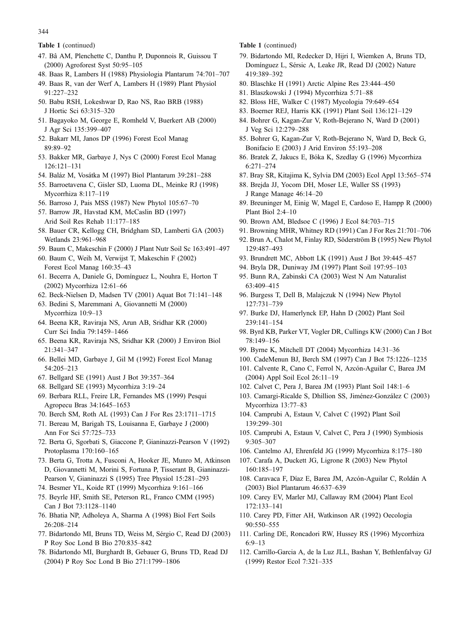344

- 47. Bâ AM, Plenchette C, Danthu P, Duponnois R, Guissou T (2000) Agroforest Syst 50:95–105
- 48. Baas R, Lambers H (1988) Physiologia Plantarum 74:701–707
- 49. Baas R, van der Werf A, Lambers H (1989) Plant Physiol 91:227–232
- 50. Babu RSH, Lokeshwar D, Rao NS, Rao BRB (1988) J Hortic Sci 63:315–320
- 51. Bagayoko M, George E, Romheld V, Buerkert AB (2000) J Agr Sci 135:399–407
- 52. Bakarr MI, Janos DP (1996) Forest Ecol Manag 89:89–92
- 53. Bakker MR, Garbaye J, Nys C (2000) Forest Ecol Manag 126:121–131
- 54. Baláz M, Vosátka M (1997) Biol Plantarum 39:281–288
- 55. Barroetavena C, Gisler SD, Luoma DL, Meinke RJ (1998) Mycorrhiza 8:117–119
- 56. Barroso J, Pais MSS (1987) New Phytol 105:67–70
- 57. Barrow JR, Havstad KM, McCaslin BD (1997) Arid Soil Res Rehab 11:177–185
- 58. Bauer CR, Kellogg CH, Bridgham SD, Lamberti GA (2003) Wetlands 23:961–968
- 59. Baum C, Makeschin F (2000) J Plant Nutr Soil Sc 163:491–497
- 60. Baum C, Weih M, Verwijst T, Makeschin F (2002) Forest Ecol Manag 160:35–43
- 61. Becerra A, Daniele G, Domínguez L, Nouhra E, Horton T (2002) Mycorrhiza 12:61–66
- 62. Beck-Nielsen D, Madsen TV (2001) Aquat Bot 71:141–148
- 63. Bedini S, Maremmani A, Giovannetti M (2000)
- Mycorrhiza 10:9–13
- 64. Beena KR, Raviraja NS, Arun AB, Sridhar KR (2000) Curr Sci India 79:1459–1466
- 65. Beena KR, Raviraja NS, Sridhar KR (2000) J Environ Biol 21:341–347
- 66. Bellei MD, Garbaye J, Gil M (1992) Forest Ecol Manag 54:205–213
- 67. Bellgard SE (1991) Aust J Bot 39:357–364
- 68. Bellgard SE (1993) Mycorrhiza 3:19–24
- 69. Berbara RLL, Freire LR, Fernandes MS (1999) Pesqui Agropecu Bras 34:1645–1653
- 70. Berch SM, Roth AL (1993) Can J For Res 23:1711–1715
- 71. Bereau M, Barigah TS, Louisanna E, Garbaye J (2000) Ann For Sci 57:725–733
- 72. Berta G, Sgorbati S, Giaccone P, Gianinazzi-Pearson V (1992) Protoplasma 170:160–165
- 73. Berta G, Trotta A, Fusconi A, Hooker JE, Munro M, Atkinson D, Giovannetti M, Morini S, Fortuna P, Tisserant B, Gianinazzi-Pearson V, Gianinazzi S (1995) Tree Physiol 15:281–293
- 74. Besmer YL, Koide RT (1999) Mycorrhiza 9:161–166
- 75. Beyrle HF, Smith SE, Peterson RL, Franco CMM (1995) Can J Bot 73:1128–1140
- 76. Bhatia NP, Adholeya A, Sharma A (1998) Biol Fert Soils 26:208–214
- 77. Bidartondo MI, Bruns TD, Weiss M, Sérgio C, Read DJ (2003) P Roy Soc Lond B Bio 270:835–842
- 78. Bidartondo MI, Burghardt B, Gebauer G, Bruns TD, Read DJ (2004) P Roy Soc Lond B Bio 271:1799–1806

- 79. Bidartondo MI, Redecker D, Hijri I, Wiemken A, Bruns TD, Domínguez L, Sérsic A, Leake JR, Read DJ (2002) Nature 419:389–392
- 80. Blaschke H (1991) Arctic Alpine Res 23:444–450
- 81. Blaszkowski J (1994) Mycorrhiza 5:71–88
- 82. Bloss HE, Walker C (1987) Mycologia 79:649–654
- 83. Boerner REJ, Harris KK (1991) Plant Soil 136:121–129
- 84. Bohrer G, Kagan-Zur V, Roth-Bejerano N, Ward D (2001) J Veg Sci 12:279–288
- 85. Bohrer G, Kagan-Zur V, Roth-Bejerano N, Ward D, Beck G, Bonifacio E (2003) J Arid Environ 55:193–208
- 86. Bratek Z, Jakucs E, Bóka K, Szedlay G (1996) Mycorrhiza 6:271–274
- 87. Bray SR, Kitajima K, Sylvia DM (2003) Ecol Appl 13:565–574
- 88. Brejda JJ, Yocom DH, Moser LE, Waller SS (1993) J Range Manage 46:14–20
- 89. Breuninger M, Einig W, Magel E, Cardoso E, Hampp R (2000) Plant Biol 2:4–10
- 90. Brown AM, Bledsoe C (1996) J Ecol 84:703–715
- 91. Browning MHR, Whitney RD (1991) Can J For Res 21:701–706
- 92. Brun A, Chalot M, Finlay RD, Söderström B (1995) New Phytol 129:487–493
- 93. Brundrett MC, Abbott LK (1991) Aust J Bot 39:445–457
- 94. Bryla DR, Duniway JM (1997) Plant Soil 197:95–103
- 95. Bunn RA, Zabinski CA (2003) West N Am Naturalist 63:409–415
- 96. Burgess T, Dell B, Malajczuk N (1994) New Phytol 127:731–739
- 97. Burke DJ, Hamerlynck EP, Hahn D (2002) Plant Soil 239:141–154
- 98. Byrd KB, Parker VT, Vogler DR, Cullings KW (2000) Can J Bot 78:149–156
- 99. Byrne K, Mitchell DT (2004) Mycorrhiza 14:31–36
- 100. CadeMenun BJ, Berch SM (1997) Can J Bot 75:1226–1235
- 101. Calvente R, Cano C, Ferrol N, Azcón-Aguilar C, Barea JM (2004) Appl Soil Ecol 26:11–19
- 102. Calvet C, Pera J, Barea JM (1993) Plant Soil 148:1–6
- 103. Camargi-Ricalde S, Dhillion SS, Jiménez-González C (2003) Mycorrhiza 13:77–83
- 104. Camprubi A, Estaun V, Calvet C (1992) Plant Soil 139:299–301
- 105. Camprubi A, Estaun V, Calvet C, Pera J (1990) Symbiosis 9:305–307
- 106. Cantelmo AJ, Ehrenfeld JG (1999) Mycorrhiza 8:175–180
- 107. Carafa A, Duckett JG, Ligrone R (2003) New Phytol 160:185–197
- 108. Caravaca F, Díaz E, Barea JM, Azcón-Aguilar C, Roldán A (2003) Biol Plantarum 46:637–639
- 109. Carey EV, Marler MJ, Callaway RM (2004) Plant Ecol 172:133–141
- 110. Carey PD, Fitter AH, Watkinson AR (1992) Oecologia 90:550–555
- 111. Carling DE, Roncadori RW, Hussey RS (1996) Mycorrhiza 6:9–13
- 112. Carrillo-Garcia A, de la Luz JLL, Bashan Y, Bethlenfalvay GJ (1999) Restor Ecol 7:321–335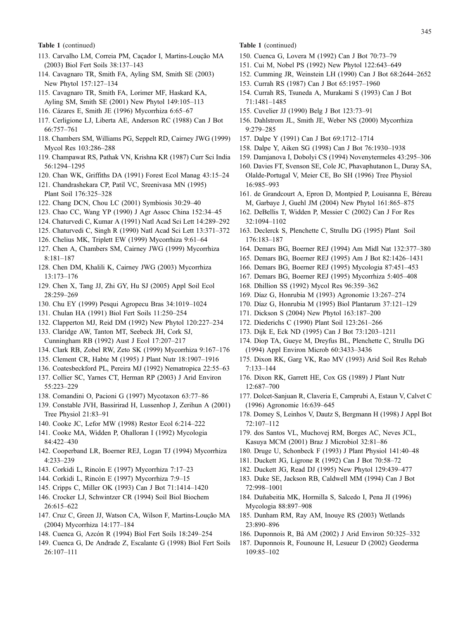- 113. Carvalho LM, Correia PM, Caçador I, Martins-Loução MA (2003) Biol Fert Soils 38:137–143
- 114. Cavagnaro TR, Smith FA, Ayling SM, Smith SE (2003) New Phytol 157:127–134
- 115. Cavagnaro TR, Smith FA, Lorimer MF, Haskard KA, Ayling SM, Smith SE (2001) New Phytol 149:105–113
- 116. Cázares E, Smith JE (1996) Mycorrhiza 6:65–67
- 117. Cerligione LJ, Liberta AE, Anderson RC (1988) Can J Bot 66:757–761
- 118. Chambers SM, Williams PG, Seppelt RD, Cairney JWG (1999) Mycol Res 103:286–288
- 119. Champawat RS, Pathak VN, Krishna KR (1987) Curr Sci India 56:1294–1295
- 120. Chan WK, Griffiths DA (1991) Forest Ecol Manag 43:15–24
- 121. Chandrashekara CP, Patil VC, Sreenivasa MN (1995) Plant Soil 176:325–328
- 122. Chang DCN, Chou LC (2001) Symbiosis 30:29–40
- 123. Chao CC, Wang YP (1990) J Agr Assoc China 152:34–45
- 124. Chaturvedi C, Kumar A (1991) Natl Acad Sci Lett 14:289–292
- 125. Chaturvedi C, Singh R (1990) Natl Acad Sci Lett 13:371–372
- 126. Chelius MK, Triplett EW (1999) Mycorrhiza 9:61–64
- 127. Chen A, Chambers SM, Cairney JWG (1999) Mycorrhiza 8:181–187
- 128. Chen DM, Khalili K, Cairney JWG (2003) Mycorrhiza 13:173–176
- 129. Chen X, Tang JJ, Zhi GY, Hu SJ (2005) Appl Soil Ecol 28:259–269
- 130. Chu EY (1999) Pesqui Agropecu Bras 34:1019–1024
- 131. Chulan HA (1991) Biol Fert Soils 11:250–254
- 132. Clapperton MJ, Reid DM (1992) New Phytol 120:227–234
- 133. Claridge AW, Tanton MT, Seebeck JH, Cork SJ, Cunningham RB (1992) Aust J Ecol 17:207–217
- 134. Clark RB, Zobel RW, Zeto SK (1999) Mycorrhiza 9:167–176
- 135. Clement CR, Habte M (1995) J Plant Nutr 18:1907–1916
- 136. Coatesbeckford PL, Pereira MJ (1992) Nematropica 22:55–63 137. Collier SC, Yarnes CT, Herman RP (2003) J Arid Environ 55:223–229
- 138. Comandini O, Pacioni G (1997) Mycotaxon 63:77–86
- 139. Constable JVH, Bassirirad H, Lussenhop J, Zerihun A (2001) Tree Physiol 21:83–91
- 140. Cooke JC, Lefor MW (1998) Restor Ecol 6:214–222
- 141. Cooke MA, Widden P, Ohalloran I (1992) Mycologia 84:422–430
- 142. Cooperband LR, Boerner REJ, Logan TJ (1994) Mycorrhiza 4:233–239
- 143. Corkidi L, Rincón E (1997) Mycorrhiza 7:17–23
- 144. Corkidi L, Rincón E (1997) Mycorrhiza 7:9–15
- 145. Cripps C, Miller OK (1993) Can J Bot 71:1414–1420
- 146. Crocker LJ, Schwintzer CR (1994) Soil Biol Biochem 26:615–622
- 147. Cruz C, Green JJ, Watson CA, Wilson F, Martins-Loução MA (2004) Mycorrhiza 14:177–184
- 148. Cuenca G, Azcón R (1994) Biol Fert Soils 18:249–254
- 149. Cuenca G, De Andrade Z, Escalante G (1998) Biol Fert Soils 26:107–111
- Table 1 (continued)
- 150. Cuenca G, Lovera M (1992) Can J Bot 70:73–79
- 151. Cui M, Nobel PS (1992) New Phytol 122:643–649
- 152. Cumming JR, Weinstein LH (1990) Can J Bot 68:2644–2652
- 153. Currah RS (1987) Can J Bot 65:1957–1960
- 154. Currah RS, Tsuneda A, Murakami S (1993) Can J Bot 71:1481–1485
- 155. Cuvelier JJ (1990) Belg J Bot 123:73–91
- 156. Dahlstrom JL, Smith JE, Weber NS (2000) Mycorrhiza 9:279–285
- 157. Dalpe Y (1991) Can J Bot 69:1712–1714
- 158. Dalpe Y, Aiken SG (1998) Can J Bot 76:1930–1938
- 159. Damjanova I, Dobolyi CS (1994) Novenytermeles 43:295–306
- 160. Davies FT, Svenson SE, Cole JC, Phavaphutanon L, Duray SA, Olalde-Portugal V, Meier CE, Bo SH (1996) Tree Physiol 16:985–993
- 161. de Grandcourt A, Epron D, Montpied P, Louisanna E, Béreau M, Garbaye J, Guehl JM (2004) New Phytol 161:865–875
- 162. DeBellis T, Widden P, Messier C (2002) Can J For Res 32:1094–1102
- 163. Declerck S, Plenchette C, Strullu DG (1995) Plant Soil 176:183–187
- 164. Demars BG, Boerner REJ (1994) Am Midl Nat 132:377–380
- 165. Demars BG, Boerner REJ (1995) Am J Bot 82:1426–1431
- 166. Demars BG, Boerner REJ (1995) Mycologia 87:451–453
- 167. Demars BG, Boerner REJ (1995) Mycorrhiza 5:405–408
- 168. Dhillion SS (1992) Mycol Res 96:359–362
- 169. Díaz G, Honrubia M (1993) Agronomie 13:267–274
- 170. Díaz G, Honrubia M (1995) Biol Plantarum 37:121–129
- 171. Dickson S (2004) New Phytol 163:187–200
- 172. Diederichs C (1990) Plant Soil 123:261–266
- 173. Dijk E, Eck ND (1995) Can J Bot 73:1203–1211
- 174. Diop TA, Gueye M, Dreyfus BL, Plenchette C, Strullu DG (1994) Appl Environ Microb 60:3433–3436
- 175. Dixon RK, Garg VK, Rao MV (1993) Arid Soil Res Rehab 7:133–144
- 176. Dixon RK, Garrett HE, Cox GS (1989) J Plant Nutr 12:687–700
- 177. Dolcet-Sanjuan R, Claveria E, Camprubi A, Estaun V, Calvet C (1996) Agronomie 16:639–645
- 178. Domey S, Leinhos V, Dautz S, Bergmann H (1998) J Appl Bot 72:107–112
- 179. dos Santos VL, Muchovej RM, Borges AC, Neves JCL, Kasuya MCM (2001) Braz J Microbiol 32:81–86
- 180. Druge U, Schonbeck F (1993) J Plant Physiol 141:40–48
- 181. Duckett JG, Ligrone R (1992) Can J Bot 70:58–72
- 182. Duckett JG, Read DJ (1995) New Phytol 129:439–477
- 183. Duke SE, Jackson RB, Caldwell MM (1994) Can J Bot 72:998–1001
- 184. Duñabeitia MK, Hormilla S, Salcedo I, Pena JI (1996) Mycologia 88:897–908
- 185. Dunham RM, Ray AM, Inouye RS (2003) Wetlands 23:890–896
- 186. Duponnois R, Bâ AM (2002) J Arid Environ 50:325–332
- 187. Duponnois R, Founoune H, Lesueur D (2002) Geoderma 109:85–102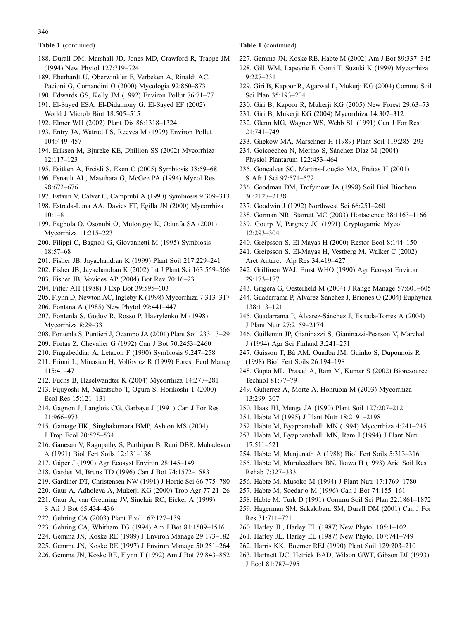- 188. Durall DM, Marshall JD, Jones MD, Crawford R, Trappe JM (1994) New Phytol 127:719–724
- 189. Eberhardt U, Oberwinkler F, Verbeken A, Rinaldi AC, Pacioni G, Comandini O (2000) Mycologia 92:860–873
- 190. Edwards GS, Kelly JM (1992) Environ Pollut 76:71–77
- 191. El-Sayed ESA, El-Didamony G, El-Sayed EF (2002) World J Microb Biot 18:505–515
- 192. Elmer WH (2002) Plant Dis 86:1318–1324
- 193. Entry JA, Watrud LS, Reeves M (1999) Environ Pollut 104:449–457
- 194. Eriksen M, Bjureke KE, Dhillion SS (2002) Mycorrhiza 12:117–123
- 195. Esitken A, Ercisli S, Eken C (2005) Symbiosis 38:59–68
- 196. Esnault AL, Masuhara G, McGee PA (1994) Mycol Res 98:672–676
- 197. Estaún V, Calvet C, Camprubí A (1990) Symbiosis 9:309–313
- 198. Estrada-Luna AA, Davies FT, Egilla JN (2000) Mycorrhiza 10:1–8
- 199. Fagbola O, Osonubi O, Mulongoy K, Odunfa SA (2001) Mycorrhiza 11:215–223
- 200. Filippi C, Bagnoli G, Giovannetti M (1995) Symbiosis 18:57–68
- 201. Fisher JB, Jayachandran K (1999) Plant Soil 217:229–241
- 202. Fisher JB, Jayachandran K (2002) Int J Plant Sci 163:559–566
- 203. Fisher JB, Vovides AP (2004) Bot Rev 70:16–23
- 204. Fitter AH (1988) J Exp Bot 39:595–603
- 205. Flynn D, Newton AC, Ingleby K (1998) Mycorrhiza 7:313–317
- 206. Fontana A (1985) New Phytol 99:441–447
- 207. Fontenla S, Godoy R, Rosso P, Havrylenko M (1998) Mycorrhiza 8:29–33
- 208. Fontenla S, Puntieri J, Ocampo JA (2001) Plant Soil 233:13–29
- 209. Fortas Z, Chevalier G (1992) Can J Bot 70:2453–2460
- 210. Fragabeddiar A, Letacon F (1990) Symbiosis 9:247–258
- 211. Frioni L, Minasian H, Volfovicz R (1999) Forest Ecol Manag 115:41–47
- 212. Fuchs B, Haselwandter K (2004) Mycorrhiza 14:277–281
- 213. Fujiyoshi M, Nakatsubo T, Ogura S, Horikoshi T (2000) Ecol Res 15:121–131
- 214. Gagnon J, Langlois CG, Garbaye J (1991) Can J For Res 21:966–973
- 215. Gamage HK, Singhakumara BMP, Ashton MS (2004) J Trop Ecol 20:525–534
- 216. Ganesan V, Ragupathy S, Parthipan B, Rani DBR, Mahadevan A (1991) Biol Fert Soils 12:131–136
- 217. Gáper J (1990) Agr Ecosyst Environ 28:145–149
- 218. Gardes M, Bruns TD (1996) Can J Bot 74:1572–1583
- 219. Gardiner DT, Christensen NW (1991) J Hortic Sci 66:775–780
- 220. Gaur A, Adholeya A, Mukerji KG (2000) Trop Agr 77:21–26
- 221. Gaur A, van Greuning JV, Sinclair RC, Eicker A (1999) S Afr J Bot 65:434–436
- 222. Gehring CA (2003) Plant Ecol 167:127–139
- 223. Gehring CA, Whitham TG (1994) Am J Bot 81:1509–1516
- 224. Gemma JN, Koske RE (1989) J Environ Manage 29:173–182
- 225. Gemma JN, Koske RE (1997) J Environ Manage 50:251–264
- 226. Gemma JN, Koske RE, Flynn T (1992) Am J Bot 79:843–852
- Table 1 (continued)
- 227. Gemma JN, Koske RE, Habte M (2002) Am J Bot 89:337–345
- 228. Gill WM, Lapeyrie F, Gomi T, Suzuki K (1999) Mycorrhiza 9:227–231
- 229. Giri B, Kapoor R, Agarwal L, Mukerji KG (2004) Commu Soil Sci Plan 35:193–204
- 230. Giri B, Kapoor R, Mukerji KG (2005) New Forest 29:63–73
- 231. Giri B, Mukerji KG (2004) Mycorrhiza 14:307–312
- 232. Glenn MG, Wagner WS, Webb SL (1991) Can J For Res 21:741–749
- 233. Gnekow MA, Marschner H (1989) Plant Soil 119:285–293
- 234. Goicoechea N, Merino S, Sánchez-Díaz M (2004) Physiol Plantarum 122:453–464
- 235. Gonçalves SC, Martins-Loução MA, Freitas H (2001) S Afr J Sci 97:571–572
- 236. Goodman DM, Trofymow JA (1998) Soil Biol Biochem 30:2127–2138
- 237. Goodwin J (1992) Northwest Sci 66:251–260
- 238. Gorman NR, Starrett MC (2003) Hortscience 38:1163–1166
- 239. Gourp V, Pargney JC (1991) Cryptogamie Mycol 12:293–304
- 240. Greipsson S, El-Mayas H (2000) Restor Ecol 8:144–150
- 241. Greipsson S, El-Mayas H, Vestberg M, Walker C (2002) Arct Antarct Alp Res 34:419–427
- 242. Griffioen WAJ, Ernst WHO (1990) Agr Ecosyst Environ 29:173–177
- 243. Grigera G, Oesterheld M (2004) J Range Manage 57:601–605
- 244. Guadarrama P, Álvarez-Sánchez J, Briones O (2004) Euphytica 138:113–121
- 245. Guadarrama P, Álvarez-Sánchez J, Estrada-Torres A (2004) J Plant Nutr 27:2159–2174
- 246. Guillemin JP, Gianinazzi S, Gianinazzi-Pearson V, Marchal J (1994) Agr Sci Finland 3:241–251
- 247. Guissou T, Bâ AM, Ouadba JM, Guinko S, Duponnois R (1998) Biol Fert Soils 26:194–198
- 248. Gupta ML, Prasad A, Ram M, Kumar S (2002) Bioresource Technol 81:77–79
- 249. Gutiérrez A, Morte A, Honrubia M (2003) Mycorrhiza 13:299–307
- 250. Haas JH, Menge JA (1990) Plant Soil 127:207–212
- 251. Habte M (1995) J Plant Nutr 18:2191–2198
- 252. Habte M, Byappanahalli MN (1994) Mycorrhiza 4:241–245
- 253. Habte M, Byappanahalli MN, Ram J (1994) J Plant Nutr 17:511–521
- 254. Habte M, Manjunath A (1988) Biol Fert Soils 5:313–316
- 255. Habte M, Muruleedhara BN, Ikawa H (1993) Arid Soil Res Rehab 7:327–333
- 256. Habte M, Musoko M (1994) J Plant Nutr 17:1769–1780
- 257. Habte M, Soedarjo M (1996) Can J Bot 74:155–161
- 258. Habte M, Turk D (1991) Commu Soil Sci Plan 22:1861–1872
- 259. Hagerman SM, Sakakibara SM, Durall DM (2001) Can J For Res 31:711–721
- 260. Harley JL, Harley EL (1987) New Phytol 105:1–102
- 261. Harley JL, Harley EL (1987) New Phytol 107:741–749
- 262. Harris KK, Boerner REJ (1990) Plant Soil 129:203–210
- 263. Hartnett DC, Hetrick BAD, Wilson GWT, Gibson DJ (1993) J Ecol 81:787–795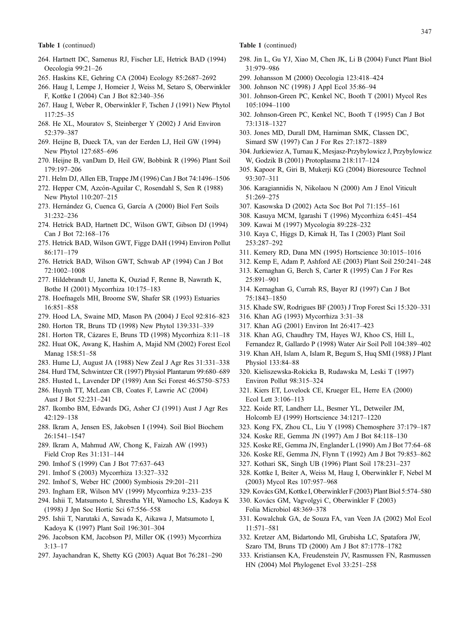- 264. Hartnett DC, Samenus RJ, Fischer LE, Hetrick BAD (1994) Oecologia 99:21–26
- 265. Haskins KE, Gehring CA (2004) Ecology 85:2687–2692
- 266. Haug I, Lempe J, Homeier J, Weiss M, Setaro S, Oberwinkler F, Kottke I (2004) Can J Bot 82:340–356
- 267. Haug I, Weber R, Oberwinkler F, Tschen J (1991) New Phytol 117:25–35
- 268. He XL, Mouratov S, Steinberger Y (2002) J Arid Environ 52:379–387
- 269. Heijne B, Dueck TA, van der Eerden LJ, Heil GW (1994) New Phytol 127:685–696
- 270. Heijne B, vanDam D, Heil GW, Bobbink R (1996) Plant Soil 179:197–206
- 271. Helm DJ, Allen EB, Trappe JM (1996) Can J Bot 74:1496–1506
- 272. Hepper CM, Azcón-Aguilar C, Rosendahl S, Sen R (1988) New Phytol 110:207–215
- 273. Hernández G, Cuenca G, García A (2000) Biol Fert Soils 31:232–236
- 274. Hetrick BAD, Hartnett DC, Wilson GWT, Gibson DJ (1994) Can J Bot 72:168–176
- 275. Hetrick BAD, Wilson GWT, Figge DAH (1994) Environ Pollut 86:171–179
- 276. Hetrick BAD, Wilson GWT, Schwab AP (1994) Can J Bot 72:1002–1008
- 277. Hildebrandt U, Janetta K, Ouziad F, Renne B, Nawrath K, Bothe H (2001) Mycorrhiza 10:175–183
- 278. Hoefnagels MH, Broome SW, Shafer SR (1993) Estuaries 16:851–858
- 279. Hood LA, Swaine MD, Mason PA (2004) J Ecol 92:816–823
- 280. Horton TR, Bruns TD (1998) New Phytol 139:331–339
- 281. Horton TR, Cázares E, Bruns TD (1998) Mycorrhiza 8:11–18
- 282. Huat OK, Awang K, Hashim A, Majid NM (2002) Forest Ecol Manag 158:51–58
- 283. Hume LJ, August JA (1988) New Zeal J Agr Res 31:331–338
- 284. Hurd TM, Schwintzer CR (1997) Physiol Plantarum 99:680–689
- 285. Husted L, Lavender DP (1989) Ann Sci Forest 46:S750–S753
- 286. Huynh TT, McLean CB, Coates F, Lawrie AC (2004) Aust J Bot 52:231–241
- 287. Ikombo BM, Edwards DG, Asher CJ (1991) Aust J Agr Res 42:129–138
- 288. Ikram A, Jensen ES, Jakobsen I (1994). Soil Biol Biochem 26:1541–1547
- 289. Ikram A, Mahmud AW, Chong K, Faizah AW (1993) Field Crop Res 31:131–144
- 290. Imhof S (1999) Can J Bot 77:637–643
- 291. Imhof S (2003) Mycorrhiza 13:327–332
- 292. Imhof S, Weber HC (2000) Symbiosis 29:201–211
- 293. Ingham ER, Wilson MV (1999) Mycorrhiza 9:233–235
- 294. Ishii T, Matsumoto I, Shrestha YH, Wamocho LS, Kadoya K (1998) J Jpn Soc Hortic Sci 67:556–558
- 295. Ishii T, Narutaki A, Sawada K, Aikawa J, Matsumoto I, Kadoya K (1997) Plant Soil 196:301–304
- 296. Jacobson KM, Jacobson PJ, Miller OK (1993) Mycorrhiza 3:13–17
- 297. Jayachandran K, Shetty KG (2003) Aquat Bot 76:281–290
- Table 1 (continued)
- 298. Jin L, Gu YJ, Xiao M, Chen JK, Li B (2004) Funct Plant Biol 31:979–986
- 299. Johansson M (2000) Oecologia 123:418–424
- 300. Johnson NC (1998) J Appl Ecol 35:86–94
- 301. Johnson-Green PC, Kenkel NC, Booth T (2001) Mycol Res 105:1094–1100
- 302. Johnson-Green PC, Kenkel NC, Booth T (1995) Can J Bot 73:1318–1327
- 303. Jones MD, Durall DM, Harniman SMK, Classen DC, Simard SW (1997) Can J For Res 27:1872–1889
- 304. Jurkiewiez A, Turnau K, Mesjasz-Przybylowicz J, Przybylowicz W, Godzik B (2001) Protoplasma 218:117–124
- 305. Kapoor R, Giri B, Mukerji KG (2004) Bioresource Technol 93:307–311
- 306. Karagiannidis N, Nikolaou N (2000) Am J Enol Viticult 51:269–275
- 307. Kasowska D (2002) Acta Soc Bot Pol 71:155–161
- 308. Kasuya MCM, Igarashi T (1996) Mycorrhiza 6:451–454
- 309. Kawai M (1997) Mycologia 89:228–232
- 310. Kaya C, Higgs D, Kirnak H, Tas I (2003) Plant Soil 253:287–292
- 311. Kemery RD, Dana MN (1995) Hortscience 30:1015–1016
- 312. Kemp E, Adam P, Ashford AE (2003) Plant Soil 250:241–248
- 313. Kernaghan G, Berch S, Carter R (1995) Can J For Res 25:891–901
- 314. Kernaghan G, Currah RS, Bayer RJ (1997) Can J Bot 75:1843–1850
- 315. Khade SW, Rodrigues BF (2003) J Trop Forest Sci 15:320–331
- 316. Khan AG (1993) Mycorrhiza 3:31–38
- 317. Khan AG (2001) Environ Int 26:417–423
- 318. Khan AG, Chaudhry TM, Hayes WJ, Khoo CS, Hill L, Fernandez R, Gallardo P (1998) Water Air Soil Poll 104:389–402
- 319. Khan AH, Islam A, Islam R, Begum S, Huq SMI (1988) J Plant Physiol 133:84–88
- 320. Kieliszewska-Rokicka B, Rudawska M, Leski T (1997) Environ Pollut 98:315–324
- 321. Kiers ET, Lovelock CE, Krueger EL, Herre EA (2000) Ecol Lett 3:106–113
- 322. Koide RT, Landherr LL, Besmer YL, Detweiler JM, Holcomb EJ (1999) Hortscience 34:1217–1220
- 323. Kong FX, Zhou CL, Liu Y (1998) Chemosphere 37:179–187
- 324. Koske RE, Gemma JN (1997) Am J Bot 84:118–130
- 325. Koske RE, Gemma JN, Englander L (1990) Am J Bot 77:64–68
- 326. Koske RE, Gemma JN, Flynn T (1992) Am J Bot 79:853–862
- 327. Kothari SK, Singh UB (1996) Plant Soil 178:231–237
- 328. Kottke I, Beiter A, Weiss M, Haug I, Oberwinkler F, Nebel M (2003) Mycol Res 107:957–968
- 329. Kovács GM, Kottke I, Oberwinkler F (2003) Plant Biol 5:574–580
- 330. Kovács GM, Vagvolgyi C, Oberwinkler F (2003) Folia Microbiol 48:369–378
- 331. Kowalchuk GA, de Souza FA, van Veen JA (2002) Mol Ecol 11:571–581
- 332. Kretzer AM, Bidartondo MI, Grubisha LC, Spatafora JW, Szaro TM, Bruns TD (2000) Am J Bot 87:1778–1782
- 333. Kristiansen KA, Freudenstein JV, Rasmussen FN, Rasmussen HN (2004) Mol Phylogenet Evol 33:251–258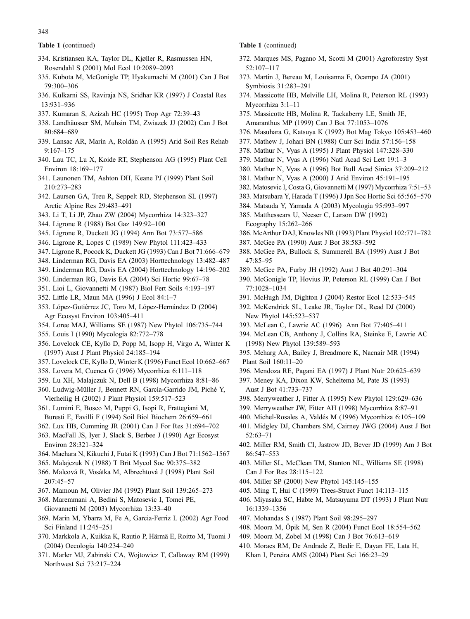- 334. Kristiansen KA, Taylor DL, Kjøller R, Rasmussen HN, Rosendahl S (2001) Mol Ecol 10:2089–2093
- 335. Kubota M, McGonigle TP, Hyakumachi M (2001) Can J Bot 79:300–306
- 336. Kulkarni SS, Raviraja NS, Sridhar KR (1997) J Coastal Res 13:931–936
- 337. Kumaran S, Azizah HC (1995) Trop Agr 72:39–43
- 338. Landhäusser SM, Muhsin TM, Zwiazek JJ (2002) Can J Bot 80:684–689
- 339. Lansac AR, Marín A, Roldán A (1995) Arid Soil Res Rehab 9:167–175
- 340. Lau TC, Lu X, Koide RT, Stephenson AG (1995) Plant Cell Environ 18:169–177
- 341. Launonen TM, Ashton DH, Keane PJ (1999) Plant Soil 210:273–283
- 342. Laursen GA, Treu R, Seppelt RD, Stephenson SL (1997) Arctic Alpine Res 29:483–491
- 343. Li T, Li JP, Zhao ZW (2004) Mycorrhiza 14:323–327
- 344. Ligrone R (1988) Bot Gaz 149:92–100
- 345. Ligrone R, Duckett JG (1994) Ann Bot 73:577–586
- 346. Ligrone R, Lopes C (1989) New Phytol 111:423–433
- 347. Ligrone R, Pocock K, Duckett JG (1993) Can J Bot 71:666–679
- 348. Linderman RG, Davis EA (2003) Horttechnology 13:482–487
- 349. Linderman RG, Davis EA (2004) Horttechnology 14:196–202
- 350. Linderman RG, Davis EA (2004) Sci Hortic 99:67–78
- 351. Lioi L, Giovannetti M (1987) Biol Fert Soils 4:193–197
- 352. Little LR, Maun MA (1996) J Ecol 84:1–7
- 353. López-Gutiérrez JC, Toro M, López-Hernández D (2004) Agr Ecosyst Environ 103:405–411
- 354. Loree MAJ, Williams SE (1987) New Phytol 106:735–744
- 355. Louis I (1990) Mycologia 82:772–778
- 356. Lovelock CE, Kyllo D, Popp M, Isopp H, Virgo A, Winter K (1997) Aust J Plant Physiol 24:185–194
- 357. Lovelock CE, Kyllo D, Winter K (1996) Funct Ecol 10:662–667
- 358. Lovera M, Cuenca G (1996) Mycorrhiza 6:111–118
- 359. Lu XH, Malajczuk N, Dell B (1998) Mycorrhiza 8:81–86
- 360. Ludwig-Müller J, Bennett RN, García-Garrido JM, Piché Y, Vierheilig H (2002) J Plant Physiol 159:517–523
- 361. Lumini E, Bosco M, Puppi G, Isopi R, Frattegiani M, Buresti E, Favilli F (1994) Soil Biol Biochem 26:659–661
- 362. Lux HB, Cumming JR (2001) Can J For Res 31:694–702
- 363. MacFall JS, Iyer J, Slack S, Berbee J (1990) Agr Ecosyst Environ 28:321–324
- 364. Maehara N, Kikuchi J, Futai K (1993) Can J Bot 71:1562–1567
- 365. Malajczuk N (1988) T Brit Mycol Soc 90:375–382
- 366. Malcová R, Vosátka M, Albrechtová J (1998) Plant Soil 207:45–57
- 367. Mamoun M, Olivier JM (1992) Plant Soil 139:265–273
- 368. Maremmani A, Bedini S, Matosevic I, Tomei PE, Giovannetti M (2003) Mycorrhiza 13:33–40
- 369. Marin M, Ybarra M, Fe A, Garcia-Ferriz L (2002) Agr Food Sci Finland 11:245–251
- 370. Markkola A, Kuikka K, Rautio P, Härmä E, Roitto M, Tuomi J (2004) Oecologia 140:234–240
- 371. Marler MJ, Zabinski CA, Wojtowicz T, Callaway RM (1999) Northwest Sci 73:217–224
- Table 1 (continued)
- 372. Marques MS, Pagano M, Scotti M (2001) Agroforestry Syst 52:107–117
- 373. Martin J, Bereau M, Louisanna E, Ocampo JA (2001) Symbiosis 31:283–291
- 374. Massicotte HB, Melville LH, Molina R, Peterson RL (1993) Mycorrhiza 3:1–11
- 375. Massicotte HB, Molina R, Tackaberry LE, Smith JE, Amaranthus MP (1999) Can J Bot 77:1053–1076
- 376. Masuhara G, Katsuya K (1992) Bot Mag Tokyo 105:453–460
- 377. Mathew J, Johari BN (1988) Curr Sci India 57:156–158
- 378. Mathur N, Vyas A (1995) J Plant Physiol 147:328–330
- 379. Mathur N, Vyas A (1996) Natl Acad Sci Lett 19:1–3
- 380. Mathur N, Vyas A (1996) Bot Bull Acad Sinica 37:209–212
- 381. Mathur N, Vyas A (2000) J Arid Environ 45:191–195
- 382. Matosevic I, Costa G, Giovannetti M (1997) Mycorrhiza 7:51–53
- 383. Matsubara Y, Harada T (1996) J Jpn Soc Hortic Sci 65:565–570
- 384. Matsuda Y, Yamada A (2003) Mycologia 95:993–997
- 385. Matthessears U, Neeser C, Larson DW (1992) Ecography 15:262–266
- 386. McArthur DAJ, Knowles NR (1993) Plant Physiol 102:771–782
- 387. McGee PA (1990) Aust J Bot 38:583–592
- 388. McGee PA, Bullock S, Summerell BA (1999) Aust J Bot 47:85–95
- 389. McGee PA, Furby JH (1992) Aust J Bot 40:291–304
- 390. McGonigle TP, Hovius JP, Peterson RL (1999) Can J Bot 77:1028–1034
- 391. McHugh JM, Dighton J (2004) Restor Ecol 12:533–545
- 392. McKendrick SL, Leake JR, Taylor DL, Read DJ (2000) New Phytol 145:523–537
- 393. McLean C, Lawrie AC (1996) Ann Bot 77:405–411
- 394. McLean CB, Anthony J, Collins RA, Steinke E, Lawrie AC (1998) New Phytol 139:589–593
- 395. Meharg AA, Bailey J, Breadmore K, Nacnair MR (1994) Plant Soil 160:11–20
- 396. Mendoza RE, Pagani EA (1997) J Plant Nutr 20:625–639
- 397. Meney KA, Dixon KW, Scheltema M, Pate JS (1993) Aust J Bot 41:733–737
- 398. Merryweather J, Fitter A (1995) New Phytol 129:629–636
- 399. Merryweather JW, Fitter AH (1998) Mycorrhiza 8:87–91
- 400. Michel-Rosales A, Valdés M (1996) Mycorrhiza 6:105–109
- 401. Midgley DJ, Chambers SM, Cairney JWG (2004) Aust J Bot 52:63–71
- 402. Miller RM, Smith CI, Jastrow JD, Bever JD (1999) Am J Bot 86:547–553
- 403. Miller SL, McClean TM, Stanton NL, Williams SE (1998) Can J For Res 28:115–122
- 404. Miller SP (2000) New Phytol 145:145–155
- 405. Ming T, Hui C (1999) Trees-Struct Funct 14:113–115
- 406. Miyasaka SC, Habte M, Matsuyama DT (1993) J Plant Nutr 16:1339–1356
- 407. Mohandas S (1987) Plant Soil 98:295–297
- 408. Moora M, Öpik M, Sen R (2004) Funct Ecol 18:554–562
- 409. Moora M, Zobel M (1998) Can J Bot 76:613–619
- 410. Moraes RM, De Andrade Z, Bedir E, Dayan FE, Lata H, Khan I, Pereira AMS (2004) Plant Sci 166:23–29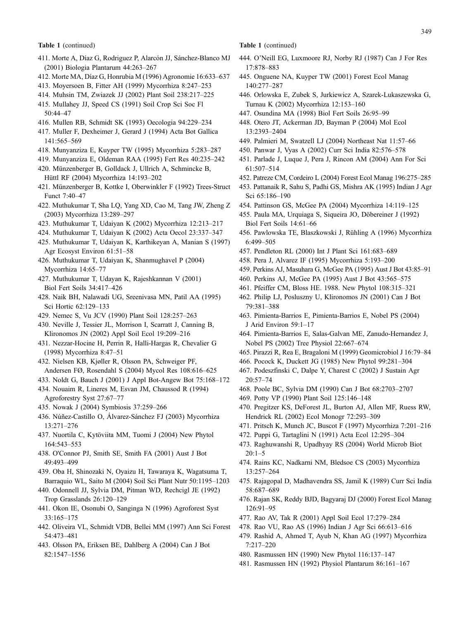- 411. Morte A, Díaz G, Rodriguez P, Alarcón JJ, Sánchez-Blanco MJ (2001) Biologia Plantarum 44:263–267
- 412. Morte MA, Díaz G, Honrubia M (1996) Agronomie 16:633–637
- 413. Moyersoen B, Fitter AH (1999) Mycorrhiza 8:247–253
- 414. Muhsin TM, Zwiazek JJ (2002) Plant Soil 238:217–225
- 415. Mullahey JJ, Speed CS (1991) Soil Crop Sci Soc Fl 50:44–47
- 416. Mullen RB, Schmidt SK (1993) Oecologia 94:229–234
- 417. Muller F, Dexheimer J, Gerard J (1994) Acta Bot Gallica 141:565–569
- 418. Munyanziza E, Kuyper TW (1995) Mycorrhiza 5:283–287
- 419. Munyanziza E, Oldeman RAA (1995) Fert Res 40:235–242
- 420. Münzenberger B, Golldack J, Ullrich A, Schmincke B, Hüttl RF (2004) Mycorrhiza 14:193–202
- 421. Münzenberger B, Kottke I, Oberwinkler F (1992) Trees-Struct Funct 7:40–47
- 422. Muthukumar T, Sha LQ, Yang XD, Cao M, Tang JW, Zheng Z (2003) Mycorrhiza 13:289–297
- 423. Muthukumar T, Udaiyan K (2002) Mycorrhiza 12:213–217
- 424. Muthukumar T, Udaiyan K (2002) Acta Oecol 23:337–347
- 425. Muthukumar T, Udaiyan K, Karthikeyan A, Manian S (1997) Agr Ecosyst Environ 61:51–58
- 426. Muthukumar T, Udaiyan K, Shanmughavel P (2004) Mycorrhiza 14:65–77
- 427. Muthukumar T, Udayan K, Rajeshkannan V (2001) Biol Fert Soils 34:417–426
- 428. Naik BH, Nalawadi UG, Sreenivasa MN, Patil AA (1995) Sci Hortic 62:129–133
- 429. Nemec S, Vu JCV (1990) Plant Soil 128:257–263
- 430. Neville J, Tessier JL, Morrison I, Scarratt J, Canning B, Klironomos JN (2002) Appl Soil Ecol 19:209–216
- 431. Nezzar-Hocine H, Perrin R, Halli-Hargas R, Chevalier G (1998) Mycorrhiza 8:47–51
- 432. Nielsen KB, Kjøller R, Olsson PA, Schweiger PF, Andersen FØ, Rosendahl S (2004) Mycol Res 108:616–625
- 433. Noldt G, Bauch J (2001) J Appl Bot-Angew Bot 75:168–172
- 434. Nouaim R, Lineres M, Esvan JM, Chaussod R (1994) Agroforestry Syst 27:67–77
- 435. Nowak J (2004) Symbiosis 37:259–266
- 436. Núñez-Castillo O, Álvarez-Sánchez FJ (2003) Mycorrhiza 13:271–276
- 437. Nuortila C, Kytöviita MM, Tuomi J (2004) New Phytol 164:543–553
- 438. O'Connor PJ, Smith SE, Smith FA (2001) Aust J Bot 49:493–499
- 439. Oba H, Shinozaki N, Oyaizu H, Tawaraya K, Wagatsuma T, Barraquio WL, Saito M (2004) Soil Sci Plant Nutr 50:1195–1203
- 440. Odonnell JJ, Sylvia DM, Pitman WD, Rechcigl JE (1992) Trop Grasslands 26:120–129
- 441. Okon IE, Osonubi O, Sanginga N (1996) Agroforest Syst 33:165–175
- 442. Oliveira VL, Schmidt VDB, Bellei MM (1997) Ann Sci Forest 54:473–481
- 443. Olsson PA, Eriksen BE, Dahlberg A (2004) Can J Bot 82:1547–1556

- 444. O'Neill EG, Luxmoore RJ, Norby RJ (1987) Can J For Res 17:878–883
- 445. Onguene NA, Kuyper TW (2001) Forest Ecol Manag 140:277–287
- 446. Orlowska E, Zubek S, Jurkiewicz A, Szarek-Lukaszewska G, Turnau K (2002) Mycorrhiza 12:153–160
- 447. Osundina MA (1998) Biol Fert Soils 26:95–99
- 448. Otero JT, Ackerman JD, Bayman P (2004) Mol Ecol 13:2393–2404
- 449. Palmieri M, Swatzell LJ (2004) Northeast Nat 11:57–66
- 450. Panwar J, Vyas A (2002) Curr Sci India 82:576–578
- 451. Parlade J, Luque J, Pera J, Rincon AM (2004) Ann For Sci 61:507–514
- 452. Patreze CM, Cordeiro L (2004) Forest Ecol Manag 196:275–285
- 453. Pattanaik R, Sahu S, Padhi GS, Mishra AK (1995) Indian J Agr Sci 65:186–190
- 454. Pattinson GS, McGee PA (2004) Mycorrhiza 14:119–125
- 455. Paula MA, Urquiaga S, Siqueira JO, Döbereiner J (1992) Biol Fert Soils 14:61–66
- 456. Pawlowska TE, Blaszkowski J, Rühling A (1996) Mycorrhiza 6:499–505
- 457. Pendleton RL (2000) Int J Plant Sci 161:683–689
- 458. Pera J, Alvarez IF (1995) Mycorrhiza 5:193–200
- 459. Perkins AJ, Masuhara G, McGee PA (1995) Aust J Bot 43:85–91
- 460. Perkins AJ, McGee PA (1995) Aust J Bot 43:565–575
- 461. Pfeiffer CM, Bloss HE. 1988. New Phytol 108:315–321
- 462. Philip LJ, Posluszny U, Klironomos JN (2001) Can J Bot 79:381–388
- 463. Pimienta-Barrios E, Pimienta-Barrios E, Nobel PS (2004) J Arid Environ 59:1–17
- 464. Pimienta-Barrios E, Salas-Galvan ME, Zanudo-Hernandez J, Nobel PS (2002) Tree Physiol 22:667–674
- 465. Pirazzi R, Rea E, Bragaloni M (1999) Geomicrobiol J 16:79–84
- 466. Pocock K, Duckett JG (1985) New Phytol 99:281–304
- 467. Podeszfinski C, Dalpe Y, Charest C (2002) J Sustain Agr 20:57–74
- 468. Poole BC, Sylvia DM (1990) Can J Bot 68:2703–2707
- 469. Potty VP (1990) Plant Soil 125:146–148
- 470. Pregitzer KS, DeForest JL, Burton AJ, Allen MF, Ruess RW, Hendrick RL (2002) Ecol Monogr 72:293–309
- 471. Pritsch K, Munch JC, Buscot F (1997) Mycorrhiza 7:201–216
- 472. Puppi G, Tartaglini N (1991) Acta Ecol 12:295–304
- 473. Raghuwanshi R, Upadhyay RS (2004) World Microb Biot 20:1–5
- 474. Rains KC, Nadkarni NM, Bledsoe CS (2003) Mycorrhiza 13:257–264
- 475. Rajagopal D, Madhavendra SS, Jamil K (1989) Curr Sci India 58:687–689
- 476. Rajan SK, Reddy BJD, Bagyaraj DJ (2000) Forest Ecol Manag 126:91–95
- 477. Rao AV, Tak R (2001) Appl Soil Ecol 17:279–284
- 478. Rao VU, Rao AS (1996) Indian J Agr Sci 66:613–616
- 479. Rashid A, Ahmed T, Ayub N, Khan AG (1997) Mycorrhiza 7:217–220
- 480. Rasmussen HN (1990) New Phytol 116:137–147
- 481. Rasmussen HN (1992) Physiol Plantarum 86:161–167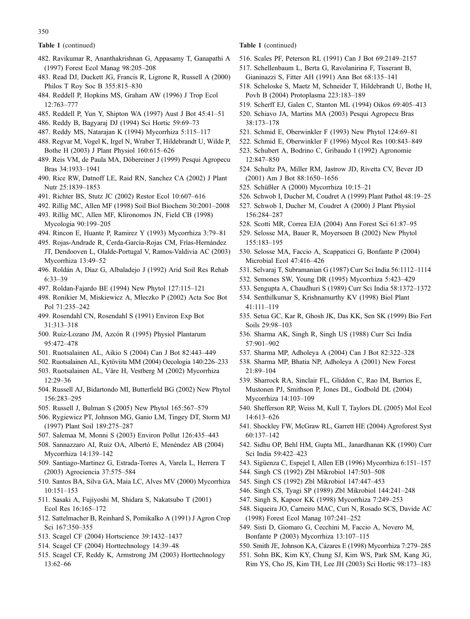#### Table 1 (continued) Table 1 (continued)

- 482. Ravikumar R, Ananthakrishnan G, Appasamy T, Ganapathi A (1997) Forest Ecol Manag 98:205–208
- 483. Read DJ, Duckett JG, Francis R, Ligrone R, Russell A (2000) Philos T Roy Soc B 355:815–830
- 484. Reddell P, Hopkins MS, Graham AW (1996) J Trop Ecol 12:763–777
- 485. Reddell P, Yun Y, Shipton WA (1997) Aust J Bot 45:41–51
- 486. Reddy B, Bagyaraj DJ (1994) Sci Hortic 59:69–73
- 487. Reddy MS, Natarajan K (1994) Mycorrhiza 5:115–117
- 488. Regvar M, Vogel K, Irgel N, Wraber T, Hildebrandt U, Wilde P, Bothe H (2003) J Plant Physiol 160:615–626
- 489. Reis VM, de Paula MA, Döbereiner J (1999) Pesqui Agropecu Bras 34:1933–1941
- 490. Rice RW, Datnoff LE, Raid RN, Sanchez CA (2002) J Plant Nutr 25:1839–1853
- 491. Richter BS, Stutz JC (2002) Restor Ecol 10:607–616
- 492. Rillig MC, Allen MF (1998) Soil Biol Biochem 30:2001–2008 493. Rillig MC, Allen MF, Klironomos JN, Field CB (1998)
- Mycologia 90:199–205
- 494. Rincon E, Huante P, Ramirez Y (1993) Mycorrhiza 3:79–81
- 495. Rojas-Andrade R, Cerda-García-Rojas CM, Frías-Hernández JT, Dendooven L, Olalde-Portugal V, Ramos-Valdivia AC (2003) Mycorrhiza 13:49–52
- 496. Roldán A, Díaz G, Albaladejo J (1992) Arid Soil Res Rehab 6:33–39
- 497. Roldan-Fajardo BE (1994) New Phytol 127:115–121
- 498. Ronikier M, Miskiewicz A, Mleczko P (2002) Acta Soc Bot Pol 71:235–242
- 499. Rosendahl CN, Rosendahl S (1991) Environ Exp Bot 31:313–318
- 500. Ruiz-Lozano JM, Azcón R (1995) Physiol Plantarum 95:472–478
- 501. Ruotsalainen AL, Aikio S (2004) Can J Bot 82:443–449
- 502. Ruotsalainen AL, Kytöviita MM (2004) Oecologia 140:226–233
- 503. Ruotsalainen AL, Väre H, Vestberg M (2002) Mycorrhiza 12:29–36
- 504. Russell AJ, Bidartondo MI, Butterfield BG (2002) New Phytol 156:283–295
- 505. Russell J, Bulman S (2005) New Phytol 165:567–579
- 506. Rygiewicz PT, Johnson MG, Ganio LM, Tingey DT, Storm MJ (1997) Plant Soil 189:275–287
- 507. Salemaa M, Monni S (2003) Environ Pollut 126:435–443
- 508. Sannazzaro AI, Ruiz OA, Albertó E, Menéndez AB (2004) Mycorrhiza 14:139–142
- 509. Santiago-Martinez G, Estrada-Torres A, Varela L, Herrera T (2003) Agrociencia 37:575–584
- 510. Santos BA, Silva GA, Maia LC, Alves MV (2000) Mycorrhiza 10:151–153
- 511. Sasaki A, Fujiyoshi M, Shidara S, Nakatsubo T (2001) Ecol Res 16:165–172
- 512. Sattelmacher B, Reinhard S, Pomikalko A (1991) J Agron Crop Sci 167:350–355
- 513. Scagel CF (2004) Hortscience 39:1432–1437
- 514. Scagel CF (2004) Horttechnology 14:39–48
- 515. Scagel CF, Reddy K, Armstrong JM (2003) Horttechnology 13:62–66
- 
- 516. Scales PF, Peterson RL (1991) Can J Bot 69:2149–2157
- 517. Schellenbaum L, Berta G, Ravolanirina F, Tisserant B, Gianinazzi S, Fitter AH (1991) Ann Bot 68:135–141
- 518. Scheloske S, Maetz M, Schneider T, Hildebrandt U, Bothe H, Povh B (2004) Protoplasma 223:183–189
- 519. Scherff EJ, Galen C, Stanton ML (1994) Oikos 69:405–413
- 520. Schiavo JA, Martins MA (2003) Pesqui Agropecu Bras 38:173–178
- 521. Schmid E, Oberwinkler F (1993) New Phytol 124:69–81
- 522. Schmid E, Oberwinkler F (1996) Mycol Res 100:843–849
- 523. Schubert A, Bodrino C, Gribaudo I (1992) Agronomie 12:847–850
- 524. Schultz PA, Miller RM, Jastrow JD, Rivetta CV, Bever JD (2001) Am J Bot 88:1650–1656
- 525. Schüßler A (2000) Mycorrhiza 10:15–21
- 526. Schwob I, Ducher M, Coudret A (1999) Plant Pathol 48:19–25
- 527. Schwob I, Ducher M, Coudret A (2000) J Plant Physiol 156:284–287
- 528. Scotti MR, Correa EJA (2004) Ann Forest Sci 61:87–95
- 529. Selosse MA, Bauer R, Moyersoen B (2002) New Phytol 155:183–195
- 530. Selosse MA, Faccio A, Scappaticci G, Bonfante P (2004) Microbial Ecol 47:416–426
- 531. Selvaraj T, Subramanian G (1987) Curr Sci India 56:1112–1114
- 532. Semones SW, Young DR (1995) Mycorrhiza 5:423–429
- 533. Sengupta A, Chaudhuri S (1989) Curr Sci India 58:1372–1372
- 534. Senthilkumar S, Krishnamurthy KV (1998) Biol Plant 41:111–119
- 535. Setua GC, Kar R, Ghosh JK, Das KK, Sen SK (1999) Bio Fert Soils 29:98–103
- 536. Sharma AK, Singh R, Singh US (1988) Curr Sci India 57:901–902
- 537. Sharma MP, Adholeya A (2004) Can J Bot 82:322–328
- 538. Sharma MP, Bhatia NP, Adholeya A (2001) New Forest 21:89–104
- 539. Sharrock RA, Sinclair FL, Gliddon C, Rao IM, Barrios E, Mustonen PJ, Smithson P, Jones DL, Godbold DL (2004) Mycorrhiza 14:103–109
- 540. Shefferson RP, Weiss M, Kull T, Taylors DL (2005) Mol Ecol 14:613–626
- 541. Shockley FW, McGraw RL, Garrett HE (2004) Agroforest Syst 60:137–142
- 542. Sidhu OP, Behl HM, Gupta ML, Janardhanan KK (1990) Curr Sci India 59:422–423
- 543. Sigüenza C, Espejel I, Allen EB (1996) Mycorrhiza 6:151–157
- 544. Singh CS (1992) Zbl Mikrobiol 147:503–508
- 545. Singh CS (1992) Zbl Mikrobiol 147:447–453
- 546. Singh CS, Tyagi SP (1989) Zbl Mikrobiol 144:241–248
- 547. Singh S, Kapoor KK (1998) Mycorrhiza 7:249–253
- 548. Siqueira JO, Carneiro MAC, Curi N, Rosado SCS, Davide AC (1998) Forest Ecol Manag 107:241–252
- 549. Sisti D, Giomaro G, Cecchini M, Faccio A, Novero M, Bonfante P (2003) Mycorrhiza 13:107–115
- 550. Smith JE, Johnson KA, Cázares E (1998) Mycorrhiza 7:279–285
- 551. Sohn BK, Kim KY, Chung SJ, Kim WS, Park SM, Kang JG,
- Rim YS, Cho JS, Kim TH, Lee JH (2003) Sci Hortic 98:173–183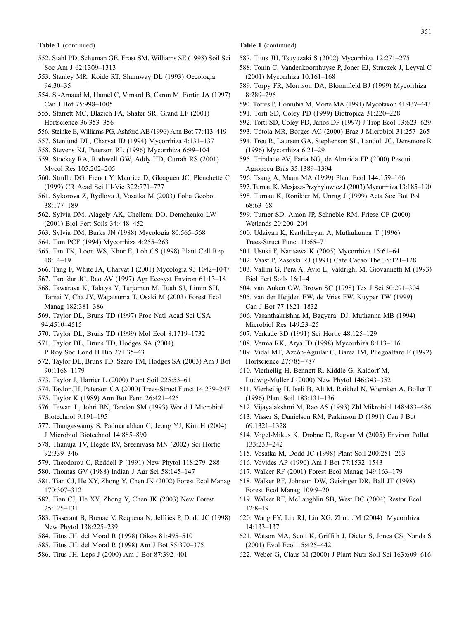- 552. Stahl PD, Schuman GE, Frost SM, Williams SE (1998) Soil Sci Soc Am J 62:1309–1313
- 553. Stanley MR, Koide RT, Shumway DL (1993) Oecologia 94:30–35
- 554. St-Arnaud M, Hamel C, Vimard B, Caron M, Fortin JA (1997) Can J Bot 75:998–1005
- 555. Starrett MC, Blazich FA, Shafer SR, Grand LF (2001) Hortscience 36:353–356
- 556. Steinke E, Williams PG, Ashford AE (1996) Ann Bot 77:413–419
- 557. Stenlund DL, Charvat ID (1994) Mycorrhiza 4:131–137
- 558. Stevens KJ, Peterson RL (1996) Mycorrhiza 6:99–104
- 559. Stockey RA, Rothwell GW, Addy HD, Currah RS (2001) Mycol Res 105:202–205
- 560. Strullu DG, Frenot Y, Maurice D, Gloaguen JC, Plenchette C (1999) CR Acad Sci III-Vie 322:771–777
- 561. Sykorova Z, Rydlova J, Vosatka M (2003) Folia Geobot 38:177–189
- 562. Sylvia DM, Alagely AK, Chellemi DO, Demchenko LW (2001) Biol Fert Soils 34:448–452
- 563. Sylvia DM, Burks JN (1988) Mycologia 80:565–568
- 564. Tam PCF (1994) Mycorrhiza 4:255–263
- 565. Tan TK, Loon WS, Khor E, Loh CS (1998) Plant Cell Rep 18:14–19
- 566. Tang F, White JA, Charvat I (2001) Mycologia 93:1042–1047
- 567. Tarafdar JC, Rao AV (1997) Agr Ecosyst Environ 61:13–18
- 568. Tawaraya K, Takaya Y, Turjaman M, Tuah SJ, Limin SH, Tamai Y, Cha JY, Wagatsuma T, Osaki M (2003) Forest Ecol Manag 182:381–386
- 569. Taylor DL, Bruns TD (1997) Proc Natl Acad Sci USA 94:4510–4515
- 570. Taylor DL, Bruns TD (1999) Mol Ecol 8:1719–1732
- 571. Taylor DL, Bruns TD, Hodges SA (2004) P Roy Soc Lond B Bio 271:35–43
- 572. Taylor DL, Bruns TD, Szaro TM, Hodges SA (2003) Am J Bot 90:1168–1179
- 573. Taylor J, Harrier L (2000) Plant Soil 225:53–61
- 574. Taylor JH, Peterson CA (2000) Trees-Struct Funct 14:239–247
- 575. Taylor K (1989) Ann Bot Fenn 26:421–425
- 576. Tewari L, Johri BN, Tandon SM (1993) World J Microbiol Biotechnol 9:191–195
- 577. Thangaswamy S, Padmanabhan C, Jeong YJ, Kim H (2004) J Microbiol Biotechnol 14:885–890
- 578. Thanuja TV, Hegde RV, Sreenivasa MN (2002) Sci Hortic 92:339–346
- 579. Theodorou C, Reddell P (1991) New Phytol 118:279–288
- 580. Thomas GV (1988) Indian J Agr Sci 58:145–147
- 581. Tian CJ, He XY, Zhong Y, Chen JK (2002) Forest Ecol Manag 170:307–312
- 582. Tian CJ, He XY, Zhong Y, Chen JK (2003) New Forest 25:125–131
- 583. Tisserant B, Brenac V, Requena N, Jeffries P, Dodd JC (1998) New Phytol 138:225–239
- 584. Titus JH, del Moral R (1998) Oikos 81:495–510
- 585. Titus JH, del Moral R (1998) Am J Bot 85:370–375
- 586. Titus JH, Leps J (2000) Am J Bot 87:392–401
- Table 1 (continued) Table 1 (continued)
	- 587. Titus JH, Tsuyuzaki S (2002) Mycorrhiza 12:271–275
	- 588. Tonin C, Vandenkoornhuyse P, Joner EJ, Straczek J, Leyval C (2001) Mycorrhiza 10:161–168
	- 589. Torpy FR, Morrison DA, Bloomfield BJ (1999) Mycorrhiza 8:289–296
	- 590. Torres P, Honrubia M, Morte MA (1991) Mycotaxon 41:437–443
	- 591. Torti SD, Coley PD (1999) Biotropica 31:220–228
	- 592. Torti SD, Coley PD, Janos DP (1997) J Trop Ecol 13:623–629
	- 593. Tótola MR, Borges AC (2000) Braz J Microbiol 31:257–265
	- 594. Treu R, Laursen GA, Stephenson SL, Landolt JC, Densmore R (1996) Mycorrhiza 6:21–29
	- 595. Trindade AV, Faria NG, de Almeida FP (2000) Pesqui Agropecu Bras 35:1389–1394
	- 596. Tsang A, Maun MA (1999) Plant Ecol 144:159–166
	- 597. Turnau K, Mesjasz-Przybylowicz J (2003) Mycorrhiza 13:185–190
	- 598. Turnau K, Ronikier M, Unrug J (1999) Acta Soc Bot Pol 68:63–68
	- 599. Turner SD, Amon JP, Schneble RM, Friese CF (2000) Wetlands 20:200–204
	- 600. Udaiyan K, Karthikeyan A, Muthukumar T (1996) Trees-Struct Funct 11:65–71
	- 601. Usuki F, Narisawa K (2005) Mycorrhiza 15:61–64
	- 602. Vaast P, Zasoski RJ (1991) Cafe Cacao The 35:121–128
	- 603. Vallini G, Pera A, Avio L, Valdrighi M, Giovannetti M (1993) Biol Fert Soils 16:1–4
	- 604. van Auken OW, Brown SC (1998) Tex J Sci 50:291–304
	- 605. van der Heijden EW, de Vries FW, Kuyper TW (1999) Can J Bot 77:1821–1832
	- 606. Vasanthakrishna M, Bagyaraj DJ, Muthanna MB (1994) Microbiol Res 149:23–25
	- 607. Verkade SD (1991) Sci Hortic 48:125–129
	- 608. Verma RK, Arya ID (1998) Mycorrhiza 8:113–116
	- 609. Vidal MT, Azcón-Aguilar C, Barea JM, Pliegoalfaro F (1992) Hortscience 27:785–787
	- 610. Vierheilig H, Bennett R, Kiddle G, Kaldorf M, Ludwig-Müller J (2000) New Phytol 146:343–352
	- 611. Vierheilig H, Iseli B, Alt M, Raikhel N, Wiemken A, Boller T (1996) Plant Soil 183:131–136
	- 612. Vijayalakshmi M, Rao AS (1993) Zbl Mikrobiol 148:483–486
	- 613. Visser S, Danielson RM, Parkinson D (1991) Can J Bot 69:1321–1328
	- 614. Vogel-Mikus K, Drobne D, Regvar M (2005) Environ Pollut 133:233–242
	- 615. Vosatka M, Dodd JC (1998) Plant Soil 200:251–263
	- 616. Vovides AP (1990) Am J Bot 77:1532–1543
	- 617. Walker RF (2001) Forest Ecol Manag 149:163–179
	- 618. Walker RF, Johnson DW, Geisinger DR, Ball JT (1998) Forest Ecol Manag 109:9–20
	- 619. Walker RF, McLaughlin SB, West DC (2004) Restor Ecol 12:8–19
	- 620. Wang FY, Liu RJ, Lin XG, Zhou JM (2004) Mycorrhiza 14:133–137
	- 621. Watson MA, Scott K, Griffith J, Dieter S, Jones CS, Nanda S (2001) Evol Ecol 15:425–442
	- 622. Weber G, Claus M (2000) J Plant Nutr Soil Sci 163:609–616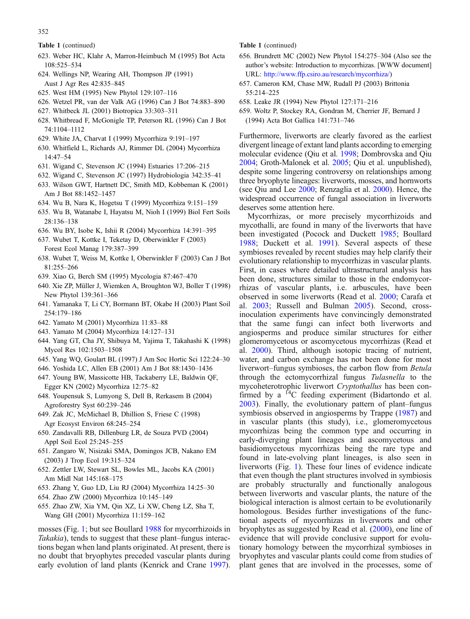- 623. Weber HC, Klahr A, Marron-Heimbuch M (1995) Bot Acta 108:525–534
- 624. Wellings NP, Wearing AH, Thompson JP (1991) Aust J Agr Res 42:835–845
- 625. West HM (1995) New Phytol 129:107–116
- 626. Wetzel PR, van der Valk AG (1996) Can J Bot 74:883–890
- 627. Whitbeck JL (2001) Biotropica 33:303–311
- 628. Whitbread F, McGonigle TP, Peterson RL (1996) Can J Bot 74:1104–1112
- 629. White JA, Charvat I (1999) Mycorrhiza 9:191–197
- 630. Whitfield L, Richards AJ, Rimmer DL (2004) Mycorrhiza 14:47–54
- 631. Wigand C, Stevenson JC (1994) Estuaries 17:206–215
- 632. Wigand C, Stevenson JC (1997) Hydrobiologia 342:35–41
- 633. Wilson GWT, Hartnett DC, Smith MD, Kobbeman K (2001) Am J Bot 88:1452–1457
- 634. Wu B, Nara K, Hogetsu T (1999) Mycorrhiza 9:151–159
- 635. Wu B, Watanabe I, Hayatsu M, Nioh I (1999) Biol Fert Soils 28:136–138
- 636. Wu BY, Isobe K, Ishii R (2004) Mycorrhiza 14:391–395
- 637. Wubet T, Kottke I, Teketay D, Oberwinkler F (2003) Forest Ecol Manag 179:387–399
- 638. Wubet T, Weiss M, Kottke I, Oberwinkler F (2003) Can J Bot 81:255–266
- 639. Xiao G, Berch SM (1995) Mycologia 87:467–470
- 640. Xie ZP, Müller J, Wiemken A, Broughton WJ, Boller T (1998) New Phytol 139:361–366
- 641. Yamanaka T, Li CY, Bormann BT, Okabe H (2003) Plant Soil 254:179–186
- 642. Yamato M (2001) Mycorrhiza 11:83–88
- 643. Yamato M (2004) Mycorrhiza 14:127–131
- 644. Yang GT, Cha JY, Shibuya M, Yajima T, Takahashi K (1998) Mycol Res 102:1503–1508
- 645. Yang WQ, Goulart BL (1997) J Am Soc Hortic Sci 122:24–30
- 646. Yoshida LC, Allen EB (2001) Am J Bot 88:1430–1436
- 647. Young BW, Massicotte HB, Tackaberry LE, Baldwin QF, Egger KN (2002) Mycorrhiza 12:75–82
- 648. Youpensuk S, Lumyong S, Dell B, Rerkasem B (2004) Agroforestry Syst 60:239–246
- 649. Zak JC, McMichael B, Dhillion S, Friese C (1998) Agr Ecosyst Environ 68:245–254
- 650. Zandavalli RB, Dillenburg LR, de Souza PVD (2004) Appl Soil Ecol 25:245–255
- 651. Zangaro W, Nisizaki SMA, Domingos JCB, Nakano EM (2003) J Trop Ecol 19:315–324
- 652. Zettler LW, Stewart SL, Bowles ML, Jacobs KA (2001) Am Midl Nat 145:168–175
- 653. Zhang Y, Guo LD, Liu RJ (2004) Mycorrhiza 14:25–30
- 654. Zhao ZW (2000) Mycorrhiza 10:145–149
- 655. Zhao ZW, Xia YM, Qin XZ, Li XW, Cheng LZ, Sha T, Wang GH (2001) Mycorrhiza 11:159–162

mosses (Fig. [1](#page-55-0); but see Boullard [1988](#page-63-0) for mycorrhizoids in Takakia), tends to suggest that these plant–fungus interactions began when land plants originated. At present, there is no doubt that bryophytes preceded vascular plants during early evolution of land plants (Kenrick and Crane [1997](#page-63-0)).

#### Table 1 (continued)

- 656. Brundrett MC (2002) New Phytol 154:275–304 (Also see the author's website: Introduction to mycorrhizas. [WWW document] URL: [http://www.ffp.csiro.au/research/mycorrhiza/\)](http://www.ffp.csiro.au/research/mycorrhiza/)
- 657. Cameron KM, Chase MW, Rudall PJ (2003) Brittonia 55:214–225
- 658. Leake JR (1994) New Phytol 127:171–216
- 659. Woltz P, Stockey RA, Gondran M, Cherrier JF, Bernard J (1994) Acta Bot Gallica 141:731–746

Furthermore, liverworts are clearly favored as the earliest divergent lineage of extant land plants according to emerging molecular evidence (Qiu et al. [1998;](#page-64-0) Dombrovska and Qiu [2004;](#page-63-0) Groth-Malonek et al. [2005;](#page-63-0) Qiu et al. unpublished), despite some lingering controversy on relationships among three bryophyte lineages: liverworts, mosses, and hornworts (see Qiu and Lee [2000;](#page-64-0) Renzaglia et al. [2000](#page-64-0)). Hence, the widespread occurrence of fungal association in liverworts deserves some attention here.

Mycorrhizas, or more precisely mycorrhizoids and mycothalli, are found in many of the liverworts that have been investigated (Pocock and Duckett [1985;](#page-64-0) Boullard [1988](#page-63-0); Duckett et al. [1991](#page-63-0)). Several aspects of these symbioses revealed by recent studies may help clarify their evolutionary relationship to mycorrhizas in vascular plants. First, in cases where detailed ultrastructural analysis has been done, structures similar to those in the endomycorrhizas of vascular plants, i.e. arbuscules, have been observed in some liverworts (Read et al. [2000;](#page-64-0) Carafa et al. [2003;](#page-63-0) Russell and Bulman [2005\)](#page-64-0). Second, crossinoculation experiments have convincingly demonstrated that the same fungi can infect both liverworts and angiosperms and produce similar structures for either glomeromycetous or ascomycetous mycorrhizas (Read et al. [2000\)](#page-64-0). Third, although isotopic tracing of nutrient, water, and carbon exchange has not been done for most liverwort–fungus symbioses, the carbon flow from Betula through the ectomycorrhizal fungus Tulasnella to the mycoheterotrophic liverwort Cryptothallus has been confirmed by a  $^{14}$ C feeding experiment (Bidartondo et al. [2003](#page-63-0)). Finally, the evolutionary pattern of plant–fungus symbiosis observed in angiosperms by Trappe ([1987](#page-64-0)) and in vascular plants (this study), i.e., glomeromycetous mycorrhizas being the common type and occurring in early-diverging plant lineages and ascomycetous and basidiomycetous mycorrhizas being the rare type and found in late-evolving plant lineages, is also seen in liverworts (Fig. [1](#page-55-0)). These four lines of evidence indicate that even though the plant structures involved in symbiosis are probably structurally and functionally analogous between liverworts and vascular plants, the nature of the biological interaction is almost certain to be evolutionarily homologous. Besides further investigations of the functional aspects of mycorrhizas in liverworts and other bryophytes as suggested by Read et al. [\(2000](#page-64-0)), one line of evidence that will provide conclusive support for evolutionary homology between the mycorrhizal symbioses in bryophytes and vascular plants could come from studies of plant genes that are involved in the processes, some of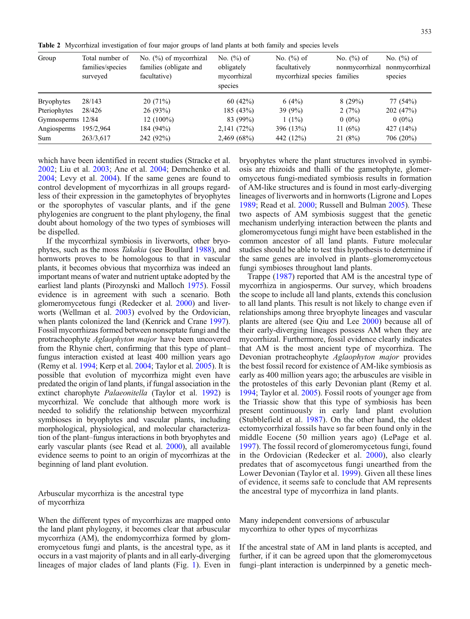<span id="page-54-0"></span>Table 2 Mycorrhizal investigation of four major groups of land plants at both family and species levels

| Group             | Total number of<br>families/species<br>surveyed | No. $(\%)$ of mycorrhizal<br>families (obligate and<br>facultative) | No. $(\%)$ of<br>obligately<br>mycorrhizal<br>species | No. $(\%)$ of<br>facultatively<br>mycorrhizal species families | No. $(\%)$ of<br>nonmycorrhizal | No. $(\%)$ of<br>nonmycorrhizal<br>species |
|-------------------|-------------------------------------------------|---------------------------------------------------------------------|-------------------------------------------------------|----------------------------------------------------------------|---------------------------------|--------------------------------------------|
| <b>Bryophytes</b> | 28/143                                          | 20(71%)                                                             | 60 $(42\%)$                                           | 6(4%)                                                          | 8(29%)                          | 77 (54%)                                   |
| Pteriophytes      | 28/426                                          | 26(93%)                                                             | 185(43%)                                              | 39 $(9%)$                                                      | 2(7%)                           | 202 (47%)                                  |
| Gymnosperms 12/84 |                                                 | $12(100\%)$                                                         | 83 (99%)                                              | $1(1\%)$                                                       | $0(0\%)$                        | $0(0\%)$                                   |
| Angiosperms       | 195/2,964                                       | 184 (94%)                                                           | 2,141(72%)                                            | 396 $(13%)$                                                    | 11 $(6%)$                       | 427 (14%)                                  |
| Sum               | 263/3,617                                       | 242 (92%)                                                           | $2,469$ (68%)                                         | 442 (12%)                                                      | 21(8%)                          | 706 (20%)                                  |

which have been identified in recent studies (Stracke et al. [2002](#page-64-0); Liu et al. [2003;](#page-63-0) Ane et al. [2004](#page-63-0); Demchenko et al. [2004](#page-63-0); Levy et al. [2004](#page-63-0)). If the same genes are found to control development of mycorrhizas in all groups regardless of their expression in the gametophytes of bryophytes or the sporophytes of vascular plants, and if the gene phylogenies are congruent to the plant phylogeny, the final doubt about homology of the two types of symbioses will be dispelled.

If the mycorrhizal symbiosis in liverworts, other bryophytes, such as the moss Takakia (see Boullard [1988](#page-63-0)), and hornworts proves to be homologous to that in vascular plants, it becomes obvious that mycorrhiza was indeed an important means of water and nutrient uptake adopted by the earliest land plants (Pirozynski and Malloch [1975](#page-64-0)). Fossil evidence is in agreement with such a scenario. Both glomeromycetous fungi (Redecker et al. [2000\)](#page-64-0) and liverworts (Wellman et al. [2003\)](#page-64-0) evolved by the Ordovician, when plants colonized the land (Kenrick and Crane [1997](#page-63-0)). Fossil mycorrhizas formed between nonseptate fungi and the protracheophyte Aglaophyton major have been uncovered from the Rhynie chert, confirming that this type of plant– fungus interaction existed at least 400 million years ago (Remy et al. [1994](#page-64-0); Kerp et al. [2004;](#page-63-0) Taylor et al. [2005](#page-64-0)). It is possible that evolution of mycorrhiza might even have predated the origin of land plants, if fungal association in the extinct charophyte Palaeonitella (Taylor et al. [1992](#page-64-0)) is mycorrhizal. We conclude that although more work is needed to solidify the relationship between mycorrhizal symbioses in bryophytes and vascular plants, including morphological, physiological, and molecular characterization of the plant–fungus interactions in both bryophytes and early vascular plants (see Read et al. [2000](#page-64-0)), all available evidence seems to point to an origin of mycorrhizas at the beginning of land plant evolution.

# Arbuscular mycorrhiza is the ancestral type of mycorrhiza

When the different types of mycorrhizas are mapped onto the land plant phylogeny, it becomes clear that arbuscular mycorrhiza (AM), the endomycorrhiza formed by glomeromycetous fungi and plants, is the ancestral type, as it occurs in a vast majority of plants and in all early-diverging lineages of major clades of land plants (Fig. [1\)](#page-55-0). Even in bryophytes where the plant structures involved in symbiosis are rhizoids and thalli of the gametophyte, glomeromycetous fungi-mediated symbiosis results in formation of AM-like structures and is found in most early-diverging lineages of liverworts and in hornworts (Ligrone and Lopes [1989](#page-63-0); Read et al. [2000;](#page-64-0) Russell and Bulman [2005](#page-64-0)). These two aspects of AM symbiosis suggest that the genetic mechanism underlying interaction between the plants and glomeromycetous fungi might have been established in the common ancestor of all land plants. Future molecular studies should be able to test this hypothesis to determine if the same genes are involved in plants–glomeromycetous fungi symbioses throughout land plants.

Trappe [\(1987](#page-64-0)) reported that AM is the ancestral type of mycorrhiza in angiosperms. Our survey, which broadens the scope to include all land plants, extends this conclusion to all land plants. This result is not likely to change even if relationships among three bryophyte lineages and vascular plants are altered (see Qiu and Lee [2000](#page-64-0)) because all of their early-diverging lineages possess AM when they are mycorrhizal. Furthermore, fossil evidence clearly indicates that AM is the most ancient type of mycorrhiza. The Devonian protracheophyte Aglaophyton major provides the best fossil record for existence of AM-like symbiosis as early as 400 million years ago; the arbuscules are visible in the protosteles of this early Devonian plant (Remy et al. [1994](#page-64-0); Taylor et al. [2005\)](#page-64-0). Fossil roots of younger age from the Triassic show that this type of symbiosis has been present continuously in early land plant evolution (Stubblefield et al. [1987](#page-64-0)). On the other hand, the oldest ectomycorrhizal fossils have so far been found only in the middle Eocene (50 million years ago) (LePage et al. [1997\)](#page-63-0). The fossil record of glomeromycetous fungi, found in the Ordovician (Redecker et al. [2000](#page-64-0)), also clearly predates that of ascomycetous fungi unearthed from the Lower Devonian (Taylor et al. [1999\)](#page-64-0). Given all these lines of evidence, it seems safe to conclude that AM represents the ancestral type of mycorrhiza in land plants.

Many independent conversions of arbuscular mycorrhiza to other types of mycorrhizas

If the ancestral state of AM in land plants is accepted, and further, if it can be agreed upon that the glomeromycetous fungi–plant interaction is underpinned by a genetic mech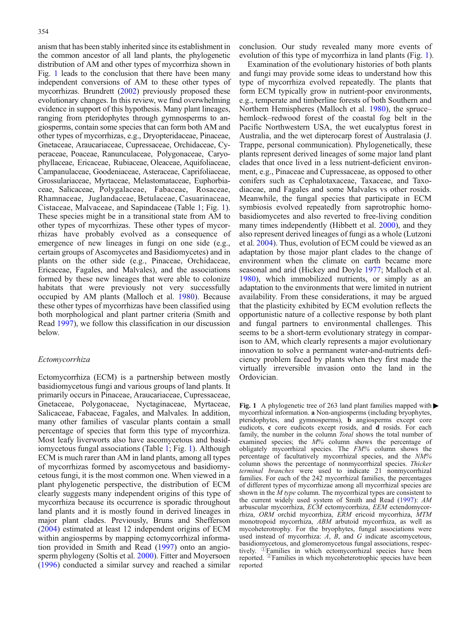<span id="page-55-0"></span>anism that has been stably inherited since its establishment in the common ancestor of all land plants, the phylogenetic distribution of AM and other types of mycorrhiza shown in Fig. 1 leads to the conclusion that there have been many independent conversions of AM to these other types of mycorrhizas. Brundrett ([2002](#page-63-0)) previously proposed these evolutionary changes. In this review, we find overwhelming evidence in support of this hypothesis. Many plant lineages, ranging from pteridophytes through gymnosperms to angiosperms, contain some species that can form both AM and other types of mycorrhizas, e.g., Dryopteridaceae, Pinaceae, Gnetaceae, Araucariaceae, Cupressaceae, Orchidaceae, Cyperaceae, Poaceae, Ranunculaceae, Polygonaceae, Caryophyllaceae, Ericaceae, Rubiaceae, Oleaceae, Aquifoliaceae, Campanulaceae, Goodeniaceae, Asteraceae, Caprifoliaceae, Grossulariaceae, Myrtaceae, Melastomataceae, Euphorbiaceae, Salicaceae, Polygalaceae, Fabaceae, Rosaceae, Rhamnaceae, Juglandaceae, Betulaceae, Casuarinaceae, Cistaceae, Malvaceae, and Sapindaceae (Table [1](#page-2-0); Fig. 1). These species might be in a transitional state from AM to other types of mycorrhizas. These other types of mycorrhizas have probably evolved as a consequence of emergence of new lineages in fungi on one side (e.g., certain groups of Ascomycetes and Basidiomycetes) and in plants on the other side (e.g., Pinaceae, Orchidaceae, Ericaceae, Fagales, and Malvales), and the associations formed by these new lineages that were able to colonize habitats that were previously not very successfully occupied by AM plants (Malloch et al. [1980\)](#page-64-0). Because these other types of mycorrhizas have been classified using both morphological and plant partner criteria (Smith and Read [1997](#page-64-0)), we follow this classification in our discussion below.

#### Ectomycorrhiza

Ectomycorrhiza (ECM) is a partnership between mostly basidiomycetous fungi and various groups of land plants. It primarily occurs in Pinaceae, Araucariaceae, Cupressaceae, Gnetaceae, Polygonaceae, Nyctaginaceae, Myrtaceae, Salicaceae, Fabaceae, Fagales, and Malvales. In addition, many other families of vascular plants contain a small percentage of species that form this type of mycorrhiza. Most leafy liverworts also have ascomycetous and basidiomycetous fungal associations (Table [1](#page-2-0); Fig. 1). Although ECM is much rarer than AM in land plants, among all types of mycorrhizas formed by ascomycetous and basidiomycetous fungi, it is the most common one. When viewed in a plant phylogenetic perspective, the distribution of ECM clearly suggests many independent origins of this type of mycorrhiza because its occurrence is sporadic throughout land plants and it is mostly found in derived lineages in major plant clades. Previously, Bruns and Shefferson ([2004\)](#page-63-0) estimated at least 12 independent origins of ECM within angiosperms by mapping ectomycorrhizal information provided in Smith and Read ([1997\)](#page-64-0) onto an angiosperm phylogeny (Soltis et al. [2000\)](#page-64-0). Fitter and Moyersoen ([1996\)](#page-63-0) conducted a similar survey and reached a similar

conclusion. Our study revealed many more events of evolution of this type of mycorrhiza in land plants (Fig. 1).

Examination of the evolutionary histories of both plants and fungi may provide some ideas to understand how this type of mycorrhiza evolved repeatedly. The plants that form ECM typically grow in nutrient-poor environments, e.g., temperate and timberline forests of both Southern and Northern Hemispheres (Malloch et al. [1980\)](#page-64-0), the spruce– hemlock–redwood forest of the coastal fog belt in the Pacific Northwestern USA, the wet eucalyptus forest in Australia, and the wet dipterocarp forest of Australasia (J. Trappe, personal communication). Phylogenetically, these plants represent derived lineages of some major land plant clades that once lived in a less nutrient-deficient environment, e.g., Pinaceae and Cupressaceae, as opposed to other conifers such as Cephalotaxaceae, Taxaceae, and Taxodiaceae, and Fagales and some Malvales vs other rosids. Meanwhile, the fungal species that participate in ECM symbiosis evolved repeatedly from saprotrophic homobasidiomycetes and also reverted to free-living condition many times independently (Hibbett et al. [2000](#page-63-0)), and they also represent derived lineages of fungi as a whole (Lutzoni et al. [2004](#page-64-0)). Thus, evolution of ECM could be viewed as an adaptation by those major plant clades to the change of environment when the climate on earth became more seasonal and arid (Hickey and Doyle [1977;](#page-63-0) Malloch et al. [1980](#page-64-0)), which immobilized nutrients, or simply as an adaptation to the environments that were limited in nutrient availability. From these considerations, it may be argued that the plasticity exhibited by ECM evolution reflects the opportunistic nature of a collective response by both plant and fungal partners to environmental challenges. This seems to be a short-term evolutionary strategy in comparison to AM, which clearly represents a major evolutionary innovation to solve a permanent water-and-nutrients deficiency problem faced by plants when they first made the virtually irreversible invasion onto the land in the Ordovician.

Fig. 1 A phylogenetic tree of 263 land plant families mapped with  $\blacktriangleright$ mycorrhizal information. a Non-angiosperms (including bryophytes, pteridophytes, and gymnosperms), b angiosperms except core eudicots, c core eudicots except rosids, and d rosids. For each family, the number in the column *Total* shows the total number of examined species; the  $M\%$  column shows the percentage of obligately mycorrhizal species. The FM% column shows the percentage of facultatively mycorrhizal species, and the NM% column shows the percentage of nonmycorrhizal species. Thicker terminal branches were used to indicate 21 nonmycorrhizal families. For each of the 242 mycorrhizal families, the percentages of different types of mycorrhizae among all mycorrhizal species are shown in the  $\dot{M}$  type column. The mycorrhizal types are consistent to the current widely used system of Smith and Read ([1997\)](#page-64-0): AM arbuscular mycorrhiza, ECM ectomycorrhiza, EEM ectendomycorrhiza, ORM orchid mycorrhiza, ERM ericoid mycorrhiza, MTM monotropoid mycorrhiza, ABM arbutoid mycorrhiza, as well as mycoheterotrophy. For the bryophytes, fungal associations were used instead of mycorrhiza:  $A$ ,  $B$ , and  $G$  indicate ascomycetous, basidiomycetous, and glomeromycetous fungal associations, respectively. <sup>①</sup>Families in which ectomycorrhizal species have been reported. <sup>②</sup>Families in which mycoheterotrophic species have been reported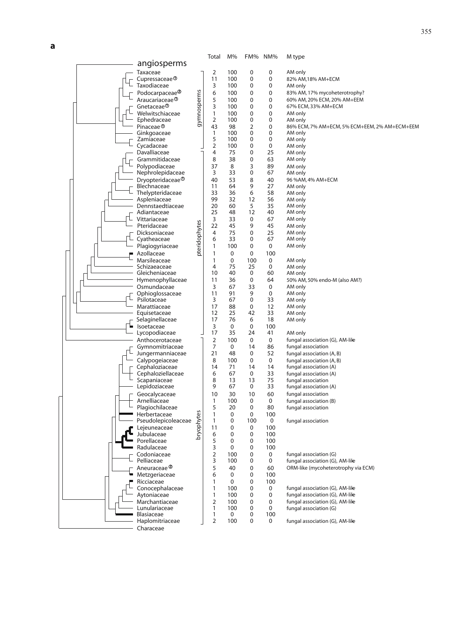|   |                                          |               | Total          | M%         | FM%         | NM%         | M type                                                             |
|---|------------------------------------------|---------------|----------------|------------|-------------|-------------|--------------------------------------------------------------------|
|   | angiosperms                              |               |                |            |             |             |                                                                    |
|   | Taxaceae                                 |               | 2<br>11        | 100        | 0           | 0<br>0      | AM only                                                            |
|   | Cupressaceae <sup>1</sup><br>Taxodiaceae |               | 3              | 100<br>100 | 0<br>0      | 0           | 82% AM, 18% AM+ECM<br>AM only                                      |
|   | Podocarpaceae <sup>2</sup>               |               | 6              | 100        | 0           | 0           | 83% AM, 17% mycoheterotrophy?                                      |
|   | Araucariaceae <sup>1</sup>               | gymnosperms   | 5              | 100        | 0           | 0           | 60% AM, 20% ECM, 20% AM+EEM                                        |
|   | Gnetaceae <sup>1</sup>                   |               | 3              | 100        | 0           | 0           | 67% ECM, 33% AM+ECM                                                |
|   | Welwitschiaceae                          |               | 1              | 100        | 0           | 0           | AM only                                                            |
|   | Ephedraceae                              |               | 2              | 100        | 0           | 0           | AM only                                                            |
|   | Pinaceae <sup>®</sup>                    |               | 43             | 98         | 2           | 0           | 86% ECM, 7% AM+ECM, 5% ECM+EEM, 2% AM+ECM+EEM                      |
|   | Ginkgoaceae                              |               | 1              | 100        | 0           | 0           | AM only                                                            |
|   | Zamiaceae                                |               | 5              | 100        | 0           | 0           | AM only                                                            |
|   | Cycadaceae                               |               | $\overline{2}$ | 100        | 0           | 0           | AM only                                                            |
|   | Davalliaceae                             |               | 4              | 75         | 0           | 25          | AM only                                                            |
|   | Grammitidaceae                           |               | 8              | 38         | 0           | 63          | AM only                                                            |
|   | Polypodiaceae                            |               | 37             | 8          | 3           | 89          | AM only                                                            |
|   | Nephrolepidaceae                         |               | 3              | 33         | 0           | 67          | AM only                                                            |
|   | Dryopteridaceae <sup>1</sup>             |               | 40             | 53         | 8           | 40          | 96 %AM, 4% AM+ECM                                                  |
|   | Blechnaceae<br>Thelypteridaceae          |               | 11<br>33       | 64<br>36   | 9<br>6      | 27<br>58    | AM only<br>AM only                                                 |
|   | Aspleniaceae                             |               | 99             | 32         | 12          | 56          | AM only                                                            |
|   | Dennstaedtiaceae                         |               | 20             | 60         | 5           | 35          | AM only                                                            |
|   | Adiantaceae                              |               | 25             | 48         | 12          | 40          | AM only                                                            |
|   | Vittariaceae                             |               | 3              | 33         | 0           | 67          | AM only                                                            |
|   | Pteridaceae                              | pteridophytes | 22             | 45         | 9           | 45          | AM only                                                            |
|   | Dicksoniaceae                            |               | 4              | 75         | 0           | 25          | AM only                                                            |
|   | Cyatheaceae                              |               | 6              | 33         | 0           | 67          | AM only                                                            |
|   | Plagiogyriaceae                          |               | 1              | 100        | 0           | $\mathbf 0$ | AM only                                                            |
|   | Azollaceae                               |               | 1              | 0          | 0           | 100         |                                                                    |
|   | Marsileaceae                             |               | 1              | 0          | 100         | 0           | AM only                                                            |
|   | Schizaeaceae                             |               | 4              | 75         | 25          | 0           | AM only                                                            |
|   | Gleicheniaceae                           |               | 10             | 40         | 0           | 60          | AM only                                                            |
|   | Hymenophyllaceae                         |               | 11             | 36         | 0           | 64          | 50% AM, 50% endo-M (also AM?)                                      |
|   | Osmundaceae                              |               | 3              | 67         | 33          | 0           | AM only                                                            |
|   | Ophioglossaceae                          |               | 11             | 91         | 9           | 0           | AM only                                                            |
|   | Psilotaceae                              |               | 3              | 67         | 0           | 33          | AM only                                                            |
|   | Marattiaceae                             |               | 17             | 88         | 0           | 12          | AM only                                                            |
|   | Equisetaceae                             |               | 12<br>17       | 25<br>76   | 42<br>6     | 33<br>18    | AM only                                                            |
| ▬ | Selaginellaceae<br>Isoetaceae            |               | 3              | 0          | $\mathbf 0$ | 100         | AM only                                                            |
|   | Lycopodiaceae                            |               | 17             | 35         | 24          | 41          | AM only                                                            |
|   | Anthocerotaceae                          |               | 2              | 100        | 0           | 0           | fungal association (G), AM-lile                                    |
|   | Gymnomitriaceae                          |               | 7              | 0          | 14          | 86          | fungal association                                                 |
|   | Jungermanniaceae                         |               | 21             | 48         | 0           | 52          | fungal association (A, B)                                          |
|   | Calypogeiaceae                           |               | 8              | 100        | 0           | 0           | fungal association (A, B)                                          |
|   | Cephaloziaceae                           |               | 14             | 71         | 14          | 14          | fungal association (A)                                             |
|   | Cephaloziellaceae                        |               | 6              | 67         | 0           | 33          | fungal association (A)                                             |
|   | Scapaniaceae                             |               | 8              | 13         | 13          | 75          | fungal association                                                 |
|   | Lepidoziaceae                            |               | 9              | 67         | 0           | 33          | fungal association (A)                                             |
|   | Geocalycaceae                            |               | 10             | 30         | 10          | 60          | fungal association                                                 |
|   | Arnelliaceae                             |               | 1              | 100        | 0           | 0           | fungal association (B)                                             |
|   | Plagiochilaceae                          |               | 5              | 20         | 0           | 80          | fungal association                                                 |
|   | Herbertaceae                             |               | 1              | 0          | 0           | 100         |                                                                    |
|   | Pseudolepicoleaceae                      | bryophytes    | 1              | 0          | 100         | 0           | fungal association                                                 |
|   | Lejeuneaceae                             |               | 11             | 0          | 0           | 100         |                                                                    |
|   | Jubulaceae                               |               | 6              | 0          | 0           | 100         |                                                                    |
|   | Porellaceae                              |               | 5              | 0          | 0           | 100         |                                                                    |
|   | Radulaceae                               |               | 3              | 0          | 0           | 100         |                                                                    |
|   | Codoniaceae<br>Pelliaceae                |               | 2              | 100        | 0           | 0           | fungal association (G)                                             |
|   |                                          |               | 3              | 100        | 0           | 0           | fungal association (G), AM-lile                                    |
|   | Aneuraceae <sup>2</sup>                  |               | 5              | 40         | 0           | 60          | ORM-like (mycoheterotrophy via ECM)                                |
|   | Metzgeriaceae                            |               | 6              | 0          | 0           | 100         |                                                                    |
|   | Ricciaceae<br>Conocephalaceae            |               | 1              | 0          | 0           | 100         |                                                                    |
|   | Aytoniaceae                              |               | 1<br>1         | 100<br>100 | 0<br>0      | 0<br>0      | fungal association (G), AM-lile<br>fungal association (G), AM-lile |
|   | Marchantiaceae                           |               | 2              | 100        | 0           | 0           | fungal association (G), AM-lile                                    |
|   | Lunulariaceae                            |               | 1              | 100        | 0           | 0           | fungal association (G)                                             |
|   | <b>Blasiaceae</b>                        |               | 1              | 0          | 0           | 100         |                                                                    |
|   | Haplomitriaceae                          |               | $\overline{2}$ | 100        | 0           | 0           | fungal association (G), AM-lile                                    |
|   | Characeae                                |               |                |            |             |             |                                                                    |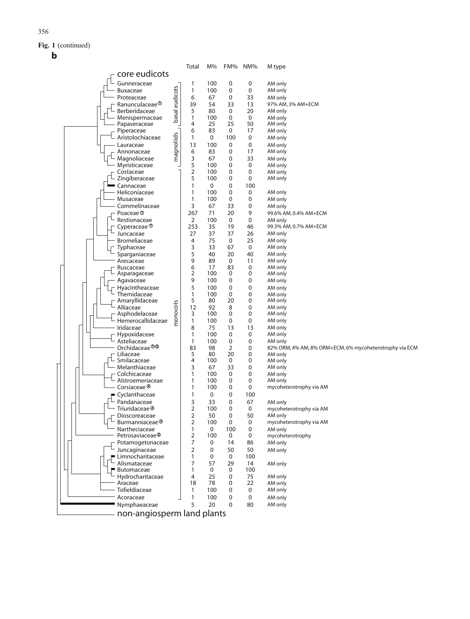# Fig. 1 (continued)

**b**

|                                               | Total               | $M\%$      | FM%              | NM%              | M type                                                             |
|-----------------------------------------------|---------------------|------------|------------------|------------------|--------------------------------------------------------------------|
| core eudicots                                 |                     |            |                  |                  |                                                                    |
| Gunneraceae                                   | 1                   | 100        | 0                | 0                | AM only                                                            |
| eudicots<br>Buxaceae                          | 1                   | 100        | 0                | 0                | AM only                                                            |
| Proteaceae                                    | 6                   | 67         | 0                | 33               | AM only                                                            |
| Ranunculaceae <sup>(0)</sup><br>Berberidaceae | 39<br>5             | 54<br>80   | 33<br>0          | 13<br>20         | 97% AM, 3% AM+ECM<br>AM only                                       |
| basal<br>Menispermaceae                       | $\mathbf{1}$        | 100        | $\mathbf 0$      | 0                | AM only                                                            |
| Papaveraceae                                  | 4                   | 25         | 25               | 50               | AM only                                                            |
| Piperaceae                                    | 6                   | 83         | 0                | 17               | AM only                                                            |
| magnoliids<br>Aristolochiaceae                | 1                   | 0          | 100              | 0                | AM only                                                            |
| Lauraceae<br>Annonaceae                       | 13<br>6             | 100<br>83  | 0<br>0           | 0<br>17          | AM only<br>AM only                                                 |
| Magnoliaceae                                  | 3                   | 67         | 0                | 33               | AM only                                                            |
| Myristicaceae                                 | 5                   | 100        | 0                | 0                | AM only                                                            |
| Costaceae                                     | 2                   | 100        | 0                | 0                | AM only                                                            |
| Zingiberaceae<br>Cannaceae                    | 5<br>1              | 100<br>0   | 0<br>$\mathbf 0$ | 0<br>100         | AM only                                                            |
| Heliconiaceae                                 | 1                   | 100        | 0                | 0                | AM only                                                            |
| Musaceae                                      | 1                   | 100        | 0                | 0                | AM only                                                            |
| Commelinaceae                                 | 3                   | 67         | 33               | 0                | AM only                                                            |
| Poaceae <sup>O</sup>                          | 267                 | 71         | 20               | 9                | 99.6% AM, 0.4% AM+ECM                                              |
| Restionaceae                                  | 2                   | 100        | 0                | 0                | AM only                                                            |
| Cyperaceae $\Phi$<br>Juncaceae                | 253<br>27           | 35<br>37   | 19<br>37         | 46<br>26         | 99.3% AM, 0.7% AM+ECM<br>AM only                                   |
| <b>Bromeliaceae</b>                           | 4                   | 75         | 0                | 25               | AM only                                                            |
| Typhaceae                                     | 3                   | 33         | 67               | 0                | AM only                                                            |
| Sparganiaceae                                 | 5                   | 40         | 20               | 40               | AM only                                                            |
| Arecaceae                                     | 9                   | 89         | 0                | 11               | AM only                                                            |
| Ruscaceae<br>Asparagaceae                     | 6<br>2              | 17<br>100  | 83<br>0          | 0<br>0           | AM only<br>AM only                                                 |
| Agavaceae                                     | 9                   | 100        | 0                | 0                | AM only                                                            |
| Hyacintheaceae                                | 5                   | 100        | 0                | 0                | AM only                                                            |
| Themidaceae                                   | 1                   | 100        | 0                | $\mathbf 0$      | AM only                                                            |
| Amaryllidaceae<br>Alliaceae                   | 5<br>12             | 80<br>92   | 20<br>8          | 0<br>$\mathbf 0$ | AM only<br>AM only                                                 |
| Asphodelaceae                                 | 3                   | 100        | 0                | 0                | AM only                                                            |
| nonocots<br>Hemerocallidaceae                 | 1                   | 100        | 0                | 0                | AM only                                                            |
| Iridaceae                                     | 8                   | 75         | 13               | 13               | AM only                                                            |
| Hypoxidaceae                                  | 1                   | 100        | 0                | 0                | AM only                                                            |
| Asteliaceae<br>Orchidaceae <sup>02</sup>      | $\mathbf{1}$<br>83  | 100<br>98  | $\mathbf 0$<br>2 | $\mathbf 0$<br>0 | AM only<br>82% ORM, 4% AM, 8% ORM+ECM, 6% mycoheterotrophy via ECM |
| Liliaceae                                     | 5                   | 80         | 20               | $\mathbf 0$      | AM only                                                            |
| Smilacaceae                                   | 4                   | 100        | 0                | 0                | AM only                                                            |
| Melanthiaceae                                 | 3                   | 67         | 33               | 0                | AM only                                                            |
| Colchicaceae<br>Alstroemeriaceae              | 1<br>1              | 100<br>100 | 0<br>0           | $\mathbf 0$<br>0 | AM only<br>AM only                                                 |
| Corsiaceae <sup>2</sup>                       | 1                   | 100        | 0                | 0                | mycoheterotrophy via AM                                            |
| Cyclanthaceae                                 | 1                   | 0          | 0                | 100              |                                                                    |
| Pandanaceae                                   | 3                   | 33         | $\mathbf 0$      | 67               | AM only                                                            |
| Triuridaceae <sup>2</sup>                     | $\overline{2}$      | 100        | 0                | 0                | mycoheterotrophy via AM                                            |
| Dioscoreaceae                                 | 2<br>$\overline{2}$ | 50         | 0                | 50               | AM only<br>mycoheterotrophy via AM                                 |
| Burmanniaceae <sup>2</sup><br>Nartheciaceae   | 1                   | 100<br>0   | 0<br>100         | 0<br>0           | AM only                                                            |
| Petrosaviaceae <sup>2</sup>                   | 2                   | 100        | 0                | 0                | mycoheterotrophy                                                   |
| Potamogetonaceae                              | 7                   | 0          | 14               | 86               | AM only                                                            |
| Juncaginaceae                                 | $\overline{2}$      | 0          | 50               | 50               | AM only                                                            |
| Limnocharitaceae                              | 1                   | 0          | 0                | 100              |                                                                    |
| Alismataceae<br>Butomaceae                    | 7<br>1              | 57<br>0    | 29<br>0          | 14<br>100        | AM only                                                            |
| Hydrocharitaceae                              | 4                   | 25         | 0                | 75               | AM only                                                            |
| Araceae                                       | 18                  | 78         | 0                | 22               | AM only                                                            |
| Tofieldiaceae                                 | $\mathbf{1}$        | 100        | 0                | 0                | AM only                                                            |
| Acoraceae                                     | 1                   | 100        | $\mathbf 0$      | $\mathbf 0$      | AM only                                                            |
| Nymphaeaceae                                  | 5                   | 20         | $\mathbf 0$      | 80               | AM only                                                            |
| non-angiosperm land plants                    |                     |            |                  |                  |                                                                    |

**non-angiosperm land plants**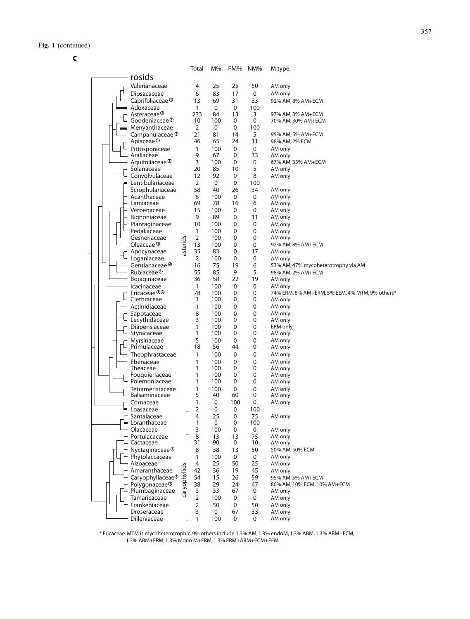Fig. 1 (continued)

**c**

|                                            |               | Total                | M%          |         | FM% NM%   | M type                                         |
|--------------------------------------------|---------------|----------------------|-------------|---------|-----------|------------------------------------------------|
| rosids                                     |               |                      |             |         |           |                                                |
| Valerianaceae                              |               | 4                    | 25          | 25      | 50        | AM only                                        |
| Dipsacaceae<br>Caprifoliaceae <sup>1</sup> |               | 6<br>13              | 83          | 17      | 0         | AM only                                        |
| Adoxaceae                                  |               | $\mathbf{1}$         | 69<br>0     | 31<br>0 | 33<br>100 | 92% AM, 8% AM+ECM                              |
| Asteraceae <sup>(1)</sup>                  |               | 233                  | 84          | 13      | 3         | 97% AM, 3% AM+ECM                              |
| Goodeniaceae <sup>®</sup>                  |               | 10                   | 100         | 0       | 0         | 70% AM, 30% AM+ECM                             |
| Menyanthaceae                              |               | 2                    | $\mathbf 0$ | 0       | 100       |                                                |
| Campanulaceae <sup>1</sup>                 |               | 21                   | 81          | 14      | 5         | 95% AM, 5% AM+ECM                              |
| Apiaceae <sup>1</sup>                      |               | 46                   | 65          | 24      | 11        | 98% AM, 2% ECM                                 |
| Pittosporaceae                             |               | $\mathbf{1}$         | 100         | 0       | 0         | AM only                                        |
| Araliaceae                                 |               | 9                    | 67          | 0       | 33        | AM only                                        |
| Aquifoliaceae <sup>1</sup>                 |               | 3                    | 100         | 0       | 0         | 67% AM, 33% AM+ECM                             |
| Solanaceae<br>Convolvulaceae               |               | 20<br>12             | 85<br>92    | 10<br>0 | 5         | AM only                                        |
| Lentibulariaceae                           |               | $\overline{2}$       | $\Omega$    | 0       | 8<br>100  | AM only                                        |
| Scrophulariaceae                           |               | 58                   | 40          | 26      | 34        | AM only                                        |
| Acanthaceae                                |               | 6                    | 100         | 0       | 0         | AM only                                        |
| Lamiaceae                                  |               | 69                   | 78          | 16      | 6         | AM only                                        |
| Verbenaceae                                |               | 15                   | 100         | 0       | 0         | AM only                                        |
| Bignoniaceae                               |               | 9                    | 89          | 0       | 11        | AM only                                        |
| Plantaginaceae                             |               | 10                   | 100         | 0       | 0         | AM only                                        |
| Pedaliaceae                                |               | $\mathbf{1}$         | 100         | 0       | 0         | AM only                                        |
| Gesneriaceae                               |               | $\overline{2}$       | 100         | 0       | 0         | AM only                                        |
| Oleaceae <sup>①</sup>                      | sterids       | 13                   | 100         | 0       | 0         | 92% AM, 8% AM+ECM                              |
| Apocynaceae                                |               | 35                   | 83          | 0       | 17        | AM only                                        |
| Loganiaceae<br>Gentianaceae <sup>②</sup>   |               | $\overline{2}$<br>16 | 100<br>75   | 0<br>19 | 0<br>6    | AM only<br>53% AM, 47% mycoheterotrophy via AM |
| Rubiaceae <sup>®</sup>                     |               | 55                   | 85          | 9       | 5         | 98% AM, 2% AM+ECM                              |
| Boraginaceae                               |               | 36                   | 58          | 22      | 19        | AM only                                        |
| Icacinaceae                                |               | $\mathbf{1}$         | 100         | 0       | 0         | AM only                                        |
| Ericaceae <sub>0</sub> @                   |               | 78                   | 100         | 0       | 0         | 74% ERM, 8% AM+ERM, 5% EEM, 4% MTM, 9% others* |
| Clethraceae                                |               | 1                    | 100         | 0       | 0         | AM only                                        |
| Actinidiaceae                              |               | 1                    | 100         | 0       | 0         | AM only                                        |
| Sapotaceae                                 |               | 8                    | 100         | 0       | 0         | AM only                                        |
| Lecythidaceae                              |               | 3                    | 100         | 0       | 0         | AM only                                        |
| Diapensiaceae                              |               | 1                    | 100         | 0       | 0         | ERM only                                       |
| Styracaceae                                |               | 1<br>5               | 100<br>100  | 0<br>0  | 0<br>0    | AM only                                        |
| Myrsinaceae<br>Primulaceae                 |               | 18                   | 56          | 44      | 0         | AM only<br>AM only                             |
| Theophrastaceae                            |               | $\mathbf{1}$         | 100         | 0       | 0         | AM only                                        |
| Ebenaceae                                  |               | 1                    | 100         | 0       | 0         | AM only                                        |
| Theaceae                                   |               | 1                    | 100         | 0       | 0         | AM only                                        |
| Fouquieriaceae                             |               | 1                    | 100         | 0       | 0         | AM only                                        |
| Polemoniaceae                              |               | 1                    | 100         | 0       | 0         | AM only                                        |
| Tetrameristaceae                           |               | 1                    | 100         | 0       | 0         | AM only                                        |
| Balsaminaceae                              |               | 5                    | 40          | 60      | 0         | AM only                                        |
| Cornaceae                                  |               | 1                    | 0           | 100     | 0         | AM only                                        |
| Loasaceae                                  |               | 2                    | 0           | 0       | 100       |                                                |
| Santalaceae                                |               | 4                    | 25          | 0       | 75        | AM only                                        |
| Loranthaceae                               |               | 1<br>3               | 0           | 0       | 100       |                                                |
| Olacaceae<br>Portulacaceae                 |               | 8                    | 100<br>13   | 0<br>13 | 0<br>75   | AM only<br>AM only                             |
| Cactaceae                                  |               | 31                   | 90          | 0       | 10        | AM only                                        |
| Nyctaginaceae <sup>1</sup>                 |               | 8                    | 38          | 13      | 50        | 50% AM, 50% ECM                                |
| Phytolaccaceae                             |               | 1                    | 100         | 0       | 0         | AM only                                        |
| Aizoaceae                                  |               | 4                    | 25          | 50      | 25        | AM only                                        |
| Amaranthaceae                              |               | 42                   | 36          | 19      | 45        | AM only                                        |
| Caryophyllaceae <sup>®</sup>               | caryophyllids | 54                   | 15          | 26      | 59        | 95% AM, 5% AM+ECM                              |
| Polygonaceae <sup>®</sup>                  |               | 38                   | 29          | 24      | 47        | 80% AM, 10% ECM, 10% AM+ECM                    |
| Plumbaginaceae                             |               | 3                    | 33          | 67      | 0         | AM only                                        |
| Tamaricaceae                               |               | $\overline{2}$       | 100         | 0       | 0         | AM only                                        |
| Frankeniaceae                              |               | $\overline{2}$       | 50          | 0       | 50        | AM only                                        |
| Droseraceae                                |               | 3                    | 0           | 67      | 33        | AM only                                        |
| Dilleniaceae                               |               | 1                    | 100         | 0       | 0         | AM only                                        |

\* Ericaceae: MTM is mycoheterotrophic. 9% others include 1.3% AM, 1.3% endoM, 1.3% ABM, 1.3% ABM+ECM,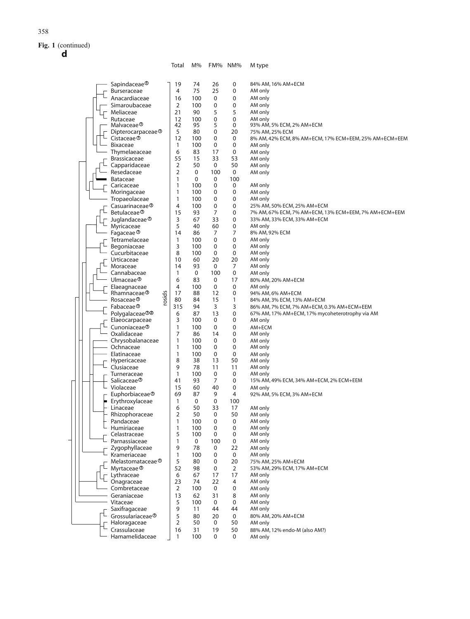**d** Fig. 1 (continued)

|                                    | Total          | M%         |          | FM% NM%        | M type                                                 |
|------------------------------------|----------------|------------|----------|----------------|--------------------------------------------------------|
| Sapindaceae <sup>1</sup>           | 19             | 74         | 26       | 0              | 84% AM, 16% AM+ECM                                     |
| Burseraceae                        | 4              | 75         | 25       | 0              | AM only                                                |
| Anacardiaceae                      | 16             | 100        | 0        | 0              | AM only                                                |
| Simaroubaceae                      | $\overline{2}$ | 100        | 0        | 0              | AM only                                                |
| Meliaceae                          | 21             | 90         | 5        | 5              | AM only                                                |
| Rutaceae<br>Malvaceae <sup>1</sup> | 12<br>42       | 100<br>95  | 0<br>5   | 0              | AM only                                                |
| Dipterocarpaceae <sup>1</sup>      | 5              | 80         | 0        | 0<br>20        | 93% AM, 5% ECM, 2% AM+ECM<br>75% AM, 25% ECM           |
| Cistaceae <sup>®</sup>             | 12             | 100        | 0        | 0              | 8% AM, 42% ECM, 8% AM+ECM, 17% ECM+EEM, 25% AM+ECM+EEM |
| Bixaceae                           | 1              | 100        | 0        | 0              | AM only                                                |
| Thymelaeaceae                      | 6              | 83         | 17       | 0              | AM only                                                |
| <b>Brassicaceae</b>                | 55             | 15         | 33       | 53             | AM only                                                |
| Capparidaceae                      | 2              | 50         | 0        | 50             | AM only                                                |
| Resedaceae                         | $\overline{2}$ | 0          | 100      | 0              | AM only                                                |
| <b>Bataceae</b>                    | 1              | 0          | 0        | 100            |                                                        |
| Caricaceae<br>Moringaceae          | 1<br>1         | 100<br>100 | 0<br>0   | 0<br>0         | AM only                                                |
| Tropaeolaceae                      | $\mathbf{1}$   | 100        | 0        | 0              | AM only<br>AM only                                     |
| Casuarinaceae <sup>®</sup>         | 4              | 100        | 0        | 0              | 25% AM, 50% ECM, 25% AM+ECM                            |
| Betulaceae <sup>1</sup>            | 15             | 93         | 7        | 0              | 7% AM, 67% ECM, 7% AM+ECM, 13% ECM+EEM, 7% AM+ECM+EEM  |
| Juglandaceae <sup>®</sup>          | 3              | 67         | 33       | 0              | 33% AM, 33% ECM, 33% AM+ECM                            |
| Myricaceae                         | 5              | 40         | 60       | 0              | AM only                                                |
| Fagaceae <sup>1</sup>              | 14             | 86         | 7        | 7              | 8% AM, 92% ECM                                         |
| Tetramelaceae                      | 1              | 100        | 0        | 0              | AM only                                                |
| Begoniaceae                        | 3              | 100        | 0        | 0              | AM only                                                |
| Cucurbitaceae                      | 8              | 100        | 0        | 0              | AM only                                                |
| Urticaceae                         | 10             | 60         | 20       | 20             | AM only                                                |
| Moraceae<br>Cannabaceae            | 14<br>1        | 93<br>0    | 0<br>100 | 7              | AM only                                                |
| Ulmaceae <sup>®</sup>              | 6              | 83         | 0        | 0<br>17        | AM only<br>80% AM, 20% AM+ECM                          |
| Elaeagnaceae                       | $\overline{4}$ | 100        | 0        | 0              | AM only                                                |
| Rhamnaceae <sup>1</sup>            | 17             | 88         | 12       | 0              | 94% AM, 6% AM+ECM                                      |
| rosids<br>Rosaceae <sup>1</sup>    | 80             | 84         | 15       | 1              | 84% AM, 3% ECM, 13% AM+ECM                             |
| Fabaceae <sup>®</sup>              | 315            | 94         | 3        | 3              | 86% AM, 7% ECM, 7% AM+ECM, 0.3% AM+ECM+EEM             |
| Polygalaceae <sup>02</sup>         | 6              | 87         | 13       | 0              | 67% AM, 17% AM+ECM, 17% mycoheterotrophy via AM        |
| Elaeocarpaceae                     | 3              | 100        | 0        | 0              | AM only                                                |
| Cunoniaceae <sup>®</sup>           | $\mathbf{1}$   | 100        | 0        | 0              | AM+ECM                                                 |
| Oxalidaceae                        | 7              | 86         | 14       | 0              | AM only                                                |
| Chrysobalanaceae<br>Ochnaceae      | 1<br>1         | 100<br>100 | 0<br>0   | 0<br>0         | AM only<br>AM only                                     |
| Elatinaceae                        | 1              | 100        | 0        | 0              | AM only                                                |
| Hypericaceae                       | 8              | 38         | 13       | 50             | AM only                                                |
| Clusiaceae                         | 9              | 78         | 11       | 11             | AM only                                                |
| Turneraceae                        | 1              | 100        | 0        | 0              | AM only                                                |
| Salicaceae <sup>1</sup>            | 41             | 93         | 7        | 0              | 15% AM, 49% ECM, 34% AM+ECM, 2% ECM+EEM                |
| $\overline{\phantom{a}}$ Violaceae | 15             | 60         | 40       | 0              | AM only                                                |
| Euphorbiaceae <sup>®</sup>         | 69             | 87         | 9        | 4              | 92% AM, 5% ECM, 3% AM+ECM                              |
| Erythroxylaceae                    | 1              | 0          | 0        | 100            |                                                        |
| Linaceae                           | 6<br>2         | 50<br>50   | 33<br>0  | 17<br>50       | AM only                                                |
| Rhizophoraceae<br>Pandaceae        | $\mathbf{1}$   | 100        | 0        | 0              | AM only<br>AM only                                     |
| Humiriaceae                        | 1              | 100        | 0        | 0              | AM only                                                |
| Celastraceae                       | 5              | 100        | 0        | 0              | AM only                                                |
| Parnassiaceae                      | 1              | 0          | 100      | 0              | AM only                                                |
| Zygophyllaceae                     | 9              | 78         | 0        | 22             | AM only                                                |
| Krameriaceae                       | 1              | 100        | 0        | 0              | AM only                                                |
| Melastomataceae <sup>1</sup>       | 5              | 80         | 0        | 20             | 75% AM, 25% AM+ECM                                     |
| Myrtaceae <sup>1</sup>             | 52             | 98         | 0        | $\overline{2}$ | 53% AM, 29% ECM, 17% AM+ECM                            |
| Lythraceae                         | 6              | 67         | 17       | 17             | AM only                                                |
| Onagraceae<br>Combretaceae         | 23<br>2        | 74<br>100  | 22<br>0  | 4<br>0         | AM only<br>AM only                                     |
| Geraniaceae                        | 13             | 62         | 31       | 8              | AM only                                                |
| Vitaceae                           | 5              | 100        | 0        | 0              | AM only                                                |
| Saxifragaceae                      | 9              | 11         | 44       | 44             | AM only                                                |
| Grossulariaceae <sup>®</sup>       | 5              | 80         | 20       | 0              | 80% AM, 20% AM+ECM                                     |
| Haloragaceae                       | 2              | 50         | 0        | 50             | AM only                                                |
| Crassulaceae                       | 16             | 31         | 19       | 50             | 88% AM, 12% endo-M (also AM?)                          |
| Hamamelidaceae                     | 1              | 100        | 0        | 0              | AM only                                                |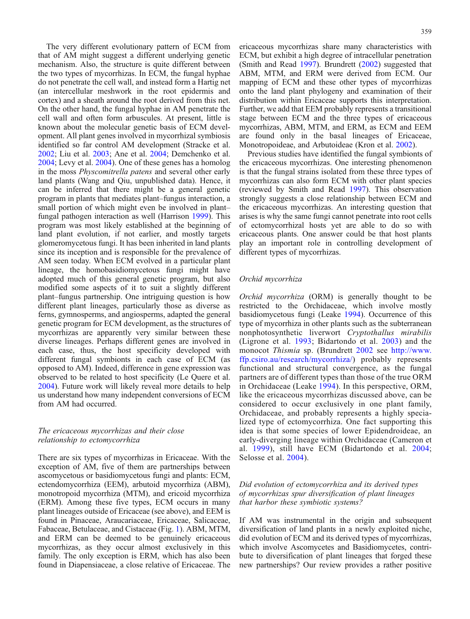The very different evolutionary pattern of ECM from that of AM might suggest a different underlying genetic mechanism. Also, the structure is quite different between the two types of mycorrhizas. In ECM, the fungal hyphae do not penetrate the cell wall, and instead form a Hartig net (an intercellular meshwork in the root epidermis and cortex) and a sheath around the root derived from this net. On the other hand, the fungal hyphae in AM penetrate the cell wall and often form arbuscules. At present, little is known about the molecular genetic basis of ECM development. All plant genes involved in mycorrhizal symbiosis identified so far control AM development (Stracke et al. [2002](#page-64-0); Liu et al. [2003;](#page-63-0) Ane et al. [2004](#page-63-0); Demchenko et al. [2004](#page-63-0); Levy et al. [2004\)](#page-63-0). One of these genes has a homolog in the moss Physcomitrella patens and several other early land plants (Wang and Qiu, unpublished data). Hence, it can be inferred that there might be a general genetic program in plants that mediates plant–fungus interaction, a small portion of which might even be involved in plant– fungal pathogen interaction as well (Harrison [1999](#page-63-0)). This program was most likely established at the beginning of land plant evolution, if not earlier, and mostly targets glomeromycetous fungi. It has been inherited in land plants since its inception and is responsible for the prevalence of AM seen today. When ECM evolved in a particular plant lineage, the homobasidiomycetous fungi might have adopted much of this general genetic program, but also modified some aspects of it to suit a slightly different plant–fungus partnership. One intriguing question is how different plant lineages, particularly those as diverse as ferns, gymnosperms, and angiosperms, adapted the general genetic program for ECM development, as the structures of mycorrhizas are apparently very similar between these diverse lineages. Perhaps different genes are involved in each case, thus, the host specificity developed with different fungal symbionts in each case of ECM (as opposed to AM). Indeed, difference in gene expression was observed to be related to host specificity (Le Quere et al. [2004](#page-63-0)). Future work will likely reveal more details to help us understand how many independent conversions of ECM from AM had occurred.

### The ericaceous mycorrhizas and their close relationship to ectomycorrhiza

There are six types of mycorrhizas in Ericaceae. With the exception of AM, five of them are partnerships between ascomycetous or basidiomycetous fungi and plants: ECM, ectendomycorrhiza (EEM), arbutoid mycorrhiza (ABM), monotropoid mycorrhiza (MTM), and ericoid mycorrhiza (ERM). Among these five types, ECM occurs in many plant lineages outside of Ericaceae (see above), and EEM is found in Pinaceae, Araucariaceae, Ericaceae, Salicaceae, Fabaceae, Betulaceae, and Cistaceae (Fig. [1\)](#page-55-0). ABM, MTM, and ERM can be deemed to be genuinely ericaceous mycorrhizas, as they occur almost exclusively in this family. The only exception is ERM, which has also been found in Diapensiaceae, a close relative of Ericaceae. The

ericaceous mycorrhizas share many characteristics with ECM, but exhibit a high degree of intracellular penetration (Smith and Read [1997\)](#page-64-0). Brundrett [\(2002](#page-63-0)) suggested that ABM, MTM, and ERM were derived from ECM. Our mapping of ECM and these other types of mycorrhizas onto the land plant phylogeny and examination of their distribution within Ericaceae supports this interpretation. Further, we add that EEM probably represents a transitional stage between ECM and the three types of ericaceous mycorrhizas, ABM, MTM, and ERM, as ECM and EEM are found only in the basal lineages of Ericaceae, Monotropoideae, and Arbutoideae (Kron et al. [2002\)](#page-63-0).

Previous studies have identified the fungal symbionts of the ericaceous mycorrhizas. One interesting phenomenon is that the fungal strains isolated from these three types of mycorrhizas can also form ECM with other plant species (reviewed by Smith and Read [1997\)](#page-64-0). This observation strongly suggests a close relationship between ECM and the ericaceous mycorrhizas. An interesting question that arises is why the same fungi cannot penetrate into root cells of ectomycorrhizal hosts yet are able to do so with ericaceous plants. One answer could be that host plants play an important role in controlling development of different types of mycorrhizas.

#### Orchid mycorrhiza

Orchid mycorrhiza (ORM) is generally thought to be restricted to the Orchidaceae, which involve mostly basidiomycetous fungi (Leake [1994](#page-63-0)). Occurrence of this type of mycorrhiza in other plants such as the subterranean nonphotosynthetic liverwort Cryptothallus mirabilis (Ligrone et al. [1993](#page-63-0); Bidartondo et al. [2003\)](#page-63-0) and the monocot Thismia sp. (Brundrett [2002](#page-63-0) see [http://www.](http://www.ffp.csiro.au/research/mycorrhiza/) [ffp.csiro.au/research/mycorrhiza/\)](http://www.ffp.csiro.au/research/mycorrhiza/) probably represents functional and structural convergence, as the fungal partners are of different types than those of the true ORM in Orchidaceae (Leake [1994\)](#page-63-0). In this perspective, ORM, like the ericaceous mycorrhizas discussed above, can be considered to occur exclusively in one plant family, Orchidaceae, and probably represents a highly specialized type of ectomycorrhiza. One fact supporting this idea is that some species of lower Epidendroideae, an early-diverging lineage within Orchidaceae (Cameron et al. [1999\)](#page-63-0), still have ECM (Bidartondo et al. [2004](#page-63-0); Selosse et al. [2004](#page-64-0)).

# Did evolution of ectomycorrhiza and its derived types of mycorrhizas spur diversification of plant lineages that harbor these symbiotic systems?

If AM was instrumental in the origin and subsequent diversification of land plants in a newly exploited niche, did evolution of ECM and its derived types of mycorrhizas, which involve Ascomycetes and Basidiomycetes, contribute to diversification of plant lineages that forged these new partnerships? Our review provides a rather positive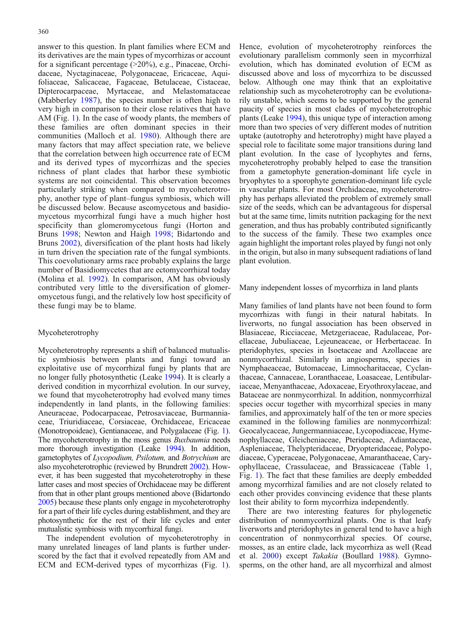answer to this question. In plant families where ECM and its derivatives are the main types of mycorrhizas or account for a significant percentage (>20%), e.g., Pinaceae, Orchidaceae, Nyctaginaceae, Polygonaceae, Ericaceae, Aquifoliaceae, Salicaceae, Fagaceae, Betulaceae, Cistaceae, Dipterocarpaceae, Myrtaceae, and Melastomataceae (Mabberley [1987](#page-64-0)), the species number is often high to very high in comparison to their close relatives that have AM (Fig. [1](#page-55-0)). In the case of woody plants, the members of these families are often dominant species in their communities (Malloch et al. [1980](#page-64-0)). Although there are many factors that may affect speciation rate, we believe that the correlation between high occurrence rate of ECM and its derived types of mycorrhizas and the species richness of plant clades that harbor these symbiotic systems are not coincidental. This observation becomes particularly striking when compared to mycoheterotrophy, another type of plant–fungus symbiosis, which will be discussed below. Because ascomycetous and basidiomycetous mycorrhizal fungi have a much higher host specificity than glomeromycetous fungi (Horton and Bruns [1998](#page-63-0); Newton and Haigh [1998;](#page-64-0) Bidartondo and Bruns [2002](#page-63-0)), diversification of the plant hosts had likely in turn driven the speciation rate of the fungal symbionts. This coevolutionary arms race probably explains the large number of Basidiomycetes that are ectomycorrhizal today (Molina et al. [1992\)](#page-64-0). In comparison, AM has obviously contributed very little to the diversification of glomeromycetous fungi, and the relatively low host specificity of these fungi may be to blame.

#### Mycoheterotrophy

Mycoheterotrophy represents a shift of balanced mutualistic symbiosis between plants and fungi toward an exploitative use of mycorrhizal fungi by plants that are no longer fully photosynthetic (Leake [1994](#page-63-0)). It is clearly a derived condition in mycorrhizal evolution. In our survey, we found that mycoheterotrophy had evolved many times independently in land plants, in the following families: Aneuraceae, Podocarpaceae, Petrosaviaceae, Burmanniaceae, Triuridiaceae, Corsiaceae, Orchidaceae, Ericaceae (Monotropoideae), Gentianaceae, and Polygalaceae (Fig. [1](#page-55-0)). The mycoheterotrophy in the moss genus *Buxbaumia* needs more thorough investigation (Leake [1994\)](#page-63-0). In addition, gametophytes of Lycopodium, Psilotum, and Botrychium are also mycoheterotrophic (reviewed by Brundrett [2002\)](#page-63-0). However, it has been suggested that mycoheterotrophy in these latter cases and most species of Orchidaceae may be different from that in other plant groups mentioned above (Bidartondo [2005](#page-63-0)) because these plants only engage in mycoheterotrophy for a part of their life cycles during establishment, and they are photosynthetic for the rest of their life cycles and enter mutualistic symbiosis with mycorrhizal fungi.

The independent evolution of mycoheterotrophy in many unrelated lineages of land plants is further underscored by the fact that it evolved repeatedly from AM and ECM and ECM-derived types of mycorrhizas (Fig. [1\)](#page-55-0).

Hence, evolution of mycoheterotrophy reinforces the evolutionary parallelism commonly seen in mycorrhizal evolution, which has dominated evolution of ECM as discussed above and loss of mycorrhiza to be discussed below. Although one may think that an exploitative relationship such as mycoheterotrophy can be evolutionarily unstable, which seems to be supported by the general paucity of species in most clades of mycoheterotrophic plants (Leake [1994\)](#page-63-0), this unique type of interaction among more than two species of very different modes of nutrition uptake (autotrophy and heterotrophy) might have played a special role to facilitate some major transitions during land plant evolution. In the case of lycophytes and ferns, mycoheterotrophy probably helped to ease the transition from a gametophyte generation-dominant life cycle in bryophytes to a sporophyte generation-dominant life cycle in vascular plants. For most Orchidaceae, mycoheterotrophy has perhaps alleviated the problem of extremely small size of the seeds, which can be advantageous for dispersal but at the same time, limits nutrition packaging for the next generation, and thus has probably contributed significantly to the success of the family. These two examples once again highlight the important roles played by fungi not only in the origin, but also in many subsequent radiations of land plant evolution.

Many independent losses of mycorrhiza in land plants

Many families of land plants have not been found to form mycorrhizas with fungi in their natural habitats. In liverworts, no fungal association has been observed in Blasiaceae, Ricciaceae, Metzgeriaceae, Radulaceae, Porellaceae, Jubuliaceae, Lejeuneaceae, or Herbertaceae. In pteridophytes, species in Isoetaceae and Azollaceae are nonmycorrhizal. Similarly in angiosperms, species in Nymphaeaceae, Butomaceae, Limnocharitaceae, Cyclanthaceae, Cannaceae, Loranthaceae, Loasaceae, Lentibulariaceae, Menyanthaceae, Adoxaceae, Eryothroxylaceae, and Bataceae are nonmycorrhizal. In addition, nonmycorrhizal species occur together with mycorrhizal species in many families, and approximately half of the ten or more species examined in the following families are nonmycorrhizal: Geocalycaceae, Jungermanniaceae, Lycopodiaceae, Hymenophyllaceae, Gleicheniaceae, Pteridaceae, Adiantaceae, Aspleniaceae, Thelypteridaceae, Dryopteridaceae, Polypodiaceae, Cyperaceae, Polygonaceae, Amaranthaceae, Caryophyllaceae, Crassulaceae, and Brassicaceae (Table [1](#page-2-0), Fig. [1\)](#page-55-0). The fact that these families are deeply embedded among mycorrhizal families and are not closely related to each other provides convincing evidence that these plants lost their ability to form mycorrhiza independently.

There are two interesting features for phylogenetic distribution of nonmycorrhizal plants. One is that leafy liverworts and pteridophytes in general tend to have a high concentration of nonmycorrhizal species. Of course, mosses, as an entire clade, lack mycorrhiza as well (Read et al. [2000](#page-64-0)) except Takakia (Boullard [1988\)](#page-63-0). Gymnosperms, on the other hand, are all mycorrhizal and almost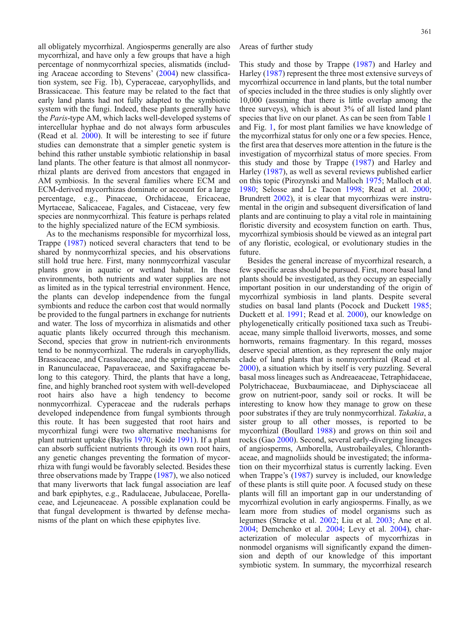all obligately mycorrhizal. Angiosperms generally are also mycorrhizal, and have only a few groups that have a high percentage of nonmycorrhizal species, alismatids (including Araceae according to Stevens' [\(2004](#page-64-0)) new classification system, see Fig. 1b), Cyperaceae, caryophyllids, and Brassicaceae. This feature may be related to the fact that early land plants had not fully adapted to the symbiotic system with the fungi. Indeed, these plants generally have the Paris-type AM, which lacks well-developed systems of intercellular hyphae and do not always form arbuscules (Read et al. [2000](#page-64-0)). It will be interesting to see if future studies can demonstrate that a simpler genetic system is behind this rather unstable symbiotic relationship in basal land plants. The other feature is that almost all nonmycorrhizal plants are derived from ancestors that engaged in AM symbiosis. In the several families where ECM and ECM-derived mycorrhizas dominate or account for a large percentage, e.g., Pinaceae, Orchidaceae, Ericaceae, Myrtaceae, Salicaceae, Fagales, and Cistaceae, very few species are nonmycorrhizal. This feature is perhaps related to the highly specialized nature of the ECM symbiosis.

As to the mechanisms responsible for mycorrhizal loss, Trappe ([1987\)](#page-64-0) noticed several characters that tend to be shared by nonmycorrhizal species, and his observations still hold true here. First, many nonmycorrhizal vascular plants grow in aquatic or wetland habitat. In these environments, both nutrients and water supplies are not as limited as in the typical terrestrial environment. Hence, the plants can develop independence from the fungal symbionts and reduce the carbon cost that would normally be provided to the fungal partners in exchange for nutrients and water. The loss of mycorrhiza in alismatids and other aquatic plants likely occurred through this mechanism. Second, species that grow in nutrient-rich environments tend to be nonmycorrhizal. The ruderals in caryophyllids, Brassicaceae, and Crassulaceae, and the spring ephemerals in Ranunculaceae, Papaveraceae, and Saxifragaceae belong to this category. Third, the plants that have a long, fine, and highly branched root system with well-developed root hairs also have a high tendency to become nonmycorrhizal. Cyperaceae and the ruderals perhaps developed independence from fungal symbionts through this route. It has been suggested that root hairs and mycorrhizal fungi were two alternative mechanisms for plant nutrient uptake (Baylis [1970;](#page-63-0) Koide [1991](#page-63-0)). If a plant can absorb sufficient nutrients through its own root hairs, any genetic changes preventing the formation of mycorrhiza with fungi would be favorably selected. Besides these three observations made by Trappe ([1987](#page-64-0)), we also noticed that many liverworts that lack fungal association are leaf and bark epiphytes, e.g., Radulaceae, Jubulaceae, Porellaceae, and Lejeuneaceae. A possible explanation could be that fungal development is thwarted by defense mechanisms of the plant on which these epiphytes live.

Areas of further study

This study and those by Trappe [\(1987](#page-64-0)) and Harley and Harley ([1987\)](#page-63-0) represent the three most extensive surveys of mycorrhizal occurrence in land plants, but the total number of species included in the three studies is only slightly over 10,000 (assuming that there is little overlap among the three surveys), which is about 3% of all listed land plant species that live on our planet. As can be seen from Table [1](#page-2-0) and Fig. [1,](#page-55-0) for most plant families we have knowledge of the mycorrhizal status for only one or a few species. Hence, the first area that deserves more attention in the future is the investigation of mycorrhizal status of more species. From this study and those by Trappe ([1987\)](#page-64-0) and Harley and Harley ([1987\)](#page-63-0), as well as several reviews published earlier on this topic (Pirozynski and Malloch [1975](#page-64-0); Malloch et al. [1980](#page-64-0); Selosse and Le Tacon [1998;](#page-64-0) Read et al. [2000](#page-64-0); Brundrett [2002\)](#page-63-0), it is clear that mycorrhizas were instrumental in the origin and subsequent diversification of land plants and are continuing to play a vital role in maintaining floristic diversity and ecosystem function on earth. Thus, mycorrhizal symbiosis should be viewed as an integral part of any floristic, ecological, or evolutionary studies in the future.

Besides the general increase of mycorrhizal research, a few specific areas should be pursued. First, more basal land plants should be investigated, as they occupy an especially important position in our understanding of the origin of mycorrhizal symbiosis in land plants. Despite several studies on basal land plants (Pocock and Duckett [1985](#page-64-0); Duckett et al. [1991;](#page-63-0) Read et al. [2000\)](#page-64-0), our knowledge on phylogenetically critically positioned taxa such as Treubiaceae, many simple thalloid liverworts, mosses, and some hornworts, remains fragmentary. In this regard, mosses deserve special attention, as they represent the only major clade of land plants that is nonmycorrhizal (Read et al. [2000](#page-64-0)), a situation which by itself is very puzzling. Several basal moss lineages such as Andreaeaceae, Tetraphidaceae, Polytrichaceae, Buxbaumiaceae, and Diphysciaceae all grow on nutrient-poor, sandy soil or rocks. It will be interesting to know how they manage to grow on these poor substrates if they are truly nonmycorrhizal. Takakia, a sister group to all other mosses, is reported to be mycorrhizal (Boullard [1988](#page-63-0)) and grows on thin soil and rocks (Gao [2000\)](#page-63-0). Second, several early-diverging lineages of angiosperms, Amborella, Austrobaileyales, Chloranthaceae, and magnoliids should be investigated; the information on their mycorrhizal status is currently lacking. Even when Trappe's [\(1987](#page-64-0)) survey is included, our knowledge of these plants is still quite poor. A focused study on these plants will fill an important gap in our understanding of mycorrhizal evolution in early angiosperms. Finally, as we learn more from studies of model organisms such as legumes (Stracke et al. [2002](#page-64-0); Liu et al. [2003;](#page-63-0) Ane et al. [2004](#page-63-0); Demchenko et al. [2004](#page-63-0); Levy et al. [2004](#page-63-0)), characterization of molecular aspects of mycorrhizas in nonmodel organisms will significantly expand the dimension and depth of our knowledge of this important symbiotic system. In summary, the mycorrhizal research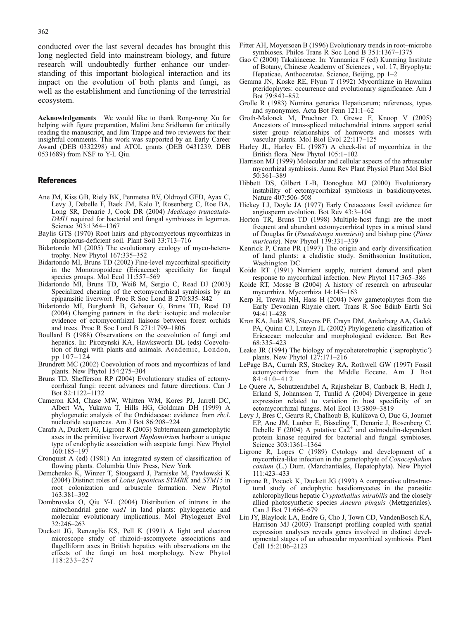<span id="page-63-0"></span>conducted over the last several decades has brought this long neglected field into mainstream biology, and future research will undoubtedly further enhance our understanding of this important biological interaction and its impact on the evolution of both plants and fungi, as well as the establishment and functioning of the terrestrial ecosystem.

Acknowledgements We would like to thank Rong-rong Xu for helping with figure preparation, Malini Jane Sridharan for critically reading the manuscript, and Jim Trappe and two reviewers for their insightful comments. This work was supported by an Early Career Award (DEB 0332298) and ATOL grants (DEB 0431239, DEB 0531689) from NSF to Y-L Qiu.

#### References

- Ane JM, Kiss GB, Riely BK, Penmetsa RV, Oldroyd GED, Ayax C, Levy J, Debelle F, Baek JM, Kalo P, Rosenberg C, Roe BA, Long SR, Denarie J, Cook DR (2004) Medicago truncatula-DMI1 required for bacterial and fungal symbioses in legumes. Science 303:1364–1367
- Baylis GTS (1970) Root hairs and phycomycetous mycorrhizas in phosphorus-deficient soil. Plant Soil 33:713–716
- Bidartondo MI (2005) The evolutionary ecology of myco-heterotrophy. New Phytol 167:335–352
- Bidartondo MI, Bruns TD (2002) Fine-level mycorrhizal specificity in the Monotropoideae (Ericaceae): specificity for fungal species groups. Mol Ecol 11:557-569
- Bidartondo MI, Bruns TD, Weiß M, Sergio C, Read DJ (2003) Specialized cheating of the ectomycorrhizal symbiosis by an epiparasitic liverwort. Proc R Soc Lond B 270:835–842
- Bidartondo MI, Burghardt B, Gebauer G, Bruns TD, Read DJ (2004) Changing partners in the dark: isotopic and molecular evidence of ectomycorrhizal liaisons between forest orchids and trees. Proc R Soc Lond B 271:1799–1806
- Boullard B (1988) Observations on the coevolution of fungi and hepatics. In: Pirozynski KA, Hawksworth DL (eds) Coevolution of fungi with plants and animals. Academic, London, pp  $107 - 124$
- Brundrett MC (2002) Coevolution of roots and mycorrhizas of land plants. New Phytol 154:275–304
- Bruns TD, Shefferson RP (2004) Evolutionary studies of ectomycorrhizal fungi: recent advances and future directions. Can J Bot 82:1122–1132
- Cameron KM, Chase MW, Whitten WM, Kores PJ, Jarrell DC, Albert VA, Yukawa T, Hills HG, Goldman DH (1999) A phylogenetic analysis of the Orchidaceae: evidence from rbcL nucleotide sequences. Am J Bot 86:208–224
- Carafa A, Duckett JG, Ligrone R (2003) Subterranean gametophytic axes in the primitive liverwort *Haplomitrium* harbour a unique type of endophytic association with aseptate fungi. New Phytol 160:185–197
- Cronquist A (ed) (1981) An integrated system of classification of flowing plants. Columbia Univ Press, New York
- Demchenko K, Winzer T, Stougaard J, Parniske M, Pawlowski K (2004) Distinct roles of Lotus japonicus SYMRK and SYM15 in root colonization and arbuscule formation. New Phytol 163:381–392
- Dombrovska O, Qiu Y-L (2004) Distribution of introns in the mitochondrial gene nad1 in land plants: phylogenetic and molecular evolutionary implications. Mol Phylogenet Evol 32:246–263
- Duckett JG, Renzaglia KS, Pell K (1991) A light and electron microscope study of rhizoid–ascomycete associations and flagelliform axes in British hepatics with observations on the effects of the fungi on host morphology. New Phytol 118:233–257
- Fitter AH, Moyersoen B (1996) Evolutionary trends in root–microbe symbioses. Philos Trans R Soc Lond B 351:1367-1375
- Gao C (2000) Takakiaceae. In: Yunnanica F (ed) Kunming Institute of Botany, Chinese Academy of Sciences , vol. 17, Bryophyta: Hepaticae, Anthocerotae. Science, Beijing, pp 1–2
- Gemma JN, Koske RE, Flynn T (1992) Mycorrhizae in Hawaiian pteridophytes: occurrence and evolutionary significance. Am J Bot 79:843–852
- Grolle R (1983) Nomina generica Hepaticarum; references, types and synonymies. Acta Bot Fenn 121:1–62
- Groth-Malonek M, Pruchner D, Grewe F, Knoop V (2005) Ancestors of trans-spliced mitochondrial introns support serial sister group relationships of hornworts and mosses with vascular plants. Mol Biol Evol 22:117–125
- Harley JL, Harley EL (1987) A check-list of mycorrhiza in the British flora. New Phytol 105:1–102
- Harrison MJ (1999) Molecular and cellular aspects of the arbuscular mycorrhizal symbiosis. Annu Rev Plant Physiol Plant Mol Biol 50:361–389
- Hibbett DS, Gilbert L-B, Donoghue MJ (2000) Evolutionary instability of ectomycorrhizal symbiosis in basidiomycetes. Nature 407:506–508
- Hickey LJ, Doyle JA (1977) Early Cretaceous fossil evidence for angiosperm evolution. Bot Rev 43:3–104
- Horton TR, Bruns TD (1998) Multiple-host fungi are the most frequent and abundant ectomycorrhizal types in a mixed stand of Douglas fir (Pseudotsuga menziesii) and bishop pine (Pinus muricata). New Phytol 139:331–339
- Kenrick P, Crane PR (1997) The origin and early diversification of land plants: a cladistic study. Smithsonian Institution, Washington DC
- Koide RT (1991) Nutrient supply, nutrient demand and plant response to mycorrhizal infection. New Phytol 117:365–386
- Koide RT, Mosse B (2004) A history of research on arbuscular mycorrhiza. Mycorrhiza 14:145–163
- Kerp H, Trewin NH, Hass H (2004) New gametophytes from the Early Devonian Rhynie chert. Trans R Soc Edinb Earth Sci 94:411–428
- Kron KA, Judd WS, Stevens PF, Crayn DM, Anderberg AA, Gadek PA, Quinn CJ, Luteyn JL (2002) Phylogenetic classification of Ericaceae: molecular and morphological evidence. Bot Rev 68:335–423
- Leake JR (1994) The biology of mycoheterotrophic ('saprophytic') plants. New Phytol 127:171–216
- LePage BA, Currah RS, Stockey RA, Rothwell GW (1997) Fossil ectomycorrhizae from the Middle Eocene. Am J Bot 84:410–412
- Le Quere A, Schutzendubel A, Rajashekar B, Canback B, Hedh J, Erland S, Johansson T, Tunlid A (2004) Divergence in gene expression related to variation in host specificity of an ectomycorrhizal fungus. Mol Ecol 13:3809–3819
- Levy J, Bres C, Geurts R, Chalhoub B, Kulikova O, Duc G, Journet EP, Ane JM, Lauber E, Bisseling T, Denarie J, Rosenberg C, Debelle F (2004) A putative Ca2<sup>+</sup> and calmodulin-dependent protein kinase required for bacterial and fungal symbioses. Science 303:1361–1364
- Ligrone R, Lopes C (1989) Cytology and development of a mycorrhiza-like infection in the gametophyte of Conocephalum conium (L.) Dum. (Marchantiales, Hepatophyta). New Phytol 111:423–433
- Ligrone R, Pocock K, Duckett JG (1993) A comparative ultrastructural study of endophytic basidiomycetes in the parasitic achlorophyllous hepatic Cryptothallus mirabilis and the closely allied photosynthetic species Aneura pinguis (Metzgeriales). Can J Bot 71:666–679
- Liu JY, Blaylock LA, Endre G, Cho J, Town CD, VandenBosch KA, Harrison MJ (2003) Transcript profiling coupled with spatial expression analyses reveals genes involved in distinct developmental stages of an arbuscular mycorrhizal symbiosis. Plant Cell 15:2106–2123